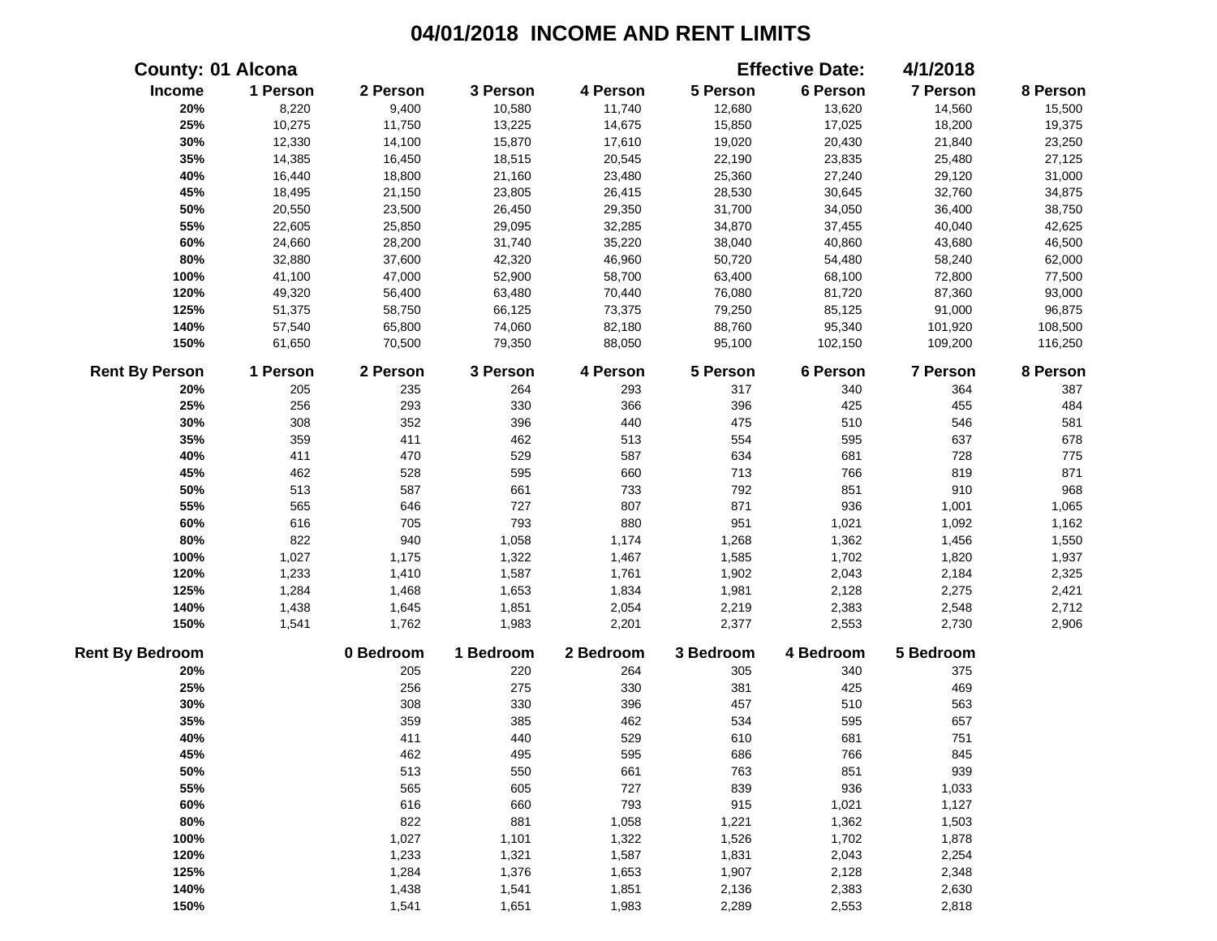| <b>County: 01 Alcona</b> |          |           |           |           |           | <b>Effective Date:</b> | 4/1/2018  |          |
|--------------------------|----------|-----------|-----------|-----------|-----------|------------------------|-----------|----------|
| Income                   | 1 Person | 2 Person  | 3 Person  | 4 Person  | 5 Person  | 6 Person               | 7 Person  | 8 Person |
| 20%                      | 8,220    | 9,400     | 10,580    | 11,740    | 12,680    | 13,620                 | 14,560    | 15,500   |
| 25%                      | 10,275   | 11,750    | 13,225    | 14,675    | 15,850    | 17,025                 | 18,200    | 19,375   |
| 30%                      | 12,330   | 14,100    | 15,870    | 17,610    | 19,020    | 20,430                 | 21,840    | 23,250   |
| 35%                      | 14,385   | 16,450    | 18,515    | 20,545    | 22,190    | 23,835                 | 25,480    | 27,125   |
| 40%                      | 16,440   | 18,800    | 21,160    | 23,480    | 25,360    | 27,240                 | 29,120    | 31,000   |
| 45%                      | 18,495   | 21,150    | 23,805    | 26,415    | 28,530    | 30,645                 | 32,760    | 34,875   |
| 50%                      | 20,550   | 23,500    | 26,450    | 29,350    | 31,700    | 34,050                 | 36,400    | 38,750   |
| 55%                      | 22,605   | 25,850    | 29,095    | 32,285    | 34,870    | 37,455                 | 40,040    | 42,625   |
| 60%                      | 24,660   | 28,200    | 31,740    | 35,220    | 38,040    | 40,860                 | 43,680    | 46,500   |
| 80%                      | 32,880   | 37,600    | 42,320    | 46,960    | 50,720    | 54,480                 | 58,240    | 62,000   |
| 100%                     | 41,100   | 47,000    | 52,900    | 58,700    | 63,400    | 68,100                 | 72,800    | 77,500   |
| 120%                     | 49,320   | 56,400    | 63,480    | 70,440    | 76,080    | 81,720                 | 87,360    | 93,000   |
| 125%                     | 51,375   | 58,750    | 66,125    | 73,375    | 79,250    | 85,125                 | 91,000    | 96,875   |
| 140%                     | 57,540   | 65,800    | 74,060    | 82,180    | 88,760    | 95,340                 | 101,920   | 108,500  |
| 150%                     | 61,650   | 70,500    | 79,350    | 88,050    | 95,100    | 102,150                | 109,200   | 116,250  |
| <b>Rent By Person</b>    | 1 Person | 2 Person  | 3 Person  | 4 Person  | 5 Person  | 6 Person               | 7 Person  | 8 Person |
| 20%                      | 205      | 235       | 264       | 293       | 317       | 340                    | 364       | 387      |
| 25%                      | 256      | 293       | 330       | 366       | 396       | 425                    | 455       | 484      |
| 30%                      | 308      | 352       | 396       | 440       | 475       | 510                    | 546       | 581      |
| 35%                      | 359      | 411       | 462       | 513       | 554       | 595                    | 637       | 678      |
| 40%                      | 411      | 470       | 529       | 587       | 634       | 681                    | 728       | 775      |
| 45%                      | 462      | 528       | 595       | 660       | 713       | 766                    | 819       | 871      |
| 50%                      | 513      | 587       | 661       | 733       | 792       | 851                    | 910       | 968      |
| 55%                      | 565      | 646       | 727       | 807       | 871       | 936                    | 1,001     | 1,065    |
| 60%                      | 616      | 705       | 793       | 880       | 951       | 1,021                  | 1,092     | 1,162    |
| 80%                      | 822      | 940       | 1,058     | 1,174     | 1,268     | 1,362                  | 1,456     | 1,550    |
| 100%                     | 1,027    | 1,175     | 1,322     | 1,467     | 1,585     | 1,702                  | 1,820     | 1,937    |
| 120%                     | 1,233    | 1,410     | 1,587     | 1,761     | 1,902     | 2,043                  | 2,184     | 2,325    |
| 125%                     | 1,284    | 1,468     | 1,653     | 1,834     | 1,981     | 2,128                  | 2,275     | 2,421    |
| 140%                     | 1,438    | 1,645     | 1,851     | 2,054     | 2,219     | 2,383                  | 2,548     | 2,712    |
| 150%                     | 1,541    | 1,762     | 1,983     | 2,201     | 2,377     | 2,553                  | 2,730     | 2,906    |
| <b>Rent By Bedroom</b>   |          | 0 Bedroom | 1 Bedroom | 2 Bedroom | 3 Bedroom | 4 Bedroom              | 5 Bedroom |          |
| 20%                      |          | 205       | 220       | 264       | 305       | 340                    | 375       |          |
| 25%                      |          | 256       | 275       | 330       | 381       | 425                    | 469       |          |
| 30%                      |          | 308       | 330       | 396       | 457       | 510                    | 563       |          |
| 35%                      |          | 359       | 385       | 462       | 534       | 595                    | 657       |          |
| 40%                      |          | 411       | 440       | 529       | 610       | 681                    | 751       |          |
| 45%                      |          | 462       | 495       | 595       | 686       | 766                    | 845       |          |
| 50%                      |          | 513       | 550       | 661       | 763       | 851                    | 939       |          |
| 55%                      |          | 565       | 605       | 727       | 839       | 936                    | 1,033     |          |
| 60%                      |          | 616       | 660       | 793       | 915       | 1,021                  | 1,127     |          |
| 80%                      |          | 822       | 881       | 1,058     | 1,221     | 1,362                  | 1,503     |          |
| 100%                     |          | 1,027     | 1,101     | 1,322     | 1,526     | 1,702                  | 1,878     |          |
| 120%                     |          | 1,233     | 1,321     | 1,587     | 1,831     | 2,043                  | 2,254     |          |
| 125%                     |          | 1,284     | 1,376     | 1,653     | 1,907     | 2,128                  | 2,348     |          |
| 140%                     |          | 1,438     | 1,541     | 1,851     | 2,136     | 2,383                  | 2,630     |          |
| 150%                     |          | 1,541     | 1,651     | 1,983     | 2,289     | 2,553                  | 2,818     |          |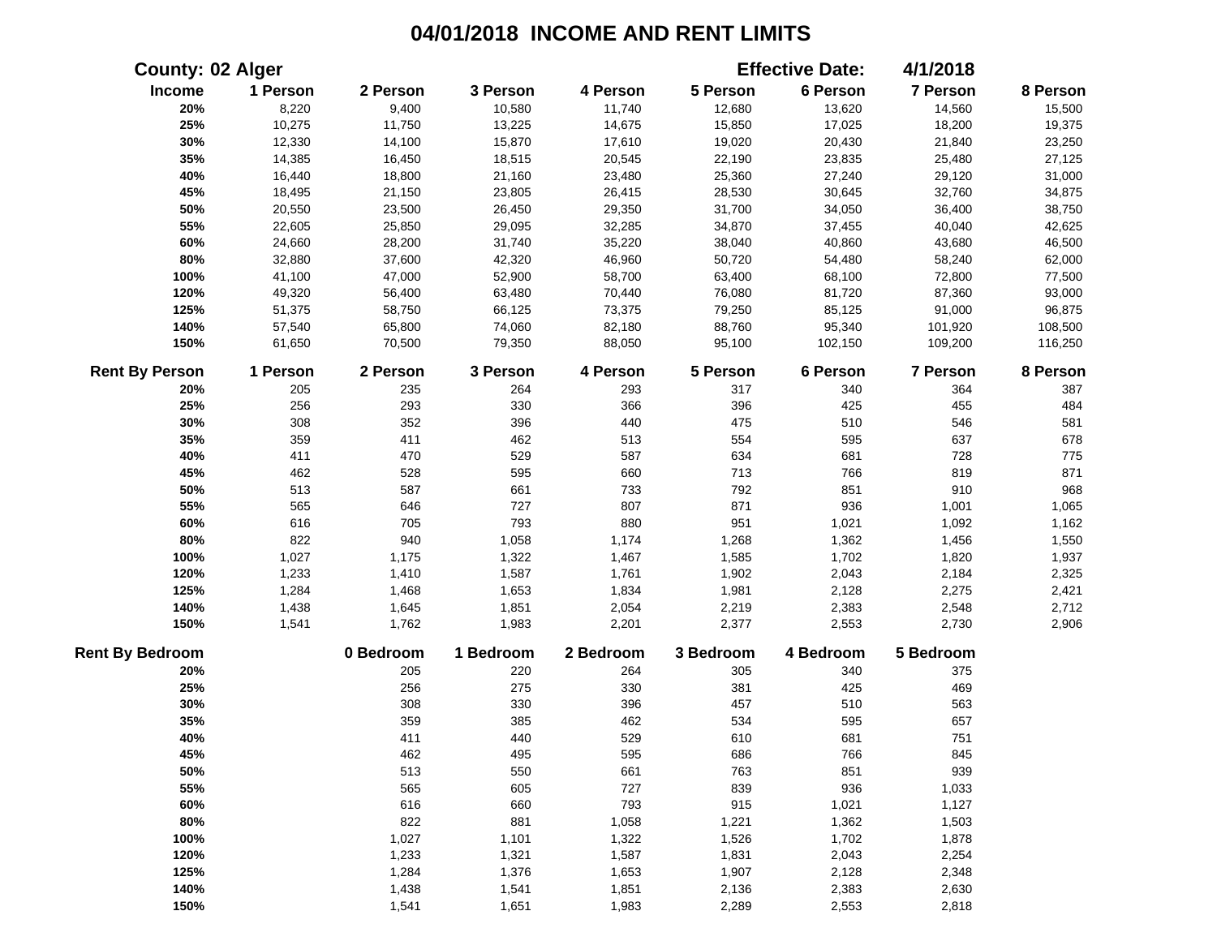|                        | <b>County: 02 Alger</b> |           |           |           |           | <b>Effective Date:</b> | 4/1/2018  |          |
|------------------------|-------------------------|-----------|-----------|-----------|-----------|------------------------|-----------|----------|
| Income                 | 1 Person                | 2 Person  | 3 Person  | 4 Person  | 5 Person  | 6 Person               | 7 Person  | 8 Person |
| 20%                    | 8,220                   | 9,400     | 10,580    | 11,740    | 12,680    | 13,620                 | 14,560    | 15,500   |
| 25%                    | 10,275                  | 11,750    | 13,225    | 14,675    | 15,850    | 17,025                 | 18,200    | 19,375   |
| 30%                    | 12,330                  | 14,100    | 15,870    | 17,610    | 19,020    | 20,430                 | 21,840    | 23,250   |
| 35%                    | 14,385                  | 16,450    | 18,515    | 20,545    | 22,190    | 23,835                 | 25,480    | 27,125   |
| 40%                    | 16,440                  | 18,800    | 21,160    | 23,480    | 25,360    | 27,240                 | 29,120    | 31,000   |
| 45%                    | 18,495                  | 21,150    | 23,805    | 26,415    | 28,530    | 30,645                 | 32,760    | 34,875   |
| 50%                    | 20,550                  | 23,500    | 26,450    | 29,350    | 31,700    | 34,050                 | 36,400    | 38,750   |
| 55%                    | 22,605                  | 25,850    | 29,095    | 32,285    | 34,870    | 37,455                 | 40,040    | 42,625   |
| 60%                    | 24,660                  | 28,200    | 31,740    | 35,220    | 38,040    | 40,860                 | 43,680    | 46,500   |
| 80%                    | 32,880                  | 37,600    | 42,320    | 46,960    | 50,720    | 54,480                 | 58,240    | 62,000   |
| 100%                   | 41,100                  | 47,000    | 52,900    | 58,700    | 63,400    | 68,100                 | 72,800    | 77,500   |
| 120%                   | 49,320                  | 56,400    | 63,480    | 70,440    | 76,080    | 81,720                 | 87,360    | 93,000   |
| 125%                   | 51,375                  | 58,750    | 66,125    | 73,375    | 79,250    | 85,125                 | 91,000    | 96,875   |
| 140%                   | 57,540                  | 65,800    | 74,060    | 82,180    | 88,760    | 95,340                 | 101,920   | 108,500  |
| 150%                   | 61,650                  | 70,500    | 79,350    | 88,050    | 95,100    | 102,150                | 109,200   | 116,250  |
| <b>Rent By Person</b>  | 1 Person                | 2 Person  | 3 Person  | 4 Person  | 5 Person  | 6 Person               | 7 Person  | 8 Person |
| 20%                    | 205                     | 235       | 264       | 293       | 317       | 340                    | 364       | 387      |
| 25%                    | 256                     | 293       | 330       | 366       | 396       | 425                    | 455       | 484      |
| 30%                    | 308                     | 352       | 396       | 440       | 475       | 510                    | 546       | 581      |
| 35%                    | 359                     | 411       | 462       | 513       | 554       | 595                    | 637       | 678      |
| 40%                    | 411                     | 470       | 529       | 587       | 634       | 681                    | 728       | 775      |
| 45%                    | 462                     | 528       | 595       | 660       | 713       | 766                    | 819       | 871      |
| 50%                    | 513                     | 587       | 661       | 733       | 792       | 851                    | 910       | 968      |
| 55%                    | 565                     | 646       | 727       | 807       | 871       | 936                    | 1,001     | 1,065    |
| 60%                    | 616                     | 705       | 793       | 880       | 951       | 1,021                  | 1,092     | 1,162    |
| 80%                    | 822                     | 940       | 1,058     | 1,174     | 1,268     | 1,362                  | 1,456     | 1,550    |
| 100%                   | 1,027                   | 1,175     | 1,322     | 1,467     | 1,585     | 1,702                  | 1,820     | 1,937    |
| 120%                   | 1,233                   | 1,410     | 1,587     | 1,761     | 1,902     | 2,043                  | 2,184     | 2,325    |
| 125%                   | 1,284                   | 1,468     | 1,653     | 1,834     | 1,981     | 2,128                  | 2,275     | 2,421    |
| 140%                   | 1,438                   | 1,645     | 1,851     | 2,054     | 2,219     | 2,383                  | 2,548     | 2,712    |
| 150%                   | 1,541                   | 1,762     | 1,983     | 2,201     | 2,377     | 2,553                  | 2,730     | 2,906    |
| <b>Rent By Bedroom</b> |                         | 0 Bedroom | 1 Bedroom | 2 Bedroom | 3 Bedroom | 4 Bedroom              | 5 Bedroom |          |
| 20%                    |                         | 205       | 220       | 264       | 305       | 340                    | 375       |          |
| 25%                    |                         | 256       | 275       | 330       | 381       | 425                    | 469       |          |
| 30%                    |                         | 308       | 330       | 396       | 457       | 510                    | 563       |          |
| 35%                    |                         | 359       | 385       | 462       | 534       | 595                    | 657       |          |
| 40%                    |                         | 411       | 440       | 529       | 610       | 681                    | 751       |          |
| 45%                    |                         | 462       | 495       | 595       | 686       | 766                    | 845       |          |
| 50%                    |                         | 513       | 550       | 661       | 763       | 851                    | 939       |          |
| 55%                    |                         | 565       | 605       | 727       | 839       | 936                    | 1,033     |          |
| 60%                    |                         | 616       | 660       | 793       | 915       | 1,021                  | 1,127     |          |
| 80%                    |                         | 822       | 881       | 1,058     | 1,221     | 1,362                  | 1,503     |          |
| 100%                   |                         | 1,027     | 1,101     | 1,322     | 1,526     | 1,702                  | 1,878     |          |
| 120%                   |                         | 1,233     | 1,321     | 1,587     | 1,831     | 2,043                  | 2,254     |          |
| 125%                   |                         | 1,284     | 1,376     | 1,653     | 1,907     | 2,128                  | 2,348     |          |
| 140%                   |                         | 1,438     | 1,541     | 1,851     | 2,136     | 2,383                  | 2,630     |          |
| 150%                   |                         | 1,541     | 1,651     | 1,983     | 2,289     | 2,553                  | 2,818     |          |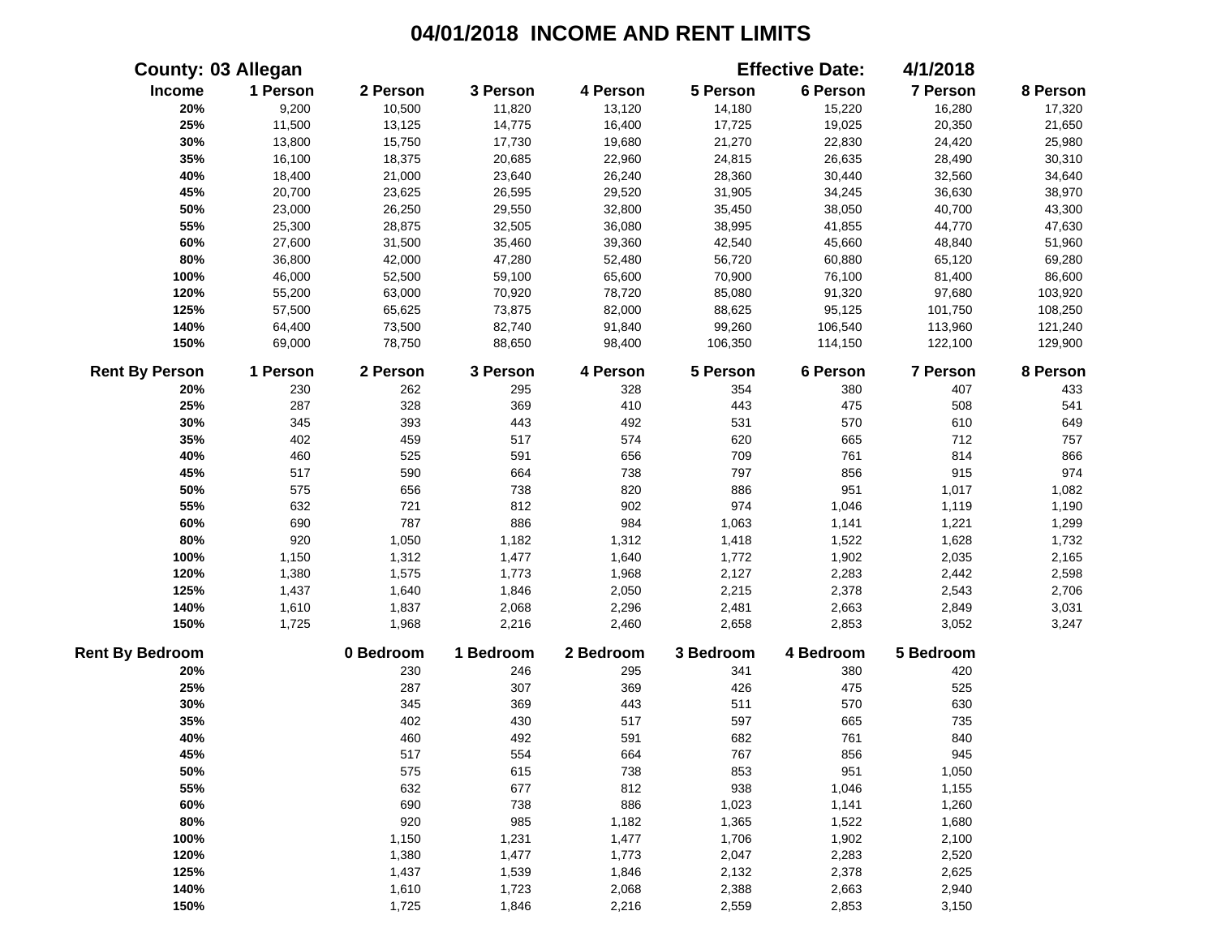|                        | <b>County: 03 Allegan</b> |           |           |           |           | <b>Effective Date:</b> | 4/1/2018        |          |
|------------------------|---------------------------|-----------|-----------|-----------|-----------|------------------------|-----------------|----------|
| Income                 | 1 Person                  | 2 Person  | 3 Person  | 4 Person  | 5 Person  | 6 Person               | 7 Person        | 8 Person |
| 20%                    | 9,200                     | 10,500    | 11,820    | 13,120    | 14,180    | 15,220                 | 16,280          | 17,320   |
| 25%                    | 11,500                    | 13,125    | 14,775    | 16,400    | 17,725    | 19,025                 | 20,350          | 21,650   |
| 30%                    | 13,800                    | 15,750    | 17,730    | 19,680    | 21,270    | 22,830                 | 24,420          | 25,980   |
| 35%                    | 16,100                    | 18,375    | 20,685    | 22,960    | 24,815    | 26,635                 | 28,490          | 30,310   |
| 40%                    | 18,400                    | 21,000    | 23,640    | 26,240    | 28,360    | 30,440                 | 32,560          | 34,640   |
| 45%                    | 20,700                    | 23,625    | 26,595    | 29,520    | 31,905    | 34,245                 | 36,630          | 38,970   |
| 50%                    | 23,000                    | 26,250    | 29,550    | 32,800    | 35,450    | 38,050                 | 40,700          | 43,300   |
| 55%                    | 25,300                    | 28,875    | 32,505    | 36,080    | 38,995    | 41,855                 | 44,770          | 47,630   |
| 60%                    | 27,600                    | 31,500    | 35,460    | 39,360    | 42,540    | 45,660                 | 48,840          | 51,960   |
| 80%                    | 36,800                    | 42,000    | 47,280    | 52,480    | 56,720    | 60,880                 | 65,120          | 69,280   |
| 100%                   | 46,000                    | 52,500    | 59,100    | 65,600    | 70,900    | 76,100                 | 81,400          | 86,600   |
| 120%                   | 55,200                    | 63,000    | 70,920    | 78,720    | 85,080    | 91,320                 | 97,680          | 103,920  |
| 125%                   | 57,500                    | 65,625    | 73,875    | 82,000    | 88,625    | 95,125                 | 101,750         | 108,250  |
| 140%                   | 64,400                    | 73,500    | 82,740    | 91,840    | 99,260    | 106,540                | 113,960         | 121,240  |
| 150%                   | 69,000                    | 78,750    | 88,650    | 98,400    | 106,350   | 114,150                | 122,100         | 129,900  |
| <b>Rent By Person</b>  | 1 Person                  | 2 Person  | 3 Person  | 4 Person  | 5 Person  | 6 Person               | <b>7 Person</b> | 8 Person |
| 20%                    | 230                       | 262       | 295       | 328       | 354       | 380                    | 407             | 433      |
| 25%                    | 287                       | 328       | 369       | 410       | 443       | 475                    | 508             | 541      |
| 30%                    | 345                       | 393       | 443       | 492       | 531       | 570                    | 610             | 649      |
| 35%                    | 402                       | 459       | 517       | 574       | 620       | 665                    | 712             | 757      |
| 40%                    | 460                       | 525       | 591       | 656       | 709       | 761                    | 814             | 866      |
| 45%                    | 517                       | 590       | 664       | 738       | 797       | 856                    | 915             | 974      |
| 50%                    | 575                       | 656       | 738       | 820       | 886       | 951                    | 1,017           | 1,082    |
| 55%                    | 632                       | 721       | 812       | 902       | 974       | 1,046                  | 1,119           | 1,190    |
| 60%                    | 690                       | 787       | 886       | 984       | 1,063     | 1,141                  | 1,221           | 1,299    |
| 80%                    | 920                       | 1,050     | 1,182     | 1,312     | 1,418     | 1,522                  | 1,628           | 1,732    |
| 100%                   | 1,150                     | 1,312     | 1,477     | 1,640     | 1,772     | 1,902                  | 2,035           | 2,165    |
| 120%                   | 1,380                     | 1,575     | 1,773     | 1,968     | 2,127     | 2,283                  | 2,442           | 2,598    |
| 125%                   | 1,437                     | 1,640     | 1,846     | 2,050     | 2,215     | 2,378                  | 2,543           | 2,706    |
| 140%                   | 1,610                     | 1,837     | 2,068     | 2,296     | 2,481     | 2,663                  | 2,849           | 3,031    |
| 150%                   | 1,725                     | 1,968     | 2,216     | 2,460     | 2,658     | 2,853                  | 3,052           | 3,247    |
| <b>Rent By Bedroom</b> |                           | 0 Bedroom | 1 Bedroom | 2 Bedroom | 3 Bedroom | 4 Bedroom              | 5 Bedroom       |          |
| 20%                    |                           | 230       | 246       | 295       | 341       | 380                    | 420             |          |
| 25%                    |                           | 287       | 307       | 369       | 426       | 475                    | 525             |          |
| 30%                    |                           | 345       | 369       | 443       | 511       | 570                    | 630             |          |
| 35%                    |                           | 402       | 430       | 517       | 597       | 665                    | 735             |          |
| 40%                    |                           | 460       | 492       | 591       | 682       | 761                    | 840             |          |
| 45%                    |                           | 517       | 554       | 664       | 767       | 856                    | 945             |          |
| 50%                    |                           | 575       | 615       | 738       | 853       | 951                    | 1,050           |          |
| 55%                    |                           | 632       | 677       | 812       | 938       | 1,046                  | 1,155           |          |
| 60%                    |                           | 690       | 738       | 886       | 1,023     | 1,141                  | 1,260           |          |
| 80%                    |                           | 920       | 985       | 1,182     | 1,365     | 1,522                  | 1,680           |          |
| 100%                   |                           | 1,150     | 1,231     | 1,477     | 1,706     | 1,902                  | 2,100           |          |
| 120%                   |                           | 1,380     | 1,477     | 1,773     | 2,047     | 2,283                  | 2,520           |          |
| 125%                   |                           | 1,437     | 1,539     | 1,846     | 2,132     | 2,378                  | 2,625           |          |
| 140%                   |                           | 1,610     | 1,723     | 2,068     | 2,388     | 2,663                  | 2,940           |          |
| 150%                   |                           | 1,725     | 1,846     | 2,216     | 2,559     | 2,853                  | 3,150           |          |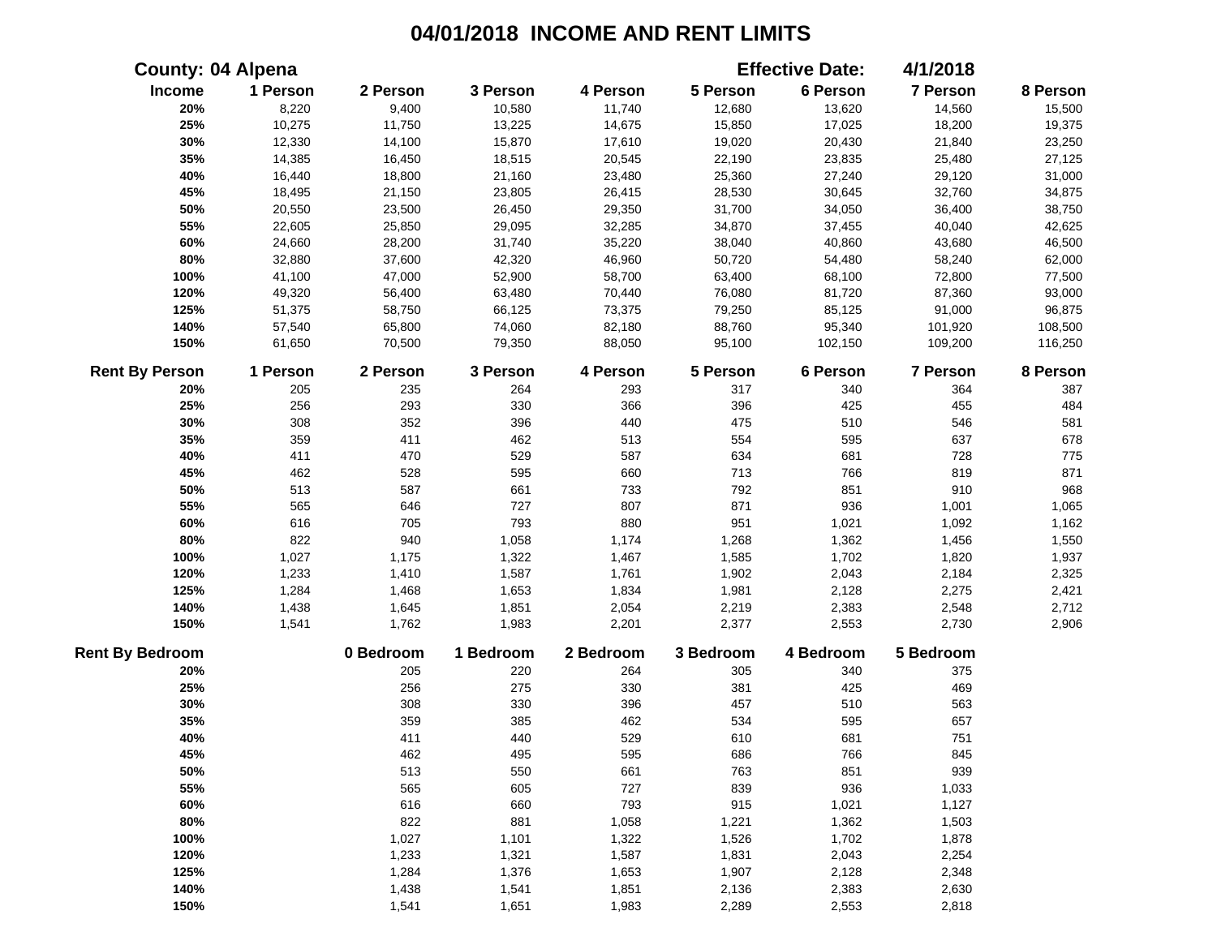|                        | <b>County: 04 Alpena</b> |           |           |           |           | <b>Effective Date:</b> | 4/1/2018        |          |
|------------------------|--------------------------|-----------|-----------|-----------|-----------|------------------------|-----------------|----------|
| Income                 | 1 Person                 | 2 Person  | 3 Person  | 4 Person  | 5 Person  | 6 Person               | 7 Person        | 8 Person |
| 20%                    | 8,220                    | 9,400     | 10,580    | 11,740    | 12,680    | 13,620                 | 14,560          | 15,500   |
| 25%                    | 10,275                   | 11,750    | 13,225    | 14,675    | 15,850    | 17,025                 | 18,200          | 19,375   |
| 30%                    | 12,330                   | 14,100    | 15,870    | 17,610    | 19,020    | 20,430                 | 21,840          | 23,250   |
| 35%                    | 14,385                   | 16,450    | 18,515    | 20,545    | 22,190    | 23,835                 | 25,480          | 27,125   |
| 40%                    | 16,440                   | 18,800    | 21,160    | 23,480    | 25,360    | 27,240                 | 29,120          | 31,000   |
| 45%                    | 18,495                   | 21,150    | 23,805    | 26,415    | 28,530    | 30,645                 | 32,760          | 34,875   |
| 50%                    | 20,550                   | 23,500    | 26,450    | 29,350    | 31,700    | 34,050                 | 36,400          | 38,750   |
| 55%                    | 22,605                   | 25,850    | 29,095    | 32,285    | 34,870    | 37,455                 | 40,040          | 42,625   |
| 60%                    | 24,660                   | 28,200    | 31,740    | 35,220    | 38,040    | 40,860                 | 43,680          | 46,500   |
| 80%                    | 32,880                   | 37,600    | 42,320    | 46,960    | 50,720    | 54,480                 | 58,240          | 62,000   |
| 100%                   | 41,100                   | 47,000    | 52,900    | 58,700    | 63,400    | 68,100                 | 72,800          | 77,500   |
| 120%                   | 49,320                   | 56,400    | 63,480    | 70,440    | 76,080    | 81,720                 | 87,360          | 93,000   |
| 125%                   | 51,375                   | 58,750    | 66,125    | 73,375    | 79,250    | 85,125                 | 91,000          | 96,875   |
| 140%                   | 57,540                   | 65,800    | 74,060    | 82,180    | 88,760    | 95,340                 | 101,920         | 108,500  |
| 150%                   | 61,650                   | 70,500    | 79,350    | 88,050    | 95,100    | 102,150                | 109,200         | 116,250  |
| <b>Rent By Person</b>  | 1 Person                 | 2 Person  | 3 Person  | 4 Person  | 5 Person  | 6 Person               | <b>7 Person</b> | 8 Person |
| 20%                    | 205                      | 235       | 264       | 293       | 317       | 340                    | 364             | 387      |
| 25%                    | 256                      | 293       | 330       | 366       | 396       | 425                    | 455             | 484      |
| 30%                    | 308                      | 352       | 396       | 440       | 475       | 510                    | 546             | 581      |
| 35%                    | 359                      | 411       | 462       | 513       | 554       | 595                    | 637             | 678      |
| 40%                    | 411                      | 470       | 529       | 587       | 634       | 681                    | 728             | 775      |
| 45%                    | 462                      | 528       | 595       | 660       | 713       | 766                    | 819             | 871      |
| 50%                    | 513                      | 587       | 661       | 733       | 792       | 851                    | 910             | 968      |
| 55%                    | 565                      | 646       | 727       | 807       | 871       | 936                    | 1,001           | 1,065    |
| 60%                    | 616                      | 705       | 793       | 880       | 951       | 1,021                  | 1,092           | 1,162    |
| 80%                    | 822                      | 940       | 1,058     | 1,174     | 1,268     | 1,362                  | 1,456           | 1,550    |
| 100%                   | 1,027                    | 1,175     | 1,322     | 1,467     | 1,585     | 1,702                  | 1,820           | 1,937    |
| 120%                   | 1,233                    | 1,410     | 1,587     | 1,761     | 1,902     | 2,043                  | 2,184           | 2,325    |
| 125%                   | 1,284                    | 1,468     | 1,653     | 1,834     | 1,981     | 2,128                  | 2,275           | 2,421    |
| 140%                   | 1,438                    | 1,645     | 1,851     | 2,054     | 2,219     | 2,383                  | 2,548           | 2,712    |
| 150%                   | 1,541                    | 1,762     | 1,983     | 2,201     | 2,377     | 2,553                  | 2,730           | 2,906    |
| <b>Rent By Bedroom</b> |                          | 0 Bedroom | 1 Bedroom | 2 Bedroom | 3 Bedroom | 4 Bedroom              | 5 Bedroom       |          |
| 20%                    |                          | 205       | 220       | 264       | 305       | 340                    | 375             |          |
| 25%                    |                          | 256       | 275       | 330       | 381       | 425                    | 469             |          |
| 30%                    |                          | 308       | 330       | 396       | 457       | 510                    | 563             |          |
| 35%                    |                          | 359       | 385       | 462       | 534       | 595                    | 657             |          |
| 40%                    |                          | 411       | 440       | 529       | 610       | 681                    | 751             |          |
| 45%                    |                          | 462       | 495       | 595       | 686       | 766                    | 845             |          |
| 50%                    |                          | 513       | 550       | 661       | 763       | 851                    | 939             |          |
| 55%                    |                          | 565       | 605       | 727       | 839       | 936                    | 1,033           |          |
| 60%                    |                          | 616       | 660       | 793       | 915       | 1,021                  | 1,127           |          |
| 80%                    |                          | 822       | 881       | 1,058     | 1,221     | 1,362                  | 1,503           |          |
| 100%                   |                          | 1,027     | 1,101     | 1,322     | 1,526     | 1,702                  | 1,878           |          |
| 120%                   |                          | 1,233     | 1,321     | 1,587     | 1,831     | 2,043                  | 2,254           |          |
| 125%                   |                          | 1,284     | 1,376     | 1,653     | 1,907     | 2,128                  | 2,348           |          |
| 140%                   |                          | 1,438     | 1,541     | 1,851     | 2,136     | 2,383                  | 2,630           |          |
| 150%                   |                          | 1,541     | 1,651     | 1,983     | 2,289     | 2,553                  | 2,818           |          |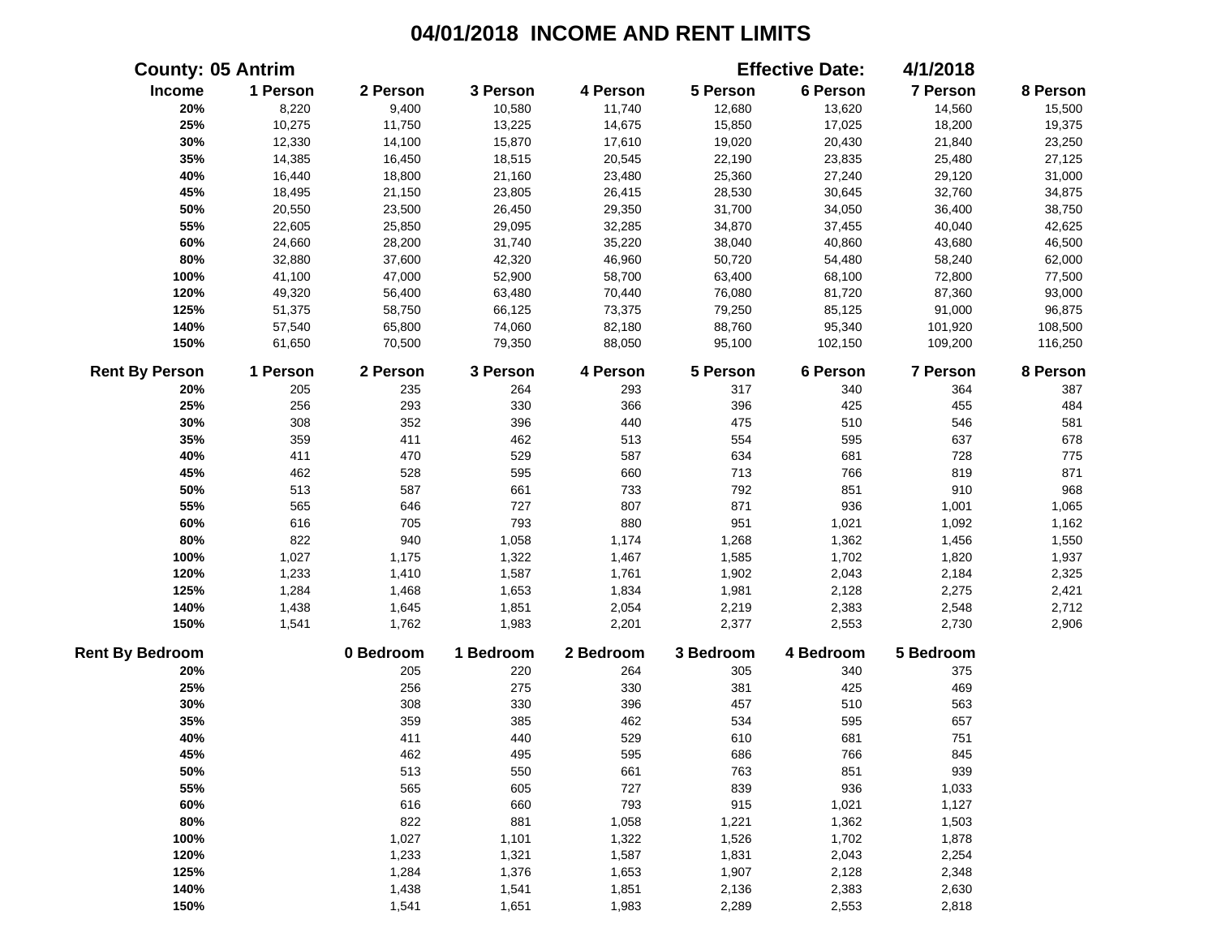|                        | <b>County: 05 Antrim</b> |           |           |           |           | <b>Effective Date:</b> | 4/1/2018  |          |
|------------------------|--------------------------|-----------|-----------|-----------|-----------|------------------------|-----------|----------|
| Income                 | 1 Person                 | 2 Person  | 3 Person  | 4 Person  | 5 Person  | 6 Person               | 7 Person  | 8 Person |
| 20%                    | 8,220                    | 9,400     | 10,580    | 11,740    | 12,680    | 13,620                 | 14,560    | 15,500   |
| 25%                    | 10,275                   | 11,750    | 13,225    | 14,675    | 15,850    | 17,025                 | 18,200    | 19,375   |
| 30%                    | 12,330                   | 14,100    | 15,870    | 17,610    | 19,020    | 20,430                 | 21,840    | 23,250   |
| 35%                    | 14,385                   | 16,450    | 18,515    | 20,545    | 22,190    | 23,835                 | 25,480    | 27,125   |
| 40%                    | 16,440                   | 18,800    | 21,160    | 23,480    | 25,360    | 27,240                 | 29,120    | 31,000   |
| 45%                    | 18,495                   | 21,150    | 23,805    | 26,415    | 28,530    | 30,645                 | 32,760    | 34,875   |
| 50%                    | 20,550                   | 23,500    | 26,450    | 29,350    | 31,700    | 34,050                 | 36,400    | 38,750   |
| 55%                    | 22,605                   | 25,850    | 29,095    | 32,285    | 34,870    | 37,455                 | 40,040    | 42,625   |
| 60%                    | 24,660                   | 28,200    | 31,740    | 35,220    | 38,040    | 40,860                 | 43,680    | 46,500   |
| 80%                    | 32,880                   | 37,600    | 42,320    | 46,960    | 50,720    | 54,480                 | 58,240    | 62,000   |
| 100%                   | 41,100                   | 47,000    | 52,900    | 58,700    | 63,400    | 68,100                 | 72,800    | 77,500   |
| 120%                   | 49,320                   | 56,400    | 63,480    | 70,440    | 76,080    | 81,720                 | 87,360    | 93,000   |
| 125%                   | 51,375                   | 58,750    | 66,125    | 73,375    | 79,250    | 85,125                 | 91,000    | 96,875   |
| 140%                   | 57,540                   | 65,800    | 74,060    | 82,180    | 88,760    | 95,340                 | 101,920   | 108,500  |
| 150%                   | 61,650                   | 70,500    | 79,350    | 88,050    | 95,100    | 102,150                | 109,200   | 116,250  |
| <b>Rent By Person</b>  | 1 Person                 | 2 Person  | 3 Person  | 4 Person  | 5 Person  | 6 Person               | 7 Person  | 8 Person |
| 20%                    | 205                      | 235       | 264       | 293       | 317       | 340                    | 364       | 387      |
| 25%                    | 256                      | 293       | 330       | 366       | 396       | 425                    | 455       | 484      |
| 30%                    | 308                      | 352       | 396       | 440       | 475       | 510                    | 546       | 581      |
| 35%                    | 359                      | 411       | 462       | 513       | 554       | 595                    | 637       | 678      |
| 40%                    | 411                      | 470       | 529       | 587       | 634       | 681                    | 728       | 775      |
| 45%                    | 462                      | 528       | 595       | 660       | 713       | 766                    | 819       | 871      |
| 50%                    | 513                      | 587       | 661       | 733       | 792       | 851                    | 910       | 968      |
| 55%                    | 565                      | 646       | 727       | 807       | 871       | 936                    | 1,001     | 1,065    |
| 60%                    | 616                      | 705       | 793       | 880       | 951       | 1,021                  | 1,092     | 1,162    |
| 80%                    | 822                      | 940       | 1,058     | 1,174     | 1,268     | 1,362                  | 1,456     | 1,550    |
| 100%                   | 1,027                    | 1,175     | 1,322     | 1,467     | 1,585     | 1,702                  | 1,820     | 1,937    |
| 120%                   | 1,233                    | 1,410     | 1,587     | 1,761     | 1,902     | 2,043                  | 2,184     | 2,325    |
| 125%                   | 1,284                    | 1,468     | 1,653     | 1,834     | 1,981     | 2,128                  | 2,275     | 2,421    |
| 140%                   | 1,438                    | 1,645     | 1,851     | 2,054     | 2,219     | 2,383                  | 2,548     | 2,712    |
| 150%                   | 1,541                    | 1,762     | 1,983     | 2,201     | 2,377     | 2,553                  | 2,730     | 2,906    |
| <b>Rent By Bedroom</b> |                          | 0 Bedroom | 1 Bedroom | 2 Bedroom | 3 Bedroom | 4 Bedroom              | 5 Bedroom |          |
| 20%                    |                          | 205       | 220       | 264       | 305       | 340                    | 375       |          |
| 25%                    |                          | 256       | 275       | 330       | 381       | 425                    | 469       |          |
| 30%                    |                          | 308       | 330       | 396       | 457       | 510                    | 563       |          |
| 35%                    |                          | 359       | 385       | 462       | 534       | 595                    | 657       |          |
| 40%                    |                          | 411       | 440       | 529       | 610       | 681                    | 751       |          |
| 45%                    |                          | 462       | 495       | 595       | 686       | 766                    | 845       |          |
| 50%                    |                          | 513       | 550       | 661       | 763       | 851                    | 939       |          |
| 55%                    |                          | 565       | 605       | 727       | 839       | 936                    | 1,033     |          |
| 60%                    |                          | 616       | 660       | 793       | 915       | 1,021                  | 1,127     |          |
| 80%                    |                          | 822       | 881       | 1,058     | 1,221     | 1,362                  | 1,503     |          |
| 100%                   |                          | 1,027     | 1,101     | 1,322     | 1,526     | 1,702                  | 1,878     |          |
| 120%                   |                          | 1,233     | 1,321     | 1,587     | 1,831     | 2,043                  | 2,254     |          |
| 125%                   |                          | 1,284     | 1,376     | 1,653     | 1,907     | 2,128                  | 2,348     |          |
| 140%                   |                          | 1,438     | 1,541     | 1,851     | 2,136     | 2,383                  | 2,630     |          |
| 150%                   |                          | 1,541     | 1,651     | 1,983     | 2,289     | 2,553                  | 2,818     |          |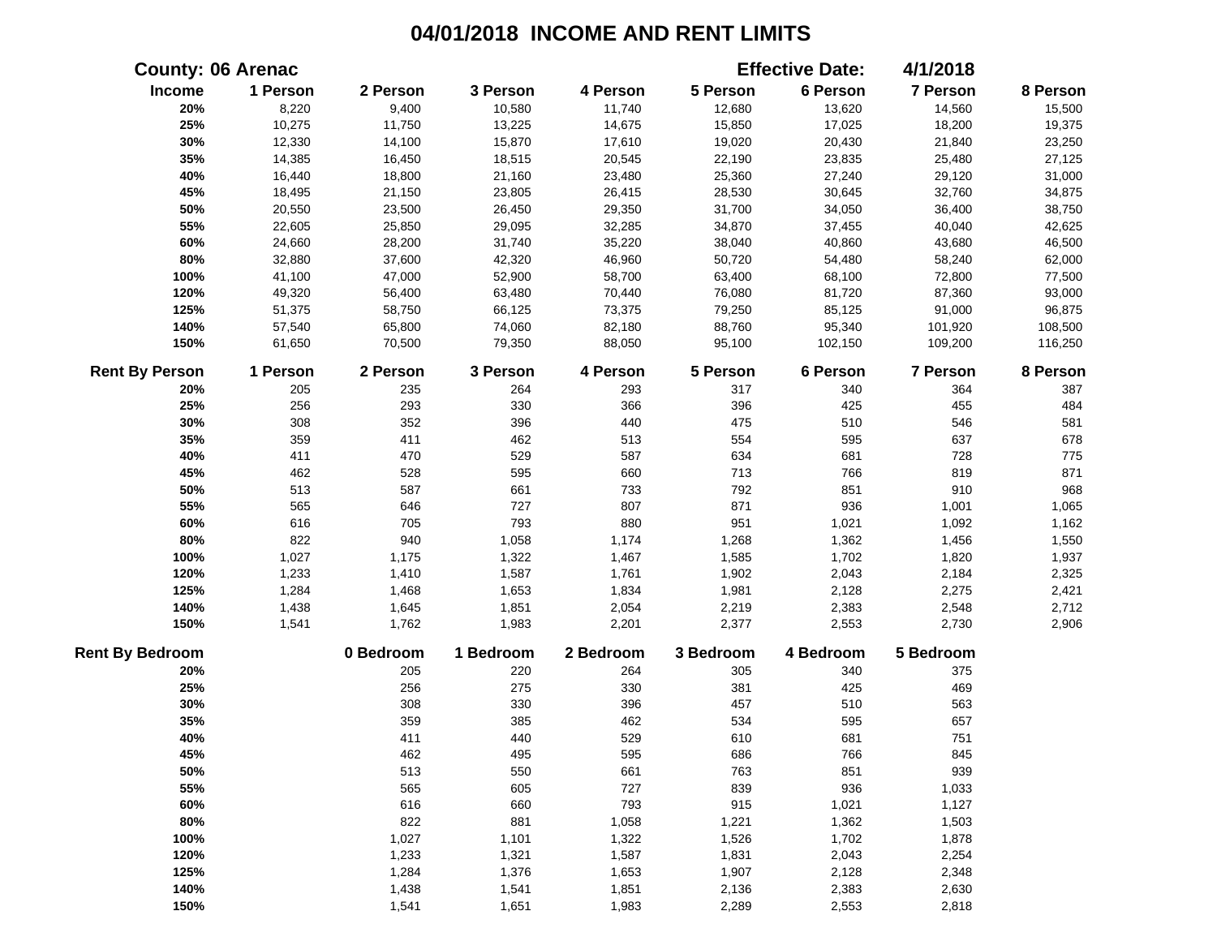|                        | <b>County: 06 Arenac</b> |           |           |           |           | <b>Effective Date:</b> | 4/1/2018  |          |
|------------------------|--------------------------|-----------|-----------|-----------|-----------|------------------------|-----------|----------|
| Income                 | 1 Person                 | 2 Person  | 3 Person  | 4 Person  | 5 Person  | 6 Person               | 7 Person  | 8 Person |
| 20%                    | 8,220                    | 9,400     | 10,580    | 11,740    | 12,680    | 13,620                 | 14,560    | 15,500   |
| 25%                    | 10,275                   | 11,750    | 13,225    | 14,675    | 15,850    | 17,025                 | 18,200    | 19,375   |
| 30%                    | 12,330                   | 14,100    | 15,870    | 17,610    | 19,020    | 20,430                 | 21,840    | 23,250   |
| 35%                    | 14,385                   | 16,450    | 18,515    | 20,545    | 22,190    | 23,835                 | 25,480    | 27,125   |
| 40%                    | 16,440                   | 18,800    | 21,160    | 23,480    | 25,360    | 27,240                 | 29,120    | 31,000   |
| 45%                    | 18,495                   | 21,150    | 23,805    | 26,415    | 28,530    | 30,645                 | 32,760    | 34,875   |
| 50%                    | 20,550                   | 23,500    | 26,450    | 29,350    | 31,700    | 34,050                 | 36,400    | 38,750   |
| 55%                    | 22,605                   | 25,850    | 29,095    | 32,285    | 34,870    | 37,455                 | 40,040    | 42,625   |
| 60%                    | 24,660                   | 28,200    | 31,740    | 35,220    | 38,040    | 40,860                 | 43,680    | 46,500   |
| 80%                    | 32,880                   | 37,600    | 42,320    | 46,960    | 50,720    | 54,480                 | 58,240    | 62,000   |
| 100%                   | 41,100                   | 47,000    | 52,900    | 58,700    | 63,400    | 68,100                 | 72,800    | 77,500   |
| 120%                   | 49,320                   | 56,400    | 63,480    | 70,440    | 76,080    | 81,720                 | 87,360    | 93,000   |
| 125%                   | 51,375                   | 58,750    | 66,125    | 73,375    | 79,250    | 85,125                 | 91,000    | 96,875   |
| 140%                   | 57,540                   | 65,800    | 74,060    | 82,180    | 88,760    | 95,340                 | 101,920   | 108,500  |
| 150%                   | 61,650                   | 70,500    | 79,350    | 88,050    | 95,100    | 102,150                | 109,200   | 116,250  |
| <b>Rent By Person</b>  | 1 Person                 | 2 Person  | 3 Person  | 4 Person  | 5 Person  | 6 Person               | 7 Person  | 8 Person |
| 20%                    | 205                      | 235       | 264       | 293       | 317       | 340                    | 364       | 387      |
| 25%                    | 256                      | 293       | 330       | 366       | 396       | 425                    | 455       | 484      |
| 30%                    | 308                      | 352       | 396       | 440       | 475       | 510                    | 546       | 581      |
| 35%                    | 359                      | 411       | 462       | 513       | 554       | 595                    | 637       | 678      |
| 40%                    | 411                      | 470       | 529       | 587       | 634       | 681                    | 728       | 775      |
| 45%                    | 462                      | 528       | 595       | 660       | 713       | 766                    | 819       | 871      |
| 50%                    | 513                      | 587       | 661       | 733       | 792       | 851                    | 910       | 968      |
| 55%                    | 565                      | 646       | 727       | 807       | 871       | 936                    | 1,001     | 1,065    |
| 60%                    | 616                      | 705       | 793       | 880       | 951       | 1,021                  | 1,092     | 1,162    |
| 80%                    | 822                      | 940       | 1,058     | 1,174     | 1,268     | 1,362                  | 1,456     | 1,550    |
| 100%                   | 1,027                    | 1,175     | 1,322     | 1,467     | 1,585     | 1,702                  | 1,820     | 1,937    |
| 120%                   | 1,233                    | 1,410     | 1,587     | 1,761     | 1,902     | 2,043                  | 2,184     | 2,325    |
| 125%                   | 1,284                    | 1,468     | 1,653     | 1,834     | 1,981     | 2,128                  | 2,275     | 2,421    |
| 140%                   | 1,438                    | 1,645     | 1,851     | 2,054     | 2,219     | 2,383                  | 2,548     | 2,712    |
| 150%                   | 1,541                    | 1,762     | 1,983     | 2,201     | 2,377     | 2,553                  | 2,730     | 2,906    |
| <b>Rent By Bedroom</b> |                          | 0 Bedroom | 1 Bedroom | 2 Bedroom | 3 Bedroom | 4 Bedroom              | 5 Bedroom |          |
| 20%                    |                          | 205       | 220       | 264       | 305       | 340                    | 375       |          |
| 25%                    |                          | 256       | 275       | 330       | 381       | 425                    | 469       |          |
| 30%                    |                          | 308       | 330       | 396       | 457       | 510                    | 563       |          |
| 35%                    |                          | 359       | 385       | 462       | 534       | 595                    | 657       |          |
| 40%                    |                          | 411       | 440       | 529       | 610       | 681                    | 751       |          |
| 45%                    |                          | 462       | 495       | 595       | 686       | 766                    | 845       |          |
| 50%                    |                          | 513       | 550       | 661       | 763       | 851                    | 939       |          |
| 55%                    |                          | 565       | 605       | 727       | 839       | 936                    | 1,033     |          |
| 60%                    |                          | 616       | 660       | 793       | 915       | 1,021                  | 1,127     |          |
| 80%                    |                          | 822       | 881       | 1,058     | 1,221     | 1,362                  | 1,503     |          |
| 100%                   |                          | 1,027     | 1,101     | 1,322     | 1,526     | 1,702                  | 1,878     |          |
| 120%                   |                          | 1,233     | 1,321     | 1,587     | 1,831     | 2,043                  | 2,254     |          |
| 125%                   |                          | 1,284     | 1,376     | 1,653     | 1,907     | 2,128                  | 2,348     |          |
| 140%                   |                          | 1,438     | 1,541     | 1,851     | 2,136     | 2,383                  | 2,630     |          |
| 150%                   |                          | 1,541     | 1,651     | 1,983     | 2,289     | 2,553                  | 2,818     |          |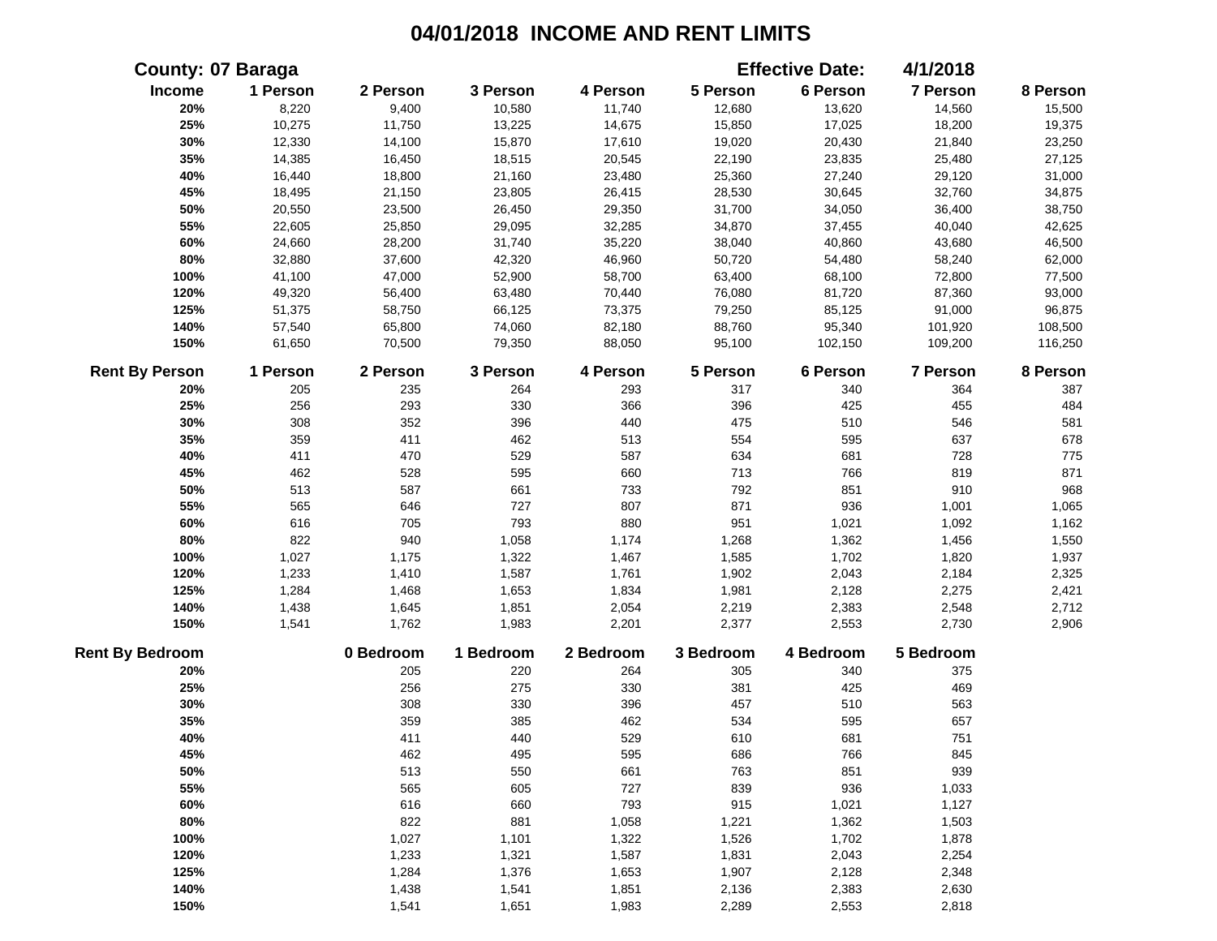|                        | <b>County: 07 Baraga</b> |           |           |           |           | <b>Effective Date:</b> | 4/1/2018  |          |
|------------------------|--------------------------|-----------|-----------|-----------|-----------|------------------------|-----------|----------|
| Income                 | 1 Person                 | 2 Person  | 3 Person  | 4 Person  | 5 Person  | 6 Person               | 7 Person  | 8 Person |
| 20%                    | 8,220                    | 9,400     | 10,580    | 11,740    | 12,680    | 13,620                 | 14,560    | 15,500   |
| 25%                    | 10,275                   | 11,750    | 13,225    | 14,675    | 15,850    | 17,025                 | 18,200    | 19,375   |
| 30%                    | 12,330                   | 14,100    | 15,870    | 17,610    | 19,020    | 20,430                 | 21,840    | 23,250   |
| 35%                    | 14,385                   | 16,450    | 18,515    | 20,545    | 22,190    | 23,835                 | 25,480    | 27,125   |
| 40%                    | 16,440                   | 18,800    | 21,160    | 23,480    | 25,360    | 27,240                 | 29,120    | 31,000   |
| 45%                    | 18,495                   | 21,150    | 23,805    | 26,415    | 28,530    | 30,645                 | 32,760    | 34,875   |
| 50%                    | 20,550                   | 23,500    | 26,450    | 29,350    | 31,700    | 34,050                 | 36,400    | 38,750   |
| 55%                    | 22,605                   | 25,850    | 29,095    | 32,285    | 34,870    | 37,455                 | 40,040    | 42,625   |
| 60%                    | 24,660                   | 28,200    | 31,740    | 35,220    | 38,040    | 40,860                 | 43,680    | 46,500   |
| 80%                    | 32,880                   | 37,600    | 42,320    | 46,960    | 50,720    | 54,480                 | 58,240    | 62,000   |
| 100%                   | 41,100                   | 47,000    | 52,900    | 58,700    | 63,400    | 68,100                 | 72,800    | 77,500   |
| 120%                   | 49,320                   | 56,400    | 63,480    | 70,440    | 76,080    | 81,720                 | 87,360    | 93,000   |
| 125%                   | 51,375                   | 58,750    | 66,125    | 73,375    | 79,250    | 85,125                 | 91,000    | 96,875   |
| 140%                   | 57,540                   | 65,800    | 74,060    | 82,180    | 88,760    | 95,340                 | 101,920   | 108,500  |
| 150%                   | 61,650                   | 70,500    | 79,350    | 88,050    | 95,100    | 102,150                | 109,200   | 116,250  |
| <b>Rent By Person</b>  | 1 Person                 | 2 Person  | 3 Person  | 4 Person  | 5 Person  | 6 Person               | 7 Person  | 8 Person |
| 20%                    | 205                      | 235       | 264       | 293       | 317       | 340                    | 364       | 387      |
| 25%                    | 256                      | 293       | 330       | 366       | 396       | 425                    | 455       | 484      |
| 30%                    | 308                      | 352       | 396       | 440       | 475       | 510                    | 546       | 581      |
| 35%                    | 359                      | 411       | 462       | 513       | 554       | 595                    | 637       | 678      |
| 40%                    | 411                      | 470       | 529       | 587       | 634       | 681                    | 728       | 775      |
| 45%                    | 462                      | 528       | 595       | 660       | 713       | 766                    | 819       | 871      |
| 50%                    | 513                      | 587       | 661       | 733       | 792       | 851                    | 910       | 968      |
| 55%                    | 565                      | 646       | 727       | 807       | 871       | 936                    | 1,001     | 1,065    |
| 60%                    | 616                      | 705       | 793       | 880       | 951       | 1,021                  | 1,092     | 1,162    |
| 80%                    | 822                      | 940       | 1,058     | 1,174     | 1,268     | 1,362                  | 1,456     | 1,550    |
| 100%                   | 1,027                    | 1,175     | 1,322     | 1,467     | 1,585     | 1,702                  | 1,820     | 1,937    |
| 120%                   | 1,233                    | 1,410     | 1,587     | 1,761     | 1,902     | 2,043                  | 2,184     | 2,325    |
| 125%                   | 1,284                    | 1,468     | 1,653     | 1,834     | 1,981     | 2,128                  | 2,275     | 2,421    |
| 140%                   | 1,438                    | 1,645     | 1,851     | 2,054     | 2,219     | 2,383                  | 2,548     | 2,712    |
| 150%                   | 1,541                    | 1,762     | 1,983     | 2,201     | 2,377     | 2,553                  | 2,730     | 2,906    |
| <b>Rent By Bedroom</b> |                          | 0 Bedroom | 1 Bedroom | 2 Bedroom | 3 Bedroom | 4 Bedroom              | 5 Bedroom |          |
| 20%                    |                          | 205       | 220       | 264       | 305       | 340                    | 375       |          |
| 25%                    |                          | 256       | 275       | 330       | 381       | 425                    | 469       |          |
| 30%                    |                          | 308       | 330       | 396       | 457       | 510                    | 563       |          |
| 35%                    |                          | 359       | 385       | 462       | 534       | 595                    | 657       |          |
| 40%                    |                          | 411       | 440       | 529       | 610       | 681                    | 751       |          |
| 45%                    |                          | 462       | 495       | 595       | 686       | 766                    | 845       |          |
| 50%                    |                          | 513       | 550       | 661       | 763       | 851                    | 939       |          |
| 55%                    |                          | 565       | 605       | 727       | 839       | 936                    | 1,033     |          |
| 60%                    |                          | 616       | 660       | 793       | 915       | 1,021                  | 1,127     |          |
| 80%                    |                          | 822       | 881       | 1,058     | 1,221     | 1,362                  | 1,503     |          |
| 100%                   |                          | 1,027     | 1,101     | 1,322     | 1,526     | 1,702                  | 1,878     |          |
| 120%                   |                          | 1,233     | 1,321     | 1,587     | 1,831     | 2,043                  | 2,254     |          |
| 125%                   |                          | 1,284     | 1,376     | 1,653     | 1,907     | 2,128                  | 2,348     |          |
| 140%                   |                          | 1,438     | 1,541     | 1,851     | 2,136     | 2,383                  | 2,630     |          |
| 150%                   |                          | 1,541     | 1,651     | 1,983     | 2,289     | 2,553                  | 2,818     |          |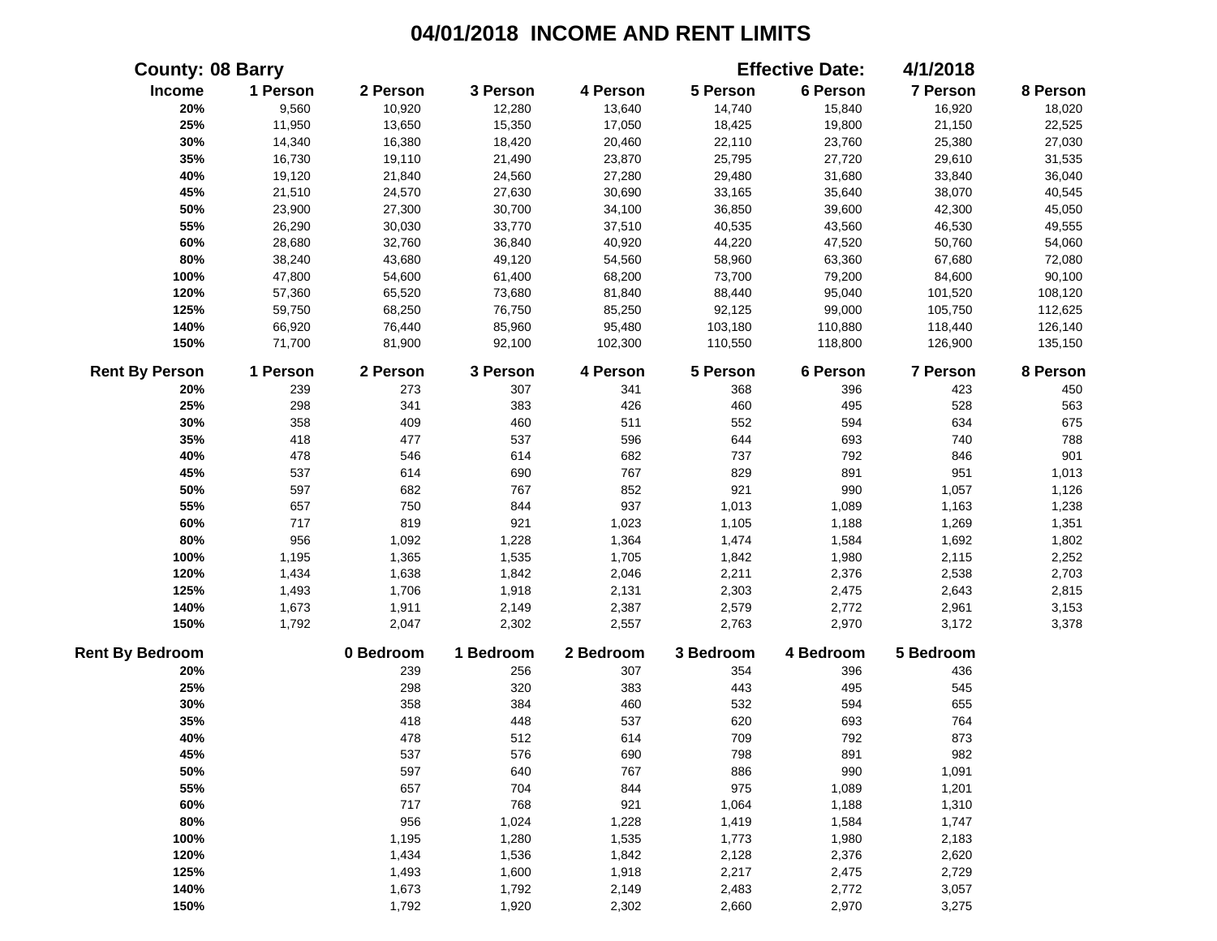|                        | <b>County: 08 Barry</b> |           |           |           |           | <b>Effective Date:</b> | 4/1/2018  |          |
|------------------------|-------------------------|-----------|-----------|-----------|-----------|------------------------|-----------|----------|
| Income                 | 1 Person                | 2 Person  | 3 Person  | 4 Person  | 5 Person  | 6 Person               | 7 Person  | 8 Person |
| 20%                    | 9,560                   | 10,920    | 12,280    | 13,640    | 14,740    | 15,840                 | 16,920    | 18,020   |
| 25%                    | 11,950                  | 13,650    | 15,350    | 17,050    | 18,425    | 19,800                 | 21,150    | 22,525   |
| 30%                    | 14,340                  | 16,380    | 18,420    | 20,460    | 22,110    | 23,760                 | 25,380    | 27,030   |
| 35%                    | 16,730                  | 19,110    | 21,490    | 23,870    | 25,795    | 27,720                 | 29,610    | 31,535   |
| 40%                    | 19,120                  | 21,840    | 24,560    | 27,280    | 29,480    | 31,680                 | 33,840    | 36,040   |
| 45%                    | 21,510                  | 24,570    | 27,630    | 30,690    | 33,165    | 35,640                 | 38,070    | 40,545   |
| 50%                    | 23,900                  | 27,300    | 30,700    | 34,100    | 36,850    | 39,600                 | 42,300    | 45,050   |
| 55%                    | 26,290                  | 30,030    | 33,770    | 37,510    | 40,535    | 43,560                 | 46,530    | 49,555   |
| 60%                    | 28,680                  | 32,760    | 36,840    | 40,920    | 44,220    | 47,520                 | 50,760    | 54,060   |
| 80%                    | 38,240                  | 43,680    | 49,120    | 54,560    | 58,960    | 63,360                 | 67,680    | 72,080   |
| 100%                   | 47,800                  | 54,600    | 61,400    | 68,200    | 73,700    | 79,200                 | 84,600    | 90,100   |
| 120%                   | 57,360                  | 65,520    | 73,680    | 81,840    | 88,440    | 95,040                 | 101,520   | 108,120  |
| 125%                   | 59,750                  | 68,250    | 76,750    | 85,250    | 92,125    | 99,000                 | 105,750   | 112,625  |
| 140%                   | 66,920                  | 76,440    | 85,960    | 95,480    | 103,180   | 110,880                | 118,440   | 126,140  |
| 150%                   | 71,700                  | 81,900    | 92,100    | 102,300   | 110,550   | 118,800                | 126,900   | 135,150  |
| <b>Rent By Person</b>  | 1 Person                | 2 Person  | 3 Person  | 4 Person  | 5 Person  | 6 Person               | 7 Person  | 8 Person |
| 20%                    | 239                     | 273       | 307       | 341       | 368       | 396                    | 423       | 450      |
| 25%                    | 298                     | 341       | 383       | 426       | 460       | 495                    | 528       | 563      |
| 30%                    | 358                     | 409       | 460       | 511       | 552       | 594                    | 634       | 675      |
| 35%                    | 418                     | 477       | 537       | 596       | 644       | 693                    | 740       | 788      |
| 40%                    | 478                     | 546       | 614       | 682       | 737       | 792                    | 846       | 901      |
| 45%                    | 537                     | 614       | 690       | 767       | 829       | 891                    | 951       | 1,013    |
| 50%                    | 597                     | 682       | 767       | 852       | 921       | 990                    | 1,057     | 1,126    |
| 55%                    | 657                     | 750       | 844       | 937       | 1,013     | 1,089                  | 1,163     | 1,238    |
| 60%                    | 717                     | 819       | 921       | 1,023     | 1,105     | 1,188                  | 1,269     | 1,351    |
| 80%                    | 956                     | 1,092     | 1,228     | 1,364     | 1,474     | 1,584                  | 1,692     | 1,802    |
| 100%                   | 1,195                   | 1,365     | 1,535     | 1,705     | 1,842     | 1,980                  | 2,115     | 2,252    |
| 120%                   | 1,434                   | 1,638     | 1,842     | 2,046     | 2,211     | 2,376                  | 2,538     | 2,703    |
| 125%                   | 1,493                   | 1,706     | 1,918     | 2,131     | 2,303     | 2,475                  | 2,643     | 2,815    |
| 140%                   | 1,673                   | 1,911     | 2,149     | 2,387     | 2,579     | 2,772                  | 2,961     | 3,153    |
| 150%                   | 1,792                   | 2,047     | 2,302     | 2,557     | 2,763     | 2,970                  | 3,172     | 3,378    |
| <b>Rent By Bedroom</b> |                         | 0 Bedroom | 1 Bedroom | 2 Bedroom | 3 Bedroom | 4 Bedroom              | 5 Bedroom |          |
| 20%                    |                         | 239       | 256       | 307       | 354       | 396                    | 436       |          |
| 25%                    |                         | 298       | 320       | 383       | 443       | 495                    | 545       |          |
| 30%                    |                         | 358       | 384       | 460       | 532       | 594                    | 655       |          |
| 35%                    |                         | 418       | 448       | 537       | 620       | 693                    | 764       |          |
| 40%                    |                         | 478       | 512       | 614       | 709       | 792                    | 873       |          |
| 45%                    |                         | 537       | 576       | 690       | 798       | 891                    | 982       |          |
| 50%                    |                         | 597       | 640       | 767       | 886       | 990                    | 1,091     |          |
| 55%                    |                         | 657       | 704       | 844       | 975       | 1,089                  | 1,201     |          |
| 60%                    |                         | 717       | 768       | 921       | 1,064     | 1,188                  | 1,310     |          |
| 80%                    |                         | 956       | 1,024     | 1,228     | 1,419     | 1,584                  | 1,747     |          |
| 100%                   |                         | 1,195     | 1,280     | 1,535     | 1,773     | 1,980                  | 2,183     |          |
| 120%                   |                         | 1,434     | 1,536     | 1,842     | 2,128     | 2,376                  | 2,620     |          |
| 125%                   |                         | 1,493     | 1,600     | 1,918     | 2,217     | 2,475                  | 2,729     |          |
| 140%                   |                         | 1,673     | 1,792     | 2,149     | 2,483     | 2,772                  | 3,057     |          |
| 150%                   |                         | 1,792     | 1,920     | 2,302     | 2,660     | 2,970                  | 3,275     |          |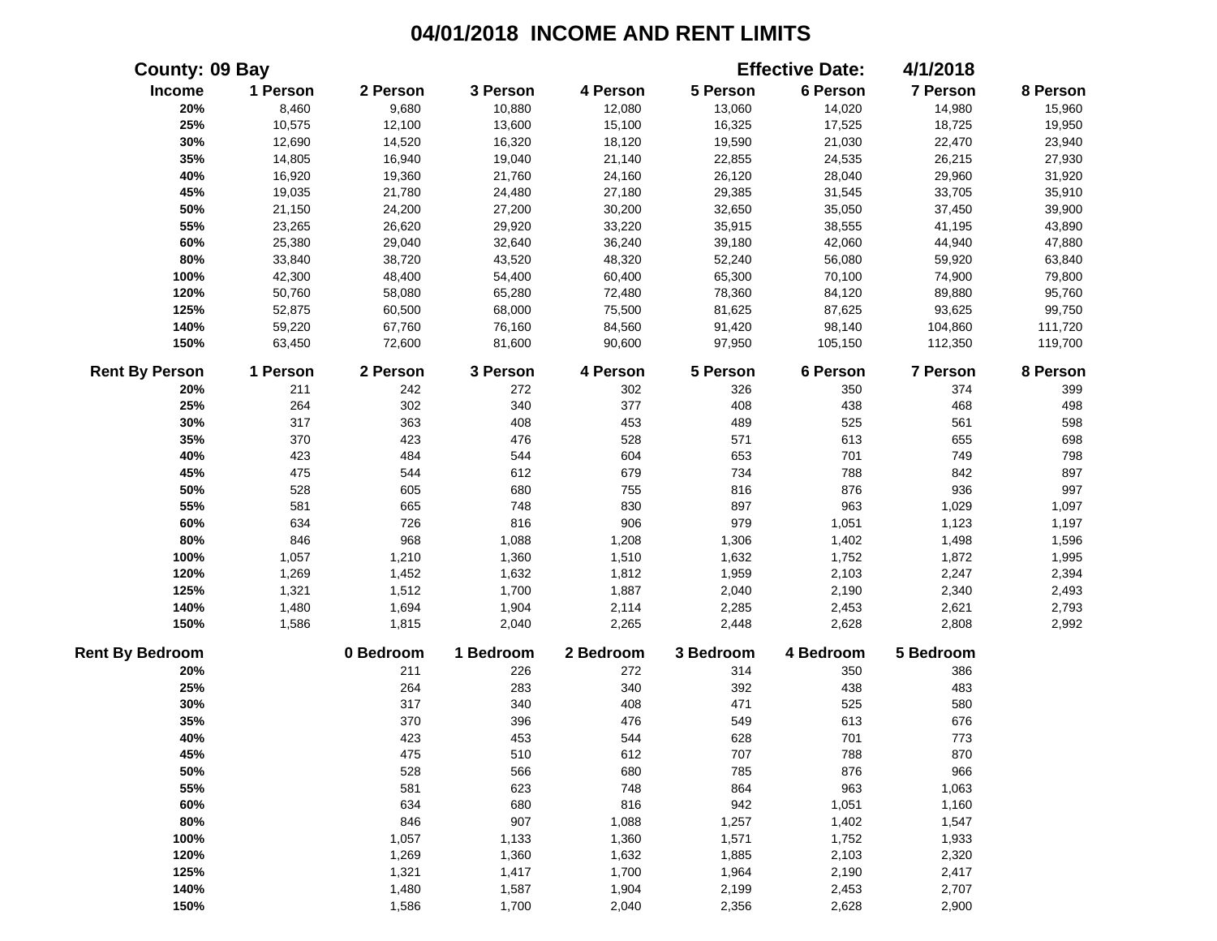| County: 09 Bay         |          |           |           |           |           | <b>Effective Date:</b> | 4/1/2018  |          |
|------------------------|----------|-----------|-----------|-----------|-----------|------------------------|-----------|----------|
| Income                 | 1 Person | 2 Person  | 3 Person  | 4 Person  | 5 Person  | 6 Person               | 7 Person  | 8 Person |
| 20%                    | 8,460    | 9,680     | 10,880    | 12,080    | 13,060    | 14,020                 | 14,980    | 15,960   |
| 25%                    | 10,575   | 12,100    | 13,600    | 15,100    | 16,325    | 17,525                 | 18,725    | 19,950   |
| 30%                    | 12,690   | 14,520    | 16,320    | 18,120    | 19,590    | 21,030                 | 22,470    | 23,940   |
| 35%                    | 14,805   | 16,940    | 19,040    | 21,140    | 22,855    | 24,535                 | 26,215    | 27,930   |
| 40%                    | 16,920   | 19,360    | 21,760    | 24,160    | 26,120    | 28,040                 | 29,960    | 31,920   |
| 45%                    | 19,035   | 21,780    | 24,480    | 27,180    | 29,385    | 31,545                 | 33,705    | 35,910   |
| 50%                    | 21,150   | 24,200    | 27,200    | 30,200    | 32,650    | 35,050                 | 37,450    | 39,900   |
| 55%                    | 23,265   | 26,620    | 29,920    | 33,220    | 35,915    | 38,555                 | 41,195    | 43,890   |
| 60%                    | 25,380   | 29,040    | 32,640    | 36,240    | 39,180    | 42,060                 | 44,940    | 47,880   |
| 80%                    | 33,840   | 38,720    | 43,520    | 48,320    | 52,240    | 56,080                 | 59,920    | 63,840   |
| 100%                   | 42,300   | 48,400    | 54,400    | 60,400    | 65,300    | 70,100                 | 74,900    | 79,800   |
| 120%                   | 50,760   | 58,080    | 65,280    | 72,480    | 78,360    | 84,120                 | 89,880    | 95,760   |
| 125%                   | 52,875   | 60,500    | 68,000    | 75,500    | 81,625    | 87,625                 | 93,625    | 99,750   |
| 140%                   | 59,220   | 67,760    | 76,160    | 84,560    | 91,420    | 98,140                 | 104,860   | 111,720  |
| 150%                   | 63,450   | 72,600    | 81,600    | 90,600    | 97,950    | 105,150                | 112,350   | 119,700  |
| <b>Rent By Person</b>  | 1 Person | 2 Person  | 3 Person  | 4 Person  | 5 Person  | 6 Person               | 7 Person  | 8 Person |
| 20%                    | 211      | 242       | 272       | 302       | 326       | 350                    | 374       | 399      |
| 25%                    | 264      | 302       | 340       | 377       | 408       | 438                    | 468       | 498      |
| 30%                    | 317      | 363       | 408       | 453       | 489       | 525                    | 561       | 598      |
| 35%                    | 370      | 423       | 476       | 528       | 571       | 613                    | 655       | 698      |
| 40%                    | 423      | 484       | 544       | 604       | 653       | 701                    | 749       | 798      |
| 45%                    | 475      | 544       | 612       | 679       | 734       | 788                    | 842       | 897      |
| 50%                    | 528      | 605       | 680       | 755       | 816       | 876                    | 936       | 997      |
| 55%                    | 581      | 665       | 748       | 830       | 897       | 963                    | 1,029     | 1,097    |
| 60%                    | 634      | 726       | 816       | 906       | 979       | 1,051                  | 1,123     | 1,197    |
| 80%                    | 846      | 968       | 1,088     | 1,208     | 1,306     | 1,402                  | 1,498     | 1,596    |
| 100%                   | 1,057    | 1,210     | 1,360     | 1,510     | 1,632     | 1,752                  | 1,872     | 1,995    |
| 120%                   | 1,269    | 1,452     | 1,632     | 1,812     | 1,959     | 2,103                  | 2,247     | 2,394    |
| 125%                   | 1,321    | 1,512     | 1,700     | 1,887     | 2,040     | 2,190                  | 2,340     | 2,493    |
| 140%                   | 1,480    | 1,694     | 1,904     | 2,114     | 2,285     | 2,453                  | 2,621     | 2,793    |
| 150%                   | 1,586    | 1,815     | 2,040     | 2,265     | 2,448     | 2,628                  | 2,808     | 2,992    |
| <b>Rent By Bedroom</b> |          | 0 Bedroom | 1 Bedroom | 2 Bedroom | 3 Bedroom | 4 Bedroom              | 5 Bedroom |          |
| 20%                    |          | 211       | 226       | 272       | 314       | 350                    | 386       |          |
| 25%                    |          | 264       | 283       | 340       | 392       | 438                    | 483       |          |
| 30%                    |          | 317       | 340       | 408       | 471       | 525                    | 580       |          |
| 35%                    |          | 370       | 396       | 476       | 549       | 613                    | 676       |          |
| 40%                    |          | 423       | 453       | 544       | 628       | 701                    | 773       |          |
| 45%                    |          | 475       | 510       | 612       | 707       | 788                    | 870       |          |
| 50%                    |          | 528       | 566       | 680       | 785       | 876                    | 966       |          |
| 55%                    |          | 581       | 623       | 748       | 864       | 963                    | 1,063     |          |
| 60%                    |          | 634       | 680       | 816       | 942       | 1,051                  | 1,160     |          |
| 80%                    |          | 846       | 907       | 1,088     | 1,257     | 1,402                  | 1,547     |          |
| 100%                   |          | 1,057     | 1,133     | 1,360     | 1,571     | 1,752                  | 1,933     |          |
| 120%                   |          | 1,269     | 1,360     | 1,632     | 1,885     | 2,103                  | 2,320     |          |
| 125%                   |          | 1,321     | 1,417     | 1,700     | 1,964     | 2,190                  | 2,417     |          |
| 140%                   |          | 1,480     | 1,587     | 1,904     | 2,199     | 2,453                  | 2,707     |          |
| 150%                   |          | 1,586     | 1,700     | 2,040     | 2,356     | 2,628                  | 2,900     |          |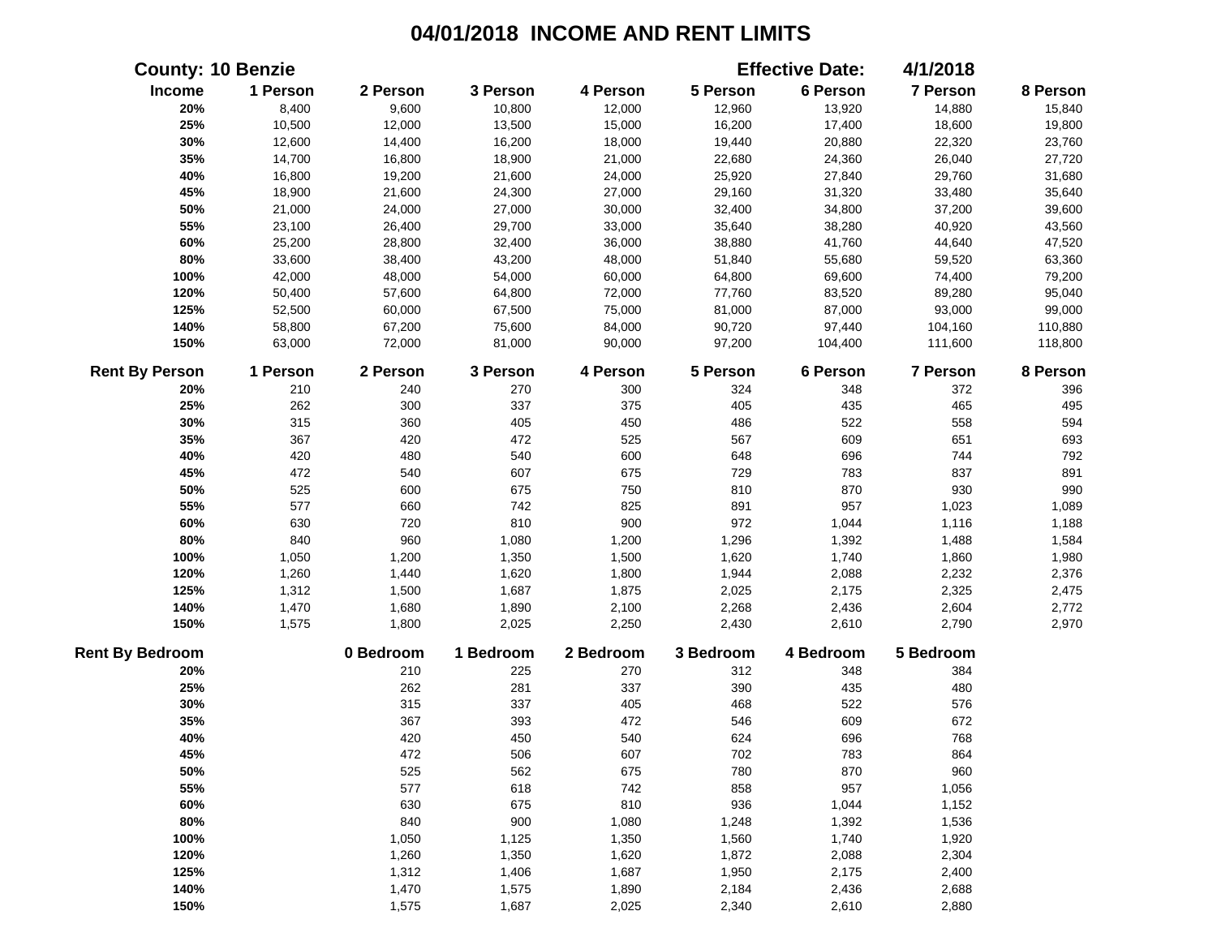|                        | <b>County: 10 Benzie</b> |           |           |           |           | <b>Effective Date:</b> | 4/1/2018  |          |
|------------------------|--------------------------|-----------|-----------|-----------|-----------|------------------------|-----------|----------|
| Income                 | 1 Person                 | 2 Person  | 3 Person  | 4 Person  | 5 Person  | 6 Person               | 7 Person  | 8 Person |
| 20%                    | 8,400                    | 9,600     | 10,800    | 12,000    | 12,960    | 13,920                 | 14,880    | 15,840   |
| 25%                    | 10,500                   | 12,000    | 13,500    | 15,000    | 16,200    | 17,400                 | 18,600    | 19,800   |
| 30%                    | 12,600                   | 14,400    | 16,200    | 18,000    | 19,440    | 20,880                 | 22,320    | 23,760   |
| 35%                    | 14,700                   | 16,800    | 18,900    | 21,000    | 22,680    | 24,360                 | 26,040    | 27,720   |
| 40%                    | 16,800                   | 19,200    | 21,600    | 24,000    | 25,920    | 27,840                 | 29,760    | 31,680   |
| 45%                    | 18,900                   | 21,600    | 24,300    | 27,000    | 29,160    | 31,320                 | 33,480    | 35,640   |
| 50%                    | 21,000                   | 24,000    | 27,000    | 30,000    | 32,400    | 34,800                 | 37,200    | 39,600   |
| 55%                    | 23,100                   | 26,400    | 29,700    | 33,000    | 35,640    | 38,280                 | 40,920    | 43,560   |
| 60%                    | 25,200                   | 28,800    | 32,400    | 36,000    | 38,880    | 41,760                 | 44,640    | 47,520   |
| 80%                    | 33,600                   | 38,400    | 43,200    | 48,000    | 51,840    | 55,680                 | 59,520    | 63,360   |
| 100%                   | 42,000                   | 48,000    | 54,000    | 60,000    | 64,800    | 69,600                 | 74,400    | 79,200   |
| 120%                   | 50,400                   | 57,600    | 64,800    | 72,000    | 77,760    | 83,520                 | 89,280    | 95,040   |
| 125%                   | 52,500                   | 60,000    | 67,500    | 75,000    | 81,000    | 87,000                 | 93,000    | 99,000   |
| 140%                   | 58,800                   | 67,200    | 75,600    | 84,000    | 90,720    | 97,440                 | 104,160   | 110,880  |
| 150%                   | 63,000                   | 72,000    | 81,000    | 90,000    | 97,200    | 104,400                | 111,600   | 118,800  |
| <b>Rent By Person</b>  | 1 Person                 | 2 Person  | 3 Person  | 4 Person  | 5 Person  | 6 Person               | 7 Person  | 8 Person |
| 20%                    | 210                      | 240       | 270       | 300       | 324       | 348                    | 372       | 396      |
| 25%                    | 262                      | 300       | 337       | 375       | 405       | 435                    | 465       | 495      |
| 30%                    | 315                      | 360       | 405       | 450       | 486       | 522                    | 558       | 594      |
| 35%                    | 367                      | 420       | 472       | 525       | 567       | 609                    | 651       | 693      |
| 40%                    | 420                      | 480       | 540       | 600       | 648       | 696                    | 744       | 792      |
| 45%                    | 472                      | 540       | 607       | 675       | 729       | 783                    | 837       | 891      |
| 50%                    | 525                      | 600       | 675       | 750       | 810       | 870                    | 930       | 990      |
| 55%                    | 577                      | 660       | 742       | 825       | 891       | 957                    | 1,023     | 1,089    |
| 60%                    | 630                      | 720       | 810       | 900       | 972       | 1,044                  | 1,116     | 1,188    |
| 80%                    | 840                      | 960       | 1,080     | 1,200     | 1,296     | 1,392                  | 1,488     | 1,584    |
| 100%                   | 1,050                    | 1,200     | 1,350     | 1,500     | 1,620     | 1,740                  | 1,860     | 1,980    |
| 120%                   | 1,260                    | 1,440     | 1,620     | 1,800     | 1,944     | 2,088                  | 2,232     | 2,376    |
| 125%                   | 1,312                    | 1,500     | 1,687     | 1,875     | 2,025     | 2,175                  | 2,325     | 2,475    |
| 140%                   | 1,470                    | 1,680     | 1,890     | 2,100     | 2,268     | 2,436                  | 2,604     | 2,772    |
| 150%                   | 1,575                    | 1,800     | 2,025     | 2,250     | 2,430     | 2,610                  | 2,790     | 2,970    |
| <b>Rent By Bedroom</b> |                          | 0 Bedroom | 1 Bedroom | 2 Bedroom | 3 Bedroom | 4 Bedroom              | 5 Bedroom |          |
| 20%                    |                          | 210       | 225       | 270       | 312       | 348                    | 384       |          |
| 25%                    |                          | 262       | 281       | 337       | 390       | 435                    | 480       |          |
| 30%                    |                          | 315       | 337       | 405       | 468       | 522                    | 576       |          |
| 35%                    |                          | 367       | 393       | 472       | 546       | 609                    | 672       |          |
| 40%                    |                          | 420       | 450       | 540       | 624       | 696                    | 768       |          |
| 45%                    |                          | 472       | 506       | 607       | 702       | 783                    | 864       |          |
| 50%                    |                          | 525       | 562       | 675       | 780       | 870                    | 960       |          |
| 55%                    |                          | 577       | 618       | 742       | 858       | 957                    | 1,056     |          |
| 60%                    |                          | 630       | 675       | 810       | 936       | 1,044                  | 1,152     |          |
| 80%                    |                          | 840       | 900       | 1,080     | 1,248     | 1,392                  | 1,536     |          |
| 100%                   |                          | 1,050     | 1,125     | 1,350     | 1,560     | 1,740                  | 1,920     |          |
| 120%                   |                          | 1,260     | 1,350     | 1,620     | 1,872     | 2,088                  | 2,304     |          |
| 125%                   |                          | 1,312     | 1,406     | 1,687     | 1,950     | 2,175                  | 2,400     |          |
| 140%                   |                          | 1,470     | 1,575     | 1,890     | 2,184     | 2,436                  | 2,688     |          |
| 150%                   |                          | 1,575     | 1,687     | 2,025     | 2,340     | 2,610                  | 2,880     |          |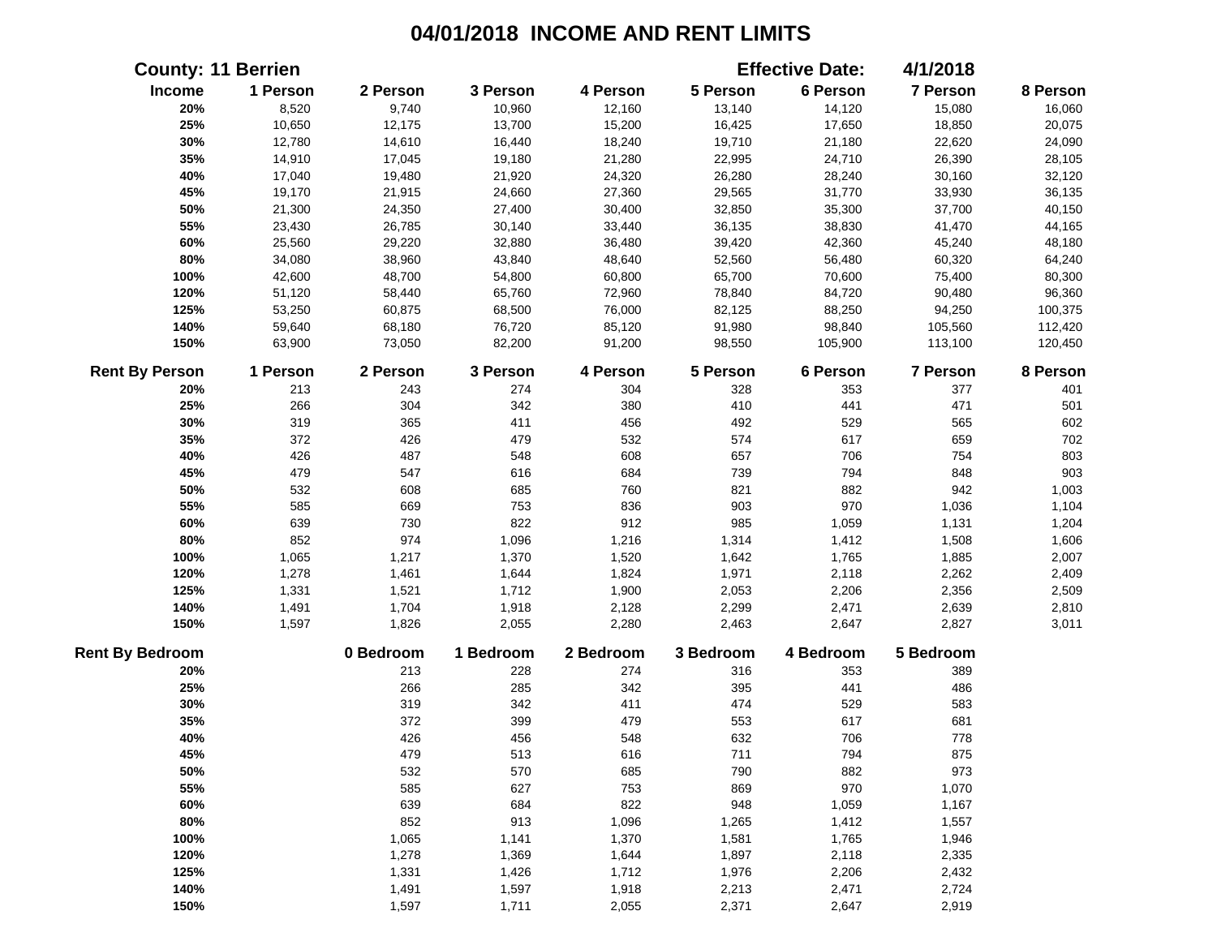|                        | <b>County: 11 Berrien</b> |           |           |           |           | <b>Effective Date:</b> | 4/1/2018  |          |
|------------------------|---------------------------|-----------|-----------|-----------|-----------|------------------------|-----------|----------|
| Income                 | 1 Person                  | 2 Person  | 3 Person  | 4 Person  | 5 Person  | 6 Person               | 7 Person  | 8 Person |
| 20%                    | 8,520                     | 9,740     | 10,960    | 12,160    | 13,140    | 14,120                 | 15,080    | 16,060   |
| 25%                    | 10,650                    | 12,175    | 13,700    | 15,200    | 16,425    | 17,650                 | 18,850    | 20,075   |
| 30%                    | 12,780                    | 14,610    | 16,440    | 18,240    | 19,710    | 21,180                 | 22,620    | 24,090   |
| 35%                    | 14,910                    | 17,045    | 19,180    | 21,280    | 22,995    | 24,710                 | 26,390    | 28,105   |
| 40%                    | 17,040                    | 19,480    | 21,920    | 24,320    | 26,280    | 28,240                 | 30,160    | 32,120   |
| 45%                    | 19,170                    | 21,915    | 24,660    | 27,360    | 29,565    | 31,770                 | 33,930    | 36,135   |
| 50%                    | 21,300                    | 24,350    | 27,400    | 30,400    | 32,850    | 35,300                 | 37,700    | 40,150   |
| 55%                    | 23,430                    | 26,785    | 30,140    | 33,440    | 36,135    | 38,830                 | 41,470    | 44,165   |
| 60%                    | 25,560                    | 29,220    | 32,880    | 36,480    | 39,420    | 42,360                 | 45,240    | 48,180   |
| 80%                    | 34,080                    | 38,960    | 43,840    | 48,640    | 52,560    | 56,480                 | 60,320    | 64,240   |
| 100%                   | 42,600                    | 48,700    | 54,800    | 60,800    | 65,700    | 70,600                 | 75,400    | 80,300   |
| 120%                   | 51,120                    | 58,440    | 65,760    | 72,960    | 78,840    | 84,720                 | 90,480    | 96,360   |
| 125%                   | 53,250                    | 60,875    | 68,500    | 76,000    | 82,125    | 88,250                 | 94,250    | 100,375  |
| 140%                   | 59,640                    | 68,180    | 76,720    | 85,120    | 91,980    | 98,840                 | 105,560   | 112,420  |
| 150%                   | 63,900                    | 73,050    | 82,200    | 91,200    | 98,550    | 105,900                | 113,100   | 120,450  |
| <b>Rent By Person</b>  | 1 Person                  | 2 Person  | 3 Person  | 4 Person  | 5 Person  | 6 Person               | 7 Person  | 8 Person |
| 20%                    | 213                       | 243       | 274       | 304       | 328       | 353                    | 377       | 401      |
| 25%                    | 266                       | 304       | 342       | 380       | 410       | 441                    | 471       | 501      |
| 30%                    | 319                       | 365       | 411       | 456       | 492       | 529                    | 565       | 602      |
| 35%                    | 372                       | 426       | 479       | 532       | 574       | 617                    | 659       | 702      |
| 40%                    | 426                       | 487       | 548       | 608       | 657       | 706                    | 754       | 803      |
| 45%                    | 479                       | 547       | 616       | 684       | 739       | 794                    | 848       | 903      |
| 50%                    | 532                       | 608       | 685       | 760       | 821       | 882                    | 942       | 1,003    |
| 55%                    | 585                       | 669       | 753       | 836       | 903       | 970                    | 1,036     | 1,104    |
| 60%                    | 639                       | 730       | 822       | 912       | 985       | 1,059                  | 1,131     | 1,204    |
| 80%                    | 852                       | 974       | 1,096     | 1,216     | 1,314     | 1,412                  | 1,508     | 1,606    |
| 100%                   | 1,065                     | 1,217     | 1,370     | 1,520     | 1,642     | 1,765                  | 1,885     | 2,007    |
| 120%                   | 1,278                     | 1,461     | 1,644     | 1,824     | 1,971     | 2,118                  | 2,262     | 2,409    |
| 125%                   | 1,331                     | 1,521     | 1,712     | 1,900     | 2,053     | 2,206                  | 2,356     | 2,509    |
| 140%                   | 1,491                     | 1,704     | 1,918     | 2,128     | 2,299     | 2,471                  | 2,639     | 2,810    |
| 150%                   | 1,597                     | 1,826     | 2,055     | 2,280     | 2,463     | 2,647                  | 2,827     | 3,011    |
| <b>Rent By Bedroom</b> |                           | 0 Bedroom | 1 Bedroom | 2 Bedroom | 3 Bedroom | 4 Bedroom              | 5 Bedroom |          |
| 20%                    |                           | 213       | 228       | 274       | 316       | 353                    | 389       |          |
| 25%                    |                           | 266       | 285       | 342       | 395       | 441                    | 486       |          |
| 30%                    |                           | 319       | 342       | 411       | 474       | 529                    | 583       |          |
| 35%                    |                           | 372       | 399       | 479       | 553       | 617                    | 681       |          |
| 40%                    |                           | 426       | 456       | 548       | 632       | 706                    | 778       |          |
| 45%                    |                           | 479       | 513       | 616       | 711       | 794                    | 875       |          |
| 50%                    |                           | 532       | 570       | 685       | 790       | 882                    | 973       |          |
| 55%                    |                           | 585       | 627       | 753       | 869       | 970                    | 1,070     |          |
| 60%                    |                           | 639       | 684       | 822       | 948       | 1,059                  | 1,167     |          |
| 80%                    |                           | 852       | 913       | 1,096     | 1,265     | 1,412                  | 1,557     |          |
| 100%                   |                           | 1,065     | 1,141     | 1,370     | 1,581     | 1,765                  | 1,946     |          |
| 120%                   |                           | 1,278     | 1,369     | 1,644     | 1,897     | 2,118                  | 2,335     |          |
| 125%                   |                           | 1,331     | 1,426     | 1,712     | 1,976     | 2,206                  | 2,432     |          |
| 140%                   |                           | 1,491     | 1,597     | 1,918     | 2,213     | 2,471                  | 2,724     |          |
| 150%                   |                           | 1,597     | 1,711     | 2,055     | 2,371     | 2,647                  | 2,919     |          |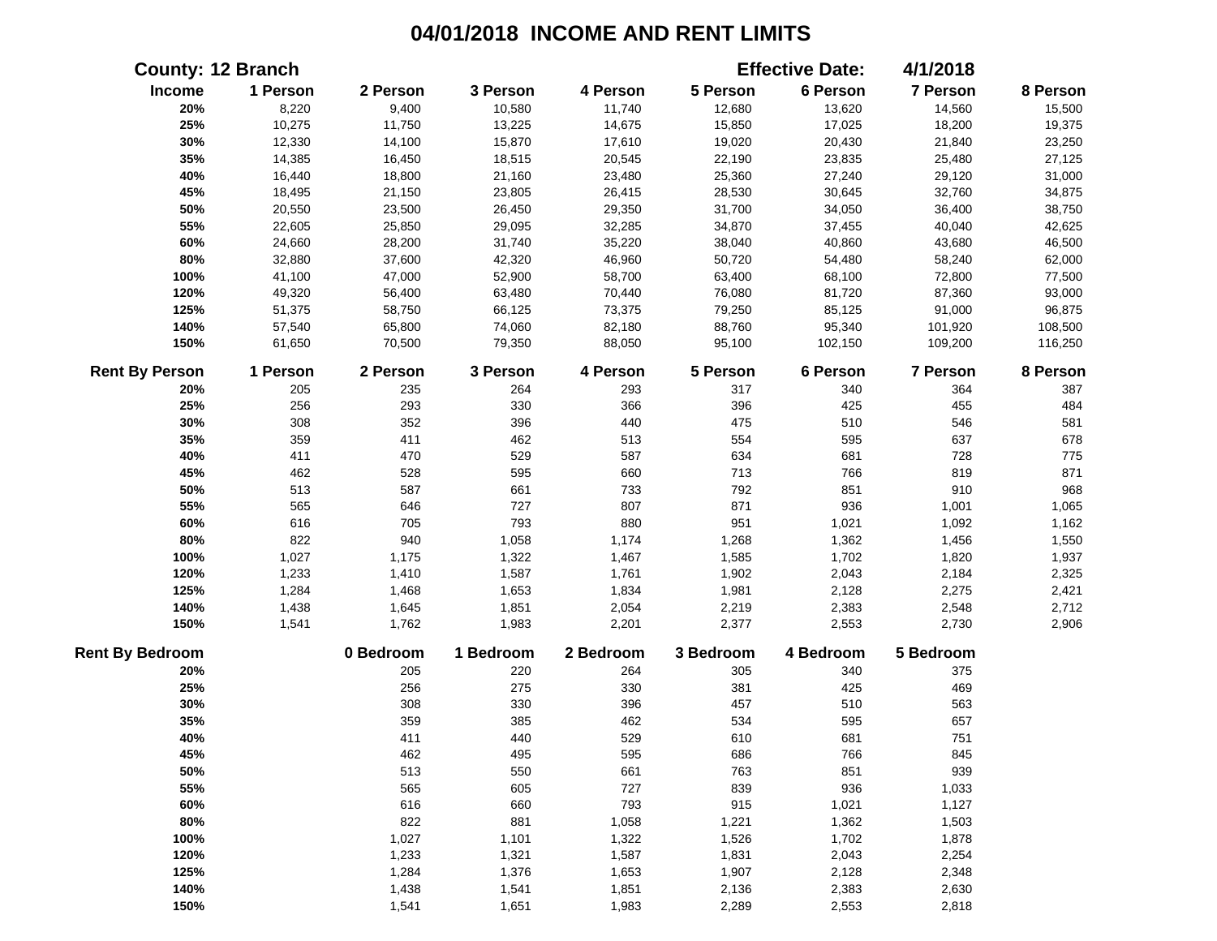|                        | <b>County: 12 Branch</b> |           |           |           |           | <b>Effective Date:</b> | 4/1/2018  |          |
|------------------------|--------------------------|-----------|-----------|-----------|-----------|------------------------|-----------|----------|
| Income                 | 1 Person                 | 2 Person  | 3 Person  | 4 Person  | 5 Person  | 6 Person               | 7 Person  | 8 Person |
| 20%                    | 8,220                    | 9,400     | 10,580    | 11,740    | 12,680    | 13,620                 | 14,560    | 15,500   |
| 25%                    | 10,275                   | 11,750    | 13,225    | 14,675    | 15,850    | 17,025                 | 18,200    | 19,375   |
| 30%                    | 12,330                   | 14,100    | 15,870    | 17,610    | 19,020    | 20,430                 | 21,840    | 23,250   |
| 35%                    | 14,385                   | 16,450    | 18,515    | 20,545    | 22,190    | 23,835                 | 25,480    | 27,125   |
| 40%                    | 16,440                   | 18,800    | 21,160    | 23,480    | 25,360    | 27,240                 | 29,120    | 31,000   |
| 45%                    | 18,495                   | 21,150    | 23,805    | 26,415    | 28,530    | 30,645                 | 32,760    | 34,875   |
| 50%                    | 20,550                   | 23,500    | 26,450    | 29,350    | 31,700    | 34,050                 | 36,400    | 38,750   |
| 55%                    | 22,605                   | 25,850    | 29,095    | 32,285    | 34,870    | 37,455                 | 40,040    | 42,625   |
| 60%                    | 24,660                   | 28,200    | 31,740    | 35,220    | 38,040    | 40,860                 | 43,680    | 46,500   |
| 80%                    | 32,880                   | 37,600    | 42,320    | 46,960    | 50,720    | 54,480                 | 58,240    | 62,000   |
| 100%                   | 41,100                   | 47,000    | 52,900    | 58,700    | 63,400    | 68,100                 | 72,800    | 77,500   |
| 120%                   | 49,320                   | 56,400    | 63,480    | 70,440    | 76,080    | 81,720                 | 87,360    | 93,000   |
| 125%                   | 51,375                   | 58,750    | 66,125    | 73,375    | 79,250    | 85,125                 | 91,000    | 96,875   |
| 140%                   | 57,540                   | 65,800    | 74,060    | 82,180    | 88,760    | 95,340                 | 101,920   | 108,500  |
| 150%                   | 61,650                   | 70,500    | 79,350    | 88,050    | 95,100    | 102,150                | 109,200   | 116,250  |
| <b>Rent By Person</b>  | 1 Person                 | 2 Person  | 3 Person  | 4 Person  | 5 Person  | 6 Person               | 7 Person  | 8 Person |
| 20%                    | 205                      | 235       | 264       | 293       | 317       | 340                    | 364       | 387      |
| 25%                    | 256                      | 293       | 330       | 366       | 396       | 425                    | 455       | 484      |
| 30%                    | 308                      | 352       | 396       | 440       | 475       | 510                    | 546       | 581      |
| 35%                    | 359                      | 411       | 462       | 513       | 554       | 595                    | 637       | 678      |
| 40%                    | 411                      | 470       | 529       | 587       | 634       | 681                    | 728       | 775      |
| 45%                    | 462                      | 528       | 595       | 660       | 713       | 766                    | 819       | 871      |
| 50%                    | 513                      | 587       | 661       | 733       | 792       | 851                    | 910       | 968      |
| 55%                    | 565                      | 646       | 727       | 807       | 871       | 936                    | 1,001     | 1,065    |
| 60%                    | 616                      | 705       | 793       | 880       | 951       | 1,021                  | 1,092     | 1,162    |
| 80%                    | 822                      | 940       | 1,058     | 1,174     | 1,268     | 1,362                  | 1,456     | 1,550    |
| 100%                   | 1,027                    | 1,175     | 1,322     | 1,467     | 1,585     | 1,702                  | 1,820     | 1,937    |
| 120%                   | 1,233                    | 1,410     | 1,587     | 1,761     | 1,902     | 2,043                  | 2,184     | 2,325    |
| 125%                   | 1,284                    | 1,468     | 1,653     | 1,834     | 1,981     | 2,128                  | 2,275     | 2,421    |
| 140%                   | 1,438                    | 1,645     | 1,851     | 2,054     | 2,219     | 2,383                  | 2,548     | 2,712    |
| 150%                   | 1,541                    | 1,762     | 1,983     | 2,201     | 2,377     | 2,553                  | 2,730     | 2,906    |
| <b>Rent By Bedroom</b> |                          | 0 Bedroom | 1 Bedroom | 2 Bedroom | 3 Bedroom | 4 Bedroom              | 5 Bedroom |          |
| 20%                    |                          | 205       | 220       | 264       | 305       | 340                    | 375       |          |
| 25%                    |                          | 256       | 275       | 330       | 381       | 425                    | 469       |          |
| 30%                    |                          | 308       | 330       | 396       | 457       | 510                    | 563       |          |
| 35%                    |                          | 359       | 385       | 462       | 534       | 595                    | 657       |          |
| 40%                    |                          | 411       | 440       | 529       | 610       | 681                    | 751       |          |
| 45%                    |                          | 462       | 495       | 595       | 686       | 766                    | 845       |          |
| 50%                    |                          | 513       | 550       | 661       | 763       | 851                    | 939       |          |
| 55%                    |                          | 565       | 605       | 727       | 839       | 936                    | 1,033     |          |
| 60%                    |                          | 616       | 660       | 793       | 915       | 1,021                  | 1,127     |          |
| 80%                    |                          | 822       | 881       | 1,058     | 1,221     | 1,362                  | 1,503     |          |
| 100%                   |                          | 1,027     | 1,101     | 1,322     | 1,526     | 1,702                  | 1,878     |          |
| 120%                   |                          | 1,233     | 1,321     | 1,587     | 1,831     | 2,043                  | 2,254     |          |
| 125%                   |                          | 1,284     | 1,376     | 1,653     | 1,907     | 2,128                  | 2,348     |          |
| 140%                   |                          | 1,438     | 1,541     | 1,851     | 2,136     | 2,383                  | 2,630     |          |
| 150%                   |                          | 1,541     | 1,651     | 1,983     | 2,289     | 2,553                  | 2,818     |          |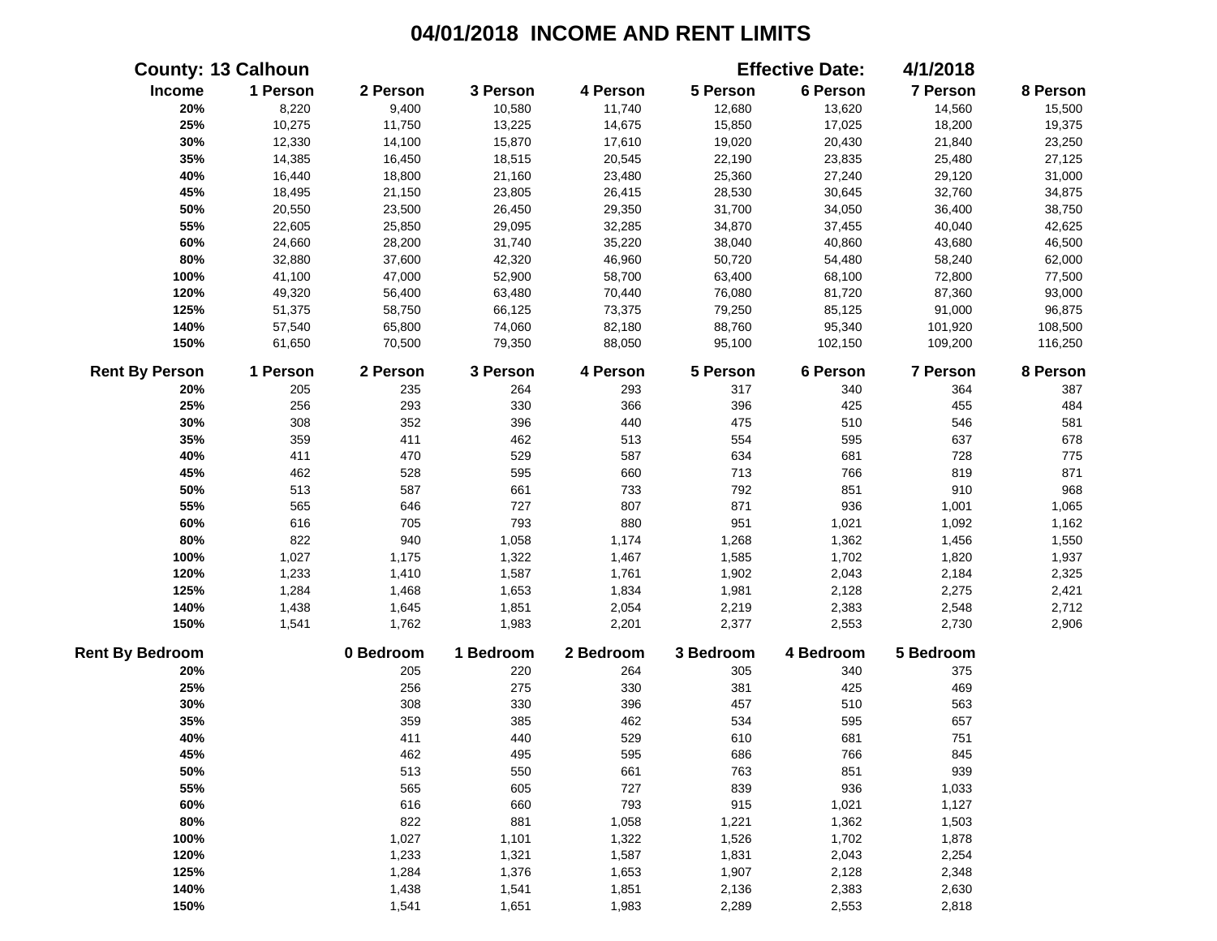|                        | <b>County: 13 Calhoun</b> |           |           |           |           | <b>Effective Date:</b> | 4/1/2018        |          |
|------------------------|---------------------------|-----------|-----------|-----------|-----------|------------------------|-----------------|----------|
| Income                 | 1 Person                  | 2 Person  | 3 Person  | 4 Person  | 5 Person  | 6 Person               | 7 Person        | 8 Person |
| 20%                    | 8,220                     | 9,400     | 10,580    | 11,740    | 12,680    | 13,620                 | 14,560          | 15,500   |
| 25%                    | 10,275                    | 11,750    | 13,225    | 14,675    | 15,850    | 17,025                 | 18,200          | 19,375   |
| 30%                    | 12,330                    | 14,100    | 15,870    | 17,610    | 19,020    | 20,430                 | 21,840          | 23,250   |
| 35%                    | 14,385                    | 16,450    | 18,515    | 20,545    | 22,190    | 23,835                 | 25,480          | 27,125   |
| 40%                    | 16,440                    | 18,800    | 21,160    | 23,480    | 25,360    | 27,240                 | 29,120          | 31,000   |
| 45%                    | 18,495                    | 21,150    | 23,805    | 26,415    | 28,530    | 30,645                 | 32,760          | 34,875   |
| 50%                    | 20,550                    | 23,500    | 26,450    | 29,350    | 31,700    | 34,050                 | 36,400          | 38,750   |
| 55%                    | 22,605                    | 25,850    | 29,095    | 32,285    | 34,870    | 37,455                 | 40,040          | 42,625   |
| 60%                    | 24,660                    | 28,200    | 31,740    | 35,220    | 38,040    | 40,860                 | 43,680          | 46,500   |
| 80%                    | 32,880                    | 37,600    | 42,320    | 46,960    | 50,720    | 54,480                 | 58,240          | 62,000   |
| 100%                   | 41,100                    | 47,000    | 52,900    | 58,700    | 63,400    | 68,100                 | 72,800          | 77,500   |
| 120%                   | 49,320                    | 56,400    | 63,480    | 70,440    | 76,080    | 81,720                 | 87,360          | 93,000   |
| 125%                   | 51,375                    | 58,750    | 66,125    | 73,375    | 79,250    | 85,125                 | 91,000          | 96,875   |
| 140%                   | 57,540                    | 65,800    | 74,060    | 82,180    | 88,760    | 95,340                 | 101,920         | 108,500  |
| 150%                   | 61,650                    | 70,500    | 79,350    | 88,050    | 95,100    | 102,150                | 109,200         | 116,250  |
| <b>Rent By Person</b>  | 1 Person                  | 2 Person  | 3 Person  | 4 Person  | 5 Person  | 6 Person               | <b>7 Person</b> | 8 Person |
| 20%                    | 205                       | 235       | 264       | 293       | 317       | 340                    | 364             | 387      |
| 25%                    | 256                       | 293       | 330       | 366       | 396       | 425                    | 455             | 484      |
| 30%                    | 308                       | 352       | 396       | 440       | 475       | 510                    | 546             | 581      |
| 35%                    | 359                       | 411       | 462       | 513       | 554       | 595                    | 637             | 678      |
| 40%                    | 411                       | 470       | 529       | 587       | 634       | 681                    | 728             | 775      |
| 45%                    | 462                       | 528       | 595       | 660       | 713       | 766                    | 819             | 871      |
| 50%                    | 513                       | 587       | 661       | 733       | 792       | 851                    | 910             | 968      |
| 55%                    | 565                       | 646       | 727       | 807       | 871       | 936                    | 1,001           | 1,065    |
| 60%                    | 616                       | 705       | 793       | 880       | 951       | 1,021                  | 1,092           | 1,162    |
| 80%                    | 822                       | 940       | 1,058     | 1,174     | 1,268     | 1,362                  | 1,456           | 1,550    |
| 100%                   | 1,027                     | 1,175     | 1,322     | 1,467     | 1,585     | 1,702                  | 1,820           | 1,937    |
| 120%                   | 1,233                     | 1,410     | 1,587     | 1,761     | 1,902     | 2,043                  | 2,184           | 2,325    |
| 125%                   | 1,284                     | 1,468     | 1,653     | 1,834     | 1,981     | 2,128                  | 2,275           | 2,421    |
| 140%                   | 1,438                     | 1,645     | 1,851     | 2,054     | 2,219     | 2,383                  | 2,548           | 2,712    |
| 150%                   | 1,541                     | 1,762     | 1,983     | 2,201     | 2,377     | 2,553                  | 2,730           | 2,906    |
| <b>Rent By Bedroom</b> |                           | 0 Bedroom | 1 Bedroom | 2 Bedroom | 3 Bedroom | 4 Bedroom              | 5 Bedroom       |          |
| 20%                    |                           | 205       | 220       | 264       | 305       | 340                    | 375             |          |
| 25%                    |                           | 256       | 275       | 330       | 381       | 425                    | 469             |          |
| 30%                    |                           | 308       | 330       | 396       | 457       | 510                    | 563             |          |
| 35%                    |                           | 359       | 385       | 462       | 534       | 595                    | 657             |          |
| 40%                    |                           | 411       | 440       | 529       | 610       | 681                    | 751             |          |
| 45%                    |                           | 462       | 495       | 595       | 686       | 766                    | 845             |          |
| 50%                    |                           | 513       | 550       | 661       | 763       | 851                    | 939             |          |
| 55%                    |                           | 565       | 605       | 727       | 839       | 936                    | 1,033           |          |
| 60%                    |                           | 616       | 660       | 793       | 915       | 1,021                  | 1,127           |          |
| 80%                    |                           | 822       | 881       | 1,058     | 1,221     | 1,362                  | 1,503           |          |
| 100%                   |                           | 1,027     | 1,101     | 1,322     | 1,526     | 1,702                  | 1,878           |          |
| 120%                   |                           | 1,233     | 1,321     | 1,587     | 1,831     | 2,043                  | 2,254           |          |
| 125%                   |                           | 1,284     | 1,376     | 1,653     | 1,907     | 2,128                  | 2,348           |          |
| 140%                   |                           | 1,438     | 1,541     | 1,851     | 2,136     | 2,383                  | 2,630           |          |
| 150%                   |                           | 1,541     | 1,651     | 1,983     | 2,289     | 2,553                  | 2,818           |          |
|                        |                           |           |           |           |           |                        |                 |          |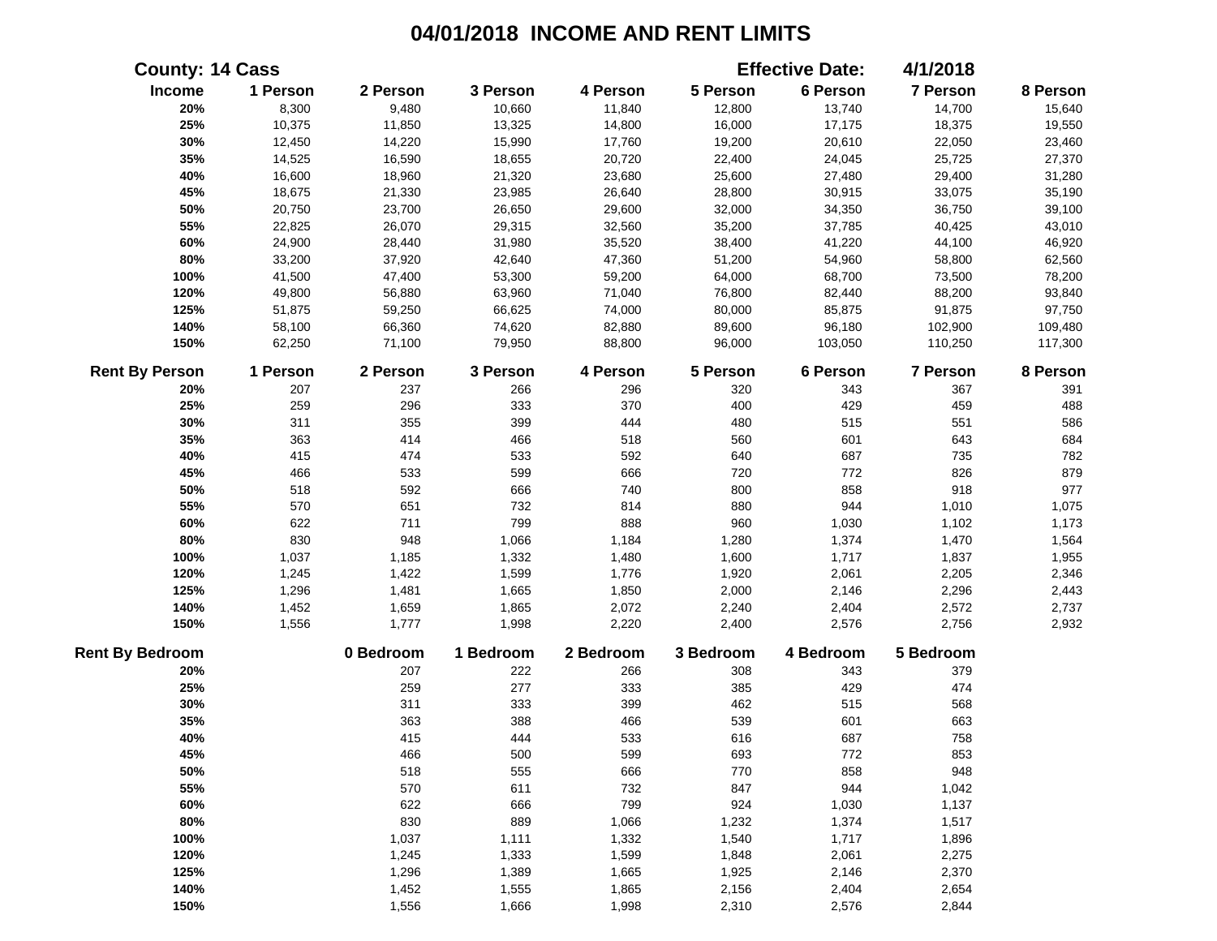|                        | <b>County: 14 Cass</b> |           |           |           |           | <b>Effective Date:</b> | 4/1/2018  |          |
|------------------------|------------------------|-----------|-----------|-----------|-----------|------------------------|-----------|----------|
| Income                 | 1 Person               | 2 Person  | 3 Person  | 4 Person  | 5 Person  | 6 Person               | 7 Person  | 8 Person |
| 20%                    | 8,300                  | 9,480     | 10,660    | 11,840    | 12,800    | 13,740                 | 14,700    | 15,640   |
| 25%                    | 10,375                 | 11,850    | 13,325    | 14,800    | 16,000    | 17,175                 | 18,375    | 19,550   |
| 30%                    | 12,450                 | 14,220    | 15,990    | 17,760    | 19,200    | 20,610                 | 22,050    | 23,460   |
| 35%                    | 14,525                 | 16,590    | 18,655    | 20,720    | 22,400    | 24,045                 | 25,725    | 27,370   |
| 40%                    | 16,600                 | 18,960    | 21,320    | 23,680    | 25,600    | 27,480                 | 29,400    | 31,280   |
| 45%                    | 18,675                 | 21,330    | 23,985    | 26,640    | 28,800    | 30,915                 | 33,075    | 35,190   |
| 50%                    | 20,750                 | 23,700    | 26,650    | 29,600    | 32,000    | 34,350                 | 36,750    | 39,100   |
| 55%                    | 22,825                 | 26,070    | 29,315    | 32,560    | 35,200    | 37,785                 | 40,425    | 43,010   |
| 60%                    | 24,900                 | 28,440    | 31,980    | 35,520    | 38,400    | 41,220                 | 44,100    | 46,920   |
| 80%                    | 33,200                 | 37,920    | 42,640    | 47,360    | 51,200    | 54,960                 | 58,800    | 62,560   |
| 100%                   | 41,500                 | 47,400    | 53,300    | 59,200    | 64,000    | 68,700                 | 73,500    | 78,200   |
| 120%                   | 49,800                 | 56,880    | 63,960    | 71,040    | 76,800    | 82,440                 | 88,200    | 93,840   |
| 125%                   | 51,875                 | 59,250    | 66,625    | 74,000    | 80,000    | 85,875                 | 91,875    | 97,750   |
| 140%                   | 58,100                 | 66,360    | 74,620    | 82,880    | 89,600    | 96,180                 | 102,900   | 109,480  |
| 150%                   | 62,250                 | 71,100    | 79,950    | 88,800    | 96,000    | 103,050                | 110,250   | 117,300  |
| <b>Rent By Person</b>  | 1 Person               | 2 Person  | 3 Person  | 4 Person  | 5 Person  | 6 Person               | 7 Person  | 8 Person |
| 20%                    | 207                    | 237       | 266       | 296       | 320       | 343                    | 367       | 391      |
| 25%                    | 259                    | 296       | 333       | 370       | 400       | 429                    | 459       | 488      |
| 30%                    | 311                    | 355       | 399       | 444       | 480       | 515                    | 551       | 586      |
| 35%                    | 363                    | 414       | 466       | 518       | 560       | 601                    | 643       | 684      |
| 40%                    | 415                    | 474       | 533       | 592       | 640       | 687                    | 735       | 782      |
| 45%                    | 466                    | 533       | 599       | 666       | 720       | 772                    | 826       | 879      |
| 50%                    | 518                    | 592       | 666       | 740       | 800       | 858                    | 918       | 977      |
| 55%                    | 570                    | 651       | 732       | 814       | 880       | 944                    | 1,010     | 1,075    |
| 60%                    | 622                    | 711       | 799       | 888       | 960       | 1,030                  | 1,102     | 1,173    |
| 80%                    | 830                    | 948       | 1,066     | 1,184     | 1,280     | 1,374                  | 1,470     | 1,564    |
| 100%                   | 1,037                  | 1,185     | 1,332     | 1,480     | 1,600     | 1,717                  | 1,837     | 1,955    |
| 120%                   | 1,245                  | 1,422     | 1,599     | 1,776     | 1,920     | 2,061                  | 2,205     | 2,346    |
| 125%                   | 1,296                  | 1,481     | 1,665     | 1,850     | 2,000     | 2,146                  | 2,296     | 2,443    |
| 140%                   | 1,452                  | 1,659     | 1,865     | 2,072     | 2,240     | 2,404                  | 2,572     | 2,737    |
| 150%                   | 1,556                  | 1,777     | 1,998     | 2,220     | 2,400     | 2,576                  | 2,756     | 2,932    |
| <b>Rent By Bedroom</b> |                        | 0 Bedroom | 1 Bedroom | 2 Bedroom | 3 Bedroom | 4 Bedroom              | 5 Bedroom |          |
| 20%                    |                        | 207       | 222       | 266       | 308       | 343                    | 379       |          |
| 25%                    |                        | 259       | 277       | 333       | 385       | 429                    | 474       |          |
| 30%                    |                        | 311       | 333       | 399       | 462       | 515                    | 568       |          |
| 35%                    |                        | 363       | 388       | 466       | 539       | 601                    | 663       |          |
| 40%                    |                        | 415       | 444       | 533       | 616       | 687                    | 758       |          |
| 45%                    |                        | 466       | 500       | 599       | 693       | 772                    | 853       |          |
| 50%                    |                        | 518       | 555       | 666       | 770       | 858                    | 948       |          |
| 55%                    |                        | 570       | 611       | 732       | 847       | 944                    | 1,042     |          |
| 60%                    |                        | 622       | 666       | 799       | 924       | 1,030                  | 1,137     |          |
| 80%                    |                        | 830       | 889       | 1,066     | 1,232     | 1,374                  | 1,517     |          |
| 100%                   |                        | 1,037     | 1,111     | 1,332     | 1,540     | 1,717                  | 1,896     |          |
| 120%                   |                        | 1,245     | 1,333     | 1,599     | 1,848     | 2,061                  | 2,275     |          |
| 125%                   |                        | 1,296     | 1,389     | 1,665     | 1,925     | 2,146                  | 2,370     |          |
| 140%                   |                        | 1,452     | 1,555     | 1,865     | 2,156     | 2,404                  | 2,654     |          |
| 150%                   |                        | 1,556     | 1,666     | 1,998     | 2,310     | 2,576                  | 2,844     |          |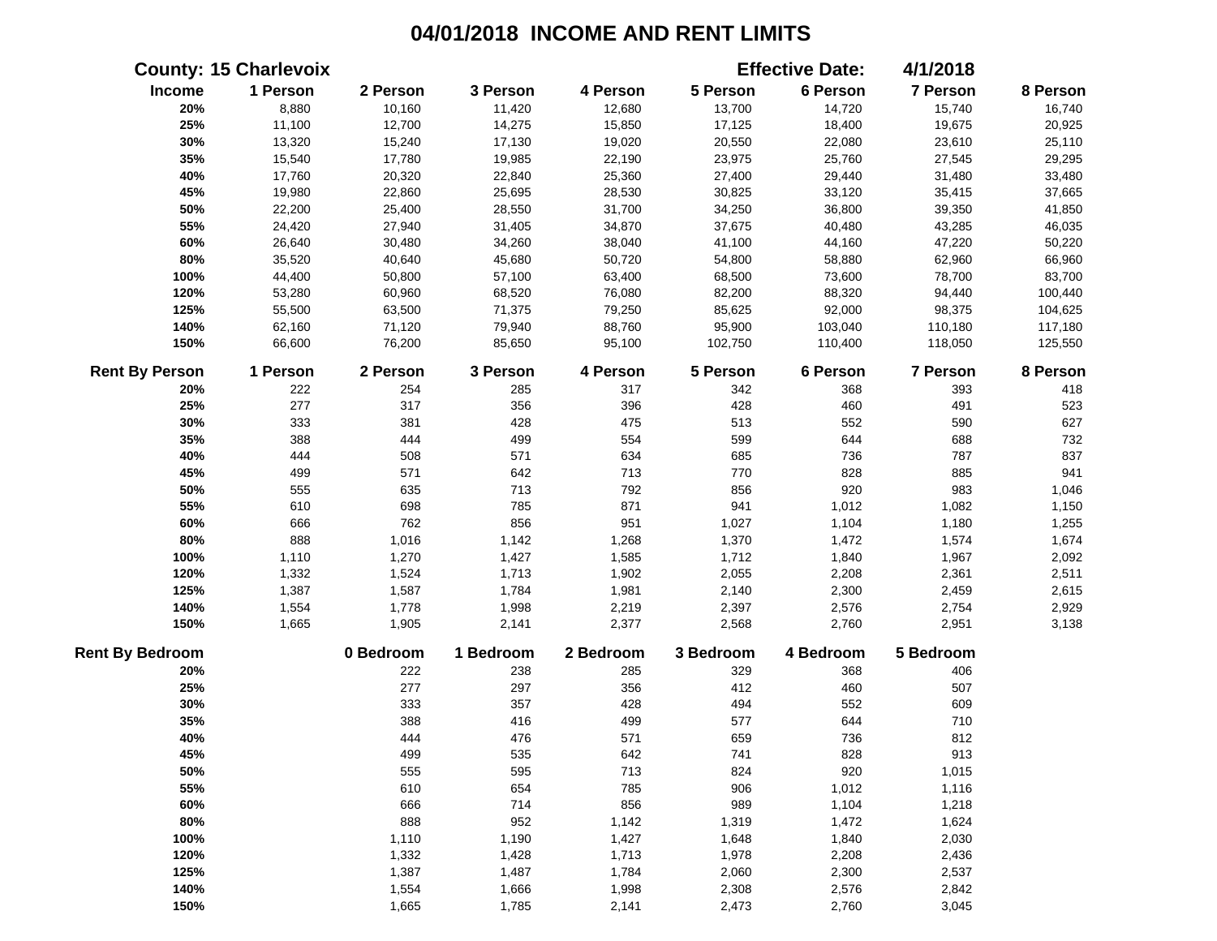|                        | <b>County: 15 Charlevoix</b> |           |           |           |           | <b>Effective Date:</b> | 4/1/2018  |          |
|------------------------|------------------------------|-----------|-----------|-----------|-----------|------------------------|-----------|----------|
| Income                 | 1 Person                     | 2 Person  | 3 Person  | 4 Person  | 5 Person  | 6 Person               | 7 Person  | 8 Person |
| 20%                    | 8,880                        | 10,160    | 11,420    | 12,680    | 13,700    | 14,720                 | 15,740    | 16,740   |
| 25%                    | 11,100                       | 12,700    | 14,275    | 15,850    | 17,125    | 18,400                 | 19,675    | 20,925   |
| 30%                    | 13,320                       | 15,240    | 17,130    | 19,020    | 20,550    | 22,080                 | 23,610    | 25,110   |
| 35%                    | 15,540                       | 17,780    | 19,985    | 22,190    | 23,975    | 25,760                 | 27,545    | 29,295   |
| 40%                    | 17,760                       | 20,320    | 22,840    | 25,360    | 27,400    | 29,440                 | 31,480    | 33,480   |
| 45%                    | 19,980                       | 22,860    | 25,695    | 28,530    | 30,825    | 33,120                 | 35,415    | 37,665   |
| 50%                    | 22,200                       | 25,400    | 28,550    | 31,700    | 34,250    | 36,800                 | 39,350    | 41,850   |
| 55%                    | 24,420                       | 27,940    | 31,405    | 34,870    | 37,675    | 40,480                 | 43,285    | 46,035   |
| 60%                    | 26,640                       | 30,480    | 34,260    | 38,040    | 41,100    | 44,160                 | 47,220    | 50,220   |
| 80%                    | 35,520                       | 40,640    | 45,680    | 50,720    | 54,800    | 58,880                 | 62,960    | 66,960   |
| 100%                   | 44,400                       | 50,800    | 57,100    | 63,400    | 68,500    | 73,600                 | 78,700    | 83,700   |
| 120%                   | 53,280                       | 60,960    | 68,520    | 76,080    | 82,200    | 88,320                 | 94,440    | 100,440  |
| 125%                   | 55,500                       | 63,500    | 71,375    | 79,250    | 85,625    | 92,000                 | 98,375    | 104,625  |
| 140%                   | 62,160                       | 71,120    | 79,940    | 88,760    | 95,900    | 103,040                | 110,180   | 117,180  |
| 150%                   | 66,600                       | 76,200    | 85,650    | 95,100    | 102,750   | 110,400                | 118,050   | 125,550  |
| <b>Rent By Person</b>  | 1 Person                     | 2 Person  | 3 Person  | 4 Person  | 5 Person  | 6 Person               | 7 Person  | 8 Person |
| 20%                    | 222                          | 254       | 285       | 317       | 342       | 368                    | 393       | 418      |
| 25%                    | 277                          | 317       | 356       | 396       | 428       | 460                    | 491       | 523      |
| 30%                    | 333                          | 381       | 428       | 475       | 513       | 552                    | 590       | 627      |
| 35%                    | 388                          | 444       | 499       | 554       | 599       | 644                    | 688       | 732      |
| 40%                    | 444                          | 508       | 571       | 634       | 685       | 736                    | 787       | 837      |
| 45%                    | 499                          | 571       | 642       | 713       | 770       | 828                    | 885       | 941      |
| 50%                    | 555                          | 635       | 713       | 792       | 856       | 920                    | 983       | 1,046    |
| 55%                    | 610                          | 698       | 785       | 871       | 941       | 1,012                  | 1,082     | 1,150    |
| 60%                    | 666                          | 762       | 856       | 951       | 1,027     | 1,104                  | 1,180     | 1,255    |
| 80%                    | 888                          | 1,016     | 1,142     | 1,268     | 1,370     | 1,472                  | 1,574     | 1,674    |
| 100%                   | 1,110                        | 1,270     | 1,427     | 1,585     | 1,712     | 1,840                  | 1,967     | 2,092    |
| 120%                   | 1,332                        | 1,524     | 1,713     | 1,902     | 2,055     | 2,208                  | 2,361     | 2,511    |
| 125%                   | 1,387                        | 1,587     | 1,784     | 1,981     | 2,140     | 2,300                  | 2,459     | 2,615    |
| 140%                   | 1,554                        | 1,778     | 1,998     | 2,219     | 2,397     | 2,576                  | 2,754     | 2,929    |
| 150%                   | 1,665                        | 1,905     | 2,141     | 2,377     | 2,568     | 2,760                  | 2,951     | 3,138    |
| <b>Rent By Bedroom</b> |                              | 0 Bedroom | 1 Bedroom | 2 Bedroom | 3 Bedroom | 4 Bedroom              | 5 Bedroom |          |
| 20%                    |                              | 222       | 238       | 285       | 329       | 368                    | 406       |          |
| 25%                    |                              | 277       | 297       | 356       | 412       | 460                    | 507       |          |
| 30%                    |                              | 333       | 357       | 428       | 494       | 552                    | 609       |          |
| 35%                    |                              | 388       | 416       | 499       | 577       | 644                    | 710       |          |
| 40%                    |                              | 444       | 476       | 571       | 659       | 736                    | 812       |          |
| 45%                    |                              | 499       | 535       | 642       | 741       | 828                    | 913       |          |
| 50%                    |                              | 555       | 595       | 713       | 824       | 920                    | 1,015     |          |
| 55%                    |                              | 610       | 654       | 785       | 906       | 1,012                  | 1,116     |          |
| 60%                    |                              | 666       | 714       | 856       | 989       | 1,104                  | 1,218     |          |
| 80%                    |                              | 888       | 952       | 1,142     | 1,319     | 1,472                  | 1,624     |          |
| 100%                   |                              | 1,110     | 1,190     | 1,427     | 1,648     | 1,840                  | 2,030     |          |
| 120%                   |                              | 1,332     | 1,428     | 1,713     | 1,978     | 2,208                  | 2,436     |          |
| 125%                   |                              | 1,387     | 1,487     | 1,784     | 2,060     | 2,300                  | 2,537     |          |
| 140%                   |                              | 1,554     | 1,666     | 1,998     | 2,308     | 2,576                  | 2,842     |          |
| 150%                   |                              | 1,665     | 1,785     | 2,141     | 2,473     | 2,760                  | 3,045     |          |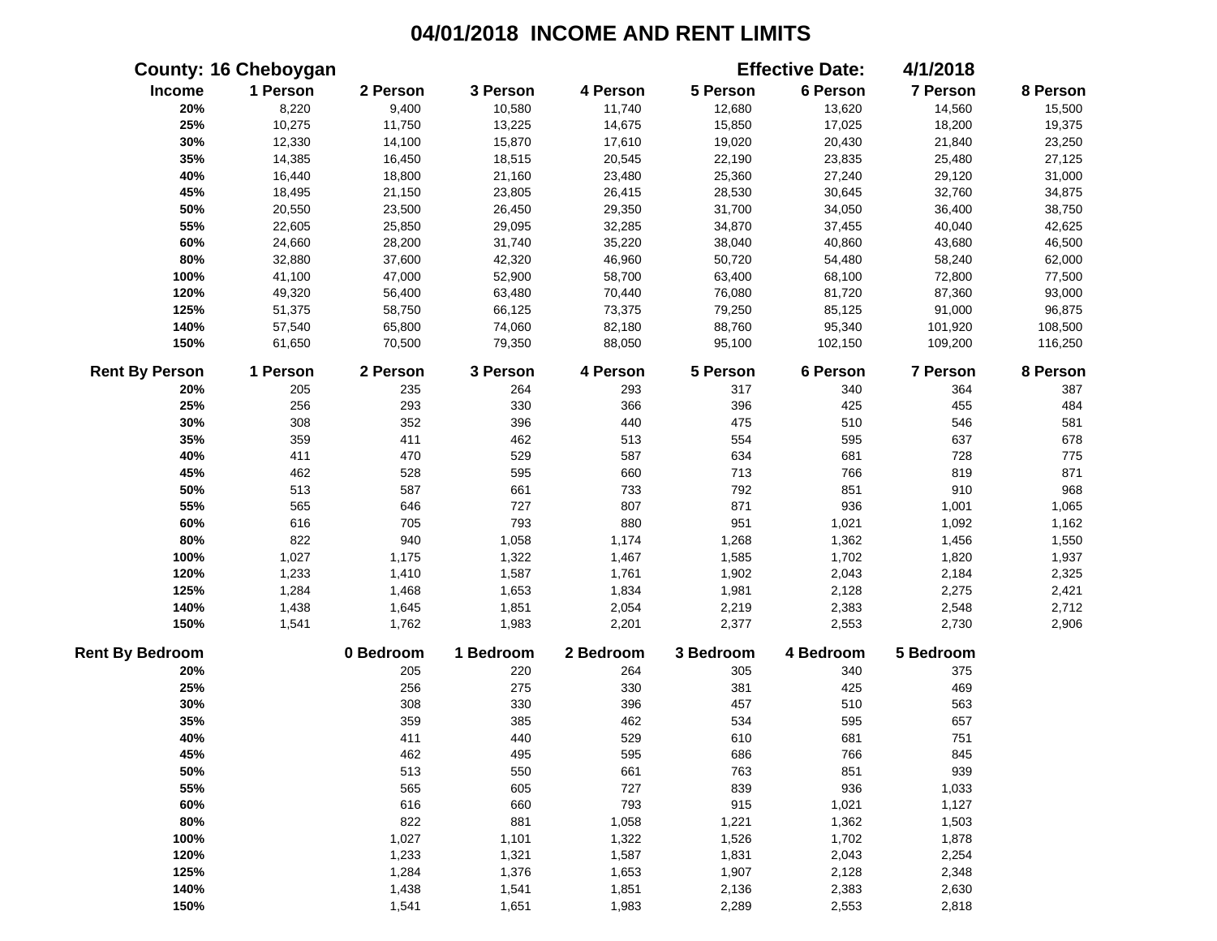|                        | <b>County: 16 Cheboygan</b> |           |           |           |           | <b>Effective Date:</b> | 4/1/2018  |          |
|------------------------|-----------------------------|-----------|-----------|-----------|-----------|------------------------|-----------|----------|
| Income                 | 1 Person                    | 2 Person  | 3 Person  | 4 Person  | 5 Person  | 6 Person               | 7 Person  | 8 Person |
| 20%                    | 8,220                       | 9,400     | 10,580    | 11,740    | 12,680    | 13,620                 | 14,560    | 15,500   |
| 25%                    | 10,275                      | 11,750    | 13,225    | 14,675    | 15,850    | 17,025                 | 18,200    | 19,375   |
| 30%                    | 12,330                      | 14,100    | 15,870    | 17,610    | 19,020    | 20,430                 | 21,840    | 23,250   |
| 35%                    | 14,385                      | 16,450    | 18,515    | 20,545    | 22,190    | 23,835                 | 25,480    | 27,125   |
| 40%                    | 16,440                      | 18,800    | 21,160    | 23,480    | 25,360    | 27,240                 | 29,120    | 31,000   |
| 45%                    | 18,495                      | 21,150    | 23,805    | 26,415    | 28,530    | 30,645                 | 32,760    | 34,875   |
| 50%                    | 20,550                      | 23,500    | 26,450    | 29,350    | 31,700    | 34,050                 | 36,400    | 38,750   |
| 55%                    | 22,605                      | 25,850    | 29,095    | 32,285    | 34,870    | 37,455                 | 40,040    | 42,625   |
| 60%                    | 24,660                      | 28,200    | 31,740    | 35,220    | 38,040    | 40,860                 | 43,680    | 46,500   |
| 80%                    | 32,880                      | 37,600    | 42,320    | 46,960    | 50,720    | 54,480                 | 58,240    | 62,000   |
| 100%                   | 41,100                      | 47,000    | 52,900    | 58,700    | 63,400    | 68,100                 | 72,800    | 77,500   |
| 120%                   | 49,320                      | 56,400    | 63,480    | 70,440    | 76,080    | 81,720                 | 87,360    | 93,000   |
| 125%                   | 51,375                      | 58,750    | 66,125    | 73,375    | 79,250    | 85,125                 | 91,000    | 96,875   |
| 140%                   | 57,540                      | 65,800    | 74,060    | 82,180    | 88,760    | 95,340                 | 101,920   | 108,500  |
| 150%                   | 61,650                      | 70,500    | 79,350    | 88,050    | 95,100    | 102,150                | 109,200   | 116,250  |
| <b>Rent By Person</b>  | 1 Person                    | 2 Person  | 3 Person  | 4 Person  | 5 Person  | 6 Person               | 7 Person  | 8 Person |
| 20%                    | 205                         | 235       | 264       | 293       | 317       | 340                    | 364       | 387      |
| 25%                    | 256                         | 293       | 330       | 366       | 396       | 425                    | 455       | 484      |
| 30%                    | 308                         | 352       | 396       | 440       | 475       | 510                    | 546       | 581      |
| 35%                    | 359                         | 411       | 462       | 513       | 554       | 595                    | 637       | 678      |
| 40%                    | 411                         | 470       | 529       | 587       | 634       | 681                    | 728       | 775      |
| 45%                    | 462                         | 528       | 595       | 660       | 713       | 766                    | 819       | 871      |
| 50%                    | 513                         | 587       | 661       | 733       | 792       | 851                    | 910       | 968      |
| 55%                    | 565                         | 646       | 727       | 807       | 871       | 936                    | 1,001     | 1,065    |
| 60%                    | 616                         | 705       | 793       | 880       | 951       | 1,021                  | 1,092     | 1,162    |
| 80%                    | 822                         | 940       | 1,058     | 1,174     | 1,268     | 1,362                  | 1,456     | 1,550    |
| 100%                   | 1,027                       | 1,175     | 1,322     | 1,467     | 1,585     | 1,702                  | 1,820     | 1,937    |
| 120%                   | 1,233                       | 1,410     | 1,587     | 1,761     | 1,902     | 2,043                  | 2,184     | 2,325    |
| 125%                   | 1,284                       | 1,468     | 1,653     | 1,834     | 1,981     | 2,128                  | 2,275     | 2,421    |
| 140%                   | 1,438                       | 1,645     | 1,851     | 2,054     | 2,219     | 2,383                  | 2,548     | 2,712    |
| 150%                   | 1,541                       | 1,762     | 1,983     | 2,201     | 2,377     | 2,553                  | 2,730     | 2,906    |
| <b>Rent By Bedroom</b> |                             | 0 Bedroom | 1 Bedroom | 2 Bedroom | 3 Bedroom | 4 Bedroom              | 5 Bedroom |          |
| 20%                    |                             | 205       | 220       | 264       | 305       | 340                    | 375       |          |
| 25%                    |                             | 256       | 275       | 330       | 381       | 425                    | 469       |          |
| 30%                    |                             | 308       | 330       | 396       | 457       | 510                    | 563       |          |
| 35%                    |                             | 359       | 385       | 462       | 534       | 595                    | 657       |          |
| 40%                    |                             | 411       | 440       | 529       | 610       | 681                    | 751       |          |
| 45%                    |                             | 462       | 495       | 595       | 686       | 766                    | 845       |          |
| 50%                    |                             | 513       | 550       | 661       | 763       | 851                    | 939       |          |
| 55%                    |                             | 565       | 605       | 727       | 839       | 936                    | 1,033     |          |
| 60%                    |                             | 616       | 660       | 793       | 915       | 1,021                  | 1,127     |          |
| 80%                    |                             | 822       | 881       | 1,058     | 1,221     | 1,362                  | 1,503     |          |
| 100%                   |                             | 1,027     | 1,101     | 1,322     | 1,526     | 1,702                  | 1,878     |          |
| 120%                   |                             | 1,233     | 1,321     | 1,587     | 1,831     | 2,043                  | 2,254     |          |
| 125%                   |                             | 1,284     | 1,376     | 1,653     | 1,907     | 2,128                  | 2,348     |          |
| 140%                   |                             | 1,438     | 1,541     | 1,851     | 2,136     | 2,383                  | 2,630     |          |
| 150%                   |                             | 1,541     | 1,651     | 1,983     | 2,289     | 2,553                  | 2,818     |          |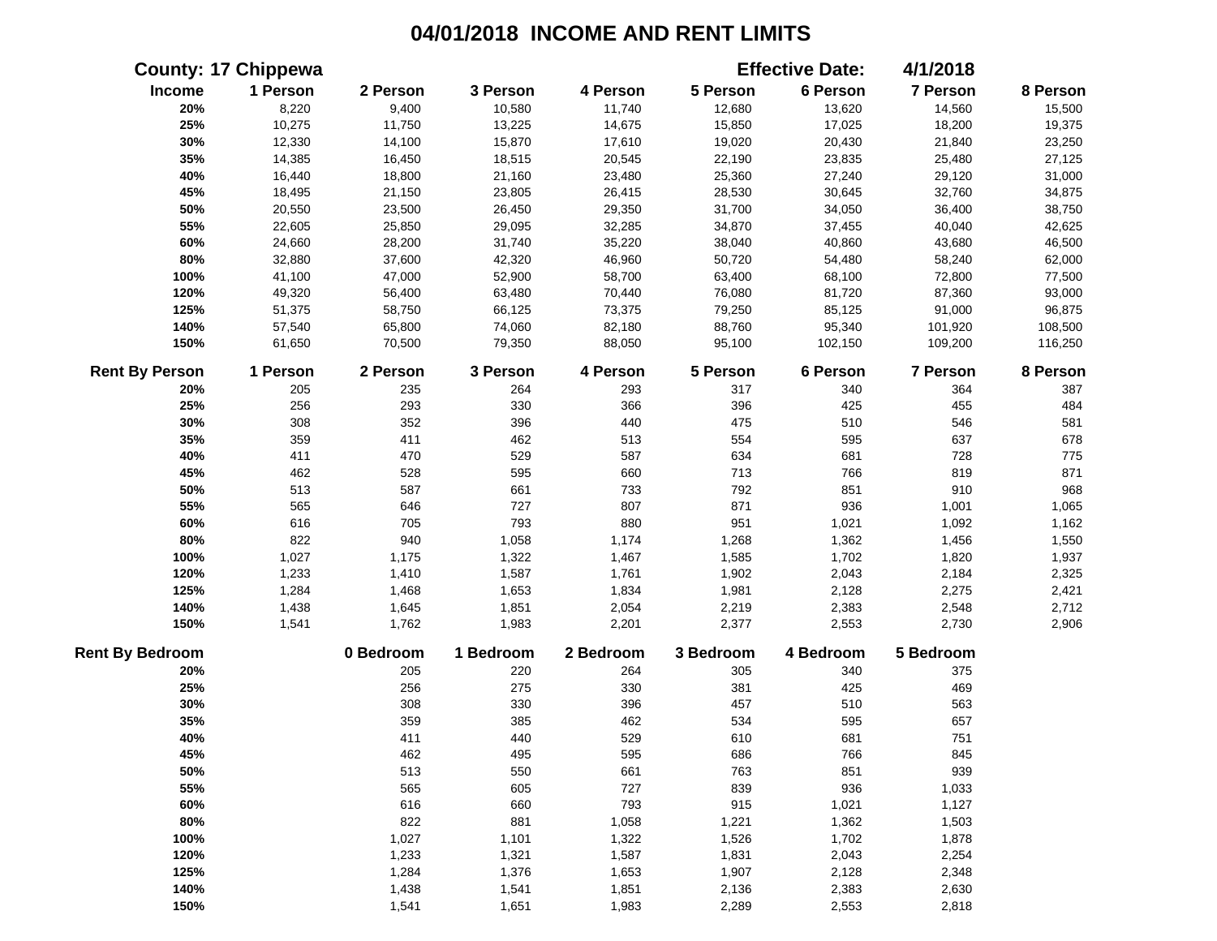|                        | <b>County: 17 Chippewa</b> |           |           |           |           | <b>Effective Date:</b> | 4/1/2018        |          |
|------------------------|----------------------------|-----------|-----------|-----------|-----------|------------------------|-----------------|----------|
| Income                 | 1 Person                   | 2 Person  | 3 Person  | 4 Person  | 5 Person  | 6 Person               | 7 Person        | 8 Person |
| 20%                    | 8,220                      | 9,400     | 10,580    | 11,740    | 12,680    | 13,620                 | 14,560          | 15,500   |
| 25%                    | 10,275                     | 11,750    | 13,225    | 14,675    | 15,850    | 17,025                 | 18,200          | 19,375   |
| 30%                    | 12,330                     | 14,100    | 15,870    | 17,610    | 19,020    | 20,430                 | 21,840          | 23,250   |
| 35%                    | 14,385                     | 16,450    | 18,515    | 20,545    | 22,190    | 23,835                 | 25,480          | 27,125   |
| 40%                    | 16,440                     | 18,800    | 21,160    | 23,480    | 25,360    | 27,240                 | 29,120          | 31,000   |
| 45%                    | 18,495                     | 21,150    | 23,805    | 26,415    | 28,530    | 30,645                 | 32,760          | 34,875   |
| 50%                    | 20,550                     | 23,500    | 26,450    | 29,350    | 31,700    | 34,050                 | 36,400          | 38,750   |
| 55%                    | 22,605                     | 25,850    | 29,095    | 32,285    | 34,870    | 37,455                 | 40,040          | 42,625   |
| 60%                    | 24,660                     | 28,200    | 31,740    | 35,220    | 38,040    | 40,860                 | 43,680          | 46,500   |
| 80%                    | 32,880                     | 37,600    | 42,320    | 46,960    | 50,720    | 54,480                 | 58,240          | 62,000   |
| 100%                   | 41,100                     | 47,000    | 52,900    | 58,700    | 63,400    | 68,100                 | 72,800          | 77,500   |
| 120%                   | 49,320                     | 56,400    | 63,480    | 70,440    | 76,080    | 81,720                 | 87,360          | 93,000   |
| 125%                   | 51,375                     | 58,750    | 66,125    | 73,375    | 79,250    | 85,125                 | 91,000          | 96,875   |
| 140%                   | 57,540                     | 65,800    | 74,060    | 82,180    | 88,760    | 95,340                 | 101,920         | 108,500  |
| 150%                   | 61,650                     | 70,500    | 79,350    | 88,050    | 95,100    | 102,150                | 109,200         | 116,250  |
| <b>Rent By Person</b>  | 1 Person                   | 2 Person  | 3 Person  | 4 Person  | 5 Person  | 6 Person               | <b>7 Person</b> | 8 Person |
| 20%                    | 205                        | 235       | 264       | 293       | 317       | 340                    | 364             | 387      |
| 25%                    | 256                        | 293       | 330       | 366       | 396       | 425                    | 455             | 484      |
| 30%                    | 308                        | 352       | 396       | 440       | 475       | 510                    | 546             | 581      |
| 35%                    | 359                        | 411       | 462       | 513       | 554       | 595                    | 637             | 678      |
| 40%                    | 411                        | 470       | 529       | 587       | 634       | 681                    | 728             | 775      |
| 45%                    | 462                        | 528       | 595       | 660       | 713       | 766                    | 819             | 871      |
| 50%                    | 513                        | 587       | 661       | 733       | 792       | 851                    | 910             | 968      |
| 55%                    | 565                        | 646       | 727       | 807       | 871       | 936                    | 1,001           | 1,065    |
| 60%                    | 616                        | 705       | 793       | 880       | 951       | 1,021                  | 1,092           | 1,162    |
| 80%                    | 822                        | 940       | 1,058     | 1,174     | 1,268     | 1,362                  | 1,456           | 1,550    |
| 100%                   | 1,027                      | 1,175     | 1,322     | 1,467     | 1,585     | 1,702                  | 1,820           | 1,937    |
| 120%                   | 1,233                      | 1,410     | 1,587     | 1,761     | 1,902     | 2,043                  | 2,184           | 2,325    |
| 125%                   | 1,284                      | 1,468     | 1,653     | 1,834     | 1,981     | 2,128                  | 2,275           | 2,421    |
| 140%                   | 1,438                      | 1,645     | 1,851     | 2,054     | 2,219     | 2,383                  | 2,548           | 2,712    |
| 150%                   | 1,541                      | 1,762     | 1,983     | 2,201     | 2,377     | 2,553                  | 2,730           | 2,906    |
| <b>Rent By Bedroom</b> |                            | 0 Bedroom | 1 Bedroom | 2 Bedroom | 3 Bedroom | 4 Bedroom              | 5 Bedroom       |          |
| 20%                    |                            | 205       | 220       | 264       | 305       | 340                    | 375             |          |
| 25%                    |                            | 256       | 275       | 330       | 381       | 425                    | 469             |          |
| 30%                    |                            | 308       | 330       | 396       | 457       | 510                    | 563             |          |
| 35%                    |                            | 359       | 385       | 462       | 534       | 595                    | 657             |          |
| 40%                    |                            | 411       | 440       | 529       | 610       | 681                    | 751             |          |
| 45%                    |                            | 462       | 495       | 595       | 686       | 766                    | 845             |          |
| 50%                    |                            | 513       | 550       | 661       | 763       | 851                    | 939             |          |
| 55%                    |                            | 565       | 605       | 727       | 839       | 936                    | 1,033           |          |
| 60%                    |                            | 616       | 660       | 793       | 915       | 1,021                  | 1,127           |          |
| 80%                    |                            | 822       | 881       | 1,058     | 1,221     | 1,362                  | 1,503           |          |
| 100%                   |                            | 1,027     | 1,101     | 1,322     | 1,526     | 1,702                  | 1,878           |          |
| 120%                   |                            | 1,233     | 1,321     | 1,587     | 1,831     | 2,043                  | 2,254           |          |
| 125%                   |                            | 1,284     | 1,376     | 1,653     | 1,907     | 2,128                  | 2,348           |          |
| 140%                   |                            | 1,438     | 1,541     | 1,851     | 2,136     | 2,383                  | 2,630           |          |
| 150%                   |                            | 1,541     | 1,651     | 1,983     | 2,289     | 2,553                  | 2,818           |          |
|                        |                            |           |           |           |           |                        |                 |          |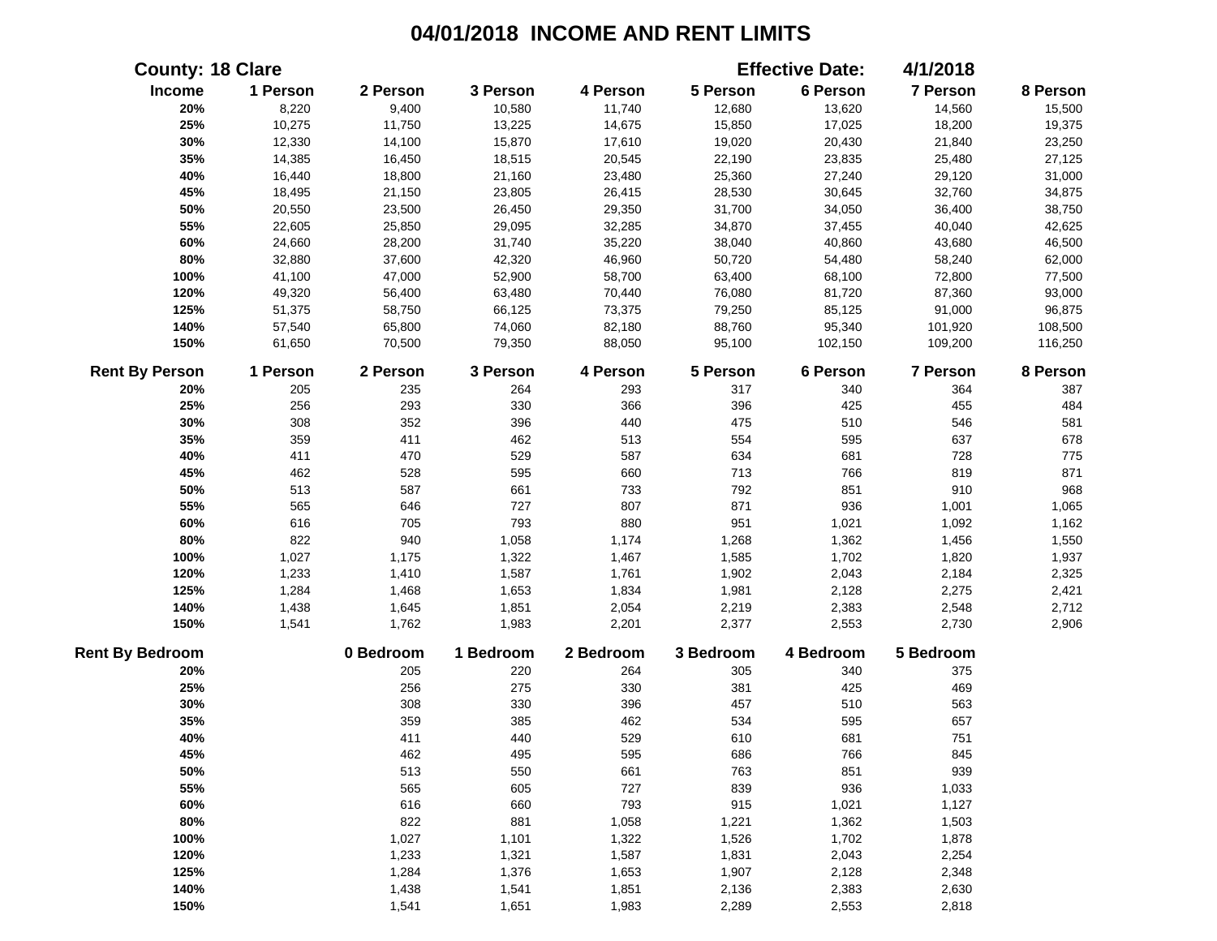|                        | <b>County: 18 Clare</b> |           |           |           |           | <b>Effective Date:</b> | 4/1/2018  |          |
|------------------------|-------------------------|-----------|-----------|-----------|-----------|------------------------|-----------|----------|
| Income                 | 1 Person                | 2 Person  | 3 Person  | 4 Person  | 5 Person  | 6 Person               | 7 Person  | 8 Person |
| 20%                    | 8,220                   | 9,400     | 10,580    | 11,740    | 12,680    | 13,620                 | 14,560    | 15,500   |
| 25%                    | 10,275                  | 11,750    | 13,225    | 14,675    | 15,850    | 17,025                 | 18,200    | 19,375   |
| 30%                    | 12,330                  | 14,100    | 15,870    | 17,610    | 19,020    | 20,430                 | 21,840    | 23,250   |
| 35%                    | 14,385                  | 16,450    | 18,515    | 20,545    | 22,190    | 23,835                 | 25,480    | 27,125   |
| 40%                    | 16,440                  | 18,800    | 21,160    | 23,480    | 25,360    | 27,240                 | 29,120    | 31,000   |
| 45%                    | 18,495                  | 21,150    | 23,805    | 26,415    | 28,530    | 30,645                 | 32,760    | 34,875   |
| 50%                    | 20,550                  | 23,500    | 26,450    | 29,350    | 31,700    | 34,050                 | 36,400    | 38,750   |
| 55%                    | 22,605                  | 25,850    | 29,095    | 32,285    | 34,870    | 37,455                 | 40,040    | 42,625   |
| 60%                    | 24,660                  | 28,200    | 31,740    | 35,220    | 38,040    | 40,860                 | 43,680    | 46,500   |
| 80%                    | 32,880                  | 37,600    | 42,320    | 46,960    | 50,720    | 54,480                 | 58,240    | 62,000   |
| 100%                   | 41,100                  | 47,000    | 52,900    | 58,700    | 63,400    | 68,100                 | 72,800    | 77,500   |
| 120%                   | 49,320                  | 56,400    | 63,480    | 70,440    | 76,080    | 81,720                 | 87,360    | 93,000   |
| 125%                   | 51,375                  | 58,750    | 66,125    | 73,375    | 79,250    | 85,125                 | 91,000    | 96,875   |
| 140%                   | 57,540                  | 65,800    | 74,060    | 82,180    | 88,760    | 95,340                 | 101,920   | 108,500  |
| 150%                   | 61,650                  | 70,500    | 79,350    | 88,050    | 95,100    | 102,150                | 109,200   | 116,250  |
| <b>Rent By Person</b>  | 1 Person                | 2 Person  | 3 Person  | 4 Person  | 5 Person  | 6 Person               | 7 Person  | 8 Person |
| 20%                    | 205                     | 235       | 264       | 293       | 317       | 340                    | 364       | 387      |
| 25%                    | 256                     | 293       | 330       | 366       | 396       | 425                    | 455       | 484      |
| 30%                    | 308                     | 352       | 396       | 440       | 475       | 510                    | 546       | 581      |
| 35%                    | 359                     | 411       | 462       | 513       | 554       | 595                    | 637       | 678      |
| 40%                    | 411                     | 470       | 529       | 587       | 634       | 681                    | 728       | 775      |
| 45%                    | 462                     | 528       | 595       | 660       | 713       | 766                    | 819       | 871      |
| 50%                    | 513                     | 587       | 661       | 733       | 792       | 851                    | 910       | 968      |
| 55%                    | 565                     | 646       | 727       | 807       | 871       | 936                    | 1,001     | 1,065    |
| 60%                    | 616                     | 705       | 793       | 880       | 951       | 1,021                  | 1,092     | 1,162    |
| 80%                    | 822                     | 940       | 1,058     | 1,174     | 1,268     | 1,362                  | 1,456     | 1,550    |
| 100%                   | 1,027                   | 1,175     | 1,322     | 1,467     | 1,585     | 1,702                  | 1,820     | 1,937    |
| 120%                   | 1,233                   | 1,410     | 1,587     | 1,761     | 1,902     | 2,043                  | 2,184     | 2,325    |
| 125%                   | 1,284                   | 1,468     | 1,653     | 1,834     | 1,981     | 2,128                  | 2,275     | 2,421    |
| 140%                   | 1,438                   | 1,645     | 1,851     | 2,054     | 2,219     | 2,383                  | 2,548     | 2,712    |
| 150%                   | 1,541                   | 1,762     | 1,983     | 2,201     | 2,377     | 2,553                  | 2,730     | 2,906    |
| <b>Rent By Bedroom</b> |                         | 0 Bedroom | 1 Bedroom | 2 Bedroom | 3 Bedroom | 4 Bedroom              | 5 Bedroom |          |
| 20%                    |                         | 205       | 220       | 264       | 305       | 340                    | 375       |          |
| 25%                    |                         | 256       | 275       | 330       | 381       | 425                    | 469       |          |
| 30%                    |                         | 308       | 330       | 396       | 457       | 510                    | 563       |          |
| 35%                    |                         | 359       | 385       | 462       | 534       | 595                    | 657       |          |
| 40%                    |                         | 411       | 440       | 529       | 610       | 681                    | 751       |          |
| 45%                    |                         | 462       | 495       | 595       | 686       | 766                    | 845       |          |
| 50%                    |                         | 513       | 550       | 661       | 763       | 851                    | 939       |          |
| 55%                    |                         | 565       | 605       | 727       | 839       | 936                    | 1,033     |          |
| 60%                    |                         | 616       | 660       | 793       | 915       | 1,021                  | 1,127     |          |
| 80%                    |                         | 822       | 881       | 1,058     | 1,221     | 1,362                  | 1,503     |          |
| 100%                   |                         | 1,027     | 1,101     | 1,322     | 1,526     | 1,702                  | 1,878     |          |
| 120%                   |                         | 1,233     | 1,321     | 1,587     | 1,831     | 2,043                  | 2,254     |          |
| 125%                   |                         | 1,284     | 1,376     | 1,653     | 1,907     | 2,128                  | 2,348     |          |
| 140%                   |                         | 1,438     | 1,541     | 1,851     | 2,136     | 2,383                  | 2,630     |          |
| 150%                   |                         | 1,541     | 1,651     | 1,983     | 2,289     | 2,553                  | 2,818     |          |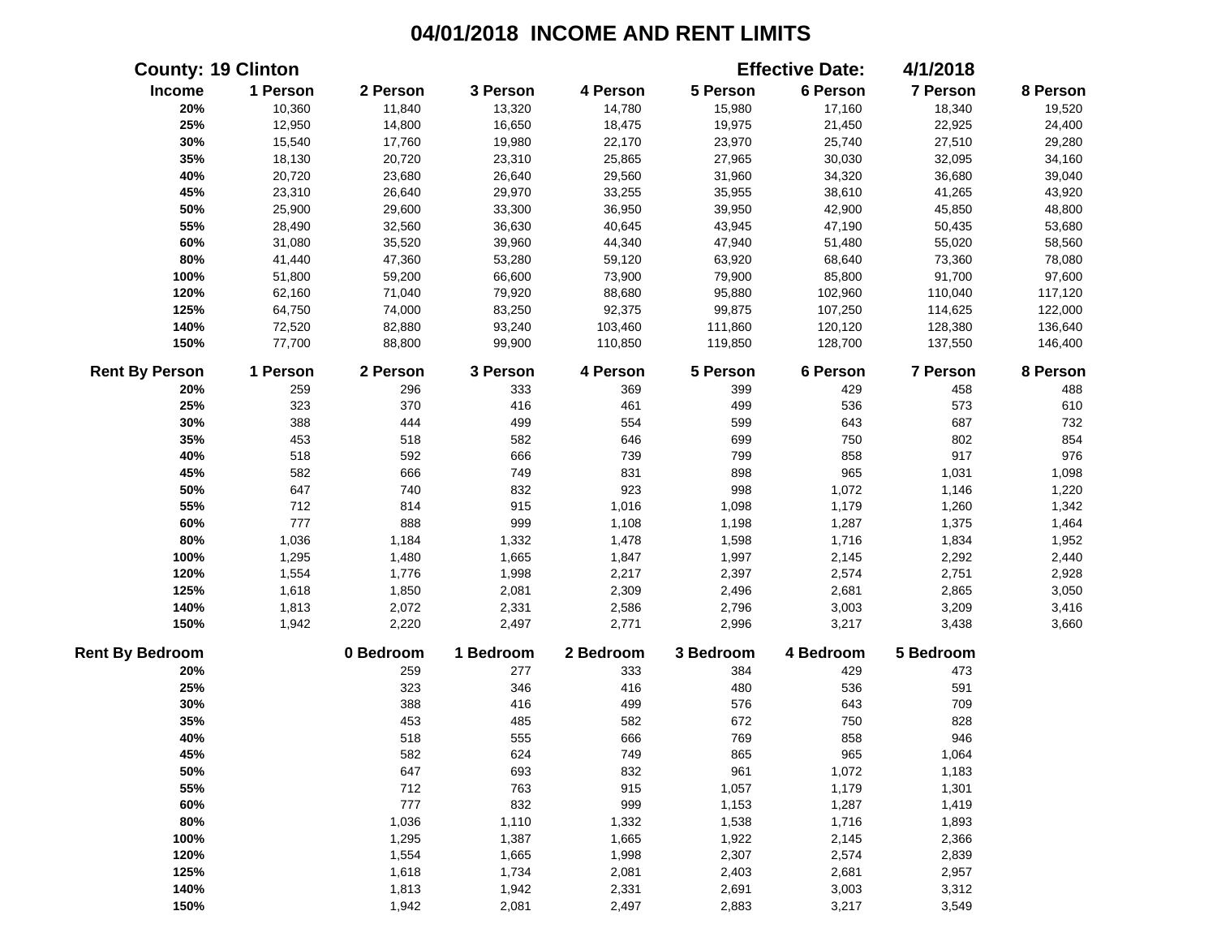|                        | <b>County: 19 Clinton</b> |           |           |           |           | <b>Effective Date:</b> | 4/1/2018  |          |
|------------------------|---------------------------|-----------|-----------|-----------|-----------|------------------------|-----------|----------|
| Income                 | 1 Person                  | 2 Person  | 3 Person  | 4 Person  | 5 Person  | 6 Person               | 7 Person  | 8 Person |
| 20%                    | 10,360                    | 11,840    | 13,320    | 14,780    | 15,980    | 17,160                 | 18,340    | 19,520   |
| 25%                    | 12,950                    | 14,800    | 16,650    | 18,475    | 19,975    | 21,450                 | 22,925    | 24,400   |
| 30%                    | 15,540                    | 17,760    | 19,980    | 22,170    | 23,970    | 25,740                 | 27,510    | 29,280   |
| 35%                    | 18,130                    | 20,720    | 23,310    | 25,865    | 27,965    | 30,030                 | 32,095    | 34,160   |
| 40%                    | 20,720                    | 23,680    | 26,640    | 29,560    | 31,960    | 34,320                 | 36,680    | 39,040   |
| 45%                    | 23,310                    | 26,640    | 29,970    | 33,255    | 35,955    | 38,610                 | 41,265    | 43,920   |
| 50%                    | 25,900                    | 29,600    | 33,300    | 36,950    | 39,950    | 42,900                 | 45,850    | 48,800   |
| 55%                    | 28,490                    | 32,560    | 36,630    | 40,645    | 43,945    | 47,190                 | 50,435    | 53,680   |
| 60%                    | 31,080                    | 35,520    | 39,960    | 44,340    | 47,940    | 51,480                 | 55,020    | 58,560   |
| 80%                    | 41,440                    | 47,360    | 53,280    | 59,120    | 63,920    | 68,640                 | 73,360    | 78,080   |
| 100%                   | 51,800                    | 59,200    | 66,600    | 73,900    | 79,900    | 85,800                 | 91,700    | 97,600   |
| 120%                   | 62,160                    | 71,040    | 79,920    | 88,680    | 95,880    | 102,960                | 110,040   | 117,120  |
| 125%                   | 64,750                    | 74,000    | 83,250    | 92,375    | 99,875    | 107,250                | 114,625   | 122,000  |
| 140%                   | 72,520                    | 82,880    | 93,240    | 103,460   | 111,860   | 120,120                | 128,380   | 136,640  |
| 150%                   | 77,700                    | 88,800    | 99,900    | 110,850   | 119,850   | 128,700                | 137,550   | 146,400  |
| <b>Rent By Person</b>  | 1 Person                  | 2 Person  | 3 Person  | 4 Person  | 5 Person  | 6 Person               | 7 Person  | 8 Person |
| 20%                    | 259                       | 296       | 333       | 369       | 399       | 429                    | 458       | 488      |
| 25%                    | 323                       | 370       | 416       | 461       | 499       | 536                    | 573       | 610      |
| 30%                    | 388                       | 444       | 499       | 554       | 599       | 643                    | 687       | 732      |
| 35%                    | 453                       | 518       | 582       | 646       | 699       | 750                    | 802       | 854      |
| 40%                    | 518                       | 592       | 666       | 739       | 799       | 858                    | 917       | 976      |
| 45%                    | 582                       | 666       | 749       | 831       | 898       | 965                    | 1,031     | 1,098    |
| 50%                    | 647                       | 740       | 832       | 923       | 998       | 1,072                  | 1,146     | 1,220    |
| 55%                    | 712                       | 814       | 915       | 1,016     | 1,098     | 1,179                  | 1,260     | 1,342    |
| 60%                    | 777                       | 888       | 999       | 1,108     | 1,198     | 1,287                  | 1,375     | 1,464    |
| 80%                    | 1,036                     | 1,184     | 1,332     | 1,478     | 1,598     | 1,716                  | 1,834     | 1,952    |
| 100%                   | 1,295                     | 1,480     | 1,665     | 1,847     | 1,997     | 2,145                  | 2,292     | 2,440    |
| 120%                   | 1,554                     | 1,776     | 1,998     | 2,217     | 2,397     | 2,574                  | 2,751     | 2,928    |
| 125%                   | 1,618                     | 1,850     | 2,081     | 2,309     | 2,496     | 2,681                  | 2,865     | 3,050    |
| 140%                   | 1,813                     | 2,072     | 2,331     | 2,586     | 2,796     | 3,003                  | 3,209     | 3,416    |
| 150%                   | 1,942                     | 2,220     | 2,497     | 2,771     | 2,996     | 3,217                  | 3,438     | 3,660    |
| <b>Rent By Bedroom</b> |                           | 0 Bedroom | 1 Bedroom | 2 Bedroom | 3 Bedroom | 4 Bedroom              | 5 Bedroom |          |
| 20%                    |                           | 259       | 277       | 333       | 384       | 429                    | 473       |          |
| 25%                    |                           | 323       | 346       | 416       | 480       | 536                    | 591       |          |
| 30%                    |                           | 388       | 416       | 499       | 576       | 643                    | 709       |          |
| 35%                    |                           | 453       | 485       | 582       | 672       | 750                    | 828       |          |
| 40%                    |                           | 518       | 555       | 666       | 769       | 858                    | 946       |          |
| 45%                    |                           | 582       | 624       | 749       | 865       | 965                    | 1,064     |          |
| 50%                    |                           | 647       | 693       | 832       | 961       | 1,072                  | 1,183     |          |
| 55%                    |                           | 712       | 763       | 915       | 1,057     | 1,179                  | 1,301     |          |
| 60%                    |                           | 777       | 832       | 999       | 1,153     | 1,287                  | 1,419     |          |
| 80%                    |                           | 1,036     | 1,110     | 1,332     | 1,538     | 1,716                  | 1,893     |          |
| 100%                   |                           | 1,295     | 1,387     | 1,665     | 1,922     | 2,145                  | 2,366     |          |
| 120%                   |                           | 1,554     | 1,665     | 1,998     | 2,307     | 2,574                  | 2,839     |          |
| 125%                   |                           | 1,618     | 1,734     | 2,081     | 2,403     | 2,681                  | 2,957     |          |
| 140%                   |                           | 1,813     | 1,942     | 2,331     | 2,691     | 3,003                  | 3,312     |          |
| 150%                   |                           | 1,942     | 2,081     | 2,497     | 2,883     | 3,217                  | 3,549     |          |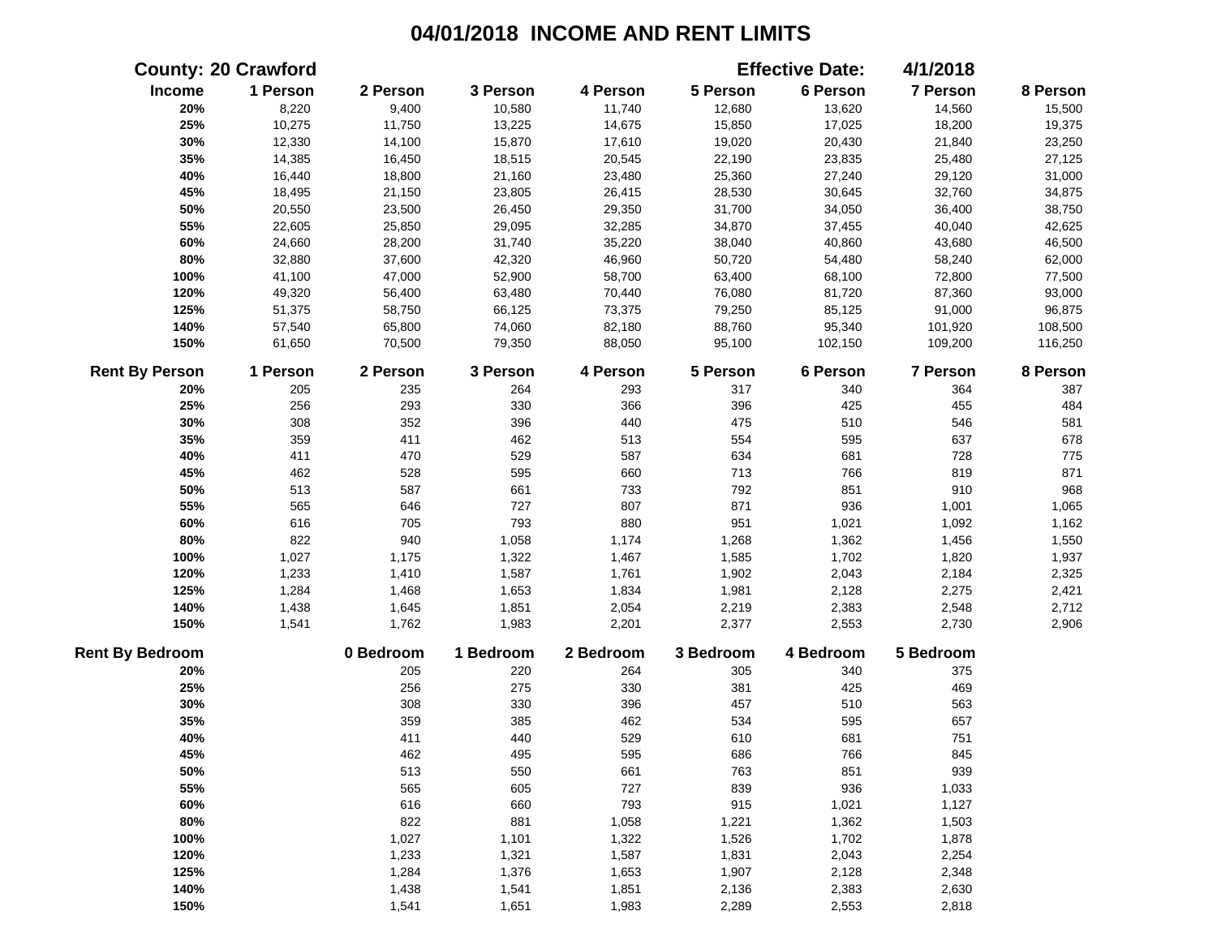| <b>County: 20 Crawford</b> |          |           |           |           |           | <b>Effective Date:</b> | 4/1/2018        |          |
|----------------------------|----------|-----------|-----------|-----------|-----------|------------------------|-----------------|----------|
| Income                     | 1 Person | 2 Person  | 3 Person  | 4 Person  | 5 Person  | 6 Person               | 7 Person        | 8 Person |
| 20%                        | 8,220    | 9,400     | 10,580    | 11,740    | 12,680    | 13,620                 | 14,560          | 15,500   |
| 25%                        | 10,275   | 11,750    | 13,225    | 14,675    | 15,850    | 17,025                 | 18,200          | 19,375   |
| 30%                        | 12,330   | 14,100    | 15,870    | 17,610    | 19,020    | 20,430                 | 21,840          | 23,250   |
| 35%                        | 14,385   | 16,450    | 18,515    | 20,545    | 22,190    | 23,835                 | 25,480          | 27,125   |
| 40%                        | 16,440   | 18,800    | 21,160    | 23,480    | 25,360    | 27,240                 | 29,120          | 31,000   |
| 45%                        | 18,495   | 21,150    | 23,805    | 26,415    | 28,530    | 30,645                 | 32,760          | 34,875   |
| 50%                        | 20,550   | 23,500    | 26,450    | 29,350    | 31,700    | 34,050                 | 36,400          | 38,750   |
| 55%                        | 22,605   | 25,850    | 29,095    | 32,285    | 34,870    | 37,455                 | 40,040          | 42,625   |
| 60%                        | 24,660   | 28,200    | 31,740    | 35,220    | 38,040    | 40,860                 | 43,680          | 46,500   |
| 80%                        | 32,880   | 37,600    | 42,320    | 46,960    | 50,720    | 54,480                 | 58,240          | 62,000   |
| 100%                       | 41,100   | 47,000    | 52,900    | 58,700    | 63,400    | 68,100                 | 72,800          | 77,500   |
| 120%                       | 49,320   | 56,400    | 63,480    | 70,440    | 76,080    | 81,720                 | 87,360          | 93,000   |
| 125%                       | 51,375   | 58,750    | 66,125    | 73,375    | 79,250    | 85,125                 | 91,000          | 96,875   |
| 140%                       | 57,540   | 65,800    | 74,060    | 82,180    | 88,760    | 95,340                 | 101,920         | 108,500  |
| 150%                       | 61,650   | 70,500    | 79,350    | 88,050    | 95,100    | 102,150                | 109,200         | 116,250  |
| <b>Rent By Person</b>      | 1 Person | 2 Person  | 3 Person  | 4 Person  | 5 Person  | 6 Person               | <b>7 Person</b> | 8 Person |
| 20%                        | 205      | 235       | 264       | 293       | 317       | 340                    | 364             | 387      |
| 25%                        | 256      | 293       | 330       | 366       | 396       | 425                    | 455             | 484      |
| 30%                        | 308      | 352       | 396       | 440       | 475       | 510                    | 546             | 581      |
| 35%                        | 359      | 411       | 462       | 513       | 554       | 595                    | 637             | 678      |
| 40%                        | 411      | 470       | 529       | 587       | 634       | 681                    | 728             | 775      |
| 45%                        | 462      | 528       | 595       | 660       | 713       | 766                    | 819             | 871      |
| 50%                        | 513      | 587       | 661       | 733       | 792       | 851                    | 910             | 968      |
| 55%                        | 565      | 646       | 727       | 807       | 871       | 936                    | 1,001           | 1,065    |
| 60%                        | 616      | 705       | 793       | 880       | 951       | 1,021                  | 1,092           | 1,162    |
| 80%                        | 822      | 940       | 1,058     | 1,174     | 1,268     | 1,362                  | 1,456           | 1,550    |
| 100%                       | 1,027    | 1,175     | 1,322     | 1,467     | 1,585     | 1,702                  | 1,820           | 1,937    |
| 120%                       | 1,233    | 1,410     | 1,587     | 1,761     | 1,902     | 2,043                  | 2,184           | 2,325    |
| 125%                       | 1,284    | 1,468     | 1,653     | 1,834     | 1,981     | 2,128                  | 2,275           | 2,421    |
| 140%                       | 1,438    | 1,645     | 1,851     | 2,054     | 2,219     | 2,383                  | 2,548           | 2,712    |
| 150%                       | 1,541    | 1,762     | 1,983     | 2,201     | 2,377     | 2,553                  | 2,730           | 2,906    |
| <b>Rent By Bedroom</b>     |          | 0 Bedroom | 1 Bedroom | 2 Bedroom | 3 Bedroom | 4 Bedroom              | 5 Bedroom       |          |
| 20%                        |          | 205       | 220       | 264       | 305       | 340                    | 375             |          |
| 25%                        |          | 256       | 275       | 330       | 381       | 425                    | 469             |          |
| 30%                        |          | 308       | 330       | 396       | 457       | 510                    | 563             |          |
| 35%                        |          | 359       | 385       | 462       | 534       | 595                    | 657             |          |
| 40%                        |          | 411       | 440       | 529       | 610       | 681                    | 751             |          |
| 45%                        |          | 462       | 495       | 595       | 686       | 766                    | 845             |          |
| 50%                        |          | 513       | 550       | 661       | 763       | 851                    | 939             |          |
| 55%                        |          | 565       | 605       | 727       | 839       | 936                    | 1,033           |          |
| 60%                        |          | 616       | 660       | 793       | 915       | 1,021                  | 1,127           |          |
| 80%                        |          | 822       | 881       | 1,058     | 1,221     | 1,362                  | 1,503           |          |
| 100%                       |          | 1,027     | 1,101     | 1,322     | 1,526     | 1,702                  | 1,878           |          |
| 120%                       |          | 1,233     | 1,321     | 1,587     | 1,831     | 2,043                  | 2,254           |          |
| 125%                       |          | 1,284     | 1,376     | 1,653     | 1,907     | 2,128                  | 2,348           |          |
| 140%                       |          | 1,438     | 1,541     | 1,851     | 2,136     | 2,383                  | 2,630           |          |
| 150%                       |          | 1,541     | 1,651     | 1,983     | 2,289     | 2,553                  | 2,818           |          |
|                            |          |           |           |           |           |                        |                 |          |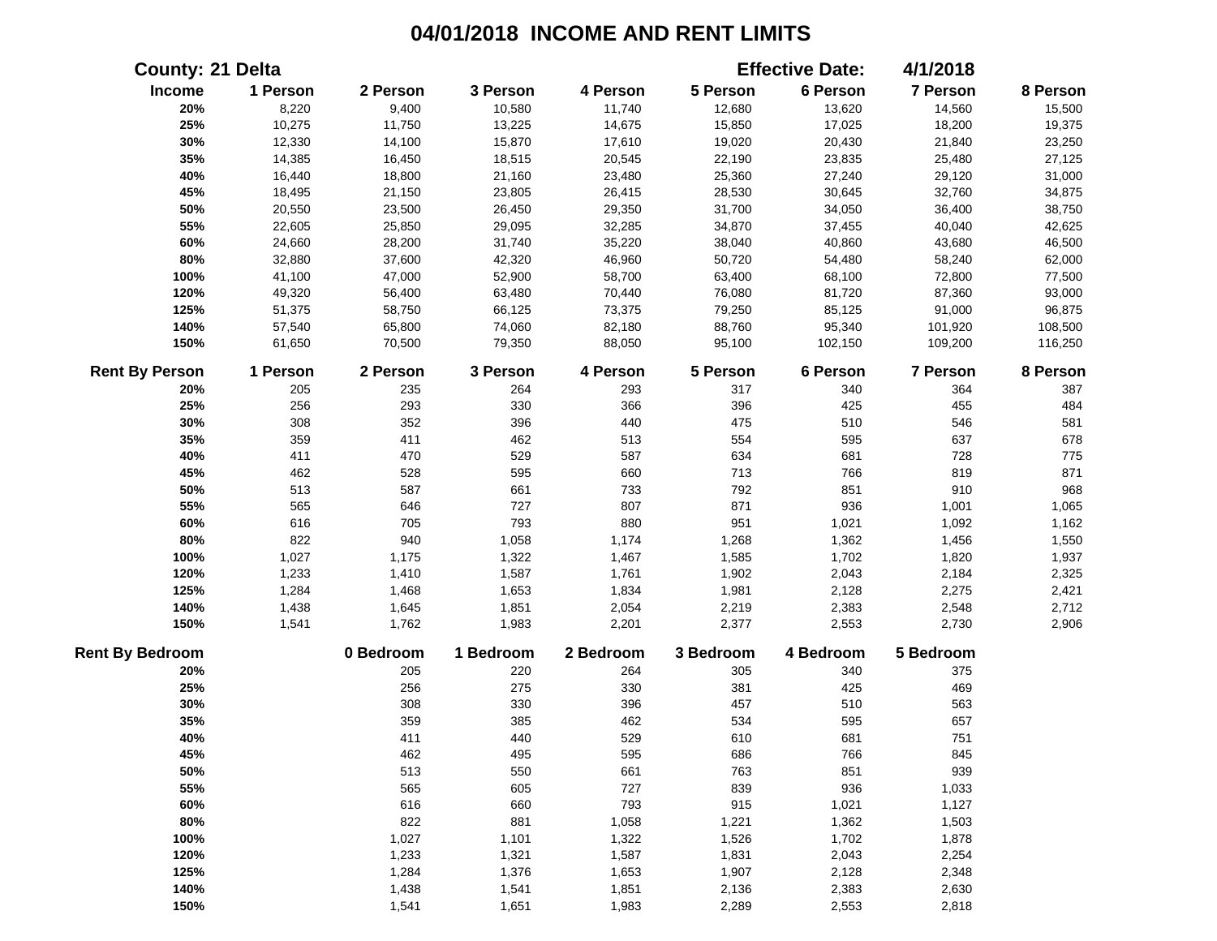| <b>County: 21 Delta</b> |          |           |           |           |           | <b>Effective Date:</b> | 4/1/2018  |          |
|-------------------------|----------|-----------|-----------|-----------|-----------|------------------------|-----------|----------|
| Income                  | 1 Person | 2 Person  | 3 Person  | 4 Person  | 5 Person  | 6 Person               | 7 Person  | 8 Person |
| 20%                     | 8,220    | 9,400     | 10,580    | 11,740    | 12,680    | 13,620                 | 14,560    | 15,500   |
| 25%                     | 10,275   | 11,750    | 13,225    | 14,675    | 15,850    | 17,025                 | 18,200    | 19,375   |
| 30%                     | 12,330   | 14,100    | 15,870    | 17,610    | 19,020    | 20,430                 | 21,840    | 23,250   |
| 35%                     | 14,385   | 16,450    | 18,515    | 20,545    | 22,190    | 23,835                 | 25,480    | 27,125   |
| 40%                     | 16,440   | 18,800    | 21,160    | 23,480    | 25,360    | 27,240                 | 29,120    | 31,000   |
| 45%                     | 18,495   | 21,150    | 23,805    | 26,415    | 28,530    | 30,645                 | 32,760    | 34,875   |
| 50%                     | 20,550   | 23,500    | 26,450    | 29,350    | 31,700    | 34,050                 | 36,400    | 38,750   |
| 55%                     | 22,605   | 25,850    | 29,095    | 32,285    | 34,870    | 37,455                 | 40,040    | 42,625   |
| 60%                     | 24,660   | 28,200    | 31,740    | 35,220    | 38,040    | 40,860                 | 43,680    | 46,500   |
| 80%                     | 32,880   | 37,600    | 42,320    | 46,960    | 50,720    | 54,480                 | 58,240    | 62,000   |
| 100%                    | 41,100   | 47,000    | 52,900    | 58,700    | 63,400    | 68,100                 | 72,800    | 77,500   |
| 120%                    | 49,320   | 56,400    | 63,480    | 70,440    | 76,080    | 81,720                 | 87,360    | 93,000   |
| 125%                    | 51,375   | 58,750    | 66,125    | 73,375    | 79,250    | 85,125                 | 91,000    | 96,875   |
| 140%                    | 57,540   | 65,800    | 74,060    | 82,180    | 88,760    | 95,340                 | 101,920   | 108,500  |
| 150%                    | 61,650   | 70,500    | 79,350    | 88,050    | 95,100    | 102,150                | 109,200   | 116,250  |
| <b>Rent By Person</b>   | 1 Person | 2 Person  | 3 Person  | 4 Person  | 5 Person  | 6 Person               | 7 Person  | 8 Person |
| 20%                     | 205      | 235       | 264       | 293       | 317       | 340                    | 364       | 387      |
| 25%                     | 256      | 293       | 330       | 366       | 396       | 425                    | 455       | 484      |
| 30%                     | 308      | 352       | 396       | 440       | 475       | 510                    | 546       | 581      |
| 35%                     | 359      | 411       | 462       | 513       | 554       | 595                    | 637       | 678      |
| 40%                     | 411      | 470       | 529       | 587       | 634       | 681                    | 728       | 775      |
| 45%                     | 462      | 528       | 595       | 660       | 713       | 766                    | 819       | 871      |
| 50%                     | 513      | 587       | 661       | 733       | 792       | 851                    | 910       | 968      |
| 55%                     | 565      | 646       | 727       | 807       | 871       | 936                    | 1,001     | 1,065    |
| 60%                     | 616      | 705       | 793       | 880       | 951       | 1,021                  | 1,092     | 1,162    |
| 80%                     | 822      | 940       | 1,058     | 1,174     | 1,268     | 1,362                  | 1,456     | 1,550    |
| 100%                    | 1,027    | 1,175     | 1,322     | 1,467     | 1,585     | 1,702                  | 1,820     | 1,937    |
| 120%                    | 1,233    | 1,410     | 1,587     | 1,761     | 1,902     | 2,043                  | 2,184     | 2,325    |
| 125%                    | 1,284    | 1,468     | 1,653     | 1,834     | 1,981     | 2,128                  | 2,275     | 2,421    |
| 140%                    | 1,438    | 1,645     | 1,851     | 2,054     | 2,219     | 2,383                  | 2,548     | 2,712    |
| 150%                    | 1,541    | 1,762     | 1,983     | 2,201     | 2,377     | 2,553                  | 2,730     | 2,906    |
| <b>Rent By Bedroom</b>  |          | 0 Bedroom | 1 Bedroom | 2 Bedroom | 3 Bedroom | 4 Bedroom              | 5 Bedroom |          |
| 20%                     |          | 205       | 220       | 264       | 305       | 340                    | 375       |          |
| 25%                     |          | 256       | 275       | 330       | 381       | 425                    | 469       |          |
| 30%                     |          | 308       | 330       | 396       | 457       | 510                    | 563       |          |
| 35%                     |          | 359       | 385       | 462       | 534       | 595                    | 657       |          |
| 40%                     |          | 411       | 440       | 529       | 610       | 681                    | 751       |          |
| 45%                     |          | 462       | 495       | 595       | 686       | 766                    | 845       |          |
| 50%                     |          | 513       | 550       | 661       | 763       | 851                    | 939       |          |
| 55%                     |          | 565       | 605       | 727       | 839       | 936                    | 1,033     |          |
| 60%                     |          | 616       | 660       | 793       | 915       | 1,021                  | 1,127     |          |
| 80%                     |          | 822       | 881       | 1,058     | 1,221     | 1,362                  | 1,503     |          |
| 100%                    |          | 1,027     | 1,101     | 1,322     | 1,526     | 1,702                  | 1,878     |          |
| 120%                    |          | 1,233     | 1,321     | 1,587     | 1,831     | 2,043                  | 2,254     |          |
| 125%                    |          | 1,284     | 1,376     | 1,653     | 1,907     | 2,128                  | 2,348     |          |
| 140%                    |          | 1,438     | 1,541     | 1,851     | 2,136     | 2,383                  | 2,630     |          |
| 150%                    |          | 1,541     | 1,651     | 1,983     | 2,289     | 2,553                  | 2,818     |          |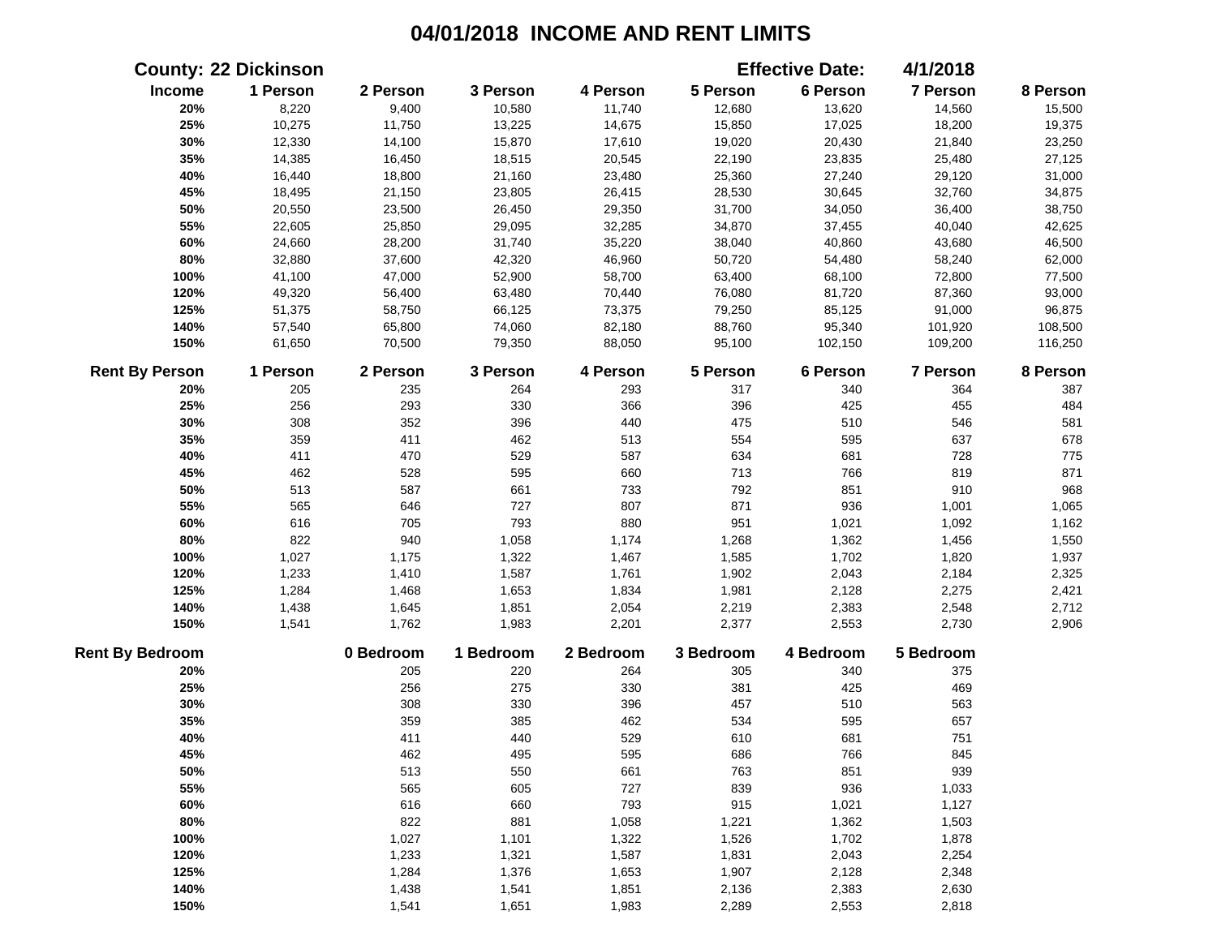|                        | <b>County: 22 Dickinson</b> |           |           |           |           | <b>Effective Date:</b> | 4/1/2018  |          |
|------------------------|-----------------------------|-----------|-----------|-----------|-----------|------------------------|-----------|----------|
| Income                 | 1 Person                    | 2 Person  | 3 Person  | 4 Person  | 5 Person  | 6 Person               | 7 Person  | 8 Person |
| 20%                    | 8,220                       | 9,400     | 10,580    | 11,740    | 12,680    | 13,620                 | 14,560    | 15,500   |
| 25%                    | 10,275                      | 11,750    | 13,225    | 14,675    | 15,850    | 17,025                 | 18,200    | 19,375   |
| 30%                    | 12,330                      | 14,100    | 15,870    | 17,610    | 19,020    | 20,430                 | 21,840    | 23,250   |
| 35%                    | 14,385                      | 16,450    | 18,515    | 20,545    | 22,190    | 23,835                 | 25,480    | 27,125   |
| 40%                    | 16,440                      | 18,800    | 21,160    | 23,480    | 25,360    | 27,240                 | 29,120    | 31,000   |
| 45%                    | 18,495                      | 21,150    | 23,805    | 26,415    | 28,530    | 30,645                 | 32,760    | 34,875   |
| 50%                    | 20,550                      | 23,500    | 26,450    | 29,350    | 31,700    | 34,050                 | 36,400    | 38,750   |
| 55%                    | 22,605                      | 25,850    | 29,095    | 32,285    | 34,870    | 37,455                 | 40,040    | 42,625   |
| 60%                    | 24,660                      | 28,200    | 31,740    | 35,220    | 38,040    | 40,860                 | 43,680    | 46,500   |
| 80%                    | 32,880                      | 37,600    | 42,320    | 46,960    | 50,720    | 54,480                 | 58,240    | 62,000   |
| 100%                   | 41,100                      | 47,000    | 52,900    | 58,700    | 63,400    | 68,100                 | 72,800    | 77,500   |
| 120%                   | 49,320                      | 56,400    | 63,480    | 70,440    | 76,080    | 81,720                 | 87,360    | 93,000   |
| 125%                   | 51,375                      | 58,750    | 66,125    | 73,375    | 79,250    | 85,125                 | 91,000    | 96,875   |
| 140%                   | 57,540                      | 65,800    | 74,060    | 82,180    | 88,760    | 95,340                 | 101,920   | 108,500  |
| 150%                   | 61,650                      | 70,500    | 79,350    | 88,050    | 95,100    | 102,150                | 109,200   | 116,250  |
| <b>Rent By Person</b>  | 1 Person                    | 2 Person  | 3 Person  | 4 Person  | 5 Person  | 6 Person               | 7 Person  | 8 Person |
| 20%                    | 205                         | 235       | 264       | 293       | 317       | 340                    | 364       | 387      |
| 25%                    | 256                         | 293       | 330       | 366       | 396       | 425                    | 455       | 484      |
| 30%                    | 308                         | 352       | 396       | 440       | 475       | 510                    | 546       | 581      |
| 35%                    | 359                         | 411       | 462       | 513       | 554       | 595                    | 637       | 678      |
| 40%                    | 411                         | 470       | 529       | 587       | 634       | 681                    | 728       | 775      |
| 45%                    | 462                         | 528       | 595       | 660       | 713       | 766                    | 819       | 871      |
| 50%                    | 513                         | 587       | 661       | 733       | 792       | 851                    | 910       | 968      |
| 55%                    | 565                         | 646       | 727       | 807       | 871       | 936                    | 1,001     | 1,065    |
| 60%                    | 616                         | 705       | 793       | 880       | 951       | 1,021                  | 1,092     | 1,162    |
| 80%                    | 822                         | 940       | 1,058     | 1,174     | 1,268     | 1,362                  | 1,456     | 1,550    |
| 100%                   | 1,027                       | 1,175     | 1,322     | 1,467     | 1,585     | 1,702                  | 1,820     | 1,937    |
| 120%                   | 1,233                       | 1,410     | 1,587     | 1,761     | 1,902     | 2,043                  | 2,184     | 2,325    |
| 125%                   | 1,284                       | 1,468     | 1,653     | 1,834     | 1,981     | 2,128                  | 2,275     | 2,421    |
| 140%                   | 1,438                       | 1,645     | 1,851     | 2,054     | 2,219     | 2,383                  | 2,548     | 2,712    |
| 150%                   | 1,541                       | 1,762     | 1,983     | 2,201     | 2,377     | 2,553                  | 2,730     | 2,906    |
| <b>Rent By Bedroom</b> |                             | 0 Bedroom | 1 Bedroom | 2 Bedroom | 3 Bedroom | 4 Bedroom              | 5 Bedroom |          |
| 20%                    |                             | 205       | 220       | 264       | 305       | 340                    | 375       |          |
| 25%                    |                             | 256       | 275       | 330       | 381       | 425                    | 469       |          |
| 30%                    |                             | 308       | 330       | 396       | 457       | 510                    | 563       |          |
| 35%                    |                             | 359       | 385       | 462       | 534       | 595                    | 657       |          |
| 40%                    |                             | 411       | 440       | 529       | 610       | 681                    | 751       |          |
| 45%                    |                             | 462       | 495       | 595       | 686       | 766                    | 845       |          |
| 50%                    |                             | 513       | 550       | 661       | 763       | 851                    | 939       |          |
| 55%                    |                             | 565       | 605       | 727       | 839       | 936                    | 1,033     |          |
| 60%                    |                             | 616       | 660       | 793       | 915       | 1,021                  | 1,127     |          |
| 80%                    |                             | 822       | 881       | 1,058     | 1,221     | 1,362                  | 1,503     |          |
| 100%                   |                             | 1,027     | 1,101     | 1,322     | 1,526     | 1,702                  | 1,878     |          |
| 120%                   |                             | 1,233     | 1,321     | 1,587     | 1,831     | 2,043                  | 2,254     |          |
| 125%                   |                             | 1,284     | 1,376     | 1,653     | 1,907     | 2,128                  | 2,348     |          |
| 140%                   |                             | 1,438     | 1,541     | 1,851     | 2,136     | 2,383                  | 2,630     |          |
| 150%                   |                             | 1,541     | 1,651     | 1,983     | 2,289     | 2,553                  | 2,818     |          |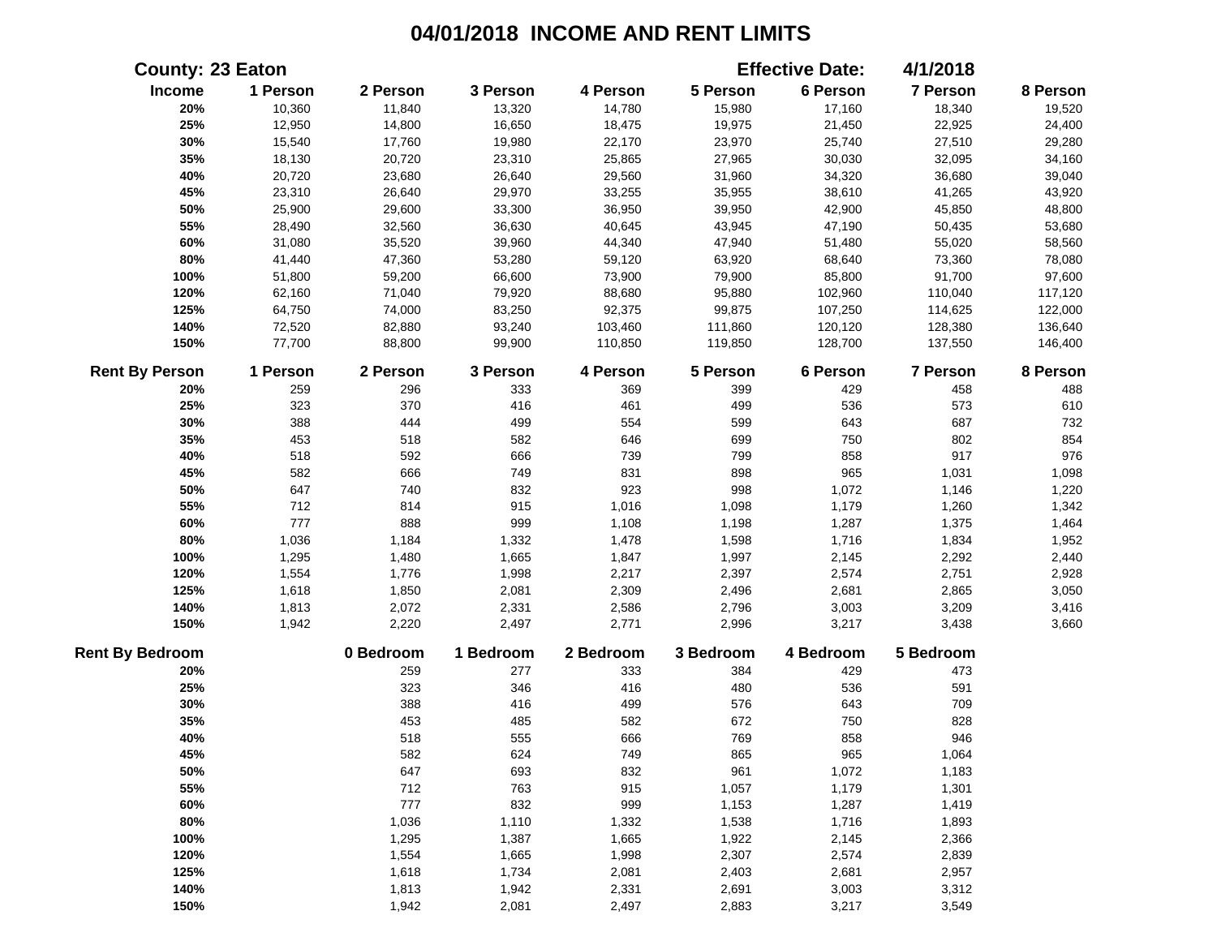|                        | <b>County: 23 Eaton</b> |           |           |           |           | <b>Effective Date:</b> | 4/1/2018  |          |
|------------------------|-------------------------|-----------|-----------|-----------|-----------|------------------------|-----------|----------|
| Income                 | 1 Person                | 2 Person  | 3 Person  | 4 Person  | 5 Person  | 6 Person               | 7 Person  | 8 Person |
| 20%                    | 10,360                  | 11,840    | 13,320    | 14,780    | 15,980    | 17,160                 | 18,340    | 19,520   |
| 25%                    | 12,950                  | 14,800    | 16,650    | 18,475    | 19,975    | 21,450                 | 22,925    | 24,400   |
| 30%                    | 15,540                  | 17,760    | 19,980    | 22,170    | 23,970    | 25,740                 | 27,510    | 29,280   |
| 35%                    | 18,130                  | 20,720    | 23,310    | 25,865    | 27,965    | 30,030                 | 32,095    | 34,160   |
| 40%                    | 20,720                  | 23,680    | 26,640    | 29,560    | 31,960    | 34,320                 | 36,680    | 39,040   |
| 45%                    | 23,310                  | 26,640    | 29,970    | 33,255    | 35,955    | 38,610                 | 41,265    | 43,920   |
| 50%                    | 25,900                  | 29,600    | 33,300    | 36,950    | 39,950    | 42,900                 | 45,850    | 48,800   |
| 55%                    | 28,490                  | 32,560    | 36,630    | 40,645    | 43,945    | 47,190                 | 50,435    | 53,680   |
| 60%                    | 31,080                  | 35,520    | 39,960    | 44,340    | 47,940    | 51,480                 | 55,020    | 58,560   |
| 80%                    | 41,440                  | 47,360    | 53,280    | 59,120    | 63,920    | 68,640                 | 73,360    | 78,080   |
| 100%                   | 51,800                  | 59,200    | 66,600    | 73,900    | 79,900    | 85,800                 | 91,700    | 97,600   |
| 120%                   | 62,160                  | 71,040    | 79,920    | 88,680    | 95,880    | 102,960                | 110,040   | 117,120  |
| 125%                   | 64,750                  | 74,000    | 83,250    | 92,375    | 99,875    | 107,250                | 114,625   | 122,000  |
| 140%                   | 72,520                  | 82,880    | 93,240    | 103,460   | 111,860   | 120,120                | 128,380   | 136,640  |
| 150%                   | 77,700                  | 88,800    | 99,900    | 110,850   | 119,850   | 128,700                | 137,550   | 146,400  |
| <b>Rent By Person</b>  | 1 Person                | 2 Person  | 3 Person  | 4 Person  | 5 Person  | 6 Person               | 7 Person  | 8 Person |
| 20%                    | 259                     | 296       | 333       | 369       | 399       | 429                    | 458       | 488      |
| 25%                    | 323                     | 370       | 416       | 461       | 499       | 536                    | 573       | 610      |
| 30%                    | 388                     | 444       | 499       | 554       | 599       | 643                    | 687       | 732      |
| 35%                    | 453                     | 518       | 582       | 646       | 699       | 750                    | 802       | 854      |
| 40%                    | 518                     | 592       | 666       | 739       | 799       | 858                    | 917       | 976      |
| 45%                    | 582                     | 666       | 749       | 831       | 898       | 965                    | 1,031     | 1,098    |
| 50%                    | 647                     | 740       | 832       | 923       | 998       | 1,072                  | 1,146     | 1,220    |
| 55%                    | 712                     | 814       | 915       | 1,016     | 1,098     | 1,179                  | 1,260     | 1,342    |
| 60%                    | 777                     | 888       | 999       | 1,108     | 1,198     | 1,287                  | 1,375     | 1,464    |
| 80%                    | 1,036                   | 1,184     | 1,332     | 1,478     | 1,598     | 1,716                  | 1,834     | 1,952    |
| 100%                   | 1,295                   | 1,480     | 1,665     | 1,847     | 1,997     | 2,145                  | 2,292     | 2,440    |
| 120%                   | 1,554                   | 1,776     | 1,998     | 2,217     | 2,397     | 2,574                  | 2,751     | 2,928    |
| 125%                   | 1,618                   | 1,850     | 2,081     | 2,309     | 2,496     | 2,681                  | 2,865     | 3,050    |
| 140%                   | 1,813                   | 2,072     | 2,331     | 2,586     | 2,796     | 3,003                  | 3,209     | 3,416    |
| 150%                   | 1,942                   | 2,220     | 2,497     | 2,771     | 2,996     | 3,217                  | 3,438     | 3,660    |
| <b>Rent By Bedroom</b> |                         | 0 Bedroom | 1 Bedroom | 2 Bedroom | 3 Bedroom | 4 Bedroom              | 5 Bedroom |          |
| 20%                    |                         | 259       | 277       | 333       | 384       | 429                    | 473       |          |
| 25%                    |                         | 323       | 346       | 416       | 480       | 536                    | 591       |          |
| 30%                    |                         | 388       | 416       | 499       | 576       | 643                    | 709       |          |
| 35%                    |                         | 453       | 485       | 582       | 672       | 750                    | 828       |          |
| 40%                    |                         | 518       | 555       | 666       | 769       | 858                    | 946       |          |
| 45%                    |                         | 582       | 624       | 749       | 865       | 965                    | 1,064     |          |
| 50%                    |                         | 647       | 693       | 832       | 961       | 1,072                  | 1,183     |          |
| 55%                    |                         | 712       | 763       | 915       | 1,057     | 1,179                  | 1,301     |          |
| 60%                    |                         | 777       | 832       | 999       | 1,153     | 1,287                  | 1,419     |          |
| 80%                    |                         | 1,036     | 1,110     | 1,332     | 1,538     | 1,716                  | 1,893     |          |
| 100%                   |                         | 1,295     | 1,387     | 1,665     | 1,922     | 2,145                  | 2,366     |          |
| 120%                   |                         | 1,554     | 1,665     | 1,998     | 2,307     | 2,574                  | 2,839     |          |
| 125%                   |                         | 1,618     | 1,734     | 2,081     | 2,403     | 2,681                  | 2,957     |          |
| 140%                   |                         | 1,813     | 1,942     | 2,331     | 2,691     | 3,003                  | 3,312     |          |
| 150%                   |                         | 1,942     | 2,081     | 2,497     | 2,883     | 3,217                  | 3,549     |          |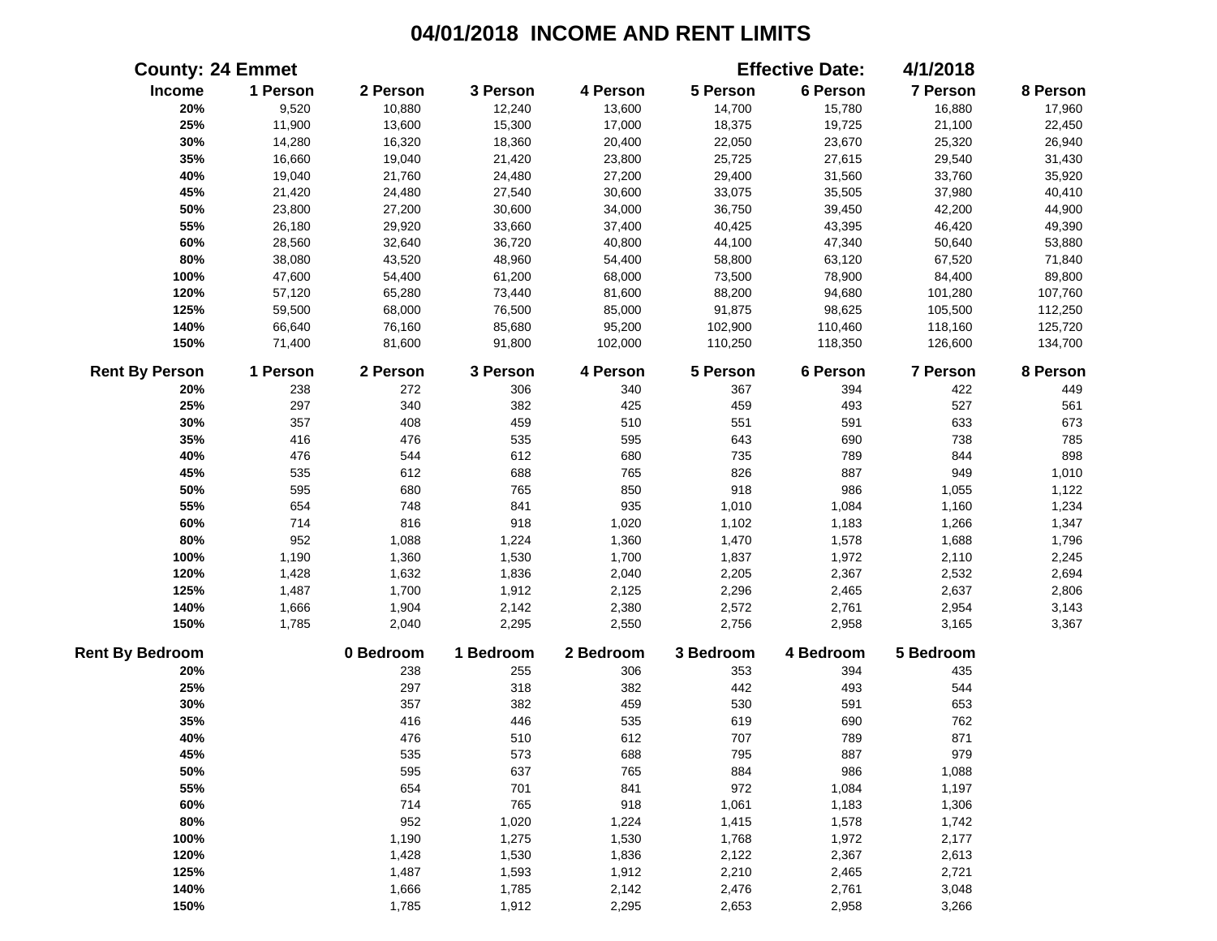|                        | <b>County: 24 Emmet</b> |           |           |           |           | <b>Effective Date:</b> | 4/1/2018  |          |
|------------------------|-------------------------|-----------|-----------|-----------|-----------|------------------------|-----------|----------|
| Income                 | 1 Person                | 2 Person  | 3 Person  | 4 Person  | 5 Person  | 6 Person               | 7 Person  | 8 Person |
| 20%                    | 9,520                   | 10,880    | 12,240    | 13,600    | 14,700    | 15,780                 | 16,880    | 17,960   |
| 25%                    | 11,900                  | 13,600    | 15,300    | 17,000    | 18,375    | 19,725                 | 21,100    | 22,450   |
| 30%                    | 14,280                  | 16,320    | 18,360    | 20,400    | 22,050    | 23,670                 | 25,320    | 26,940   |
| 35%                    | 16,660                  | 19,040    | 21,420    | 23,800    | 25,725    | 27,615                 | 29,540    | 31,430   |
| 40%                    | 19,040                  | 21,760    | 24,480    | 27,200    | 29,400    | 31,560                 | 33,760    | 35,920   |
| 45%                    | 21,420                  | 24,480    | 27,540    | 30,600    | 33,075    | 35,505                 | 37,980    | 40,410   |
| 50%                    | 23,800                  | 27,200    | 30,600    | 34,000    | 36,750    | 39,450                 | 42,200    | 44,900   |
| 55%                    | 26,180                  | 29,920    | 33,660    | 37,400    | 40,425    | 43,395                 | 46,420    | 49,390   |
| 60%                    | 28,560                  | 32,640    | 36,720    | 40,800    | 44,100    | 47,340                 | 50,640    | 53,880   |
| 80%                    | 38,080                  | 43,520    | 48,960    | 54,400    | 58,800    | 63,120                 | 67,520    | 71,840   |
| 100%                   | 47,600                  | 54,400    | 61,200    | 68,000    | 73,500    | 78,900                 | 84,400    | 89,800   |
| 120%                   | 57,120                  | 65,280    | 73,440    | 81,600    | 88,200    | 94,680                 | 101,280   | 107,760  |
| 125%                   | 59,500                  | 68,000    | 76,500    | 85,000    | 91,875    | 98,625                 | 105,500   | 112,250  |
| 140%                   | 66,640                  | 76,160    | 85,680    | 95,200    | 102,900   | 110,460                | 118,160   | 125,720  |
| 150%                   | 71,400                  | 81,600    | 91,800    | 102,000   | 110,250   | 118,350                | 126,600   | 134,700  |
| <b>Rent By Person</b>  | 1 Person                | 2 Person  | 3 Person  | 4 Person  | 5 Person  | 6 Person               | 7 Person  | 8 Person |
| 20%                    | 238                     | 272       | 306       | 340       | 367       | 394                    | 422       | 449      |
| 25%                    | 297                     | 340       | 382       | 425       | 459       | 493                    | 527       | 561      |
| 30%                    | 357                     | 408       | 459       | 510       | 551       | 591                    | 633       | 673      |
| 35%                    | 416                     | 476       | 535       | 595       | 643       | 690                    | 738       | 785      |
| 40%                    | 476                     | 544       | 612       | 680       | 735       | 789                    | 844       | 898      |
| 45%                    | 535                     | 612       | 688       | 765       | 826       | 887                    | 949       | 1,010    |
| 50%                    | 595                     | 680       | 765       | 850       | 918       | 986                    | 1,055     | 1,122    |
| 55%                    | 654                     | 748       | 841       | 935       | 1,010     | 1,084                  | 1,160     | 1,234    |
| 60%                    | 714                     | 816       | 918       | 1,020     | 1,102     | 1,183                  | 1,266     | 1,347    |
| 80%                    | 952                     | 1,088     | 1,224     | 1,360     | 1,470     | 1,578                  | 1,688     | 1,796    |
| 100%                   | 1,190                   | 1,360     | 1,530     | 1,700     | 1,837     | 1,972                  | 2,110     | 2,245    |
| 120%                   | 1,428                   | 1,632     | 1,836     | 2,040     | 2,205     | 2,367                  | 2,532     | 2,694    |
| 125%                   | 1,487                   | 1,700     | 1,912     | 2,125     | 2,296     | 2,465                  | 2,637     | 2,806    |
| 140%                   | 1,666                   | 1,904     | 2,142     | 2,380     | 2,572     | 2,761                  | 2,954     | 3,143    |
| 150%                   | 1,785                   | 2,040     | 2,295     | 2,550     | 2,756     | 2,958                  | 3,165     | 3,367    |
| <b>Rent By Bedroom</b> |                         | 0 Bedroom | 1 Bedroom | 2 Bedroom | 3 Bedroom | 4 Bedroom              | 5 Bedroom |          |
| 20%                    |                         | 238       | 255       | 306       | 353       | 394                    | 435       |          |
| 25%                    |                         | 297       | 318       | 382       | 442       | 493                    | 544       |          |
| 30%                    |                         | 357       | 382       | 459       | 530       | 591                    | 653       |          |
| 35%                    |                         | 416       | 446       | 535       | 619       | 690                    | 762       |          |
| 40%                    |                         | 476       | 510       | 612       | 707       | 789                    | 871       |          |
| 45%                    |                         | 535       | 573       | 688       | 795       | 887                    | 979       |          |
| 50%                    |                         | 595       | 637       | 765       | 884       | 986                    | 1,088     |          |
| 55%                    |                         | 654       | 701       | 841       | 972       | 1,084                  | 1,197     |          |
| 60%                    |                         | 714       | 765       | 918       | 1,061     | 1,183                  | 1,306     |          |
| 80%                    |                         | 952       | 1,020     | 1,224     | 1,415     | 1,578                  | 1,742     |          |
| 100%                   |                         | 1,190     | 1,275     | 1,530     | 1,768     | 1,972                  | 2,177     |          |
| 120%                   |                         | 1,428     | 1,530     | 1,836     | 2,122     | 2,367                  | 2,613     |          |
| 125%                   |                         | 1,487     | 1,593     | 1,912     | 2,210     | 2,465                  | 2,721     |          |
| 140%                   |                         | 1,666     | 1,785     | 2,142     | 2,476     | 2,761                  | 3,048     |          |
| 150%                   |                         | 1,785     | 1,912     | 2,295     | 2,653     | 2,958                  | 3,266     |          |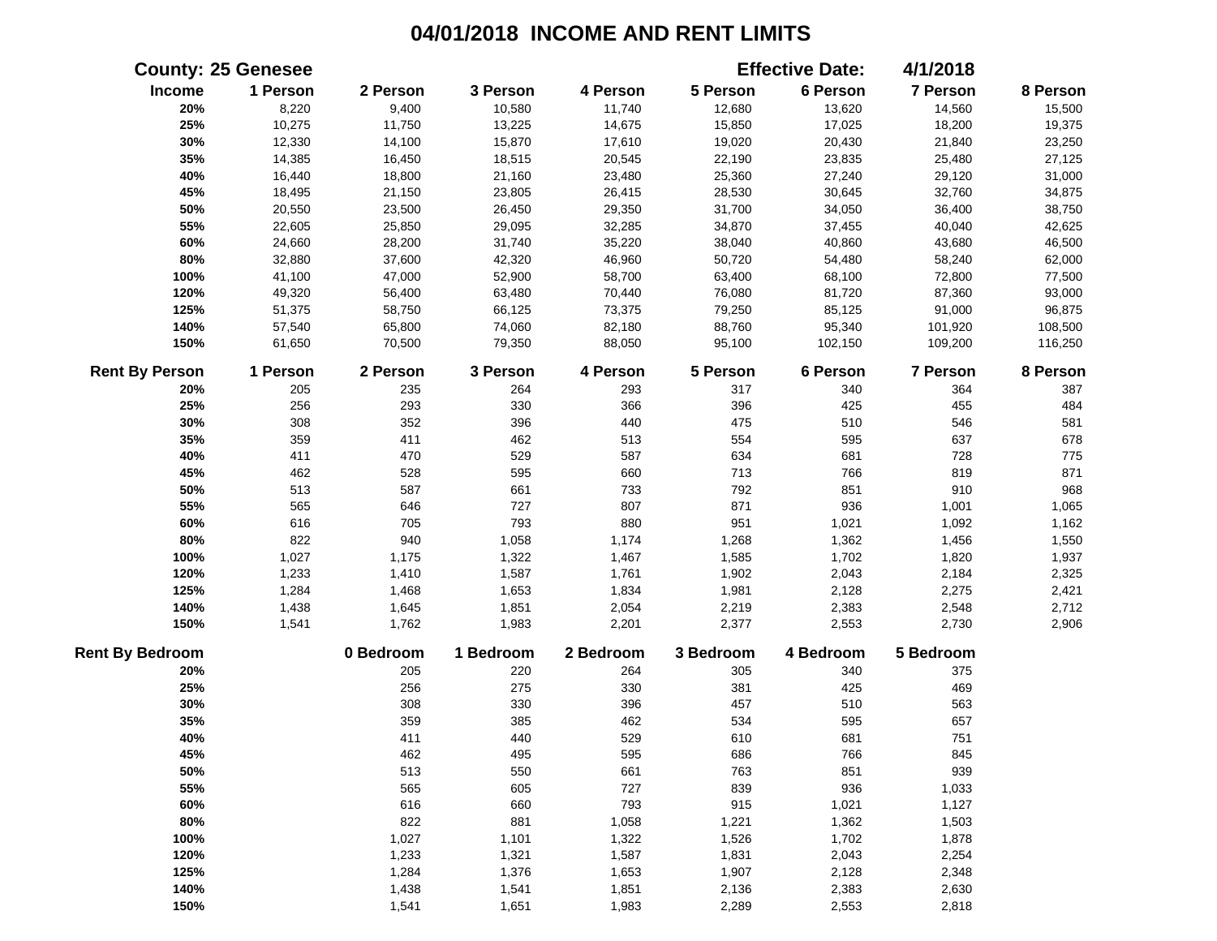|                        | <b>County: 25 Genesee</b> |           |           |           |           | <b>Effective Date:</b> | 4/1/2018        |          |
|------------------------|---------------------------|-----------|-----------|-----------|-----------|------------------------|-----------------|----------|
| Income                 | 1 Person                  | 2 Person  | 3 Person  | 4 Person  | 5 Person  | 6 Person               | 7 Person        | 8 Person |
| 20%                    | 8,220                     | 9,400     | 10,580    | 11,740    | 12,680    | 13,620                 | 14,560          | 15,500   |
| 25%                    | 10,275                    | 11,750    | 13,225    | 14,675    | 15,850    | 17,025                 | 18,200          | 19,375   |
| 30%                    | 12,330                    | 14,100    | 15,870    | 17,610    | 19,020    | 20,430                 | 21,840          | 23,250   |
| 35%                    | 14,385                    | 16,450    | 18,515    | 20,545    | 22,190    | 23,835                 | 25,480          | 27,125   |
| 40%                    | 16,440                    | 18,800    | 21,160    | 23,480    | 25,360    | 27,240                 | 29,120          | 31,000   |
| 45%                    | 18,495                    | 21,150    | 23,805    | 26,415    | 28,530    | 30,645                 | 32,760          | 34,875   |
| 50%                    | 20,550                    | 23,500    | 26,450    | 29,350    | 31,700    | 34,050                 | 36,400          | 38,750   |
| 55%                    | 22,605                    | 25,850    | 29,095    | 32,285    | 34,870    | 37,455                 | 40,040          | 42,625   |
| 60%                    | 24,660                    | 28,200    | 31,740    | 35,220    | 38,040    | 40,860                 | 43,680          | 46,500   |
| 80%                    | 32,880                    | 37,600    | 42,320    | 46,960    | 50,720    | 54,480                 | 58,240          | 62,000   |
| 100%                   | 41,100                    | 47,000    | 52,900    | 58,700    | 63,400    | 68,100                 | 72,800          | 77,500   |
| 120%                   | 49,320                    | 56,400    | 63,480    | 70,440    | 76,080    | 81,720                 | 87,360          | 93,000   |
| 125%                   | 51,375                    | 58,750    | 66,125    | 73,375    | 79,250    | 85,125                 | 91,000          | 96,875   |
| 140%                   | 57,540                    | 65,800    | 74,060    | 82,180    | 88,760    | 95,340                 | 101,920         | 108,500  |
| 150%                   | 61,650                    | 70,500    | 79,350    | 88,050    | 95,100    | 102,150                | 109,200         | 116,250  |
| <b>Rent By Person</b>  | 1 Person                  | 2 Person  | 3 Person  | 4 Person  | 5 Person  | 6 Person               | <b>7 Person</b> | 8 Person |
| 20%                    | 205                       | 235       | 264       | 293       | 317       | 340                    | 364             | 387      |
| 25%                    | 256                       | 293       | 330       | 366       | 396       | 425                    | 455             | 484      |
| 30%                    | 308                       | 352       | 396       | 440       | 475       | 510                    | 546             | 581      |
| 35%                    | 359                       | 411       | 462       | 513       | 554       | 595                    | 637             | 678      |
| 40%                    | 411                       | 470       | 529       | 587       | 634       | 681                    | 728             | 775      |
| 45%                    | 462                       | 528       | 595       | 660       | 713       | 766                    | 819             | 871      |
| 50%                    | 513                       | 587       | 661       | 733       | 792       | 851                    | 910             | 968      |
| 55%                    | 565                       | 646       | 727       | 807       | 871       | 936                    | 1,001           | 1,065    |
| 60%                    | 616                       | 705       | 793       | 880       | 951       | 1,021                  | 1,092           | 1,162    |
| 80%                    | 822                       | 940       | 1,058     | 1,174     | 1,268     | 1,362                  | 1,456           | 1,550    |
| 100%                   | 1,027                     | 1,175     | 1,322     | 1,467     | 1,585     | 1,702                  | 1,820           | 1,937    |
| 120%                   | 1,233                     | 1,410     | 1,587     | 1,761     | 1,902     | 2,043                  | 2,184           | 2,325    |
| 125%                   | 1,284                     | 1,468     | 1,653     | 1,834     | 1,981     | 2,128                  | 2,275           | 2,421    |
| 140%                   | 1,438                     | 1,645     | 1,851     | 2,054     | 2,219     | 2,383                  | 2,548           | 2,712    |
| 150%                   | 1,541                     | 1,762     | 1,983     | 2,201     | 2,377     | 2,553                  | 2,730           | 2,906    |
| <b>Rent By Bedroom</b> |                           | 0 Bedroom | 1 Bedroom | 2 Bedroom | 3 Bedroom | 4 Bedroom              | 5 Bedroom       |          |
| 20%                    |                           | 205       | 220       | 264       | 305       | 340                    | 375             |          |
| 25%                    |                           | 256       | 275       | 330       | 381       | 425                    | 469             |          |
| 30%                    |                           | 308       | 330       | 396       | 457       | 510                    | 563             |          |
| 35%                    |                           | 359       | 385       | 462       | 534       | 595                    | 657             |          |
| 40%                    |                           | 411       | 440       | 529       | 610       | 681                    | 751             |          |
| 45%                    |                           | 462       | 495       | 595       | 686       | 766                    | 845             |          |
| 50%                    |                           | 513       | 550       | 661       | 763       | 851                    | 939             |          |
| 55%                    |                           | 565       | 605       | 727       | 839       | 936                    | 1,033           |          |
| 60%                    |                           | 616       | 660       | 793       | 915       | 1,021                  | 1,127           |          |
| 80%                    |                           | 822       | 881       | 1,058     | 1,221     | 1,362                  | 1,503           |          |
| 100%                   |                           | 1,027     | 1,101     | 1,322     | 1,526     | 1,702                  | 1,878           |          |
| 120%                   |                           | 1,233     | 1,321     | 1,587     | 1,831     | 2,043                  | 2,254           |          |
| 125%                   |                           | 1,284     | 1,376     | 1,653     | 1,907     | 2,128                  | 2,348           |          |
| 140%                   |                           | 1,438     | 1,541     | 1,851     | 2,136     | 2,383                  | 2,630           |          |
| 150%                   |                           | 1,541     | 1,651     | 1,983     | 2,289     | 2,553                  | 2,818           |          |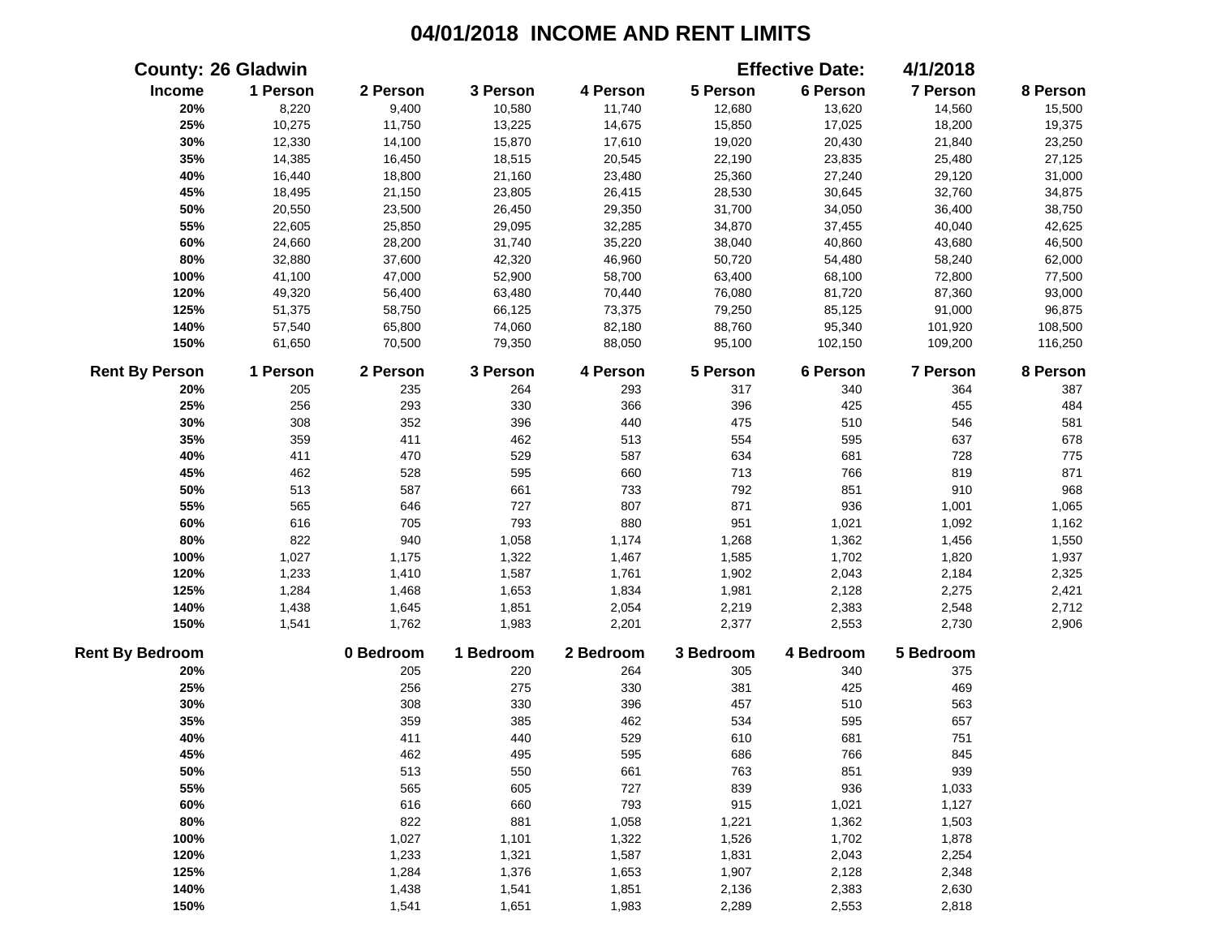|                        | <b>County: 26 Gladwin</b> |           |           |           |           | <b>Effective Date:</b> | 4/1/2018  |          |
|------------------------|---------------------------|-----------|-----------|-----------|-----------|------------------------|-----------|----------|
| Income                 | 1 Person                  | 2 Person  | 3 Person  | 4 Person  | 5 Person  | 6 Person               | 7 Person  | 8 Person |
| 20%                    | 8,220                     | 9,400     | 10,580    | 11,740    | 12,680    | 13,620                 | 14,560    | 15,500   |
| 25%                    | 10,275                    | 11,750    | 13,225    | 14,675    | 15,850    | 17,025                 | 18,200    | 19,375   |
| 30%                    | 12,330                    | 14,100    | 15,870    | 17,610    | 19,020    | 20,430                 | 21,840    | 23,250   |
| 35%                    | 14,385                    | 16,450    | 18,515    | 20,545    | 22,190    | 23,835                 | 25,480    | 27,125   |
| 40%                    | 16,440                    | 18,800    | 21,160    | 23,480    | 25,360    | 27,240                 | 29,120    | 31,000   |
| 45%                    | 18,495                    | 21,150    | 23,805    | 26,415    | 28,530    | 30,645                 | 32,760    | 34,875   |
| 50%                    | 20,550                    | 23,500    | 26,450    | 29,350    | 31,700    | 34,050                 | 36,400    | 38,750   |
| 55%                    | 22,605                    | 25,850    | 29,095    | 32,285    | 34,870    | 37,455                 | 40,040    | 42,625   |
| 60%                    | 24,660                    | 28,200    | 31,740    | 35,220    | 38,040    | 40,860                 | 43,680    | 46,500   |
| 80%                    | 32,880                    | 37,600    | 42,320    | 46,960    | 50,720    | 54,480                 | 58,240    | 62,000   |
| 100%                   | 41,100                    | 47,000    | 52,900    | 58,700    | 63,400    | 68,100                 | 72,800    | 77,500   |
| 120%                   | 49,320                    | 56,400    | 63,480    | 70,440    | 76,080    | 81,720                 | 87,360    | 93,000   |
| 125%                   | 51,375                    | 58,750    | 66,125    | 73,375    | 79,250    | 85,125                 | 91,000    | 96,875   |
| 140%                   | 57,540                    | 65,800    | 74,060    | 82,180    | 88,760    | 95,340                 | 101,920   | 108,500  |
| 150%                   | 61,650                    | 70,500    | 79,350    | 88,050    | 95,100    | 102,150                | 109,200   | 116,250  |
| <b>Rent By Person</b>  | 1 Person                  | 2 Person  | 3 Person  | 4 Person  | 5 Person  | 6 Person               | 7 Person  | 8 Person |
| 20%                    | 205                       | 235       | 264       | 293       | 317       | 340                    | 364       | 387      |
| 25%                    | 256                       | 293       | 330       | 366       | 396       | 425                    | 455       | 484      |
| 30%                    | 308                       | 352       | 396       | 440       | 475       | 510                    | 546       | 581      |
| 35%                    | 359                       | 411       | 462       | 513       | 554       | 595                    | 637       | 678      |
| 40%                    | 411                       | 470       | 529       | 587       | 634       | 681                    | 728       | 775      |
| 45%                    | 462                       | 528       | 595       | 660       | 713       | 766                    | 819       | 871      |
| 50%                    | 513                       | 587       | 661       | 733       | 792       | 851                    | 910       | 968      |
| 55%                    | 565                       | 646       | 727       | 807       | 871       | 936                    | 1,001     | 1,065    |
| 60%                    | 616                       | 705       | 793       | 880       | 951       | 1,021                  | 1,092     | 1,162    |
| 80%                    | 822                       | 940       | 1,058     | 1,174     | 1,268     | 1,362                  | 1,456     | 1,550    |
| 100%                   | 1,027                     | 1,175     | 1,322     | 1,467     | 1,585     | 1,702                  | 1,820     | 1,937    |
| 120%                   | 1,233                     | 1,410     | 1,587     | 1,761     | 1,902     | 2,043                  | 2,184     | 2,325    |
| 125%                   | 1,284                     | 1,468     | 1,653     | 1,834     | 1,981     | 2,128                  | 2,275     | 2,421    |
| 140%                   | 1,438                     | 1,645     | 1,851     | 2,054     | 2,219     | 2,383                  | 2,548     | 2,712    |
| 150%                   | 1,541                     | 1,762     | 1,983     | 2,201     | 2,377     | 2,553                  | 2,730     | 2,906    |
| <b>Rent By Bedroom</b> |                           | 0 Bedroom | 1 Bedroom | 2 Bedroom | 3 Bedroom | 4 Bedroom              | 5 Bedroom |          |
| 20%                    |                           | 205       | 220       | 264       | 305       | 340                    | 375       |          |
| 25%                    |                           | 256       | 275       | 330       | 381       | 425                    | 469       |          |
| 30%                    |                           | 308       | 330       | 396       | 457       | 510                    | 563       |          |
| 35%                    |                           | 359       | 385       | 462       | 534       | 595                    | 657       |          |
| 40%                    |                           | 411       | 440       | 529       | 610       | 681                    | 751       |          |
| 45%                    |                           | 462       | 495       | 595       | 686       | 766                    | 845       |          |
| 50%                    |                           | 513       | 550       | 661       | 763       | 851                    | 939       |          |
| 55%                    |                           | 565       | 605       | 727       | 839       | 936                    | 1,033     |          |
| 60%                    |                           | 616       | 660       | 793       | 915       | 1,021                  | 1,127     |          |
| 80%                    |                           | 822       | 881       | 1,058     | 1,221     | 1,362                  | 1,503     |          |
| 100%                   |                           | 1,027     | 1,101     | 1,322     | 1,526     | 1,702                  | 1,878     |          |
| 120%                   |                           | 1,233     | 1,321     | 1,587     | 1,831     | 2,043                  | 2,254     |          |
| 125%                   |                           | 1,284     | 1,376     | 1,653     | 1,907     | 2,128                  | 2,348     |          |
| 140%                   |                           | 1,438     | 1,541     | 1,851     | 2,136     | 2,383                  | 2,630     |          |
| 150%                   |                           | 1,541     | 1,651     | 1,983     | 2,289     | 2,553                  | 2,818     |          |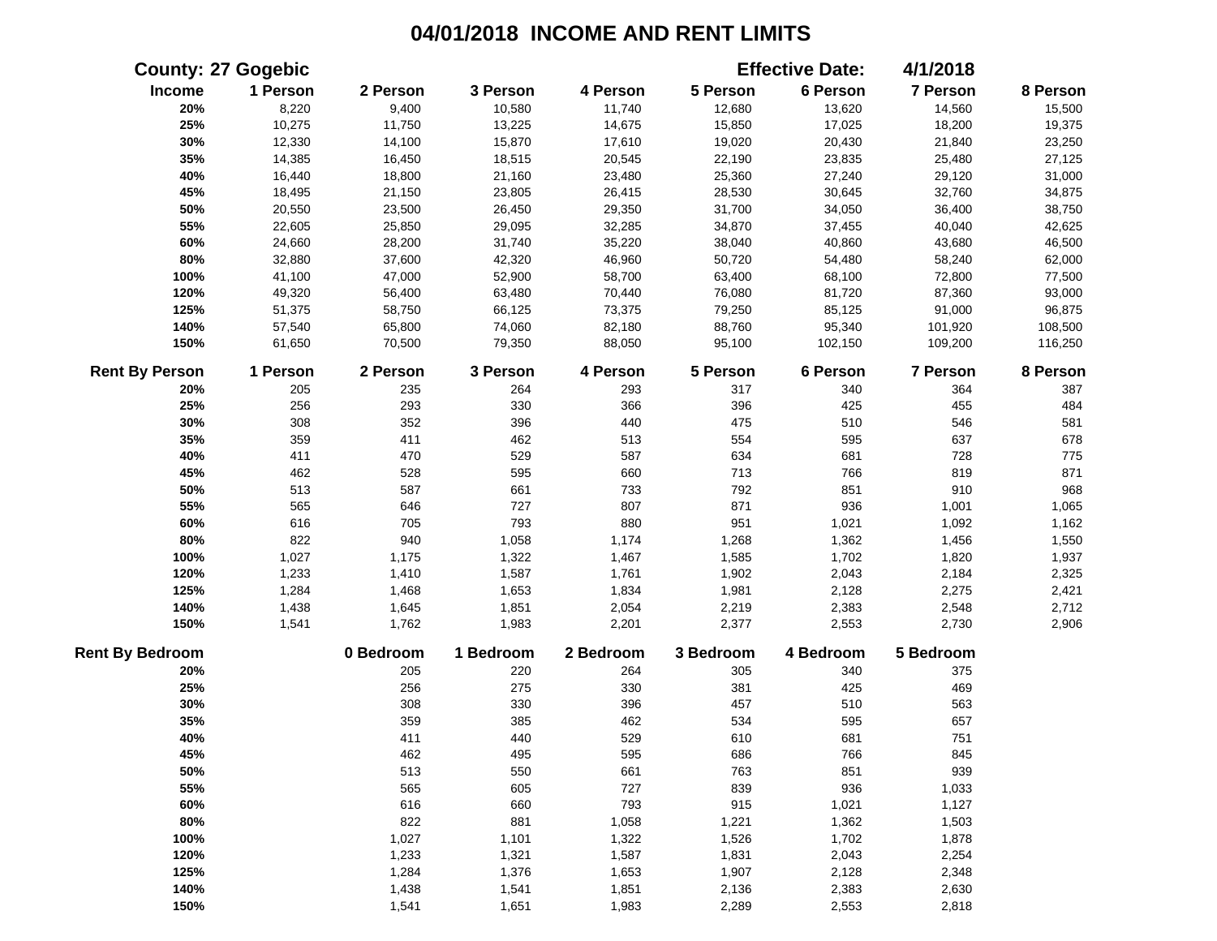|                        | <b>County: 27 Gogebic</b> |           |           |           |           | <b>Effective Date:</b> | 4/1/2018  |          |
|------------------------|---------------------------|-----------|-----------|-----------|-----------|------------------------|-----------|----------|
| Income                 | 1 Person                  | 2 Person  | 3 Person  | 4 Person  | 5 Person  | 6 Person               | 7 Person  | 8 Person |
| 20%                    | 8,220                     | 9,400     | 10,580    | 11,740    | 12,680    | 13,620                 | 14,560    | 15,500   |
| 25%                    | 10,275                    | 11,750    | 13,225    | 14,675    | 15,850    | 17,025                 | 18,200    | 19,375   |
| 30%                    | 12,330                    | 14,100    | 15,870    | 17,610    | 19,020    | 20,430                 | 21,840    | 23,250   |
| 35%                    | 14,385                    | 16,450    | 18,515    | 20,545    | 22,190    | 23,835                 | 25,480    | 27,125   |
| 40%                    | 16,440                    | 18,800    | 21,160    | 23,480    | 25,360    | 27,240                 | 29,120    | 31,000   |
| 45%                    | 18,495                    | 21,150    | 23,805    | 26,415    | 28,530    | 30,645                 | 32,760    | 34,875   |
| 50%                    | 20,550                    | 23,500    | 26,450    | 29,350    | 31,700    | 34,050                 | 36,400    | 38,750   |
| 55%                    | 22,605                    | 25,850    | 29,095    | 32,285    | 34,870    | 37,455                 | 40,040    | 42,625   |
| 60%                    | 24,660                    | 28,200    | 31,740    | 35,220    | 38,040    | 40,860                 | 43,680    | 46,500   |
| 80%                    | 32,880                    | 37,600    | 42,320    | 46,960    | 50,720    | 54,480                 | 58,240    | 62,000   |
| 100%                   | 41,100                    | 47,000    | 52,900    | 58,700    | 63,400    | 68,100                 | 72,800    | 77,500   |
| 120%                   | 49,320                    | 56,400    | 63,480    | 70,440    | 76,080    | 81,720                 | 87,360    | 93,000   |
| 125%                   | 51,375                    | 58,750    | 66,125    | 73,375    | 79,250    | 85,125                 | 91,000    | 96,875   |
| 140%                   | 57,540                    | 65,800    | 74,060    | 82,180    | 88,760    | 95,340                 | 101,920   | 108,500  |
| 150%                   | 61,650                    | 70,500    | 79,350    | 88,050    | 95,100    | 102,150                | 109,200   | 116,250  |
| <b>Rent By Person</b>  | 1 Person                  | 2 Person  | 3 Person  | 4 Person  | 5 Person  | 6 Person               | 7 Person  | 8 Person |
| 20%                    | 205                       | 235       | 264       | 293       | 317       | 340                    | 364       | 387      |
| 25%                    | 256                       | 293       | 330       | 366       | 396       | 425                    | 455       | 484      |
| 30%                    | 308                       | 352       | 396       | 440       | 475       | 510                    | 546       | 581      |
| 35%                    | 359                       | 411       | 462       | 513       | 554       | 595                    | 637       | 678      |
| 40%                    | 411                       | 470       | 529       | 587       | 634       | 681                    | 728       | 775      |
| 45%                    | 462                       | 528       | 595       | 660       | 713       | 766                    | 819       | 871      |
| 50%                    | 513                       | 587       | 661       | 733       | 792       | 851                    | 910       | 968      |
| 55%                    | 565                       | 646       | 727       | 807       | 871       | 936                    | 1,001     | 1,065    |
| 60%                    | 616                       | 705       | 793       | 880       | 951       | 1,021                  | 1,092     | 1,162    |
| 80%                    | 822                       | 940       | 1,058     | 1,174     | 1,268     | 1,362                  | 1,456     | 1,550    |
| 100%                   | 1,027                     | 1,175     | 1,322     | 1,467     | 1,585     | 1,702                  | 1,820     | 1,937    |
| 120%                   | 1,233                     | 1,410     | 1,587     | 1,761     | 1,902     | 2,043                  | 2,184     | 2,325    |
| 125%                   | 1,284                     | 1,468     | 1,653     | 1,834     | 1,981     | 2,128                  | 2,275     | 2,421    |
| 140%                   | 1,438                     | 1,645     | 1,851     | 2,054     | 2,219     | 2,383                  | 2,548     | 2,712    |
| 150%                   | 1,541                     | 1,762     | 1,983     | 2,201     | 2,377     | 2,553                  | 2,730     | 2,906    |
| <b>Rent By Bedroom</b> |                           | 0 Bedroom | 1 Bedroom | 2 Bedroom | 3 Bedroom | 4 Bedroom              | 5 Bedroom |          |
| 20%                    |                           | 205       | 220       | 264       | 305       | 340                    | 375       |          |
| 25%                    |                           | 256       | 275       | 330       | 381       | 425                    | 469       |          |
| 30%                    |                           | 308       | 330       | 396       | 457       | 510                    | 563       |          |
| 35%                    |                           | 359       | 385       | 462       | 534       | 595                    | 657       |          |
| 40%                    |                           | 411       | 440       | 529       | 610       | 681                    | 751       |          |
| 45%                    |                           | 462       | 495       | 595       | 686       | 766                    | 845       |          |
| 50%                    |                           | 513       | 550       | 661       | 763       | 851                    | 939       |          |
| 55%                    |                           | 565       | 605       | 727       | 839       | 936                    | 1,033     |          |
| 60%                    |                           | 616       | 660       | 793       | 915       | 1,021                  | 1,127     |          |
| 80%                    |                           | 822       | 881       | 1,058     | 1,221     | 1,362                  | 1,503     |          |
| 100%                   |                           | 1,027     | 1,101     | 1,322     | 1,526     | 1,702                  | 1,878     |          |
| 120%                   |                           | 1,233     | 1,321     | 1,587     | 1,831     | 2,043                  | 2,254     |          |
| 125%                   |                           | 1,284     | 1,376     | 1,653     | 1,907     | 2,128                  | 2,348     |          |
| 140%                   |                           | 1,438     | 1,541     | 1,851     | 2,136     | 2,383                  | 2,630     |          |
| 150%                   |                           | 1,541     | 1,651     | 1,983     | 2,289     | 2,553                  | 2,818     |          |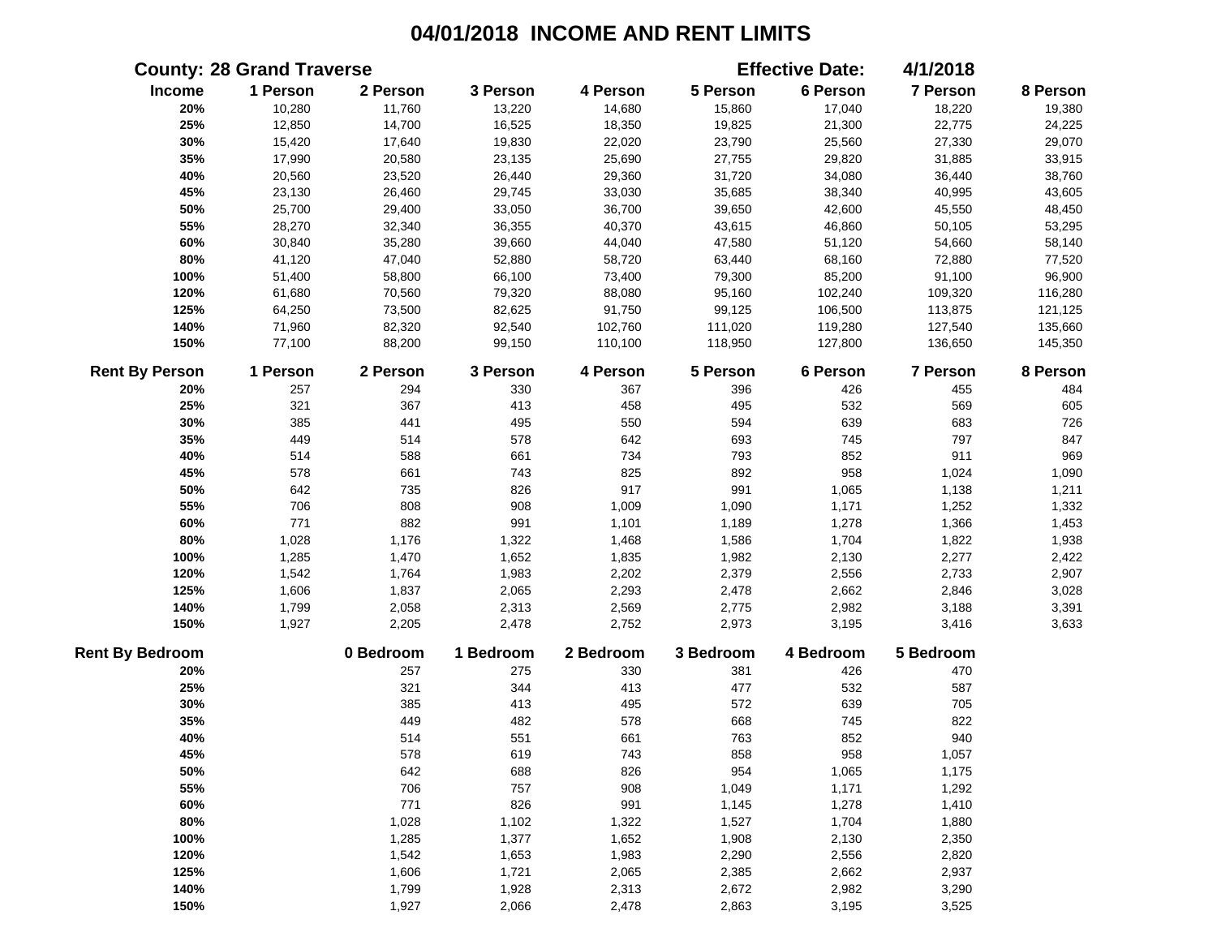|                        | <b>County: 28 Grand Traverse</b> |           |           |           |           | <b>Effective Date:</b> | 4/1/2018  |          |
|------------------------|----------------------------------|-----------|-----------|-----------|-----------|------------------------|-----------|----------|
| Income                 | 1 Person                         | 2 Person  | 3 Person  | 4 Person  | 5 Person  | 6 Person               | 7 Person  | 8 Person |
| 20%                    | 10,280                           | 11,760    | 13,220    | 14,680    | 15,860    | 17,040                 | 18,220    | 19,380   |
| 25%                    | 12,850                           | 14,700    | 16,525    | 18,350    | 19,825    | 21,300                 | 22,775    | 24,225   |
| 30%                    | 15,420                           | 17,640    | 19,830    | 22,020    | 23,790    | 25,560                 | 27,330    | 29,070   |
| 35%                    | 17,990                           | 20,580    | 23,135    | 25,690    | 27,755    | 29,820                 | 31,885    | 33,915   |
| 40%                    | 20,560                           | 23,520    | 26,440    | 29,360    | 31,720    | 34,080                 | 36,440    | 38,760   |
| 45%                    | 23,130                           | 26,460    | 29,745    | 33,030    | 35,685    | 38,340                 | 40,995    | 43,605   |
| 50%                    | 25,700                           | 29,400    | 33,050    | 36,700    | 39,650    | 42,600                 | 45,550    | 48,450   |
| 55%                    | 28,270                           | 32,340    | 36,355    | 40,370    | 43,615    | 46,860                 | 50,105    | 53,295   |
| 60%                    | 30,840                           | 35,280    | 39,660    | 44,040    | 47,580    | 51,120                 | 54,660    | 58,140   |
| 80%                    | 41,120                           | 47,040    | 52,880    | 58,720    | 63,440    | 68,160                 | 72,880    | 77,520   |
| 100%                   | 51,400                           | 58,800    | 66,100    | 73,400    | 79,300    | 85,200                 | 91,100    | 96,900   |
| 120%                   | 61,680                           | 70,560    | 79,320    | 88,080    | 95,160    | 102,240                | 109,320   | 116,280  |
| 125%                   | 64,250                           | 73,500    | 82,625    | 91,750    | 99,125    | 106,500                | 113,875   | 121,125  |
| 140%                   | 71,960                           | 82,320    | 92,540    | 102,760   | 111,020   | 119,280                | 127,540   | 135,660  |
| 150%                   | 77,100                           | 88,200    | 99,150    | 110,100   | 118,950   | 127,800                | 136,650   | 145,350  |
| <b>Rent By Person</b>  | 1 Person                         | 2 Person  | 3 Person  | 4 Person  | 5 Person  | 6 Person               | 7 Person  | 8 Person |
| 20%                    | 257                              | 294       | 330       | 367       | 396       | 426                    | 455       | 484      |
| 25%                    | 321                              | 367       | 413       | 458       | 495       | 532                    | 569       | 605      |
| 30%                    | 385                              | 441       | 495       | 550       | 594       | 639                    | 683       | 726      |
| 35%                    | 449                              | 514       | 578       | 642       | 693       | 745                    | 797       | 847      |
| 40%                    | 514                              | 588       | 661       | 734       | 793       | 852                    | 911       | 969      |
| 45%                    | 578                              | 661       | 743       | 825       | 892       | 958                    | 1,024     | 1,090    |
| 50%                    | 642                              | 735       | 826       | 917       | 991       | 1,065                  | 1,138     | 1,211    |
| 55%                    | 706                              | 808       | 908       | 1,009     | 1,090     | 1,171                  | 1,252     | 1,332    |
| 60%                    | 771                              | 882       | 991       | 1,101     | 1,189     | 1,278                  | 1,366     | 1,453    |
| 80%                    | 1,028                            | 1,176     | 1,322     | 1,468     | 1,586     | 1,704                  | 1,822     | 1,938    |
| 100%                   | 1,285                            | 1,470     | 1,652     | 1,835     | 1,982     | 2,130                  | 2,277     | 2,422    |
| 120%                   | 1,542                            | 1,764     | 1,983     | 2,202     | 2,379     | 2,556                  | 2,733     | 2,907    |
| 125%                   | 1,606                            | 1,837     | 2,065     | 2,293     | 2,478     | 2,662                  | 2,846     | 3,028    |
| 140%                   | 1,799                            | 2,058     | 2,313     | 2,569     | 2,775     | 2,982                  | 3,188     | 3,391    |
| 150%                   | 1,927                            | 2,205     | 2,478     | 2,752     | 2,973     | 3,195                  | 3,416     | 3,633    |
| <b>Rent By Bedroom</b> |                                  | 0 Bedroom | 1 Bedroom | 2 Bedroom | 3 Bedroom | 4 Bedroom              | 5 Bedroom |          |
| 20%                    |                                  | 257       | 275       | 330       | 381       | 426                    | 470       |          |
| 25%                    |                                  | 321       | 344       | 413       | 477       | 532                    | 587       |          |
| 30%                    |                                  | 385       | 413       | 495       | 572       | 639                    | 705       |          |
| 35%                    |                                  | 449       | 482       | 578       | 668       | 745                    | 822       |          |
| 40%                    |                                  | 514       | 551       | 661       | 763       | 852                    | 940       |          |
| 45%                    |                                  | 578       | 619       | 743       | 858       | 958                    | 1,057     |          |
| 50%                    |                                  | 642       | 688       | 826       | 954       | 1,065                  | 1,175     |          |
| 55%                    |                                  | 706       | 757       | 908       | 1,049     | 1,171                  | 1,292     |          |
| 60%                    |                                  | 771       | 826       | 991       | 1,145     | 1,278                  | 1,410     |          |
| 80%                    |                                  | 1,028     | 1,102     | 1,322     | 1,527     | 1,704                  | 1,880     |          |
| 100%                   |                                  | 1,285     | 1,377     | 1,652     | 1,908     | 2,130                  | 2,350     |          |
| 120%                   |                                  | 1,542     | 1,653     | 1,983     | 2,290     | 2,556                  | 2,820     |          |
| 125%                   |                                  | 1,606     | 1,721     | 2,065     | 2,385     | 2,662                  | 2,937     |          |
| 140%                   |                                  | 1,799     | 1,928     | 2,313     | 2,672     | 2,982                  | 3,290     |          |
| 150%                   |                                  | 1,927     | 2,066     | 2,478     | 2,863     | 3,195                  | 3,525     |          |
|                        |                                  |           |           |           |           |                        |           |          |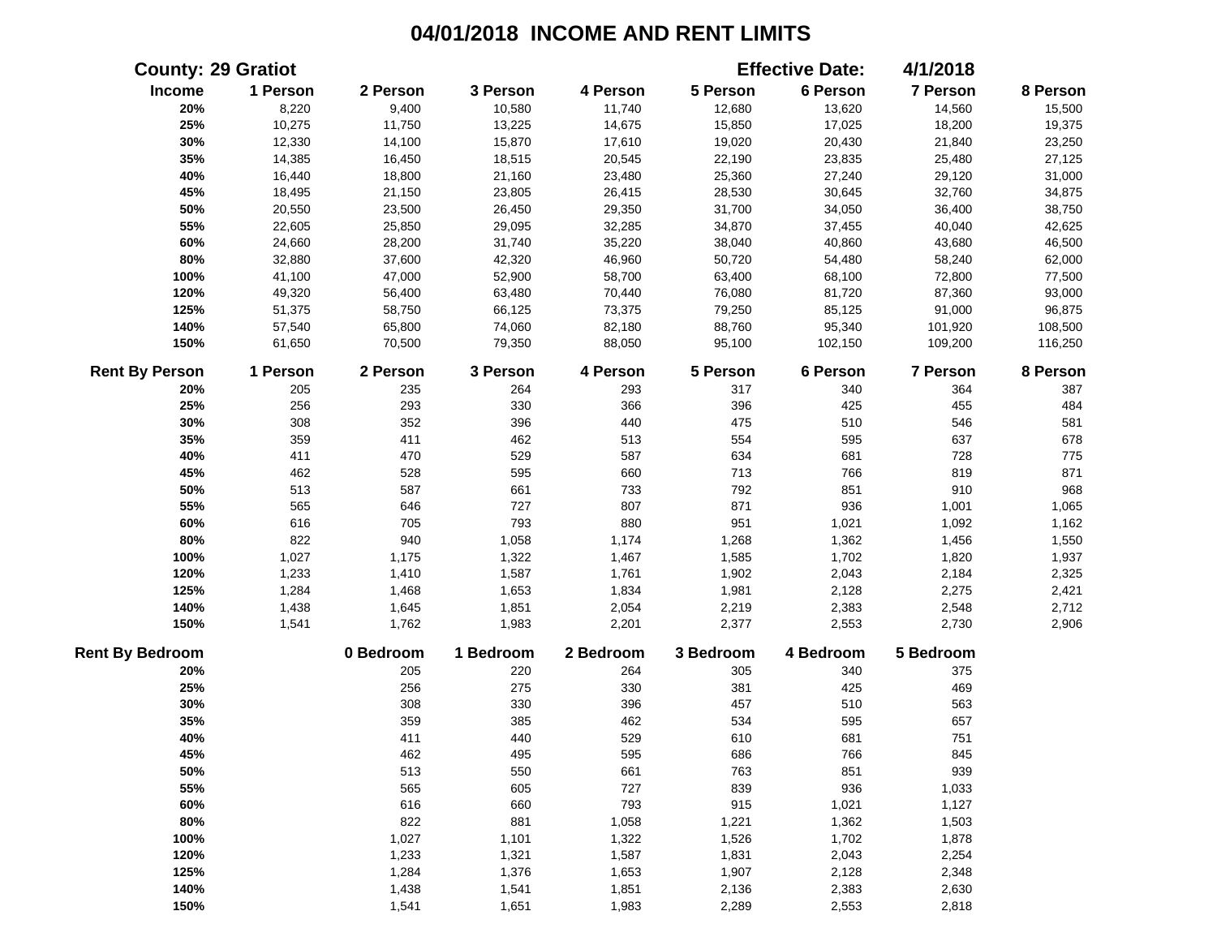|                        | <b>County: 29 Gratiot</b> |           |           |           |           | <b>Effective Date:</b> | 4/1/2018  |          |
|------------------------|---------------------------|-----------|-----------|-----------|-----------|------------------------|-----------|----------|
| Income                 | 1 Person                  | 2 Person  | 3 Person  | 4 Person  | 5 Person  | 6 Person               | 7 Person  | 8 Person |
| 20%                    | 8,220                     | 9,400     | 10,580    | 11,740    | 12,680    | 13,620                 | 14,560    | 15,500   |
| 25%                    | 10,275                    | 11,750    | 13,225    | 14,675    | 15,850    | 17,025                 | 18,200    | 19,375   |
| 30%                    | 12,330                    | 14,100    | 15,870    | 17,610    | 19,020    | 20,430                 | 21,840    | 23,250   |
| 35%                    | 14,385                    | 16,450    | 18,515    | 20,545    | 22,190    | 23,835                 | 25,480    | 27,125   |
| 40%                    | 16,440                    | 18,800    | 21,160    | 23,480    | 25,360    | 27,240                 | 29,120    | 31,000   |
| 45%                    | 18,495                    | 21,150    | 23,805    | 26,415    | 28,530    | 30,645                 | 32,760    | 34,875   |
| 50%                    | 20,550                    | 23,500    | 26,450    | 29,350    | 31,700    | 34,050                 | 36,400    | 38,750   |
| 55%                    | 22,605                    | 25,850    | 29,095    | 32,285    | 34,870    | 37,455                 | 40,040    | 42,625   |
| 60%                    | 24,660                    | 28,200    | 31,740    | 35,220    | 38,040    | 40,860                 | 43,680    | 46,500   |
| 80%                    | 32,880                    | 37,600    | 42,320    | 46,960    | 50,720    | 54,480                 | 58,240    | 62,000   |
| 100%                   | 41,100                    | 47,000    | 52,900    | 58,700    | 63,400    | 68,100                 | 72,800    | 77,500   |
| 120%                   | 49,320                    | 56,400    | 63,480    | 70,440    | 76,080    | 81,720                 | 87,360    | 93,000   |
| 125%                   | 51,375                    | 58,750    | 66,125    | 73,375    | 79,250    | 85,125                 | 91,000    | 96,875   |
| 140%                   | 57,540                    | 65,800    | 74,060    | 82,180    | 88,760    | 95,340                 | 101,920   | 108,500  |
| 150%                   | 61,650                    | 70,500    | 79,350    | 88,050    | 95,100    | 102,150                | 109,200   | 116,250  |
| <b>Rent By Person</b>  | 1 Person                  | 2 Person  | 3 Person  | 4 Person  | 5 Person  | 6 Person               | 7 Person  | 8 Person |
| 20%                    | 205                       | 235       | 264       | 293       | 317       | 340                    | 364       | 387      |
| 25%                    | 256                       | 293       | 330       | 366       | 396       | 425                    | 455       | 484      |
| 30%                    | 308                       | 352       | 396       | 440       | 475       | 510                    | 546       | 581      |
| 35%                    | 359                       | 411       | 462       | 513       | 554       | 595                    | 637       | 678      |
| 40%                    | 411                       | 470       | 529       | 587       | 634       | 681                    | 728       | 775      |
| 45%                    | 462                       | 528       | 595       | 660       | 713       | 766                    | 819       | 871      |
| 50%                    | 513                       | 587       | 661       | 733       | 792       | 851                    | 910       | 968      |
| 55%                    | 565                       | 646       | 727       | 807       | 871       | 936                    | 1,001     | 1,065    |
| 60%                    | 616                       | 705       | 793       | 880       | 951       | 1,021                  | 1,092     | 1,162    |
| 80%                    | 822                       | 940       | 1,058     | 1,174     | 1,268     | 1,362                  | 1,456     | 1,550    |
| 100%                   | 1,027                     | 1,175     | 1,322     | 1,467     | 1,585     | 1,702                  | 1,820     | 1,937    |
| 120%                   | 1,233                     | 1,410     | 1,587     | 1,761     | 1,902     | 2,043                  | 2,184     | 2,325    |
| 125%                   | 1,284                     | 1,468     | 1,653     | 1,834     | 1,981     | 2,128                  | 2,275     | 2,421    |
| 140%                   | 1,438                     | 1,645     | 1,851     | 2,054     | 2,219     | 2,383                  | 2,548     | 2,712    |
| 150%                   | 1,541                     | 1,762     | 1,983     | 2,201     | 2,377     | 2,553                  | 2,730     | 2,906    |
| <b>Rent By Bedroom</b> |                           | 0 Bedroom | 1 Bedroom | 2 Bedroom | 3 Bedroom | 4 Bedroom              | 5 Bedroom |          |
| 20%                    |                           | 205       | 220       | 264       | 305       | 340                    | 375       |          |
| 25%                    |                           | 256       | 275       | 330       | 381       | 425                    | 469       |          |
| 30%                    |                           | 308       | 330       | 396       | 457       | 510                    | 563       |          |
| 35%                    |                           | 359       | 385       | 462       | 534       | 595                    | 657       |          |
| 40%                    |                           | 411       | 440       | 529       | 610       | 681                    | 751       |          |
| 45%                    |                           | 462       | 495       | 595       | 686       | 766                    | 845       |          |
| 50%                    |                           | 513       | 550       | 661       | 763       | 851                    | 939       |          |
| 55%                    |                           | 565       | 605       | 727       | 839       | 936                    | 1,033     |          |
| 60%                    |                           | 616       | 660       | 793       | 915       | 1,021                  | 1,127     |          |
| 80%                    |                           | 822       | 881       | 1,058     | 1,221     | 1,362                  | 1,503     |          |
| 100%                   |                           | 1,027     | 1,101     | 1,322     | 1,526     | 1,702                  | 1,878     |          |
| 120%                   |                           | 1,233     | 1,321     | 1,587     | 1,831     | 2,043                  | 2,254     |          |
| 125%                   |                           | 1,284     | 1,376     | 1,653     | 1,907     | 2,128                  | 2,348     |          |
| 140%                   |                           | 1,438     | 1,541     | 1,851     | 2,136     | 2,383                  | 2,630     |          |
| 150%                   |                           | 1,541     | 1,651     | 1,983     | 2,289     | 2,553                  | 2,818     |          |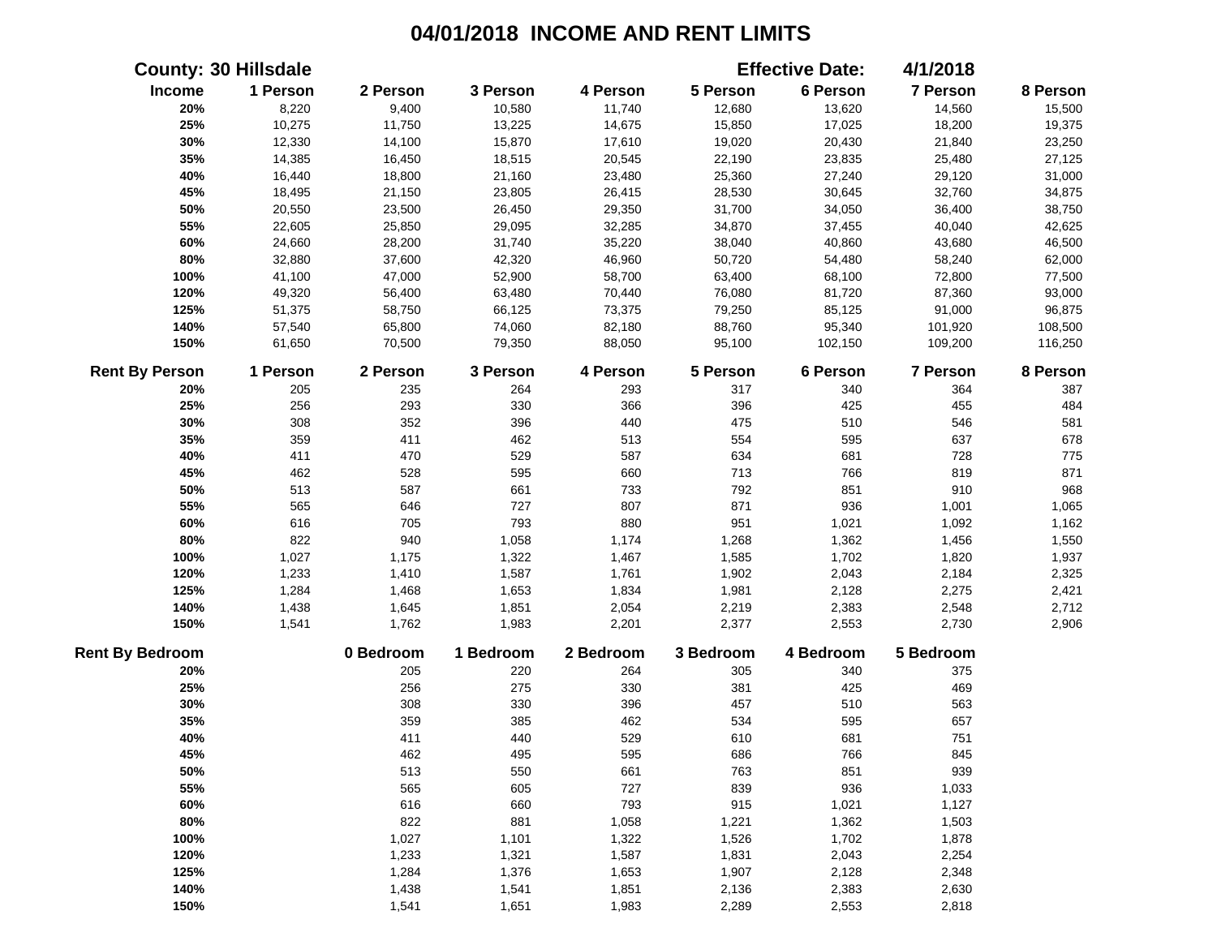| <b>County: 30 Hillsdale</b> |          |           |           |           |           | <b>Effective Date:</b> | 4/1/2018        |          |
|-----------------------------|----------|-----------|-----------|-----------|-----------|------------------------|-----------------|----------|
| Income                      | 1 Person | 2 Person  | 3 Person  | 4 Person  | 5 Person  | 6 Person               | 7 Person        | 8 Person |
| 20%                         | 8,220    | 9,400     | 10,580    | 11,740    | 12,680    | 13,620                 | 14,560          | 15,500   |
| 25%                         | 10,275   | 11,750    | 13,225    | 14,675    | 15,850    | 17,025                 | 18,200          | 19,375   |
| 30%                         | 12,330   | 14,100    | 15,870    | 17,610    | 19,020    | 20,430                 | 21,840          | 23,250   |
| 35%                         | 14,385   | 16,450    | 18,515    | 20,545    | 22,190    | 23,835                 | 25,480          | 27,125   |
| 40%                         | 16,440   | 18,800    | 21,160    | 23,480    | 25,360    | 27,240                 | 29,120          | 31,000   |
| 45%                         | 18,495   | 21,150    | 23,805    | 26,415    | 28,530    | 30,645                 | 32,760          | 34,875   |
| 50%                         | 20,550   | 23,500    | 26,450    | 29,350    | 31,700    | 34,050                 | 36,400          | 38,750   |
| 55%                         | 22,605   | 25,850    | 29,095    | 32,285    | 34,870    | 37,455                 | 40,040          | 42,625   |
| 60%                         | 24,660   | 28,200    | 31,740    | 35,220    | 38,040    | 40,860                 | 43,680          | 46,500   |
| 80%                         | 32,880   | 37,600    | 42,320    | 46,960    | 50,720    | 54,480                 | 58,240          | 62,000   |
| 100%                        | 41,100   | 47,000    | 52,900    | 58,700    | 63,400    | 68,100                 | 72,800          | 77,500   |
| 120%                        | 49,320   | 56,400    | 63,480    | 70,440    | 76,080    | 81,720                 | 87,360          | 93,000   |
| 125%                        | 51,375   | 58,750    | 66,125    | 73,375    | 79,250    | 85,125                 | 91,000          | 96,875   |
| 140%                        | 57,540   | 65,800    | 74,060    | 82,180    | 88,760    | 95,340                 | 101,920         | 108,500  |
| 150%                        | 61,650   | 70,500    | 79,350    | 88,050    | 95,100    | 102,150                | 109,200         | 116,250  |
| <b>Rent By Person</b>       | 1 Person | 2 Person  | 3 Person  | 4 Person  | 5 Person  | 6 Person               | <b>7 Person</b> | 8 Person |
| 20%                         | 205      | 235       | 264       | 293       | 317       | 340                    | 364             | 387      |
| 25%                         | 256      | 293       | 330       | 366       | 396       | 425                    | 455             | 484      |
| 30%                         | 308      | 352       | 396       | 440       | 475       | 510                    | 546             | 581      |
| 35%                         | 359      | 411       | 462       | 513       | 554       | 595                    | 637             | 678      |
| 40%                         | 411      | 470       | 529       | 587       | 634       | 681                    | 728             | 775      |
| 45%                         | 462      | 528       | 595       | 660       | 713       | 766                    | 819             | 871      |
| 50%                         | 513      | 587       | 661       | 733       | 792       | 851                    | 910             | 968      |
| 55%                         | 565      | 646       | 727       | 807       | 871       | 936                    | 1,001           | 1,065    |
| 60%                         | 616      | 705       | 793       | 880       | 951       | 1,021                  | 1,092           | 1,162    |
| 80%                         | 822      | 940       | 1,058     | 1,174     | 1,268     | 1,362                  | 1,456           | 1,550    |
| 100%                        | 1,027    | 1,175     | 1,322     | 1,467     | 1,585     | 1,702                  | 1,820           | 1,937    |
| 120%                        | 1,233    | 1,410     | 1,587     | 1,761     | 1,902     | 2,043                  | 2,184           | 2,325    |
| 125%                        | 1,284    | 1,468     | 1,653     | 1,834     | 1,981     | 2,128                  | 2,275           | 2,421    |
| 140%                        | 1,438    | 1,645     | 1,851     | 2,054     | 2,219     | 2,383                  | 2,548           | 2,712    |
| 150%                        | 1,541    | 1,762     | 1,983     | 2,201     | 2,377     | 2,553                  | 2,730           | 2,906    |
| <b>Rent By Bedroom</b>      |          | 0 Bedroom | 1 Bedroom | 2 Bedroom | 3 Bedroom | 4 Bedroom              | 5 Bedroom       |          |
| 20%                         |          | 205       | 220       | 264       | 305       | 340                    | 375             |          |
| 25%                         |          | 256       | 275       | 330       | 381       | 425                    | 469             |          |
| 30%                         |          | 308       | 330       | 396       | 457       | 510                    | 563             |          |
| 35%                         |          | 359       | 385       | 462       | 534       | 595                    | 657             |          |
| 40%                         |          | 411       | 440       | 529       | 610       | 681                    | 751             |          |
| 45%                         |          | 462       | 495       | 595       | 686       | 766                    | 845             |          |
| 50%                         |          | 513       | 550       | 661       | 763       | 851                    | 939             |          |
| 55%                         |          | 565       | 605       | 727       | 839       | 936                    | 1,033           |          |
| 60%                         |          | 616       | 660       | 793       | 915       | 1,021                  | 1,127           |          |
| 80%                         |          | 822       | 881       | 1,058     | 1,221     | 1,362                  | 1,503           |          |
| 100%                        |          | 1,027     | 1,101     | 1,322     | 1,526     | 1,702                  | 1,878           |          |
| 120%                        |          | 1,233     | 1,321     | 1,587     | 1,831     | 2,043                  | 2,254           |          |
| 125%                        |          | 1,284     | 1,376     | 1,653     | 1,907     | 2,128                  | 2,348           |          |
| 140%                        |          | 1,438     | 1,541     | 1,851     | 2,136     | 2,383                  | 2,630           |          |
| 150%                        |          | 1,541     | 1,651     | 1,983     | 2,289     | 2,553                  | 2,818           |          |
|                             |          |           |           |           |           |                        |                 |          |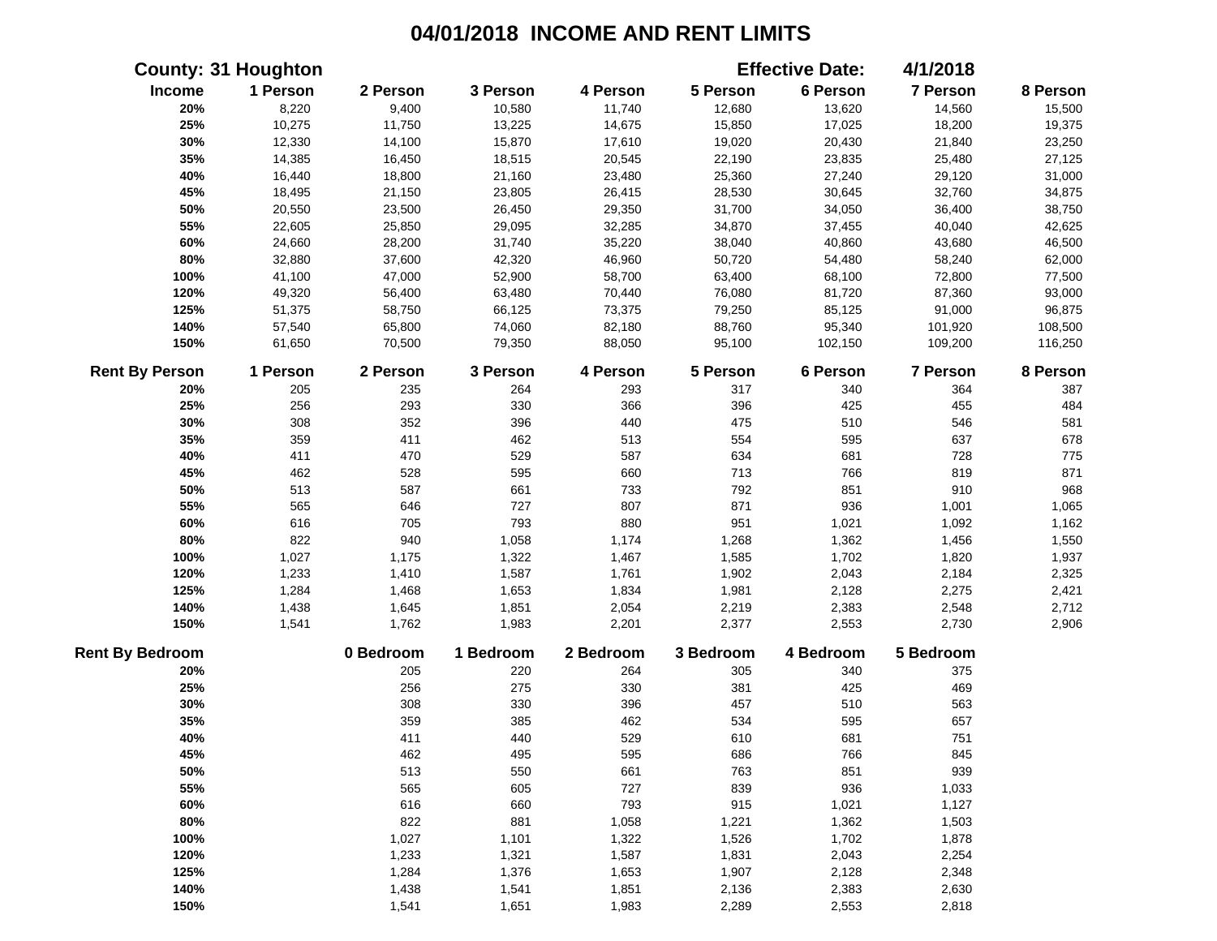|                        | <b>County: 31 Houghton</b> |           |           |           |           | <b>Effective Date:</b> | 4/1/2018        |          |
|------------------------|----------------------------|-----------|-----------|-----------|-----------|------------------------|-----------------|----------|
| Income                 | 1 Person                   | 2 Person  | 3 Person  | 4 Person  | 5 Person  | 6 Person               | 7 Person        | 8 Person |
| 20%                    | 8,220                      | 9,400     | 10,580    | 11,740    | 12,680    | 13,620                 | 14,560          | 15,500   |
| 25%                    | 10,275                     | 11,750    | 13,225    | 14,675    | 15,850    | 17,025                 | 18,200          | 19,375   |
| 30%                    | 12,330                     | 14,100    | 15,870    | 17,610    | 19,020    | 20,430                 | 21,840          | 23,250   |
| 35%                    | 14,385                     | 16,450    | 18,515    | 20,545    | 22,190    | 23,835                 | 25,480          | 27,125   |
| 40%                    | 16,440                     | 18,800    | 21,160    | 23,480    | 25,360    | 27,240                 | 29,120          | 31,000   |
| 45%                    | 18,495                     | 21,150    | 23,805    | 26,415    | 28,530    | 30,645                 | 32,760          | 34,875   |
| 50%                    | 20,550                     | 23,500    | 26,450    | 29,350    | 31,700    | 34,050                 | 36,400          | 38,750   |
| 55%                    | 22,605                     | 25,850    | 29,095    | 32,285    | 34,870    | 37,455                 | 40,040          | 42,625   |
| 60%                    | 24,660                     | 28,200    | 31,740    | 35,220    | 38,040    | 40,860                 | 43,680          | 46,500   |
| 80%                    | 32,880                     | 37,600    | 42,320    | 46,960    | 50,720    | 54,480                 | 58,240          | 62,000   |
| 100%                   | 41,100                     | 47,000    | 52,900    | 58,700    | 63,400    | 68,100                 | 72,800          | 77,500   |
| 120%                   | 49,320                     | 56,400    | 63,480    | 70,440    | 76,080    | 81,720                 | 87,360          | 93,000   |
| 125%                   | 51,375                     | 58,750    | 66,125    | 73,375    | 79,250    | 85,125                 | 91,000          | 96,875   |
| 140%                   | 57,540                     | 65,800    | 74,060    | 82,180    | 88,760    | 95,340                 | 101,920         | 108,500  |
| 150%                   | 61,650                     | 70,500    | 79,350    | 88,050    | 95,100    | 102,150                | 109,200         | 116,250  |
| <b>Rent By Person</b>  | 1 Person                   | 2 Person  | 3 Person  | 4 Person  | 5 Person  | 6 Person               | <b>7 Person</b> | 8 Person |
| 20%                    | 205                        | 235       | 264       | 293       | 317       | 340                    | 364             | 387      |
| 25%                    | 256                        | 293       | 330       | 366       | 396       | 425                    | 455             | 484      |
| 30%                    | 308                        | 352       | 396       | 440       | 475       | 510                    | 546             | 581      |
| 35%                    | 359                        | 411       | 462       | 513       | 554       | 595                    | 637             | 678      |
| 40%                    | 411                        | 470       | 529       | 587       | 634       | 681                    | 728             | 775      |
| 45%                    | 462                        | 528       | 595       | 660       | 713       | 766                    | 819             | 871      |
| 50%                    | 513                        | 587       | 661       | 733       | 792       | 851                    | 910             | 968      |
| 55%                    | 565                        | 646       | 727       | 807       | 871       | 936                    | 1,001           | 1,065    |
| 60%                    | 616                        | 705       | 793       | 880       | 951       | 1,021                  | 1,092           | 1,162    |
| 80%                    | 822                        | 940       | 1,058     | 1,174     | 1,268     | 1,362                  | 1,456           | 1,550    |
| 100%                   | 1,027                      | 1,175     | 1,322     | 1,467     | 1,585     | 1,702                  | 1,820           | 1,937    |
| 120%                   | 1,233                      | 1,410     | 1,587     | 1,761     | 1,902     | 2,043                  | 2,184           | 2,325    |
| 125%                   | 1,284                      | 1,468     | 1,653     | 1,834     | 1,981     | 2,128                  | 2,275           | 2,421    |
| 140%                   | 1,438                      | 1,645     | 1,851     | 2,054     | 2,219     | 2,383                  | 2,548           | 2,712    |
| 150%                   | 1,541                      | 1,762     | 1,983     | 2,201     | 2,377     | 2,553                  | 2,730           | 2,906    |
| <b>Rent By Bedroom</b> |                            | 0 Bedroom | 1 Bedroom | 2 Bedroom | 3 Bedroom | 4 Bedroom              | 5 Bedroom       |          |
| 20%                    |                            | 205       | 220       | 264       | 305       | 340                    | 375             |          |
| 25%                    |                            | 256       | 275       | 330       | 381       | 425                    | 469             |          |
| 30%                    |                            | 308       | 330       | 396       | 457       | 510                    | 563             |          |
| 35%                    |                            | 359       | 385       | 462       | 534       | 595                    | 657             |          |
| 40%                    |                            | 411       | 440       | 529       | 610       | 681                    | 751             |          |
| 45%                    |                            | 462       | 495       | 595       | 686       | 766                    | 845             |          |
| 50%                    |                            | 513       | 550       | 661       | 763       | 851                    | 939             |          |
| 55%                    |                            | 565       | 605       | 727       | 839       | 936                    | 1,033           |          |
| 60%                    |                            | 616       | 660       | 793       | 915       | 1,021                  | 1,127           |          |
| 80%                    |                            | 822       | 881       | 1,058     | 1,221     | 1,362                  | 1,503           |          |
| 100%                   |                            | 1,027     | 1,101     | 1,322     | 1,526     | 1,702                  | 1,878           |          |
| 120%                   |                            | 1,233     | 1,321     | 1,587     | 1,831     | 2,043                  | 2,254           |          |
| 125%                   |                            | 1,284     | 1,376     | 1,653     | 1,907     | 2,128                  | 2,348           |          |
| 140%                   |                            | 1,438     | 1,541     | 1,851     | 2,136     | 2,383                  | 2,630           |          |
| 150%                   |                            | 1,541     | 1,651     | 1,983     | 2,289     | 2,553                  | 2,818           |          |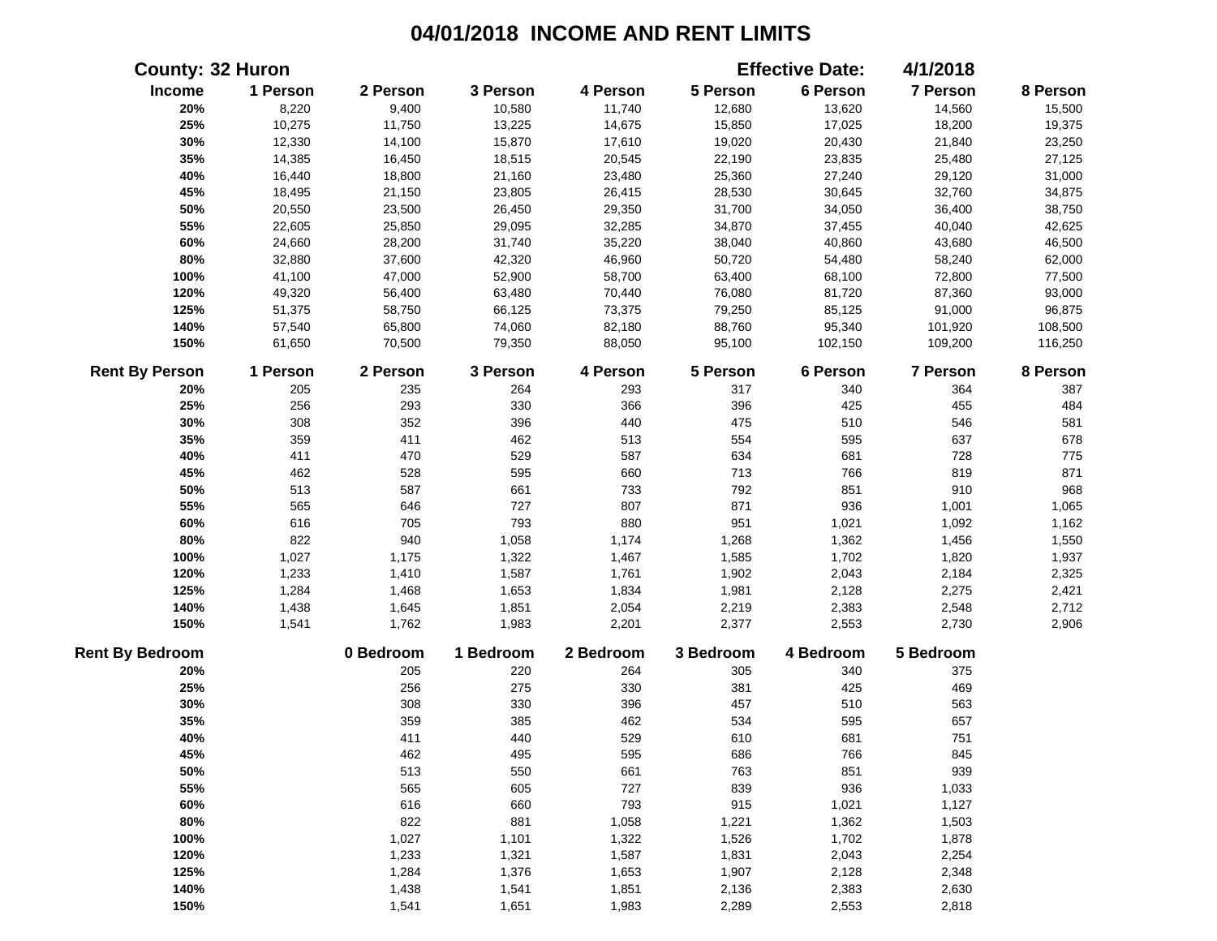|                        | <b>County: 32 Huron</b> |           |           |           |           | <b>Effective Date:</b> | 4/1/2018  |          |
|------------------------|-------------------------|-----------|-----------|-----------|-----------|------------------------|-----------|----------|
| Income                 | 1 Person                | 2 Person  | 3 Person  | 4 Person  | 5 Person  | 6 Person               | 7 Person  | 8 Person |
| 20%                    | 8,220                   | 9,400     | 10,580    | 11,740    | 12,680    | 13,620                 | 14,560    | 15,500   |
| 25%                    | 10,275                  | 11,750    | 13,225    | 14,675    | 15,850    | 17,025                 | 18,200    | 19,375   |
| 30%                    | 12,330                  | 14,100    | 15,870    | 17,610    | 19,020    | 20,430                 | 21,840    | 23,250   |
| 35%                    | 14,385                  | 16,450    | 18,515    | 20,545    | 22,190    | 23,835                 | 25,480    | 27,125   |
| 40%                    | 16,440                  | 18,800    | 21,160    | 23,480    | 25,360    | 27,240                 | 29,120    | 31,000   |
| 45%                    | 18,495                  | 21,150    | 23,805    | 26,415    | 28,530    | 30,645                 | 32,760    | 34,875   |
| 50%                    | 20,550                  | 23,500    | 26,450    | 29,350    | 31,700    | 34,050                 | 36,400    | 38,750   |
| 55%                    | 22,605                  | 25,850    | 29,095    | 32,285    | 34,870    | 37,455                 | 40,040    | 42,625   |
| 60%                    | 24,660                  | 28,200    | 31,740    | 35,220    | 38,040    | 40,860                 | 43,680    | 46,500   |
| 80%                    | 32,880                  | 37,600    | 42,320    | 46,960    | 50,720    | 54,480                 | 58,240    | 62,000   |
| 100%                   | 41,100                  | 47,000    | 52,900    | 58,700    | 63,400    | 68,100                 | 72,800    | 77,500   |
| 120%                   | 49,320                  | 56,400    | 63,480    | 70,440    | 76,080    | 81,720                 | 87,360    | 93,000   |
| 125%                   | 51,375                  | 58,750    | 66,125    | 73,375    | 79,250    | 85,125                 | 91,000    | 96,875   |
| 140%                   | 57,540                  | 65,800    | 74,060    | 82,180    | 88,760    | 95,340                 | 101,920   | 108,500  |
| 150%                   | 61,650                  | 70,500    | 79,350    | 88,050    | 95,100    | 102,150                | 109,200   | 116,250  |
| <b>Rent By Person</b>  | 1 Person                | 2 Person  | 3 Person  | 4 Person  | 5 Person  | 6 Person               | 7 Person  | 8 Person |
| 20%                    | 205                     | 235       | 264       | 293       | 317       | 340                    | 364       | 387      |
| 25%                    | 256                     | 293       | 330       | 366       | 396       | 425                    | 455       | 484      |
| 30%                    | 308                     | 352       | 396       | 440       | 475       | 510                    | 546       | 581      |
| 35%                    | 359                     | 411       | 462       | 513       | 554       | 595                    | 637       | 678      |
| 40%                    | 411                     | 470       | 529       | 587       | 634       | 681                    | 728       | 775      |
| 45%                    | 462                     | 528       | 595       | 660       | 713       | 766                    | 819       | 871      |
| 50%                    | 513                     | 587       | 661       | 733       | 792       | 851                    | 910       | 968      |
| 55%                    | 565                     | 646       | 727       | 807       | 871       | 936                    | 1,001     | 1,065    |
| 60%                    | 616                     | 705       | 793       | 880       | 951       | 1,021                  | 1,092     | 1,162    |
| 80%                    | 822                     | 940       | 1,058     | 1,174     | 1,268     | 1,362                  | 1,456     | 1,550    |
| 100%                   | 1,027                   | 1,175     | 1,322     | 1,467     | 1,585     | 1,702                  | 1,820     | 1,937    |
| 120%                   | 1,233                   | 1,410     | 1,587     | 1,761     | 1,902     | 2,043                  | 2,184     | 2,325    |
| 125%                   | 1,284                   | 1,468     | 1,653     | 1,834     | 1,981     | 2,128                  | 2,275     | 2,421    |
| 140%                   | 1,438                   | 1,645     | 1,851     | 2,054     | 2,219     | 2,383                  | 2,548     | 2,712    |
| 150%                   | 1,541                   | 1,762     | 1,983     | 2,201     | 2,377     | 2,553                  | 2,730     | 2,906    |
| <b>Rent By Bedroom</b> |                         | 0 Bedroom | 1 Bedroom | 2 Bedroom | 3 Bedroom | 4 Bedroom              | 5 Bedroom |          |
| 20%                    |                         | 205       | 220       | 264       | 305       | 340                    | 375       |          |
| 25%                    |                         | 256       | 275       | 330       | 381       | 425                    | 469       |          |
| 30%                    |                         | 308       | 330       | 396       | 457       | 510                    | 563       |          |
| 35%                    |                         | 359       | 385       | 462       | 534       | 595                    | 657       |          |
| 40%                    |                         | 411       | 440       | 529       | 610       | 681                    | 751       |          |
| 45%                    |                         | 462       | 495       | 595       | 686       | 766                    | 845       |          |
| 50%                    |                         | 513       | 550       | 661       | 763       | 851                    | 939       |          |
| 55%                    |                         | 565       | 605       | 727       | 839       | 936                    | 1,033     |          |
| 60%                    |                         | 616       | 660       | 793       | 915       | 1,021                  | 1,127     |          |
| 80%                    |                         | 822       | 881       | 1,058     | 1,221     | 1,362                  | 1,503     |          |
| 100%                   |                         | 1,027     | 1,101     | 1,322     | 1,526     | 1,702                  | 1,878     |          |
| 120%                   |                         | 1,233     | 1,321     | 1,587     | 1,831     | 2,043                  | 2,254     |          |
| 125%                   |                         | 1,284     | 1,376     | 1,653     | 1,907     | 2,128                  | 2,348     |          |
| 140%                   |                         | 1,438     | 1,541     | 1,851     | 2,136     | 2,383                  | 2,630     |          |
| 150%                   |                         | 1,541     | 1,651     | 1,983     | 2,289     | 2,553                  | 2,818     |          |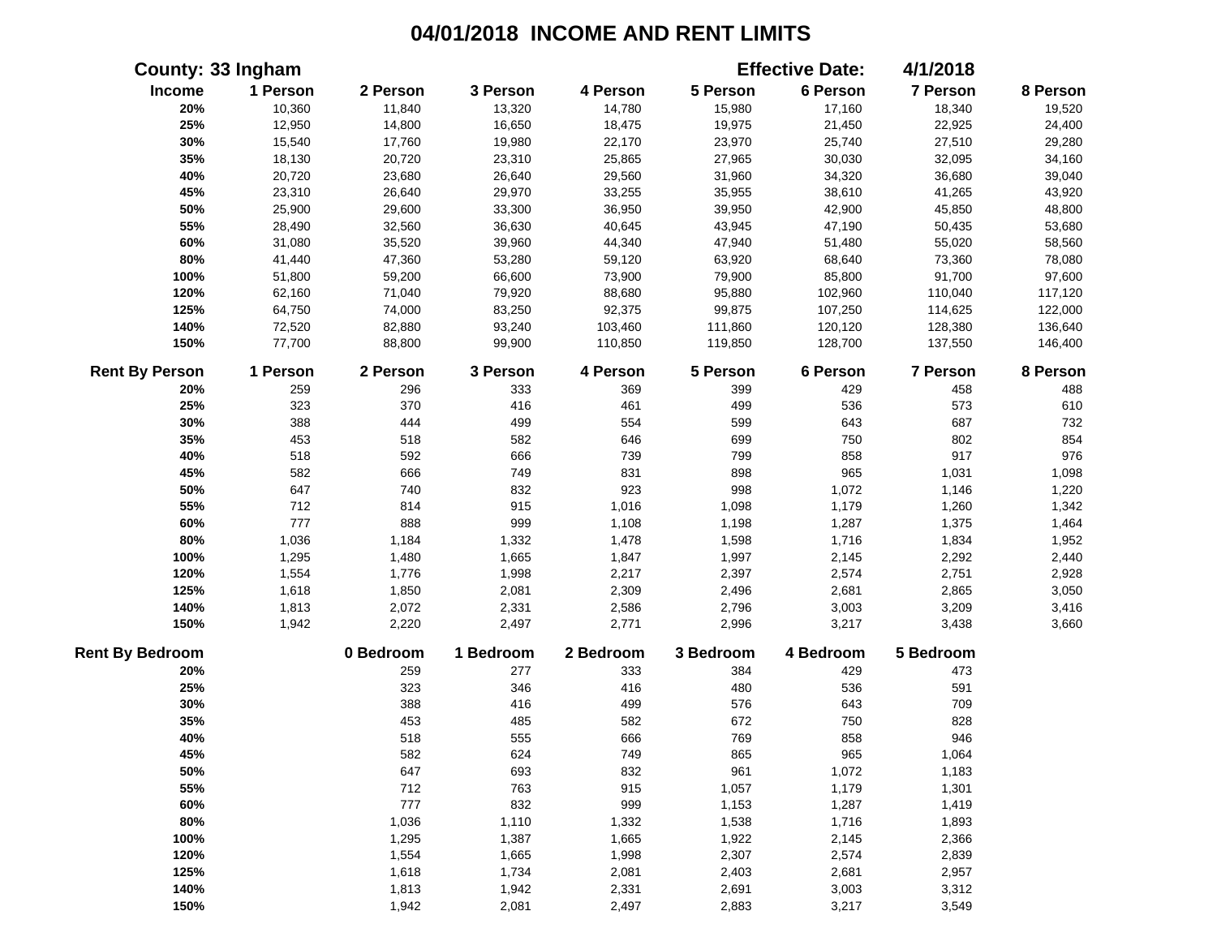|                        | County: 33 Ingham |           |           |           |           | <b>Effective Date:</b> | 4/1/2018        |          |
|------------------------|-------------------|-----------|-----------|-----------|-----------|------------------------|-----------------|----------|
| Income                 | 1 Person          | 2 Person  | 3 Person  | 4 Person  | 5 Person  | 6 Person               | 7 Person        | 8 Person |
| 20%                    | 10,360            | 11,840    | 13,320    | 14,780    | 15,980    | 17,160                 | 18,340          | 19,520   |
| 25%                    | 12,950            | 14,800    | 16,650    | 18,475    | 19,975    | 21,450                 | 22,925          | 24,400   |
| 30%                    | 15,540            | 17,760    | 19,980    | 22,170    | 23,970    | 25,740                 | 27,510          | 29,280   |
| 35%                    | 18,130            | 20,720    | 23,310    | 25,865    | 27,965    | 30,030                 | 32,095          | 34,160   |
| 40%                    | 20,720            | 23,680    | 26,640    | 29,560    | 31,960    | 34,320                 | 36,680          | 39,040   |
| 45%                    | 23,310            | 26,640    | 29,970    | 33,255    | 35,955    | 38,610                 | 41,265          | 43,920   |
| 50%                    | 25,900            | 29,600    | 33,300    | 36,950    | 39,950    | 42,900                 | 45,850          | 48,800   |
| 55%                    | 28,490            | 32,560    | 36,630    | 40,645    | 43,945    | 47,190                 | 50,435          | 53,680   |
| 60%                    | 31,080            | 35,520    | 39,960    | 44,340    | 47,940    | 51,480                 | 55,020          | 58,560   |
| 80%                    | 41,440            | 47,360    | 53,280    | 59,120    | 63,920    | 68,640                 | 73,360          | 78,080   |
| 100%                   | 51,800            | 59,200    | 66,600    | 73,900    | 79,900    | 85,800                 | 91,700          | 97,600   |
| 120%                   | 62,160            | 71,040    | 79,920    | 88,680    | 95,880    | 102,960                | 110,040         | 117,120  |
| 125%                   | 64,750            | 74,000    | 83,250    | 92,375    | 99,875    | 107,250                | 114,625         | 122,000  |
| 140%                   | 72,520            | 82,880    | 93,240    | 103,460   | 111,860   | 120,120                | 128,380         | 136,640  |
| 150%                   | 77,700            | 88,800    | 99,900    | 110,850   | 119,850   | 128,700                | 137,550         | 146,400  |
| <b>Rent By Person</b>  | 1 Person          | 2 Person  | 3 Person  | 4 Person  | 5 Person  | 6 Person               | <b>7 Person</b> | 8 Person |
| 20%                    | 259               | 296       | 333       | 369       | 399       | 429                    | 458             | 488      |
| 25%                    | 323               | 370       | 416       | 461       | 499       | 536                    | 573             | 610      |
| 30%                    | 388               | 444       | 499       | 554       | 599       | 643                    | 687             | 732      |
| 35%                    | 453               | 518       | 582       | 646       | 699       | 750                    | 802             | 854      |
| 40%                    | 518               | 592       | 666       | 739       | 799       | 858                    | 917             | 976      |
| 45%                    | 582               | 666       | 749       | 831       | 898       | 965                    | 1,031           | 1,098    |
| 50%                    | 647               | 740       | 832       | 923       | 998       | 1,072                  | 1,146           | 1,220    |
| 55%                    | 712               | 814       | 915       | 1,016     | 1,098     | 1,179                  | 1,260           | 1,342    |
| 60%                    | 777               | 888       | 999       | 1,108     | 1,198     | 1,287                  | 1,375           | 1,464    |
| 80%                    | 1,036             | 1,184     | 1,332     | 1,478     | 1,598     | 1,716                  | 1,834           | 1,952    |
| 100%                   | 1,295             | 1,480     | 1,665     | 1,847     | 1,997     | 2,145                  | 2,292           | 2,440    |
| 120%                   | 1,554             | 1,776     | 1,998     | 2,217     | 2,397     | 2,574                  | 2,751           | 2,928    |
| 125%                   | 1,618             | 1,850     | 2,081     | 2,309     | 2,496     | 2,681                  | 2,865           | 3,050    |
| 140%                   | 1,813             | 2,072     | 2,331     | 2,586     | 2,796     | 3,003                  | 3,209           | 3,416    |
| 150%                   | 1,942             | 2,220     | 2,497     | 2,771     | 2,996     | 3,217                  | 3,438           | 3,660    |
| <b>Rent By Bedroom</b> |                   | 0 Bedroom | 1 Bedroom | 2 Bedroom | 3 Bedroom | 4 Bedroom              | 5 Bedroom       |          |
| 20%                    |                   | 259       | 277       | 333       | 384       | 429                    | 473             |          |
| 25%                    |                   | 323       | 346       | 416       | 480       | 536                    | 591             |          |
| 30%                    |                   | 388       | 416       | 499       | 576       | 643                    | 709             |          |
| 35%                    |                   | 453       | 485       | 582       | 672       | 750                    | 828             |          |
| 40%                    |                   | 518       | 555       | 666       | 769       | 858                    | 946             |          |
| 45%                    |                   | 582       | 624       | 749       | 865       | 965                    | 1,064           |          |
| 50%                    |                   | 647       | 693       | 832       | 961       | 1,072                  | 1,183           |          |
| 55%                    |                   | 712       | 763       | 915       | 1,057     | 1,179                  | 1,301           |          |
| 60%                    |                   | 777       | 832       | 999       | 1,153     | 1,287                  | 1,419           |          |
| 80%                    |                   | 1,036     | 1,110     | 1,332     | 1,538     | 1,716                  | 1,893           |          |
| 100%                   |                   | 1,295     | 1,387     | 1,665     | 1,922     | 2,145                  | 2,366           |          |
| 120%                   |                   | 1,554     | 1,665     | 1,998     | 2,307     | 2,574                  | 2,839           |          |
| 125%                   |                   | 1,618     | 1,734     | 2,081     | 2,403     | 2,681                  | 2,957           |          |
| 140%                   |                   | 1,813     | 1,942     | 2,331     | 2,691     | 3,003                  | 3,312           |          |
| 150%                   |                   | 1,942     | 2,081     | 2,497     | 2,883     | 3,217                  | 3,549           |          |
|                        |                   |           |           |           |           |                        |                 |          |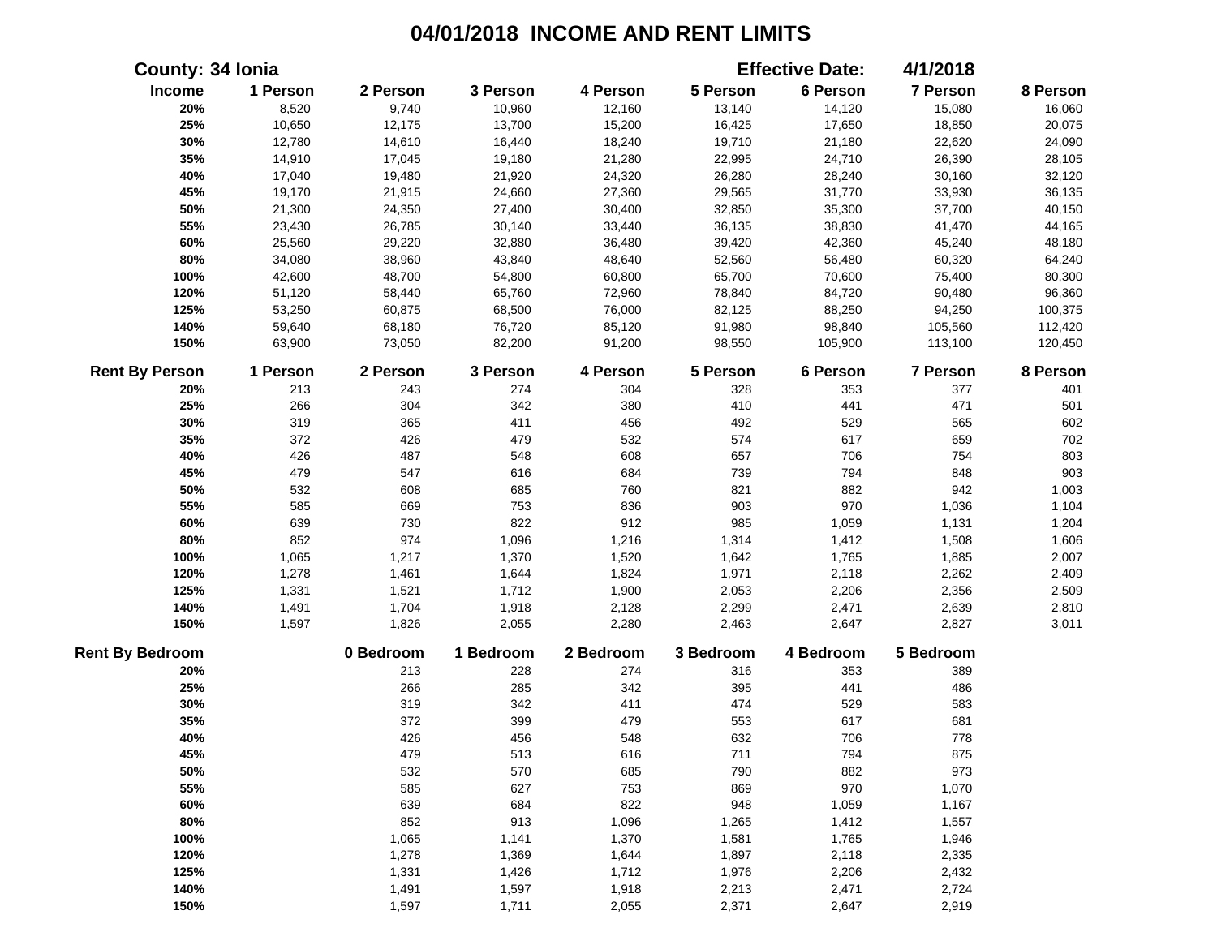|                        | County: 34 Ionia |           |           |           |           | <b>Effective Date:</b> | 4/1/2018  |          |
|------------------------|------------------|-----------|-----------|-----------|-----------|------------------------|-----------|----------|
| Income                 | 1 Person         | 2 Person  | 3 Person  | 4 Person  | 5 Person  | 6 Person               | 7 Person  | 8 Person |
| 20%                    | 8,520            | 9,740     | 10,960    | 12,160    | 13,140    | 14,120                 | 15,080    | 16,060   |
| 25%                    | 10,650           | 12,175    | 13,700    | 15,200    | 16,425    | 17,650                 | 18,850    | 20,075   |
| 30%                    | 12,780           | 14,610    | 16,440    | 18,240    | 19,710    | 21,180                 | 22,620    | 24,090   |
| 35%                    | 14,910           | 17,045    | 19,180    | 21,280    | 22,995    | 24,710                 | 26,390    | 28,105   |
| 40%                    | 17,040           | 19,480    | 21,920    | 24,320    | 26,280    | 28,240                 | 30,160    | 32,120   |
| 45%                    | 19,170           | 21,915    | 24,660    | 27,360    | 29,565    | 31,770                 | 33,930    | 36,135   |
| 50%                    | 21,300           | 24,350    | 27,400    | 30,400    | 32,850    | 35,300                 | 37,700    | 40,150   |
| 55%                    | 23,430           | 26,785    | 30,140    | 33,440    | 36,135    | 38,830                 | 41,470    | 44,165   |
| 60%                    | 25,560           | 29,220    | 32,880    | 36,480    | 39,420    | 42,360                 | 45,240    | 48,180   |
| 80%                    | 34,080           | 38,960    | 43,840    | 48,640    | 52,560    | 56,480                 | 60,320    | 64,240   |
| 100%                   | 42,600           | 48,700    | 54,800    | 60,800    | 65,700    | 70,600                 | 75,400    | 80,300   |
| 120%                   | 51,120           | 58,440    | 65,760    | 72,960    | 78,840    | 84,720                 | 90,480    | 96,360   |
| 125%                   | 53,250           | 60,875    | 68,500    | 76,000    | 82,125    | 88,250                 | 94,250    | 100,375  |
| 140%                   | 59,640           | 68,180    | 76,720    | 85,120    | 91,980    | 98,840                 | 105,560   | 112,420  |
| 150%                   | 63,900           | 73,050    | 82,200    | 91,200    | 98,550    | 105,900                | 113,100   | 120,450  |
| <b>Rent By Person</b>  | 1 Person         | 2 Person  | 3 Person  | 4 Person  | 5 Person  | 6 Person               | 7 Person  | 8 Person |
| 20%                    | 213              | 243       | 274       | 304       | 328       | 353                    | 377       | 401      |
| 25%                    | 266              | 304       | 342       | 380       | 410       | 441                    | 471       | 501      |
| 30%                    | 319              | 365       | 411       | 456       | 492       | 529                    | 565       | 602      |
| 35%                    | 372              | 426       | 479       | 532       | 574       | 617                    | 659       | 702      |
| 40%                    | 426              | 487       | 548       | 608       | 657       | 706                    | 754       | 803      |
| 45%                    | 479              | 547       | 616       | 684       | 739       | 794                    | 848       | 903      |
| 50%                    | 532              | 608       | 685       | 760       | 821       | 882                    | 942       | 1,003    |
| 55%                    | 585              | 669       | 753       | 836       | 903       | 970                    | 1,036     | 1,104    |
| 60%                    | 639              | 730       | 822       | 912       | 985       | 1,059                  | 1,131     | 1,204    |
| 80%                    | 852              | 974       | 1,096     | 1,216     | 1,314     | 1,412                  | 1,508     | 1,606    |
| 100%                   | 1,065            | 1,217     | 1,370     | 1,520     | 1,642     | 1,765                  | 1,885     | 2,007    |
| 120%                   | 1,278            | 1,461     | 1,644     | 1,824     | 1,971     | 2,118                  | 2,262     | 2,409    |
| 125%                   | 1,331            | 1,521     | 1,712     | 1,900     | 2,053     | 2,206                  | 2,356     | 2,509    |
| 140%                   | 1,491            | 1,704     | 1,918     | 2,128     | 2,299     | 2,471                  | 2,639     | 2,810    |
| 150%                   | 1,597            | 1,826     | 2,055     | 2,280     | 2,463     | 2,647                  | 2,827     | 3,011    |
| <b>Rent By Bedroom</b> |                  | 0 Bedroom | 1 Bedroom | 2 Bedroom | 3 Bedroom | 4 Bedroom              | 5 Bedroom |          |
| 20%                    |                  | 213       | 228       | 274       | 316       | 353                    | 389       |          |
| 25%                    |                  | 266       | 285       | 342       | 395       | 441                    | 486       |          |
| 30%                    |                  | 319       | 342       | 411       | 474       | 529                    | 583       |          |
| 35%                    |                  | 372       | 399       | 479       | 553       | 617                    | 681       |          |
| 40%                    |                  | 426       | 456       | 548       | 632       | 706                    | 778       |          |
| 45%                    |                  | 479       | 513       | 616       | 711       | 794                    | 875       |          |
| 50%                    |                  | 532       | 570       | 685       | 790       | 882                    | 973       |          |
| 55%                    |                  | 585       | 627       | 753       | 869       | 970                    | 1,070     |          |
| 60%                    |                  | 639       | 684       | 822       | 948       | 1,059                  | 1,167     |          |
| 80%                    |                  | 852       | 913       | 1,096     | 1,265     | 1,412                  | 1,557     |          |
| 100%                   |                  | 1,065     | 1,141     | 1,370     | 1,581     | 1,765                  | 1,946     |          |
| 120%                   |                  | 1,278     | 1,369     | 1,644     | 1,897     | 2,118                  | 2,335     |          |
| 125%                   |                  | 1,331     | 1,426     | 1,712     | 1,976     | 2,206                  | 2,432     |          |
| 140%                   |                  | 1,491     | 1,597     | 1,918     | 2,213     | 2,471                  | 2,724     |          |
| 150%                   |                  | 1,597     | 1,711     | 2,055     | 2,371     | 2,647                  | 2,919     |          |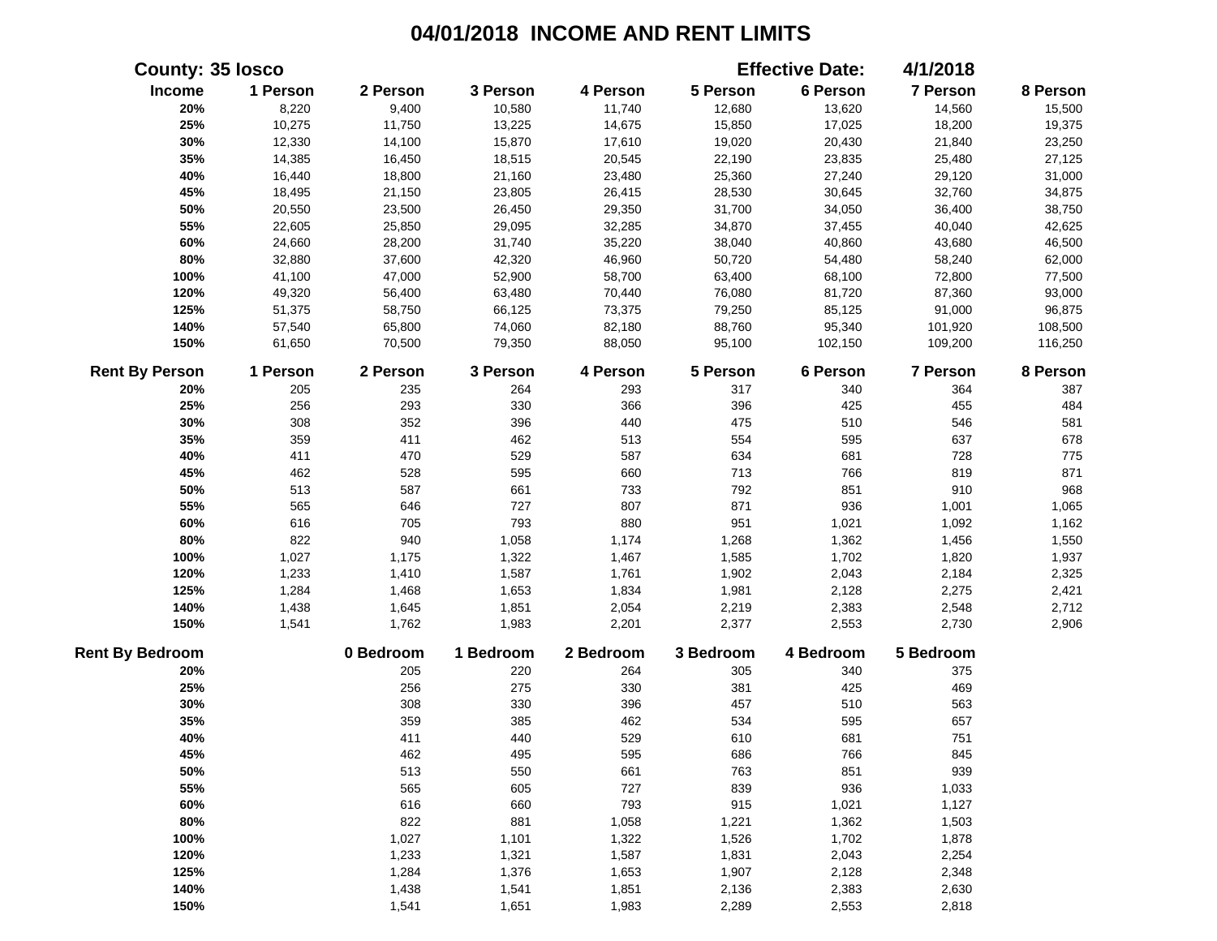|                        | <b>County: 35 losco</b> |           |           |           |           | <b>Effective Date:</b> | 4/1/2018  |          |
|------------------------|-------------------------|-----------|-----------|-----------|-----------|------------------------|-----------|----------|
| Income                 | 1 Person                | 2 Person  | 3 Person  | 4 Person  | 5 Person  | 6 Person               | 7 Person  | 8 Person |
| 20%                    | 8,220                   | 9,400     | 10,580    | 11,740    | 12,680    | 13,620                 | 14,560    | 15,500   |
| 25%                    | 10,275                  | 11,750    | 13,225    | 14,675    | 15,850    | 17,025                 | 18,200    | 19,375   |
| 30%                    | 12,330                  | 14,100    | 15,870    | 17,610    | 19,020    | 20,430                 | 21,840    | 23,250   |
| 35%                    | 14,385                  | 16,450    | 18,515    | 20,545    | 22,190    | 23,835                 | 25,480    | 27,125   |
| 40%                    | 16,440                  | 18,800    | 21,160    | 23,480    | 25,360    | 27,240                 | 29,120    | 31,000   |
| 45%                    | 18,495                  | 21,150    | 23,805    | 26,415    | 28,530    | 30,645                 | 32,760    | 34,875   |
| 50%                    | 20,550                  | 23,500    | 26,450    | 29,350    | 31,700    | 34,050                 | 36,400    | 38,750   |
| 55%                    | 22,605                  | 25,850    | 29,095    | 32,285    | 34,870    | 37,455                 | 40,040    | 42,625   |
| 60%                    | 24,660                  | 28,200    | 31,740    | 35,220    | 38,040    | 40,860                 | 43,680    | 46,500   |
| 80%                    | 32,880                  | 37,600    | 42,320    | 46,960    | 50,720    | 54,480                 | 58,240    | 62,000   |
| 100%                   | 41,100                  | 47,000    | 52,900    | 58,700    | 63,400    | 68,100                 | 72,800    | 77,500   |
| 120%                   | 49,320                  | 56,400    | 63,480    | 70,440    | 76,080    | 81,720                 | 87,360    | 93,000   |
| 125%                   | 51,375                  | 58,750    | 66,125    | 73,375    | 79,250    | 85,125                 | 91,000    | 96,875   |
| 140%                   | 57,540                  | 65,800    | 74,060    | 82,180    | 88,760    | 95,340                 | 101,920   | 108,500  |
| 150%                   | 61,650                  | 70,500    | 79,350    | 88,050    | 95,100    | 102,150                | 109,200   | 116,250  |
| <b>Rent By Person</b>  | 1 Person                | 2 Person  | 3 Person  | 4 Person  | 5 Person  | 6 Person               | 7 Person  | 8 Person |
| 20%                    | 205                     | 235       | 264       | 293       | 317       | 340                    | 364       | 387      |
| 25%                    | 256                     | 293       | 330       | 366       | 396       | 425                    | 455       | 484      |
| 30%                    | 308                     | 352       | 396       | 440       | 475       | 510                    | 546       | 581      |
| 35%                    | 359                     | 411       | 462       | 513       | 554       | 595                    | 637       | 678      |
| 40%                    | 411                     | 470       | 529       | 587       | 634       | 681                    | 728       | 775      |
| 45%                    | 462                     | 528       | 595       | 660       | 713       | 766                    | 819       | 871      |
| 50%                    | 513                     | 587       | 661       | 733       | 792       | 851                    | 910       | 968      |
| 55%                    | 565                     | 646       | 727       | 807       | 871       | 936                    | 1,001     | 1,065    |
| 60%                    | 616                     | 705       | 793       | 880       | 951       | 1,021                  | 1,092     | 1,162    |
| 80%                    | 822                     | 940       | 1,058     | 1,174     | 1,268     | 1,362                  | 1,456     | 1,550    |
| 100%                   | 1,027                   | 1,175     | 1,322     | 1,467     | 1,585     | 1,702                  | 1,820     | 1,937    |
| 120%                   | 1,233                   | 1,410     | 1,587     | 1,761     | 1,902     | 2,043                  | 2,184     | 2,325    |
| 125%                   | 1,284                   | 1,468     | 1,653     | 1,834     | 1,981     | 2,128                  | 2,275     | 2,421    |
| 140%                   | 1,438                   | 1,645     | 1,851     | 2,054     | 2,219     | 2,383                  | 2,548     | 2,712    |
| 150%                   | 1,541                   | 1,762     | 1,983     | 2,201     | 2,377     | 2,553                  | 2,730     | 2,906    |
| <b>Rent By Bedroom</b> |                         | 0 Bedroom | 1 Bedroom | 2 Bedroom | 3 Bedroom | 4 Bedroom              | 5 Bedroom |          |
| 20%                    |                         | 205       | 220       | 264       | 305       | 340                    | 375       |          |
| 25%                    |                         | 256       | 275       | 330       | 381       | 425                    | 469       |          |
| 30%                    |                         | 308       | 330       | 396       | 457       | 510                    | 563       |          |
| 35%                    |                         | 359       | 385       | 462       | 534       | 595                    | 657       |          |
| 40%                    |                         | 411       | 440       | 529       | 610       | 681                    | 751       |          |
| 45%                    |                         | 462       | 495       | 595       | 686       | 766                    | 845       |          |
| 50%                    |                         | 513       | 550       | 661       | 763       | 851                    | 939       |          |
| 55%                    |                         | 565       | 605       | 727       | 839       | 936                    | 1,033     |          |
| 60%                    |                         | 616       | 660       | 793       | 915       | 1,021                  | 1,127     |          |
| 80%                    |                         | 822       | 881       | 1,058     | 1,221     | 1,362                  | 1,503     |          |
| 100%                   |                         | 1,027     | 1,101     | 1,322     | 1,526     | 1,702                  | 1,878     |          |
| 120%                   |                         | 1,233     | 1,321     | 1,587     | 1,831     | 2,043                  | 2,254     |          |
| 125%                   |                         | 1,284     | 1,376     | 1,653     | 1,907     | 2,128                  | 2,348     |          |
| 140%                   |                         | 1,438     | 1,541     | 1,851     | 2,136     | 2,383                  | 2,630     |          |
| 150%                   |                         | 1,541     | 1,651     | 1,983     | 2,289     | 2,553                  | 2,818     |          |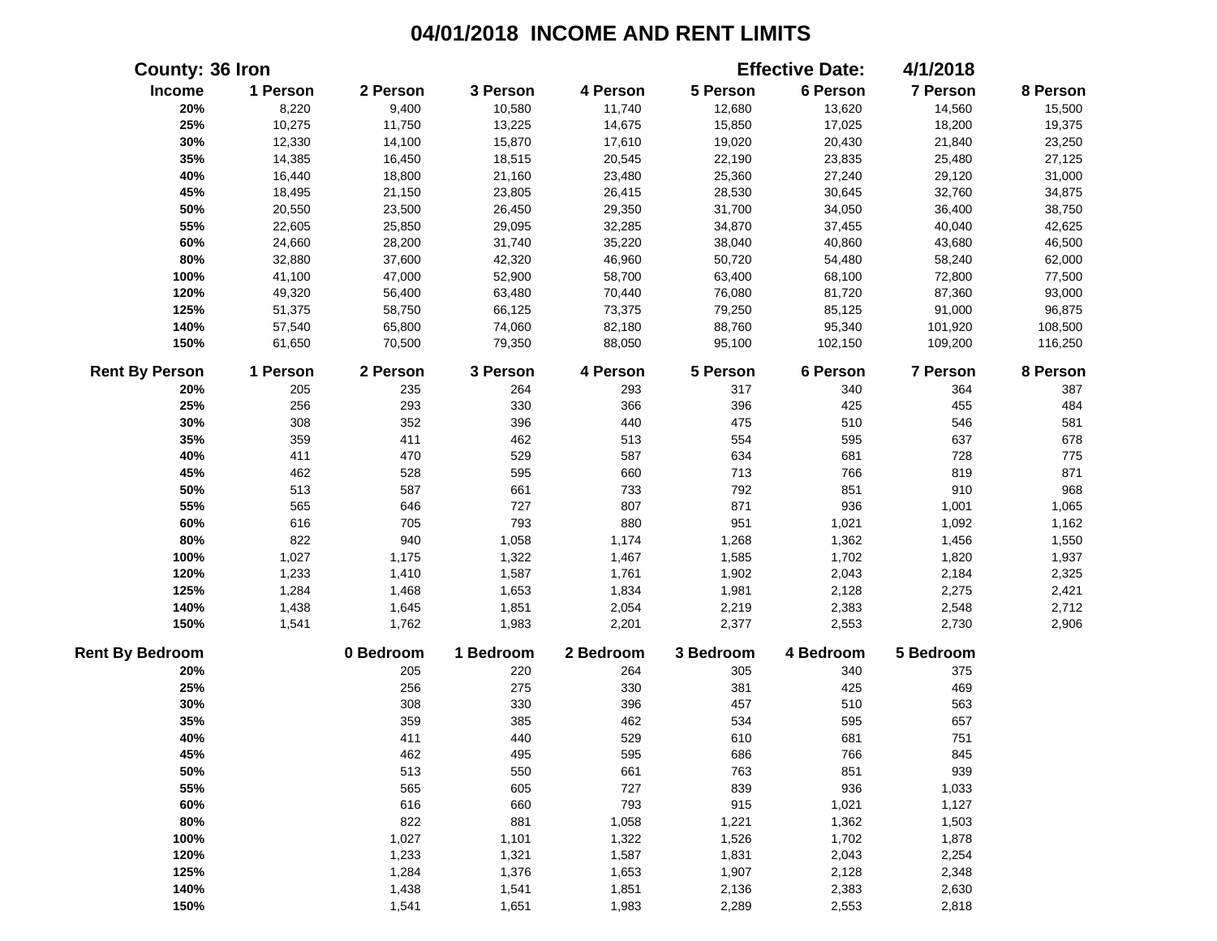| <b>County: 36 Iron</b> |          |           |           |           |           | <b>Effective Date:</b> | 4/1/2018  |          |
|------------------------|----------|-----------|-----------|-----------|-----------|------------------------|-----------|----------|
| Income                 | 1 Person | 2 Person  | 3 Person  | 4 Person  | 5 Person  | 6 Person               | 7 Person  | 8 Person |
| 20%                    | 8,220    | 9,400     | 10,580    | 11,740    | 12,680    | 13,620                 | 14,560    | 15,500   |
| 25%                    | 10,275   | 11,750    | 13,225    | 14,675    | 15,850    | 17,025                 | 18,200    | 19,375   |
| 30%                    | 12,330   | 14,100    | 15,870    | 17,610    | 19,020    | 20,430                 | 21,840    | 23,250   |
| 35%                    | 14,385   | 16,450    | 18,515    | 20,545    | 22,190    | 23,835                 | 25,480    | 27,125   |
| 40%                    | 16,440   | 18,800    | 21,160    | 23,480    | 25,360    | 27,240                 | 29,120    | 31,000   |
| 45%                    | 18,495   | 21,150    | 23,805    | 26,415    | 28,530    | 30,645                 | 32,760    | 34,875   |
| 50%                    | 20,550   | 23,500    | 26,450    | 29,350    | 31,700    | 34,050                 | 36,400    | 38,750   |
| 55%                    | 22,605   | 25,850    | 29,095    | 32,285    | 34,870    | 37,455                 | 40,040    | 42,625   |
| 60%                    | 24,660   | 28,200    | 31,740    | 35,220    | 38,040    | 40,860                 | 43,680    | 46,500   |
| 80%                    | 32,880   | 37,600    | 42,320    | 46,960    | 50,720    | 54,480                 | 58,240    | 62,000   |
| 100%                   | 41,100   | 47,000    | 52,900    | 58,700    | 63,400    | 68,100                 | 72,800    | 77,500   |
| 120%                   | 49,320   | 56,400    | 63,480    | 70,440    | 76,080    | 81,720                 | 87,360    | 93,000   |
| 125%                   | 51,375   | 58,750    | 66,125    | 73,375    | 79,250    | 85,125                 | 91,000    | 96,875   |
| 140%                   | 57,540   | 65,800    | 74,060    | 82,180    | 88,760    | 95,340                 | 101,920   | 108,500  |
| 150%                   | 61,650   | 70,500    | 79,350    | 88,050    | 95,100    | 102,150                | 109,200   | 116,250  |
| <b>Rent By Person</b>  | 1 Person | 2 Person  | 3 Person  | 4 Person  | 5 Person  | 6 Person               | 7 Person  | 8 Person |
| 20%                    | 205      | 235       | 264       | 293       | 317       | 340                    | 364       | 387      |
| 25%                    | 256      | 293       | 330       | 366       | 396       | 425                    | 455       | 484      |
| 30%                    | 308      | 352       | 396       | 440       | 475       | 510                    | 546       | 581      |
| 35%                    | 359      | 411       | 462       | 513       | 554       | 595                    | 637       | 678      |
| 40%                    | 411      | 470       | 529       | 587       | 634       | 681                    | 728       | 775      |
| 45%                    | 462      | 528       | 595       | 660       | 713       | 766                    | 819       | 871      |
| 50%                    | 513      | 587       | 661       | 733       | 792       | 851                    | 910       | 968      |
| 55%                    | 565      | 646       | 727       | 807       | 871       | 936                    | 1,001     | 1,065    |
| 60%                    | 616      | 705       | 793       | 880       | 951       | 1,021                  | 1,092     | 1,162    |
| 80%                    | 822      | 940       | 1,058     | 1,174     | 1,268     | 1,362                  | 1,456     | 1,550    |
| 100%                   | 1,027    | 1,175     | 1,322     | 1,467     | 1,585     | 1,702                  | 1,820     | 1,937    |
| 120%                   | 1,233    | 1,410     | 1,587     | 1,761     | 1,902     | 2,043                  | 2,184     | 2,325    |
| 125%                   | 1,284    | 1,468     | 1,653     | 1,834     | 1,981     | 2,128                  | 2,275     | 2,421    |
| 140%                   | 1,438    | 1,645     | 1,851     | 2,054     | 2,219     | 2,383                  | 2,548     | 2,712    |
| 150%                   | 1,541    | 1,762     | 1,983     | 2,201     | 2,377     | 2,553                  | 2,730     | 2,906    |
| <b>Rent By Bedroom</b> |          | 0 Bedroom | 1 Bedroom | 2 Bedroom | 3 Bedroom | 4 Bedroom              | 5 Bedroom |          |
| 20%                    |          | 205       | 220       | 264       | 305       | 340                    | 375       |          |
| 25%                    |          | 256       | 275       | 330       | 381       | 425                    | 469       |          |
| 30%                    |          | 308       | 330       | 396       | 457       | 510                    | 563       |          |
| 35%                    |          | 359       | 385       | 462       | 534       | 595                    | 657       |          |
| 40%                    |          | 411       | 440       | 529       | 610       | 681                    | 751       |          |
| 45%                    |          | 462       | 495       | 595       | 686       | 766                    | 845       |          |
| 50%                    |          | 513       | 550       | 661       | 763       | 851                    | 939       |          |
| 55%                    |          | 565       | 605       | 727       | 839       | 936                    | 1,033     |          |
| 60%                    |          | 616       | 660       | 793       | 915       | 1,021                  | 1,127     |          |
| 80%                    |          | 822       | 881       | 1,058     | 1,221     | 1,362                  | 1,503     |          |
| 100%                   |          | 1,027     | 1,101     | 1,322     | 1,526     | 1,702                  | 1,878     |          |
| 120%                   |          | 1,233     | 1,321     | 1,587     | 1,831     | 2,043                  | 2,254     |          |
| 125%                   |          | 1,284     | 1,376     | 1,653     | 1,907     | 2,128                  | 2,348     |          |
| 140%                   |          | 1,438     | 1,541     | 1,851     | 2,136     | 2,383                  | 2,630     |          |
| 150%                   |          | 1,541     | 1,651     | 1,983     | 2,289     | 2,553                  | 2,818     |          |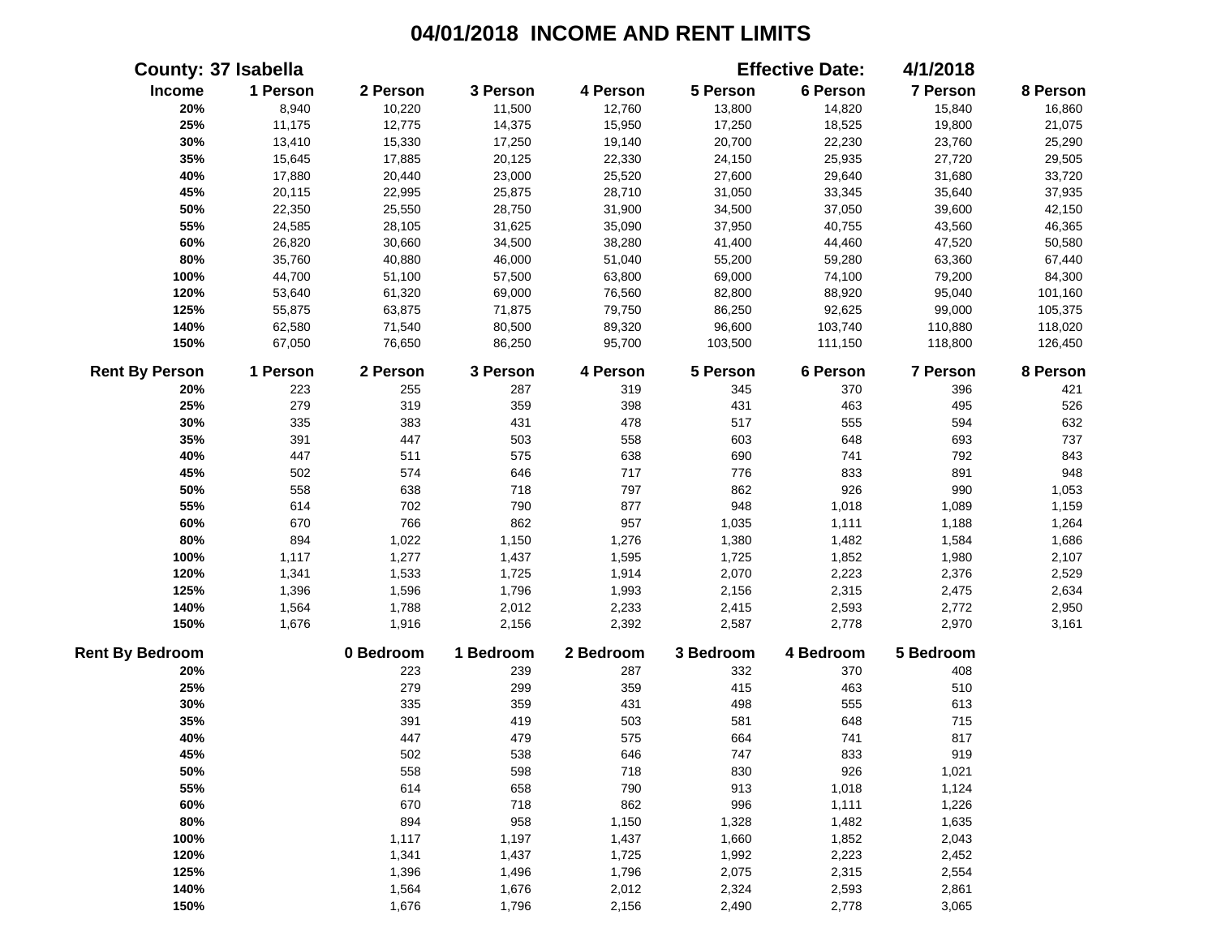|                        | <b>County: 37 Isabella</b> |           |           |           |           | <b>Effective Date:</b> | 4/1/2018  |          |
|------------------------|----------------------------|-----------|-----------|-----------|-----------|------------------------|-----------|----------|
| Income                 | 1 Person                   | 2 Person  | 3 Person  | 4 Person  | 5 Person  | 6 Person               | 7 Person  | 8 Person |
| 20%                    | 8,940                      | 10,220    | 11,500    | 12,760    | 13,800    | 14,820                 | 15,840    | 16,860   |
| 25%                    | 11,175                     | 12,775    | 14,375    | 15,950    | 17,250    | 18,525                 | 19,800    | 21,075   |
| 30%                    | 13,410                     | 15,330    | 17,250    | 19,140    | 20,700    | 22,230                 | 23,760    | 25,290   |
| 35%                    | 15,645                     | 17,885    | 20,125    | 22,330    | 24,150    | 25,935                 | 27,720    | 29,505   |
| 40%                    | 17,880                     | 20,440    | 23,000    | 25,520    | 27,600    | 29,640                 | 31,680    | 33,720   |
| 45%                    | 20,115                     | 22,995    | 25,875    | 28,710    | 31,050    | 33,345                 | 35,640    | 37,935   |
| 50%                    | 22,350                     | 25,550    | 28,750    | 31,900    | 34,500    | 37,050                 | 39,600    | 42,150   |
| 55%                    | 24,585                     | 28,105    | 31,625    | 35,090    | 37,950    | 40,755                 | 43,560    | 46,365   |
| 60%                    | 26,820                     | 30,660    | 34,500    | 38,280    | 41,400    | 44,460                 | 47,520    | 50,580   |
| 80%                    | 35,760                     | 40,880    | 46,000    | 51,040    | 55,200    | 59,280                 | 63,360    | 67,440   |
| 100%                   | 44,700                     | 51,100    | 57,500    | 63,800    | 69,000    | 74,100                 | 79,200    | 84,300   |
| 120%                   | 53,640                     | 61,320    | 69,000    | 76,560    | 82,800    | 88,920                 | 95,040    | 101,160  |
| 125%                   | 55,875                     | 63,875    | 71,875    | 79,750    | 86,250    | 92,625                 | 99,000    | 105,375  |
| 140%                   | 62,580                     | 71,540    | 80,500    | 89,320    | 96,600    | 103,740                | 110,880   | 118,020  |
| 150%                   | 67,050                     | 76,650    | 86,250    | 95,700    | 103,500   | 111,150                | 118,800   | 126,450  |
| <b>Rent By Person</b>  | 1 Person                   | 2 Person  | 3 Person  | 4 Person  | 5 Person  | 6 Person               | 7 Person  | 8 Person |
| 20%                    | 223                        | 255       | 287       | 319       | 345       | 370                    | 396       | 421      |
| 25%                    | 279                        | 319       | 359       | 398       | 431       | 463                    | 495       | 526      |
| 30%                    | 335                        | 383       | 431       | 478       | 517       | 555                    | 594       | 632      |
| 35%                    | 391                        | 447       | 503       | 558       | 603       | 648                    | 693       | 737      |
| 40%                    | 447                        | 511       | 575       | 638       | 690       | 741                    | 792       | 843      |
| 45%                    | 502                        | 574       | 646       | 717       | 776       | 833                    | 891       | 948      |
| 50%                    | 558                        | 638       | 718       | 797       | 862       | 926                    | 990       | 1,053    |
| 55%                    | 614                        | 702       | 790       | 877       | 948       | 1,018                  | 1,089     | 1,159    |
| 60%                    | 670                        | 766       | 862       | 957       | 1,035     | 1,111                  | 1,188     | 1,264    |
| 80%                    | 894                        | 1,022     | 1,150     | 1,276     | 1,380     | 1,482                  | 1,584     | 1,686    |
| 100%                   | 1,117                      | 1,277     | 1,437     | 1,595     | 1,725     | 1,852                  | 1,980     | 2,107    |
| 120%                   | 1,341                      | 1,533     | 1,725     | 1,914     | 2,070     | 2,223                  | 2,376     | 2,529    |
| 125%                   | 1,396                      | 1,596     | 1,796     | 1,993     | 2,156     | 2,315                  | 2,475     | 2,634    |
| 140%                   | 1,564                      | 1,788     | 2,012     | 2,233     | 2,415     | 2,593                  | 2,772     | 2,950    |
| 150%                   | 1,676                      | 1,916     | 2,156     | 2,392     | 2,587     | 2,778                  | 2,970     | 3,161    |
| <b>Rent By Bedroom</b> |                            | 0 Bedroom | 1 Bedroom | 2 Bedroom | 3 Bedroom | 4 Bedroom              | 5 Bedroom |          |
| 20%                    |                            | 223       | 239       | 287       | 332       | 370                    | 408       |          |
| 25%                    |                            | 279       | 299       | 359       | 415       | 463                    | 510       |          |
| 30%                    |                            | 335       | 359       | 431       | 498       | 555                    | 613       |          |
| 35%                    |                            | 391       | 419       | 503       | 581       | 648                    | 715       |          |
| 40%                    |                            | 447       | 479       | 575       | 664       | 741                    | 817       |          |
| 45%                    |                            | 502       | 538       | 646       | 747       | 833                    | 919       |          |
| 50%                    |                            | 558       | 598       | 718       | 830       | 926                    | 1,021     |          |
| 55%                    |                            | 614       | 658       | 790       | 913       | 1,018                  | 1,124     |          |
| 60%                    |                            | 670       | 718       | 862       | 996       | 1,111                  | 1,226     |          |
| 80%                    |                            | 894       | 958       | 1,150     | 1,328     | 1,482                  | 1,635     |          |
| 100%                   |                            | 1,117     | 1,197     | 1,437     | 1,660     | 1,852                  | 2,043     |          |
| 120%                   |                            | 1,341     | 1,437     | 1,725     | 1,992     | 2,223                  | 2,452     |          |
| 125%                   |                            | 1,396     | 1,496     | 1,796     | 2,075     | 2,315                  | 2,554     |          |
| 140%                   |                            | 1,564     | 1,676     | 2,012     | 2,324     | 2,593                  | 2,861     |          |
| 150%                   |                            | 1,676     | 1,796     | 2,156     | 2,490     | 2,778                  | 3,065     |          |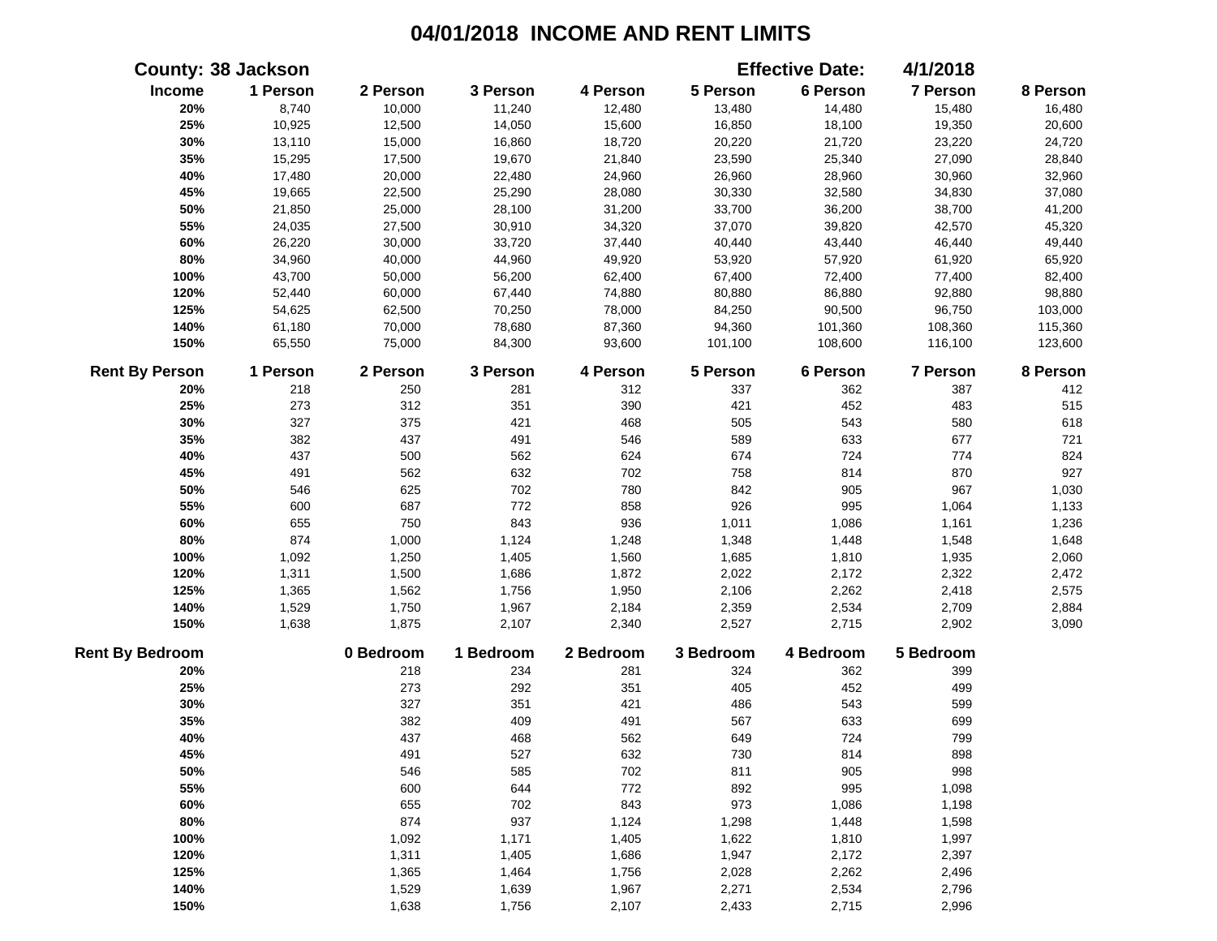|                        | <b>County: 38 Jackson</b> |           |           |           |           | <b>Effective Date:</b> | 4/1/2018  |          |
|------------------------|---------------------------|-----------|-----------|-----------|-----------|------------------------|-----------|----------|
| Income                 | 1 Person                  | 2 Person  | 3 Person  | 4 Person  | 5 Person  | 6 Person               | 7 Person  | 8 Person |
| 20%                    | 8,740                     | 10,000    | 11,240    | 12,480    | 13,480    | 14,480                 | 15,480    | 16,480   |
| 25%                    | 10,925                    | 12,500    | 14,050    | 15,600    | 16,850    | 18,100                 | 19,350    | 20,600   |
| 30%                    | 13,110                    | 15,000    | 16,860    | 18,720    | 20,220    | 21,720                 | 23,220    | 24,720   |
| 35%                    | 15,295                    | 17,500    | 19,670    | 21,840    | 23,590    | 25,340                 | 27,090    | 28,840   |
| 40%                    | 17,480                    | 20,000    | 22,480    | 24,960    | 26,960    | 28,960                 | 30,960    | 32,960   |
| 45%                    | 19,665                    | 22,500    | 25,290    | 28,080    | 30,330    | 32,580                 | 34,830    | 37,080   |
| 50%                    | 21,850                    | 25,000    | 28,100    | 31,200    | 33,700    | 36,200                 | 38,700    | 41,200   |
| 55%                    | 24,035                    | 27,500    | 30,910    | 34,320    | 37,070    | 39,820                 | 42,570    | 45,320   |
| 60%                    | 26,220                    | 30,000    | 33,720    | 37,440    | 40,440    | 43,440                 | 46,440    | 49,440   |
| 80%                    | 34,960                    | 40,000    | 44,960    | 49,920    | 53,920    | 57,920                 | 61,920    | 65,920   |
| 100%                   | 43,700                    | 50,000    | 56,200    | 62,400    | 67,400    | 72,400                 | 77,400    | 82,400   |
| 120%                   | 52,440                    | 60,000    | 67,440    | 74,880    | 80,880    | 86,880                 | 92,880    | 98,880   |
| 125%                   | 54,625                    | 62,500    | 70,250    | 78,000    | 84,250    | 90,500                 | 96,750    | 103,000  |
| 140%                   | 61,180                    | 70,000    | 78,680    | 87,360    | 94,360    | 101,360                | 108,360   | 115,360  |
| 150%                   | 65,550                    | 75,000    | 84,300    | 93,600    | 101,100   | 108,600                | 116,100   | 123,600  |
| <b>Rent By Person</b>  | 1 Person                  | 2 Person  | 3 Person  | 4 Person  | 5 Person  | 6 Person               | 7 Person  | 8 Person |
| 20%                    | 218                       | 250       | 281       | 312       | 337       | 362                    | 387       | 412      |
| 25%                    | 273                       | 312       | 351       | 390       | 421       | 452                    | 483       | 515      |
| 30%                    | 327                       | 375       | 421       | 468       | 505       | 543                    | 580       | 618      |
| 35%                    | 382                       | 437       | 491       | 546       | 589       | 633                    | 677       | 721      |
| 40%                    | 437                       | 500       | 562       | 624       | 674       | 724                    | 774       | 824      |
| 45%                    | 491                       | 562       | 632       | 702       | 758       | 814                    | 870       | 927      |
| 50%                    | 546                       | 625       | 702       | 780       | 842       | 905                    | 967       | 1,030    |
| 55%                    | 600                       | 687       | 772       | 858       | 926       | 995                    | 1,064     | 1,133    |
| 60%                    | 655                       | 750       | 843       | 936       | 1,011     | 1,086                  | 1,161     | 1,236    |
| 80%                    | 874                       | 1,000     | 1,124     | 1,248     | 1,348     | 1,448                  | 1,548     | 1,648    |
| 100%                   | 1,092                     | 1,250     | 1,405     | 1,560     | 1,685     | 1,810                  | 1,935     | 2,060    |
| 120%                   | 1,311                     | 1,500     | 1,686     | 1,872     | 2,022     | 2,172                  | 2,322     | 2,472    |
| 125%                   | 1,365                     | 1,562     | 1,756     | 1,950     | 2,106     | 2,262                  | 2,418     | 2,575    |
| 140%                   | 1,529                     | 1,750     | 1,967     | 2,184     | 2,359     | 2,534                  | 2,709     | 2,884    |
| 150%                   | 1,638                     | 1,875     | 2,107     | 2,340     | 2,527     | 2,715                  | 2,902     | 3,090    |
| <b>Rent By Bedroom</b> |                           | 0 Bedroom | 1 Bedroom | 2 Bedroom | 3 Bedroom | 4 Bedroom              | 5 Bedroom |          |
| 20%                    |                           | 218       | 234       | 281       | 324       | 362                    | 399       |          |
| 25%                    |                           | 273       | 292       | 351       | 405       | 452                    | 499       |          |
| 30%                    |                           | 327       | 351       | 421       | 486       | 543                    | 599       |          |
| 35%                    |                           | 382       | 409       | 491       | 567       | 633                    | 699       |          |
| 40%                    |                           | 437       | 468       | 562       | 649       | 724                    | 799       |          |
| 45%                    |                           | 491       | 527       | 632       | 730       | 814                    | 898       |          |
| 50%                    |                           | 546       | 585       | 702       | 811       | 905                    | 998       |          |
| 55%                    |                           | 600       | 644       | 772       | 892       | 995                    | 1,098     |          |
| 60%                    |                           | 655       | 702       | 843       | 973       | 1,086                  | 1,198     |          |
| 80%                    |                           | 874       | 937       | 1,124     | 1,298     | 1,448                  | 1,598     |          |
| 100%                   |                           | 1,092     | 1,171     | 1,405     | 1,622     | 1,810                  | 1,997     |          |
| 120%                   |                           | 1,311     | 1,405     | 1,686     | 1,947     | 2,172                  | 2,397     |          |
| 125%                   |                           | 1,365     | 1,464     | 1,756     | 2,028     | 2,262                  | 2,496     |          |
| 140%                   |                           | 1,529     | 1,639     | 1,967     | 2,271     | 2,534                  | 2,796     |          |
| 150%                   |                           | 1,638     | 1,756     | 2,107     | 2,433     | 2,715                  | 2,996     |          |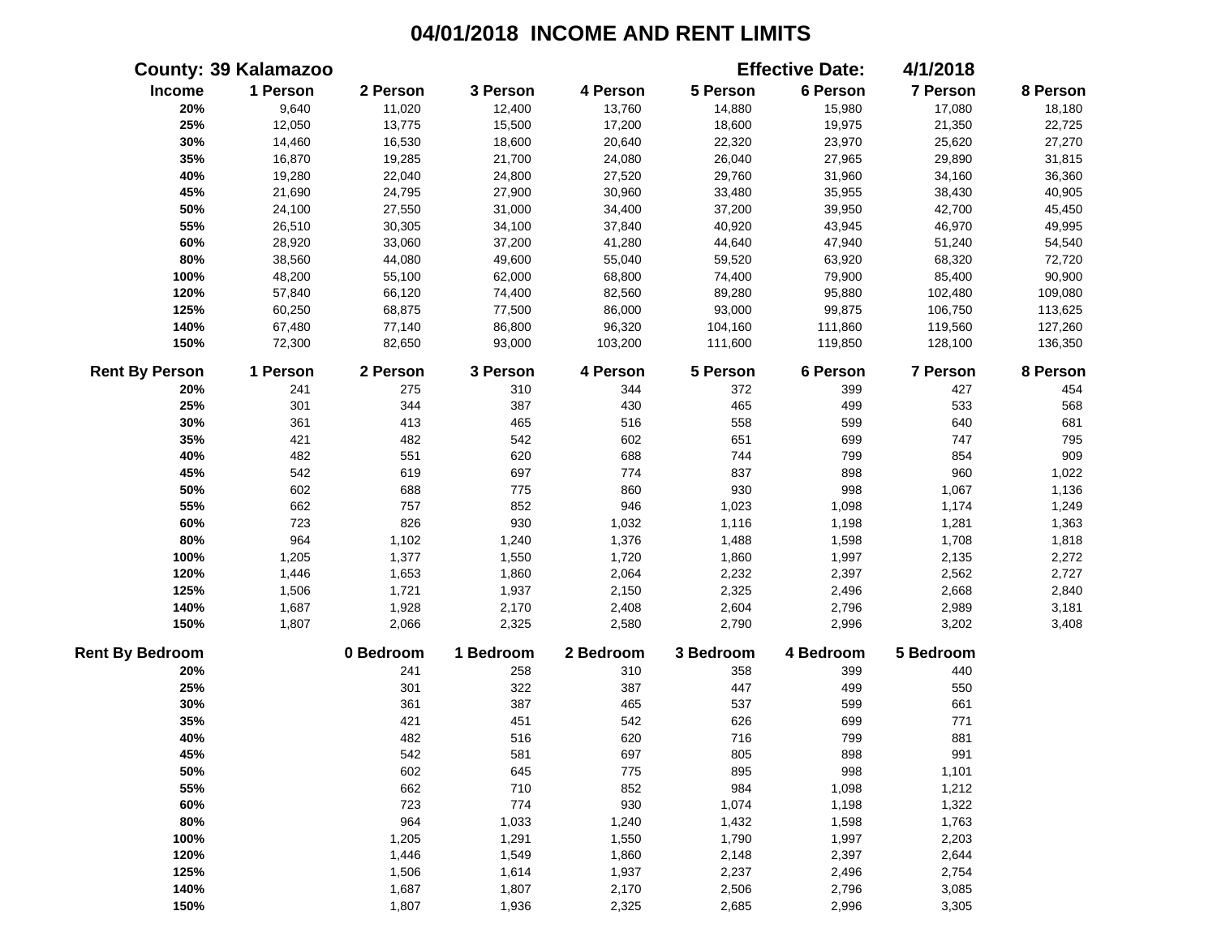|                        | <b>County: 39 Kalamazoo</b> |           |           |           |           | <b>Effective Date:</b> | 4/1/2018  |          |
|------------------------|-----------------------------|-----------|-----------|-----------|-----------|------------------------|-----------|----------|
| Income                 | 1 Person                    | 2 Person  | 3 Person  | 4 Person  | 5 Person  | 6 Person               | 7 Person  | 8 Person |
| 20%                    | 9,640                       | 11,020    | 12,400    | 13,760    | 14,880    | 15,980                 | 17,080    | 18,180   |
| 25%                    | 12,050                      | 13,775    | 15,500    | 17,200    | 18,600    | 19,975                 | 21,350    | 22,725   |
| 30%                    | 14,460                      | 16,530    | 18,600    | 20,640    | 22,320    | 23,970                 | 25,620    | 27,270   |
| 35%                    | 16,870                      | 19,285    | 21,700    | 24,080    | 26,040    | 27,965                 | 29,890    | 31,815   |
| 40%                    | 19,280                      | 22,040    | 24,800    | 27,520    | 29,760    | 31,960                 | 34,160    | 36,360   |
| 45%                    | 21,690                      | 24,795    | 27,900    | 30,960    | 33,480    | 35,955                 | 38,430    | 40,905   |
| 50%                    | 24,100                      | 27,550    | 31,000    | 34,400    | 37,200    | 39,950                 | 42,700    | 45,450   |
| 55%                    | 26,510                      | 30,305    | 34,100    | 37,840    | 40,920    | 43,945                 | 46,970    | 49,995   |
| 60%                    | 28,920                      | 33,060    | 37,200    | 41,280    | 44,640    | 47,940                 | 51,240    | 54,540   |
| 80%                    | 38,560                      | 44,080    | 49,600    | 55,040    | 59,520    | 63,920                 | 68,320    | 72,720   |
| 100%                   | 48,200                      | 55,100    | 62,000    | 68,800    | 74,400    | 79,900                 | 85,400    | 90,900   |
| 120%                   | 57,840                      | 66,120    | 74,400    | 82,560    | 89,280    | 95,880                 | 102,480   | 109,080  |
| 125%                   | 60,250                      | 68,875    | 77,500    | 86,000    | 93,000    | 99,875                 | 106,750   | 113,625  |
| 140%                   | 67,480                      | 77,140    | 86,800    | 96,320    | 104,160   | 111,860                | 119,560   | 127,260  |
| 150%                   | 72,300                      | 82,650    | 93,000    | 103,200   | 111,600   | 119,850                | 128,100   | 136,350  |
| <b>Rent By Person</b>  | 1 Person                    | 2 Person  | 3 Person  | 4 Person  | 5 Person  | 6 Person               | 7 Person  | 8 Person |
| 20%                    | 241                         | 275       | 310       | 344       | 372       | 399                    | 427       | 454      |
| 25%                    | 301                         | 344       | 387       | 430       | 465       | 499                    | 533       | 568      |
| 30%                    | 361                         | 413       | 465       | 516       | 558       | 599                    | 640       | 681      |
| 35%                    | 421                         | 482       | 542       | 602       | 651       | 699                    | 747       | 795      |
| 40%                    | 482                         | 551       | 620       | 688       | 744       | 799                    | 854       | 909      |
| 45%                    | 542                         | 619       | 697       | 774       | 837       | 898                    | 960       | 1,022    |
| 50%                    | 602                         | 688       | 775       | 860       | 930       | 998                    | 1,067     | 1,136    |
| 55%                    | 662                         | 757       | 852       | 946       | 1,023     | 1,098                  | 1,174     | 1,249    |
| 60%                    | 723                         | 826       | 930       | 1,032     | 1,116     | 1,198                  | 1,281     | 1,363    |
| 80%                    | 964                         | 1,102     | 1,240     | 1,376     | 1,488     | 1,598                  | 1,708     | 1,818    |
| 100%                   | 1,205                       | 1,377     | 1,550     | 1,720     | 1,860     | 1,997                  | 2,135     | 2,272    |
| 120%                   | 1,446                       | 1,653     | 1,860     | 2,064     | 2,232     | 2,397                  | 2,562     | 2,727    |
| 125%                   | 1,506                       | 1,721     | 1,937     | 2,150     | 2,325     | 2,496                  | 2,668     | 2,840    |
| 140%                   | 1,687                       | 1,928     | 2,170     | 2,408     | 2,604     | 2,796                  | 2,989     | 3,181    |
| 150%                   | 1,807                       | 2,066     | 2,325     | 2,580     | 2,790     | 2,996                  | 3,202     | 3,408    |
| <b>Rent By Bedroom</b> |                             | 0 Bedroom | 1 Bedroom | 2 Bedroom | 3 Bedroom | 4 Bedroom              | 5 Bedroom |          |
| 20%                    |                             | 241       | 258       | 310       | 358       | 399                    | 440       |          |
| 25%                    |                             | 301       | 322       | 387       | 447       | 499                    | 550       |          |
| 30%                    |                             | 361       | 387       | 465       | 537       | 599                    | 661       |          |
| 35%                    |                             | 421       | 451       | 542       | 626       | 699                    | 771       |          |
| 40%                    |                             | 482       | 516       | 620       | 716       | 799                    | 881       |          |
| 45%                    |                             | 542       | 581       | 697       | 805       | 898                    | 991       |          |
| 50%                    |                             | 602       | 645       | 775       | 895       | 998                    | 1,101     |          |
| 55%                    |                             | 662       | 710       | 852       | 984       | 1,098                  | 1,212     |          |
| 60%                    |                             | 723       | 774       | 930       | 1,074     | 1,198                  | 1,322     |          |
| 80%                    |                             | 964       | 1,033     | 1,240     | 1,432     | 1,598                  | 1,763     |          |
| 100%                   |                             | 1,205     | 1,291     | 1,550     | 1,790     | 1,997                  | 2,203     |          |
| 120%                   |                             | 1,446     | 1,549     | 1,860     | 2,148     | 2,397                  | 2,644     |          |
| 125%                   |                             | 1,506     | 1,614     | 1,937     | 2,237     | 2,496                  | 2,754     |          |
| 140%                   |                             | 1,687     | 1,807     | 2,170     | 2,506     | 2,796                  | 3,085     |          |
| 150%                   |                             | 1,807     | 1,936     | 2,325     | 2,685     | 2,996                  | 3,305     |          |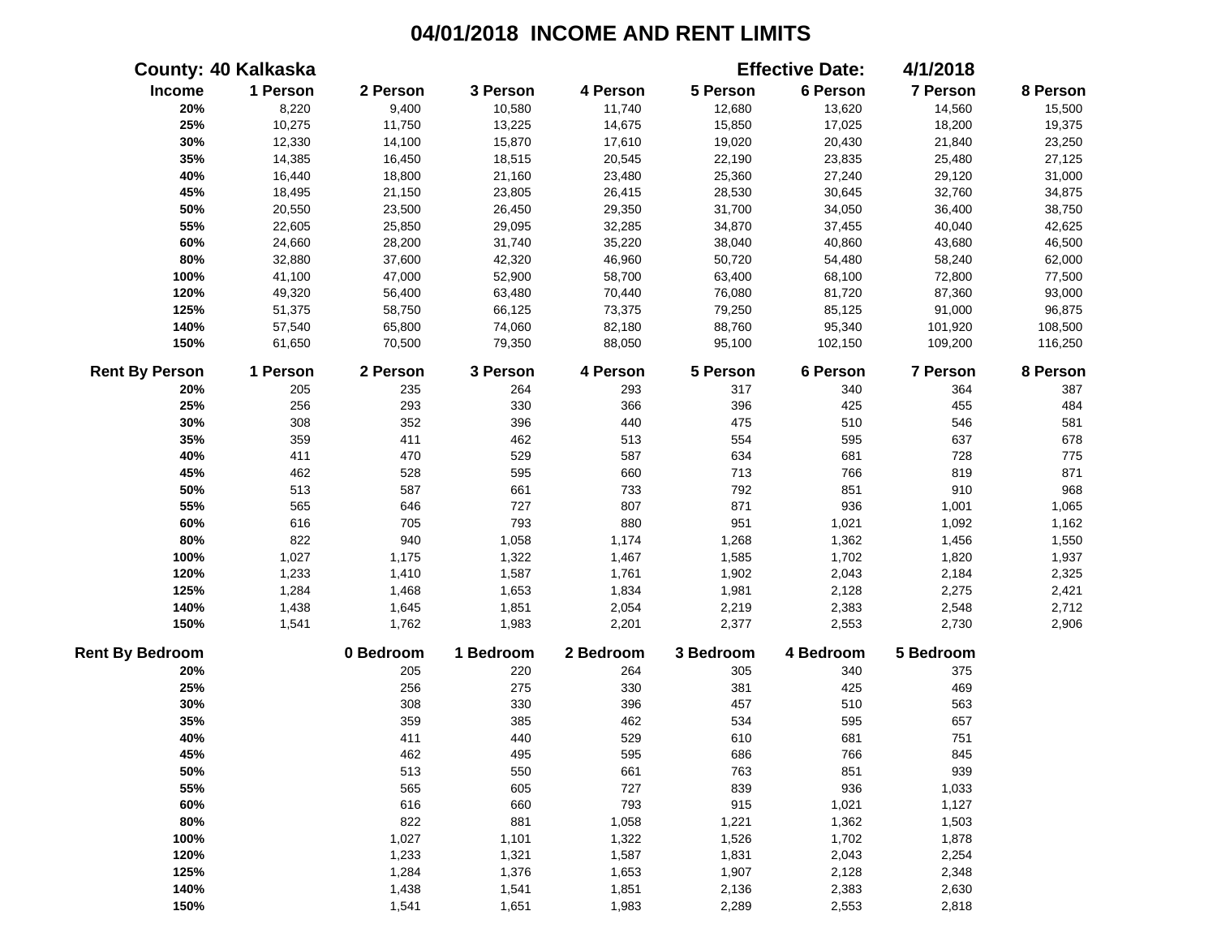|                        | <b>County: 40 Kalkaska</b> |           |           |           |           | <b>Effective Date:</b> | 4/1/2018        |          |
|------------------------|----------------------------|-----------|-----------|-----------|-----------|------------------------|-----------------|----------|
| Income                 | 1 Person                   | 2 Person  | 3 Person  | 4 Person  | 5 Person  | 6 Person               | 7 Person        | 8 Person |
| 20%                    | 8,220                      | 9,400     | 10,580    | 11,740    | 12,680    | 13,620                 | 14,560          | 15,500   |
| 25%                    | 10,275                     | 11,750    | 13,225    | 14,675    | 15,850    | 17,025                 | 18,200          | 19,375   |
| 30%                    | 12,330                     | 14,100    | 15,870    | 17,610    | 19,020    | 20,430                 | 21,840          | 23,250   |
| 35%                    | 14,385                     | 16,450    | 18,515    | 20,545    | 22,190    | 23,835                 | 25,480          | 27,125   |
| 40%                    | 16,440                     | 18,800    | 21,160    | 23,480    | 25,360    | 27,240                 | 29,120          | 31,000   |
| 45%                    | 18,495                     | 21,150    | 23,805    | 26,415    | 28,530    | 30,645                 | 32,760          | 34,875   |
| 50%                    | 20,550                     | 23,500    | 26,450    | 29,350    | 31,700    | 34,050                 | 36,400          | 38,750   |
| 55%                    | 22,605                     | 25,850    | 29,095    | 32,285    | 34,870    | 37,455                 | 40,040          | 42,625   |
| 60%                    | 24,660                     | 28,200    | 31,740    | 35,220    | 38,040    | 40,860                 | 43,680          | 46,500   |
| 80%                    | 32,880                     | 37,600    | 42,320    | 46,960    | 50,720    | 54,480                 | 58,240          | 62,000   |
| 100%                   | 41,100                     | 47,000    | 52,900    | 58,700    | 63,400    | 68,100                 | 72,800          | 77,500   |
| 120%                   | 49,320                     | 56,400    | 63,480    | 70,440    | 76,080    | 81,720                 | 87,360          | 93,000   |
| 125%                   | 51,375                     | 58,750    | 66,125    | 73,375    | 79,250    | 85,125                 | 91,000          | 96,875   |
| 140%                   | 57,540                     | 65,800    | 74,060    | 82,180    | 88,760    | 95,340                 | 101,920         | 108,500  |
| 150%                   | 61,650                     | 70,500    | 79,350    | 88,050    | 95,100    | 102,150                | 109,200         | 116,250  |
| <b>Rent By Person</b>  | 1 Person                   | 2 Person  | 3 Person  | 4 Person  | 5 Person  | 6 Person               | <b>7 Person</b> | 8 Person |
| 20%                    | 205                        | 235       | 264       | 293       | 317       | 340                    | 364             | 387      |
| 25%                    | 256                        | 293       | 330       | 366       | 396       | 425                    | 455             | 484      |
| 30%                    | 308                        | 352       | 396       | 440       | 475       | 510                    | 546             | 581      |
| 35%                    | 359                        | 411       | 462       | 513       | 554       | 595                    | 637             | 678      |
| 40%                    | 411                        | 470       | 529       | 587       | 634       | 681                    | 728             | 775      |
| 45%                    | 462                        | 528       | 595       | 660       | 713       | 766                    | 819             | 871      |
| 50%                    | 513                        | 587       | 661       | 733       | 792       | 851                    | 910             | 968      |
| 55%                    | 565                        | 646       | 727       | 807       | 871       | 936                    | 1,001           | 1,065    |
| 60%                    | 616                        | 705       | 793       | 880       | 951       | 1,021                  | 1,092           | 1,162    |
| 80%                    | 822                        | 940       | 1,058     | 1,174     | 1,268     | 1,362                  | 1,456           | 1,550    |
| 100%                   | 1,027                      | 1,175     | 1,322     | 1,467     | 1,585     | 1,702                  | 1,820           | 1,937    |
| 120%                   | 1,233                      | 1,410     | 1,587     | 1,761     | 1,902     | 2,043                  | 2,184           | 2,325    |
| 125%                   | 1,284                      | 1,468     | 1,653     | 1,834     | 1,981     | 2,128                  | 2,275           | 2,421    |
| 140%                   | 1,438                      | 1,645     | 1,851     | 2,054     | 2,219     | 2,383                  | 2,548           | 2,712    |
| 150%                   | 1,541                      | 1,762     | 1,983     | 2,201     | 2,377     | 2,553                  | 2,730           | 2,906    |
| <b>Rent By Bedroom</b> |                            | 0 Bedroom | 1 Bedroom | 2 Bedroom | 3 Bedroom | 4 Bedroom              | 5 Bedroom       |          |
| 20%                    |                            | 205       | 220       | 264       | 305       | 340                    | 375             |          |
| 25%                    |                            | 256       | 275       | 330       | 381       | 425                    | 469             |          |
| 30%                    |                            | 308       | 330       | 396       | 457       | 510                    | 563             |          |
| 35%                    |                            | 359       | 385       | 462       | 534       | 595                    | 657             |          |
| 40%                    |                            | 411       | 440       | 529       | 610       | 681                    | 751             |          |
| 45%                    |                            | 462       | 495       | 595       | 686       | 766                    | 845             |          |
| 50%                    |                            | 513       | 550       | 661       | 763       | 851                    | 939             |          |
| 55%                    |                            | 565       | 605       | 727       | 839       | 936                    | 1,033           |          |
| 60%                    |                            | 616       | 660       | 793       | 915       | 1,021                  | 1,127           |          |
| 80%                    |                            | 822       | 881       | 1,058     | 1,221     | 1,362                  | 1,503           |          |
| 100%                   |                            | 1,027     | 1,101     | 1,322     | 1,526     | 1,702                  | 1,878           |          |
| 120%                   |                            | 1,233     | 1,321     | 1,587     | 1,831     | 2,043                  | 2,254           |          |
| 125%                   |                            | 1,284     | 1,376     | 1,653     | 1,907     | 2,128                  | 2,348           |          |
| 140%                   |                            | 1,438     | 1,541     | 1,851     | 2,136     | 2,383                  | 2,630           |          |
| 150%                   |                            | 1,541     | 1,651     | 1,983     | 2,289     | 2,553                  | 2,818           |          |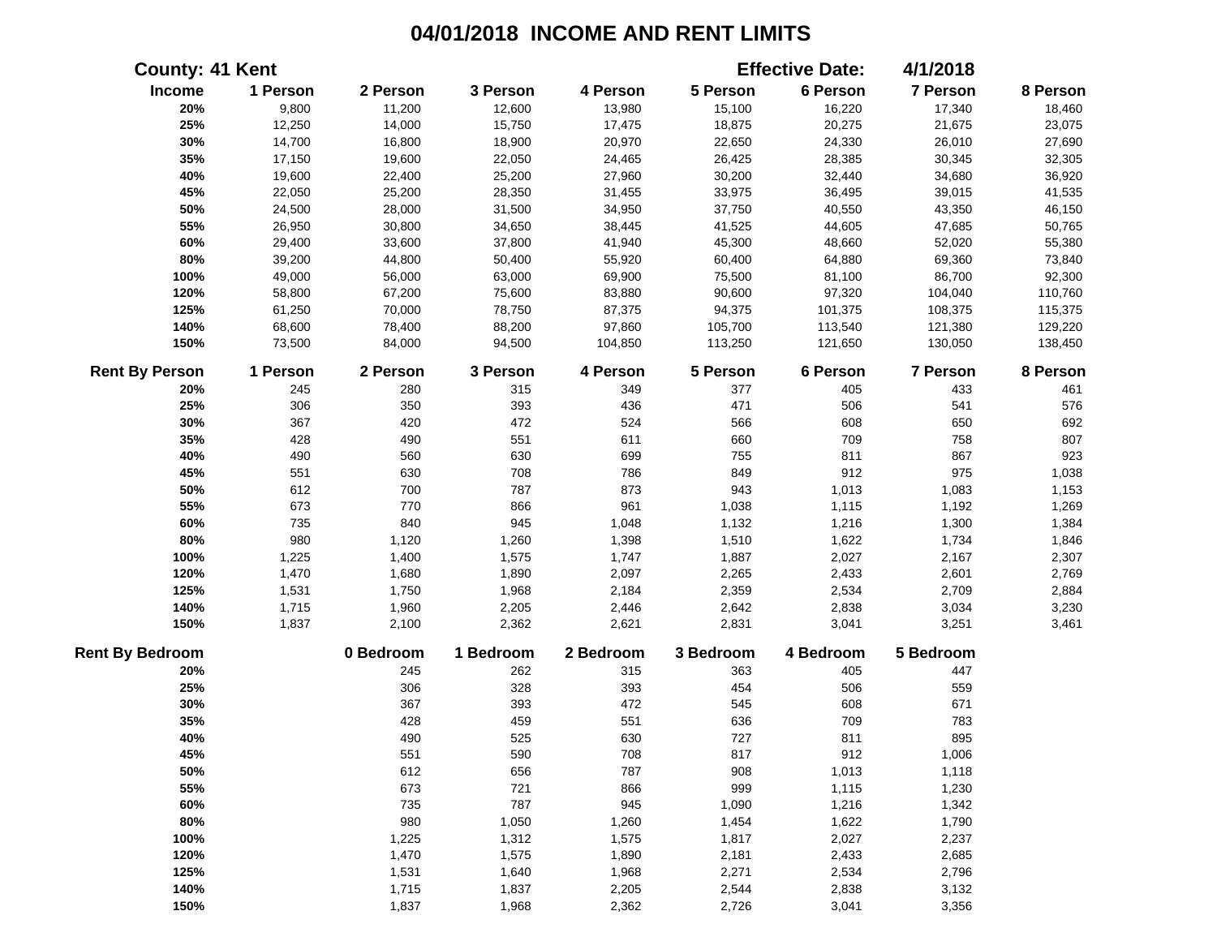| <b>County: 41 Kent</b> |          |           |           |           |           | <b>Effective Date:</b> | 4/1/2018  |          |
|------------------------|----------|-----------|-----------|-----------|-----------|------------------------|-----------|----------|
| Income                 | 1 Person | 2 Person  | 3 Person  | 4 Person  | 5 Person  | 6 Person               | 7 Person  | 8 Person |
| 20%                    | 9,800    | 11,200    | 12,600    | 13,980    | 15,100    | 16,220                 | 17,340    | 18,460   |
| 25%                    | 12,250   | 14,000    | 15,750    | 17,475    | 18,875    | 20,275                 | 21,675    | 23,075   |
| 30%                    | 14,700   | 16,800    | 18,900    | 20,970    | 22,650    | 24,330                 | 26,010    | 27,690   |
| 35%                    | 17,150   | 19,600    | 22,050    | 24,465    | 26,425    | 28,385                 | 30,345    | 32,305   |
| 40%                    | 19,600   | 22,400    | 25,200    | 27,960    | 30,200    | 32,440                 | 34,680    | 36,920   |
| 45%                    | 22,050   | 25,200    | 28,350    | 31,455    | 33,975    | 36,495                 | 39,015    | 41,535   |
| 50%                    | 24,500   | 28,000    | 31,500    | 34,950    | 37,750    | 40,550                 | 43,350    | 46,150   |
| 55%                    | 26,950   | 30,800    | 34,650    | 38,445    | 41,525    | 44,605                 | 47,685    | 50,765   |
| 60%                    | 29,400   | 33,600    | 37,800    | 41,940    | 45,300    | 48,660                 | 52,020    | 55,380   |
| 80%                    | 39,200   | 44,800    | 50,400    | 55,920    | 60,400    | 64,880                 | 69,360    | 73,840   |
| 100%                   | 49,000   | 56,000    | 63,000    | 69,900    | 75,500    | 81,100                 | 86,700    | 92,300   |
| 120%                   | 58,800   | 67,200    | 75,600    | 83,880    | 90,600    | 97,320                 | 104,040   | 110,760  |
| 125%                   | 61,250   | 70,000    | 78,750    | 87,375    | 94,375    | 101,375                | 108,375   | 115,375  |
| 140%                   | 68,600   | 78,400    | 88,200    | 97,860    | 105,700   | 113,540                | 121,380   | 129,220  |
| 150%                   | 73,500   | 84,000    | 94,500    | 104,850   | 113,250   | 121,650                | 130,050   | 138,450  |
| <b>Rent By Person</b>  | 1 Person | 2 Person  | 3 Person  | 4 Person  | 5 Person  | 6 Person               | 7 Person  | 8 Person |
| 20%                    | 245      | 280       | 315       | 349       | 377       | 405                    | 433       | 461      |
| 25%                    | 306      | 350       | 393       | 436       | 471       | 506                    | 541       | 576      |
| 30%                    | 367      | 420       | 472       | 524       | 566       | 608                    | 650       | 692      |
| 35%                    | 428      | 490       | 551       | 611       | 660       | 709                    | 758       | 807      |
| 40%                    | 490      | 560       | 630       | 699       | 755       | 811                    | 867       | 923      |
| 45%                    | 551      | 630       | 708       | 786       | 849       | 912                    | 975       | 1,038    |
| 50%                    | 612      | 700       | 787       | 873       | 943       | 1,013                  | 1,083     | 1,153    |
| 55%                    | 673      | 770       | 866       | 961       | 1,038     | 1,115                  | 1,192     | 1,269    |
| 60%                    | 735      | 840       | 945       | 1,048     | 1,132     | 1,216                  | 1,300     | 1,384    |
| 80%                    | 980      | 1,120     | 1,260     | 1,398     | 1,510     | 1,622                  | 1,734     | 1,846    |
| 100%                   | 1,225    | 1,400     | 1,575     | 1,747     | 1,887     | 2,027                  | 2,167     | 2,307    |
| 120%                   | 1,470    | 1,680     | 1,890     | 2,097     | 2,265     | 2,433                  | 2,601     | 2,769    |
| 125%                   | 1,531    | 1,750     | 1,968     | 2,184     | 2,359     | 2,534                  | 2,709     | 2,884    |
| 140%                   | 1,715    | 1,960     | 2,205     | 2,446     | 2,642     | 2,838                  | 3,034     | 3,230    |
| 150%                   | 1,837    | 2,100     | 2,362     | 2,621     | 2,831     | 3,041                  | 3,251     | 3,461    |
| <b>Rent By Bedroom</b> |          | 0 Bedroom | 1 Bedroom | 2 Bedroom | 3 Bedroom | 4 Bedroom              | 5 Bedroom |          |
| 20%                    |          | 245       | 262       | 315       | 363       | 405                    | 447       |          |
| 25%                    |          | 306       | 328       | 393       | 454       | 506                    | 559       |          |
| 30%                    |          | 367       | 393       | 472       | 545       | 608                    | 671       |          |
| 35%                    |          | 428       | 459       | 551       | 636       | 709                    | 783       |          |
| 40%                    |          | 490       | 525       | 630       | 727       | 811                    | 895       |          |
| 45%                    |          | 551       | 590       | 708       | 817       | 912                    | 1,006     |          |
| 50%                    |          | 612       | 656       | 787       | 908       | 1,013                  | 1,118     |          |
| 55%                    |          | 673       | 721       | 866       | 999       | 1,115                  | 1,230     |          |
| 60%                    |          | 735       | 787       | 945       | 1,090     | 1,216                  | 1,342     |          |
| 80%                    |          | 980       | 1,050     | 1,260     | 1,454     | 1,622                  | 1,790     |          |
| 100%                   |          | 1,225     | 1,312     | 1,575     | 1,817     | 2,027                  | 2,237     |          |
| 120%                   |          | 1,470     | 1,575     | 1,890     | 2,181     | 2,433                  | 2,685     |          |
| 125%                   |          | 1,531     | 1,640     | 1,968     | 2,271     | 2,534                  | 2,796     |          |
| 140%                   |          | 1,715     | 1,837     | 2,205     | 2,544     | 2,838                  | 3,132     |          |
| 150%                   |          | 1,837     | 1,968     | 2,362     | 2,726     | 3,041                  | 3,356     |          |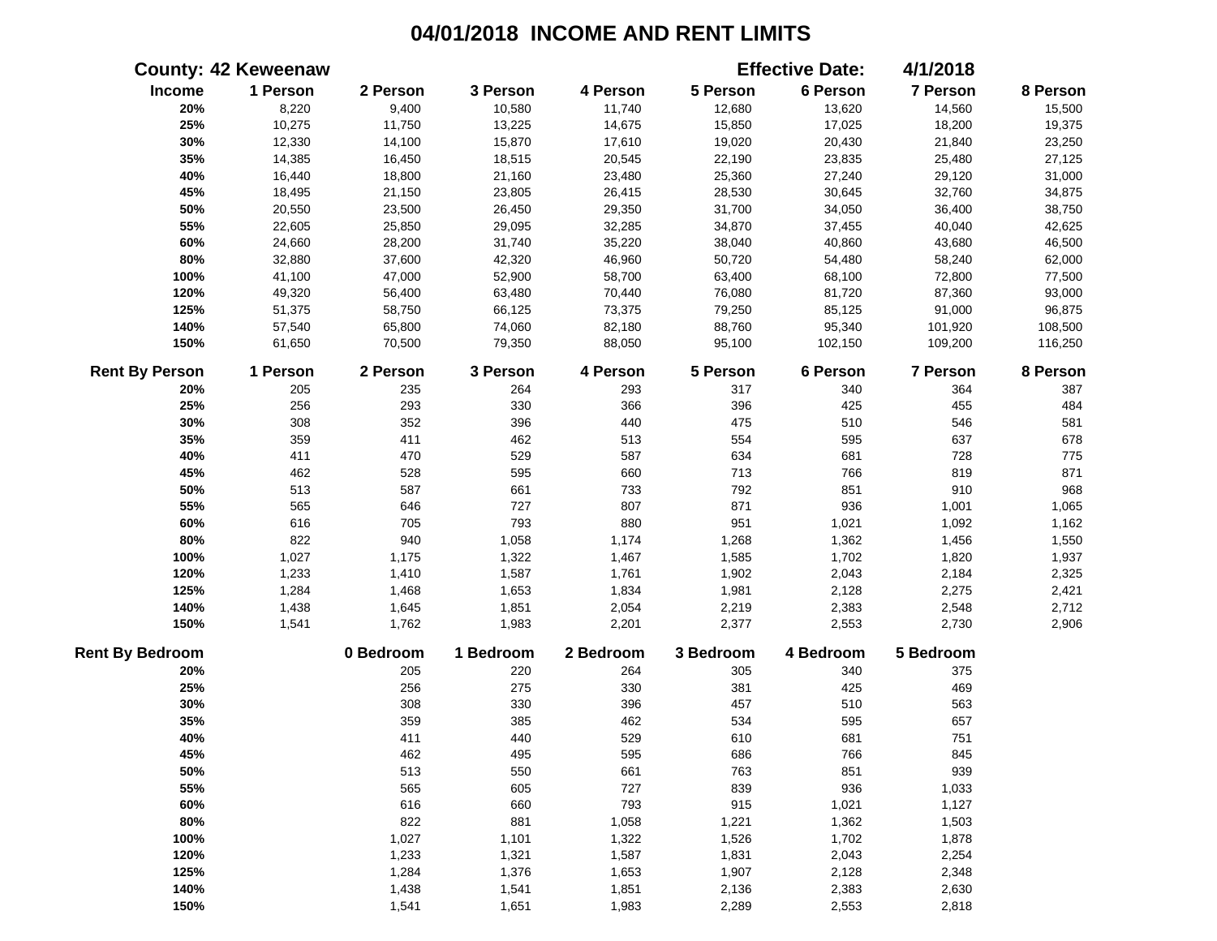|                        | <b>County: 42 Keweenaw</b> |           |           |           |           | <b>Effective Date:</b> | 4/1/2018  |          |
|------------------------|----------------------------|-----------|-----------|-----------|-----------|------------------------|-----------|----------|
| Income                 | 1 Person                   | 2 Person  | 3 Person  | 4 Person  | 5 Person  | 6 Person               | 7 Person  | 8 Person |
| 20%                    | 8,220                      | 9,400     | 10,580    | 11,740    | 12,680    | 13,620                 | 14,560    | 15,500   |
| 25%                    | 10,275                     | 11,750    | 13,225    | 14,675    | 15,850    | 17,025                 | 18,200    | 19,375   |
| 30%                    | 12,330                     | 14,100    | 15,870    | 17,610    | 19,020    | 20,430                 | 21,840    | 23,250   |
| 35%                    | 14,385                     | 16,450    | 18,515    | 20,545    | 22,190    | 23,835                 | 25,480    | 27,125   |
| 40%                    | 16,440                     | 18,800    | 21,160    | 23,480    | 25,360    | 27,240                 | 29,120    | 31,000   |
| 45%                    | 18,495                     | 21,150    | 23,805    | 26,415    | 28,530    | 30,645                 | 32,760    | 34,875   |
| 50%                    | 20,550                     | 23,500    | 26,450    | 29,350    | 31,700    | 34,050                 | 36,400    | 38,750   |
| 55%                    | 22,605                     | 25,850    | 29,095    | 32,285    | 34,870    | 37,455                 | 40,040    | 42,625   |
| 60%                    | 24,660                     | 28,200    | 31,740    | 35,220    | 38,040    | 40,860                 | 43,680    | 46,500   |
| $80\%$                 | 32,880                     | 37,600    | 42,320    | 46,960    | 50,720    | 54,480                 | 58,240    | 62,000   |
| 100%                   | 41,100                     | 47,000    | 52,900    | 58,700    | 63,400    | 68,100                 | 72,800    | 77,500   |
| 120%                   | 49,320                     | 56,400    | 63,480    | 70,440    | 76,080    | 81,720                 | 87,360    | 93,000   |
| 125%                   | 51,375                     | 58,750    | 66,125    | 73,375    | 79,250    | 85,125                 | 91,000    | 96,875   |
| 140%                   | 57,540                     | 65,800    | 74,060    | 82,180    | 88,760    | 95,340                 | 101,920   | 108,500  |
| 150%                   | 61,650                     | 70,500    | 79,350    | 88,050    | 95,100    | 102,150                | 109,200   | 116,250  |
| <b>Rent By Person</b>  | 1 Person                   | 2 Person  | 3 Person  | 4 Person  | 5 Person  | 6 Person               | 7 Person  | 8 Person |
| 20%                    | 205                        | 235       | 264       | 293       | 317       | 340                    | 364       | 387      |
| 25%                    | 256                        | 293       | 330       | 366       | 396       | 425                    | 455       | 484      |
| 30%                    | 308                        | 352       | 396       | 440       | 475       | 510                    | 546       | 581      |
| 35%                    | 359                        | 411       | 462       | 513       | 554       | 595                    | 637       | 678      |
| 40%                    | 411                        | 470       | 529       | 587       | 634       | 681                    | 728       | 775      |
| 45%                    | 462                        | 528       | 595       | 660       | 713       | 766                    | 819       | 871      |
| 50%                    | 513                        | 587       | 661       | 733       | 792       | 851                    | 910       | 968      |
| 55%                    | 565                        | 646       | 727       | 807       | 871       | 936                    | 1,001     | 1,065    |
| 60%                    | 616                        | 705       | 793       | 880       | 951       | 1,021                  | 1,092     | 1,162    |
| 80%                    | 822                        | 940       | 1,058     | 1,174     | 1,268     | 1,362                  | 1,456     | 1,550    |
| 100%                   | 1,027                      | 1,175     | 1,322     | 1,467     | 1,585     | 1,702                  | 1,820     | 1,937    |
| 120%                   | 1,233                      | 1,410     | 1,587     | 1,761     | 1,902     | 2,043                  | 2,184     | 2,325    |
| 125%                   | 1,284                      | 1,468     | 1,653     | 1,834     | 1,981     | 2,128                  | 2,275     | 2,421    |
| 140%                   | 1,438                      | 1,645     | 1,851     | 2,054     | 2,219     | 2,383                  | 2,548     | 2,712    |
| 150%                   | 1,541                      | 1,762     | 1,983     | 2,201     | 2,377     | 2,553                  | 2,730     | 2,906    |
| <b>Rent By Bedroom</b> |                            | 0 Bedroom | 1 Bedroom | 2 Bedroom | 3 Bedroom | 4 Bedroom              | 5 Bedroom |          |
| 20%                    |                            | 205       | 220       | 264       | 305       | 340                    | 375       |          |
| 25%                    |                            | 256       | 275       | 330       | 381       | 425                    | 469       |          |
| 30%                    |                            | 308       | 330       | 396       | 457       | 510                    | 563       |          |
| 35%                    |                            | 359       | 385       | 462       | 534       | 595                    | 657       |          |
| 40%                    |                            | 411       | 440       | 529       | 610       | 681                    | 751       |          |
| 45%                    |                            | 462       | 495       | 595       | 686       | 766                    | 845       |          |
| 50%                    |                            | 513       | 550       | 661       | 763       | 851                    | 939       |          |
| 55%                    |                            | 565       | 605       | 727       | 839       | 936                    | 1,033     |          |
| 60%                    |                            | 616       | 660       | 793       | 915       | 1,021                  | 1,127     |          |
| 80%                    |                            | 822       | 881       | 1,058     | 1,221     | 1,362                  | 1,503     |          |
| 100%                   |                            | 1,027     | 1,101     | 1,322     | 1,526     | 1,702                  | 1,878     |          |
| 120%                   |                            | 1,233     | 1,321     | 1,587     | 1,831     | 2,043                  | 2,254     |          |
| 125%                   |                            | 1,284     | 1,376     | 1,653     | 1,907     | 2,128                  | 2,348     |          |
| 140%                   |                            | 1,438     | 1,541     | 1,851     | 2,136     | 2,383                  | 2,630     |          |
| 150%                   |                            | 1,541     | 1,651     | 1,983     | 2,289     | 2,553                  | 2,818     |          |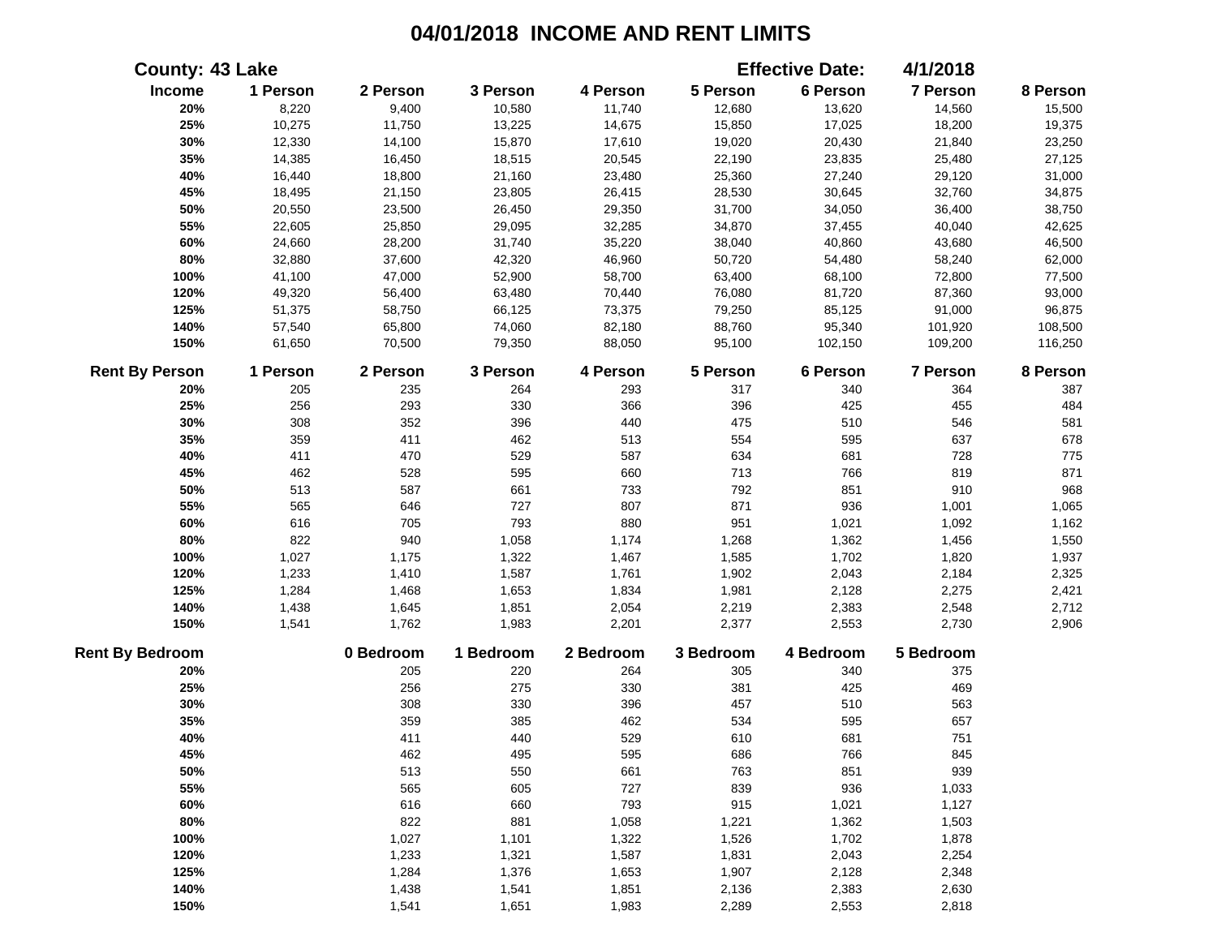|                        | <b>County: 43 Lake</b> |           |           |           |           | <b>Effective Date:</b> | 4/1/2018  |          |
|------------------------|------------------------|-----------|-----------|-----------|-----------|------------------------|-----------|----------|
| Income                 | 1 Person               | 2 Person  | 3 Person  | 4 Person  | 5 Person  | 6 Person               | 7 Person  | 8 Person |
| 20%                    | 8,220                  | 9,400     | 10,580    | 11,740    | 12,680    | 13,620                 | 14,560    | 15,500   |
| 25%                    | 10,275                 | 11,750    | 13,225    | 14,675    | 15,850    | 17,025                 | 18,200    | 19,375   |
| 30%                    | 12,330                 | 14,100    | 15,870    | 17,610    | 19,020    | 20,430                 | 21,840    | 23,250   |
| 35%                    | 14,385                 | 16,450    | 18,515    | 20,545    | 22,190    | 23,835                 | 25,480    | 27,125   |
| 40%                    | 16,440                 | 18,800    | 21,160    | 23,480    | 25,360    | 27,240                 | 29,120    | 31,000   |
| 45%                    | 18,495                 | 21,150    | 23,805    | 26,415    | 28,530    | 30,645                 | 32,760    | 34,875   |
| 50%                    | 20,550                 | 23,500    | 26,450    | 29,350    | 31,700    | 34,050                 | 36,400    | 38,750   |
| 55%                    | 22,605                 | 25,850    | 29,095    | 32,285    | 34,870    | 37,455                 | 40,040    | 42,625   |
| 60%                    | 24,660                 | 28,200    | 31,740    | 35,220    | 38,040    | 40,860                 | 43,680    | 46,500   |
| 80%                    | 32,880                 | 37,600    | 42,320    | 46,960    | 50,720    | 54,480                 | 58,240    | 62,000   |
| 100%                   | 41,100                 | 47,000    | 52,900    | 58,700    | 63,400    | 68,100                 | 72,800    | 77,500   |
| 120%                   | 49,320                 | 56,400    | 63,480    | 70,440    | 76,080    | 81,720                 | 87,360    | 93,000   |
| 125%                   | 51,375                 | 58,750    | 66,125    | 73,375    | 79,250    | 85,125                 | 91,000    | 96,875   |
| 140%                   | 57,540                 | 65,800    | 74,060    | 82,180    | 88,760    | 95,340                 | 101,920   | 108,500  |
| 150%                   | 61,650                 | 70,500    | 79,350    | 88,050    | 95,100    | 102,150                | 109,200   | 116,250  |
| <b>Rent By Person</b>  | 1 Person               | 2 Person  | 3 Person  | 4 Person  | 5 Person  | 6 Person               | 7 Person  | 8 Person |
| 20%                    | 205                    | 235       | 264       | 293       | 317       | 340                    | 364       | 387      |
| 25%                    | 256                    | 293       | 330       | 366       | 396       | 425                    | 455       | 484      |
| 30%                    | 308                    | 352       | 396       | 440       | 475       | 510                    | 546       | 581      |
| 35%                    | 359                    | 411       | 462       | 513       | 554       | 595                    | 637       | 678      |
| 40%                    | 411                    | 470       | 529       | 587       | 634       | 681                    | 728       | 775      |
| 45%                    | 462                    | 528       | 595       | 660       | 713       | 766                    | 819       | 871      |
| 50%                    | 513                    | 587       | 661       | 733       | 792       | 851                    | 910       | 968      |
| 55%                    | 565                    | 646       | 727       | 807       | 871       | 936                    | 1,001     | 1,065    |
| 60%                    | 616                    | 705       | 793       | 880       | 951       | 1,021                  | 1,092     | 1,162    |
| 80%                    | 822                    | 940       | 1,058     | 1,174     | 1,268     | 1,362                  | 1,456     | 1,550    |
| 100%                   | 1,027                  | 1,175     | 1,322     | 1,467     | 1,585     | 1,702                  | 1,820     | 1,937    |
| 120%                   | 1,233                  | 1,410     | 1,587     | 1,761     | 1,902     | 2,043                  | 2,184     | 2,325    |
| 125%                   | 1,284                  | 1,468     | 1,653     | 1,834     | 1,981     | 2,128                  | 2,275     | 2,421    |
| 140%                   | 1,438                  | 1,645     | 1,851     | 2,054     | 2,219     | 2,383                  | 2,548     | 2,712    |
| 150%                   | 1,541                  | 1,762     | 1,983     | 2,201     | 2,377     | 2,553                  | 2,730     | 2,906    |
| <b>Rent By Bedroom</b> |                        | 0 Bedroom | 1 Bedroom | 2 Bedroom | 3 Bedroom | 4 Bedroom              | 5 Bedroom |          |
| 20%                    |                        | 205       | 220       | 264       | 305       | 340                    | 375       |          |
| 25%                    |                        | 256       | 275       | 330       | 381       | 425                    | 469       |          |
| 30%                    |                        | 308       | 330       | 396       | 457       | 510                    | 563       |          |
| 35%                    |                        | 359       | 385       | 462       | 534       | 595                    | 657       |          |
| 40%                    |                        | 411       | 440       | 529       | 610       | 681                    | 751       |          |
| 45%                    |                        | 462       | 495       | 595       | 686       | 766                    | 845       |          |
| 50%                    |                        | 513       | 550       | 661       | 763       | 851                    | 939       |          |
| 55%                    |                        | 565       | 605       | 727       | 839       | 936                    | 1,033     |          |
| 60%                    |                        | 616       | 660       | 793       | 915       | 1,021                  | 1,127     |          |
| 80%                    |                        | 822       | 881       | 1,058     | 1,221     | 1,362                  | 1,503     |          |
| 100%                   |                        | 1,027     | 1,101     | 1,322     | 1,526     | 1,702                  | 1,878     |          |
| 120%                   |                        | 1,233     | 1,321     | 1,587     | 1,831     | 2,043                  | 2,254     |          |
| 125%                   |                        | 1,284     | 1,376     | 1,653     | 1,907     | 2,128                  | 2,348     |          |
| 140%                   |                        | 1,438     | 1,541     | 1,851     | 2,136     | 2,383                  | 2,630     |          |
| 150%                   |                        | 1,541     | 1,651     | 1,983     | 2,289     | 2,553                  | 2,818     |          |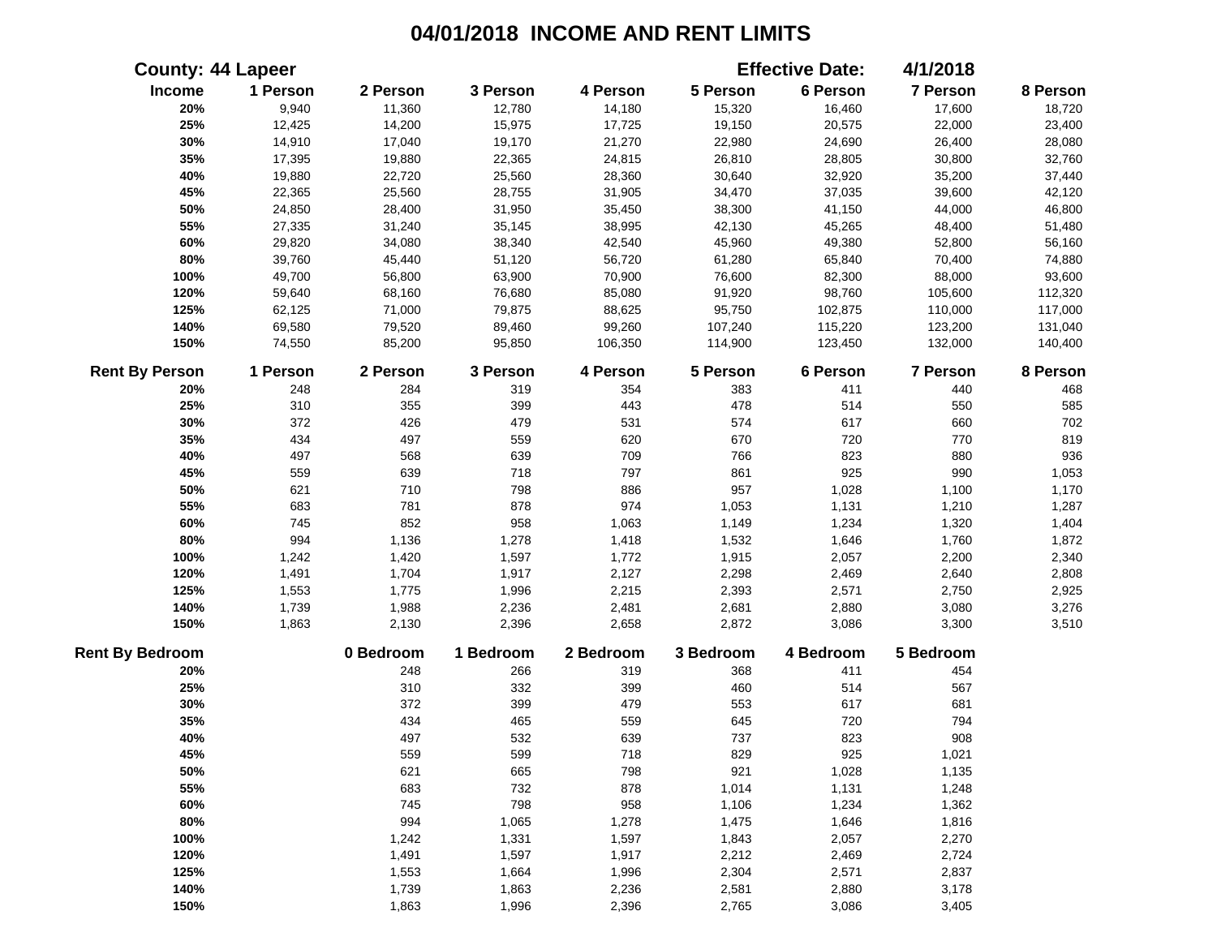|                        | <b>County: 44 Lapeer</b> |           |           |           |           | <b>Effective Date:</b> | 4/1/2018  |          |
|------------------------|--------------------------|-----------|-----------|-----------|-----------|------------------------|-----------|----------|
| Income                 | 1 Person                 | 2 Person  | 3 Person  | 4 Person  | 5 Person  | 6 Person               | 7 Person  | 8 Person |
| 20%                    | 9,940                    | 11,360    | 12,780    | 14,180    | 15,320    | 16,460                 | 17,600    | 18,720   |
| 25%                    | 12,425                   | 14,200    | 15,975    | 17,725    | 19,150    | 20,575                 | 22,000    | 23,400   |
| 30%                    | 14,910                   | 17,040    | 19,170    | 21,270    | 22,980    | 24,690                 | 26,400    | 28,080   |
| 35%                    | 17,395                   | 19,880    | 22,365    | 24,815    | 26,810    | 28,805                 | 30,800    | 32,760   |
| 40%                    | 19,880                   | 22,720    | 25,560    | 28,360    | 30,640    | 32,920                 | 35,200    | 37,440   |
| 45%                    | 22,365                   | 25,560    | 28,755    | 31,905    | 34,470    | 37,035                 | 39,600    | 42,120   |
| 50%                    | 24,850                   | 28,400    | 31,950    | 35,450    | 38,300    | 41,150                 | 44,000    | 46,800   |
| 55%                    | 27,335                   | 31,240    | 35,145    | 38,995    | 42,130    | 45,265                 | 48,400    | 51,480   |
| 60%                    | 29,820                   | 34,080    | 38,340    | 42,540    | 45,960    | 49,380                 | 52,800    | 56,160   |
| 80%                    | 39,760                   | 45,440    | 51,120    | 56,720    | 61,280    | 65,840                 | 70,400    | 74,880   |
| 100%                   | 49,700                   | 56,800    | 63,900    | 70,900    | 76,600    | 82,300                 | 88,000    | 93,600   |
| 120%                   | 59,640                   | 68,160    | 76,680    | 85,080    | 91,920    | 98,760                 | 105,600   | 112,320  |
| 125%                   | 62,125                   | 71,000    | 79,875    | 88,625    | 95,750    | 102,875                | 110,000   | 117,000  |
| 140%                   | 69,580                   | 79,520    | 89,460    | 99,260    | 107,240   | 115,220                | 123,200   | 131,040  |
| 150%                   | 74,550                   | 85,200    | 95,850    | 106,350   | 114,900   | 123,450                | 132,000   | 140,400  |
| <b>Rent By Person</b>  | 1 Person                 | 2 Person  | 3 Person  | 4 Person  | 5 Person  | 6 Person               | 7 Person  | 8 Person |
| 20%                    | 248                      | 284       | 319       | 354       | 383       | 411                    | 440       | 468      |
| 25%                    | 310                      | 355       | 399       | 443       | 478       | 514                    | 550       | 585      |
| 30%                    | 372                      | 426       | 479       | 531       | 574       | 617                    | 660       | 702      |
| 35%                    | 434                      | 497       | 559       | 620       | 670       | 720                    | 770       | 819      |
| 40%                    | 497                      | 568       | 639       | 709       | 766       | 823                    | 880       | 936      |
| 45%                    | 559                      | 639       | 718       | 797       | 861       | 925                    | 990       | 1,053    |
| 50%                    | 621                      | 710       | 798       | 886       | 957       | 1,028                  | 1,100     | 1,170    |
| 55%                    | 683                      | 781       | 878       | 974       | 1,053     | 1,131                  | 1,210     | 1,287    |
| 60%                    | 745                      | 852       | 958       | 1,063     | 1,149     | 1,234                  | 1,320     | 1,404    |
| 80%                    | 994                      | 1,136     | 1,278     | 1,418     | 1,532     | 1,646                  | 1,760     | 1,872    |
| 100%                   | 1,242                    | 1,420     | 1,597     | 1,772     | 1,915     | 2,057                  | 2,200     | 2,340    |
| 120%                   | 1,491                    | 1,704     | 1,917     | 2,127     | 2,298     | 2,469                  | 2,640     | 2,808    |
| 125%                   | 1,553                    | 1,775     | 1,996     | 2,215     | 2,393     | 2,571                  | 2,750     | 2,925    |
| 140%                   | 1,739                    | 1,988     | 2,236     | 2,481     | 2,681     | 2,880                  | 3,080     | 3,276    |
| 150%                   | 1,863                    | 2,130     | 2,396     | 2,658     | 2,872     | 3,086                  | 3,300     | 3,510    |
| <b>Rent By Bedroom</b> |                          | 0 Bedroom | 1 Bedroom | 2 Bedroom | 3 Bedroom | 4 Bedroom              | 5 Bedroom |          |
| 20%                    |                          | 248       | 266       | 319       | 368       | 411                    | 454       |          |
| 25%                    |                          | 310       | 332       | 399       | 460       | 514                    | 567       |          |
| 30%                    |                          | 372       | 399       | 479       | 553       | 617                    | 681       |          |
| 35%                    |                          | 434       | 465       | 559       | 645       | 720                    | 794       |          |
| 40%                    |                          | 497       | 532       | 639       | 737       | 823                    | 908       |          |
| 45%                    |                          | 559       | 599       | 718       | 829       | 925                    | 1,021     |          |
| 50%                    |                          | 621       | 665       | 798       | 921       | 1,028                  | 1,135     |          |
| 55%                    |                          | 683       | 732       | 878       | 1,014     | 1,131                  | 1,248     |          |
| 60%                    |                          | 745       | 798       | 958       | 1,106     | 1,234                  | 1,362     |          |
| 80%                    |                          | 994       | 1,065     | 1,278     | 1,475     | 1,646                  | 1,816     |          |
| 100%                   |                          | 1,242     | 1,331     | 1,597     | 1,843     | 2,057                  | 2,270     |          |
| 120%                   |                          | 1,491     | 1,597     | 1,917     | 2,212     | 2,469                  | 2,724     |          |
| 125%                   |                          | 1,553     | 1,664     | 1,996     | 2,304     | 2,571                  | 2,837     |          |
| 140%                   |                          | 1,739     | 1,863     | 2,236     | 2,581     | 2,880                  | 3,178     |          |
| 150%                   |                          | 1,863     | 1,996     | 2,396     | 2,765     | 3,086                  | 3,405     |          |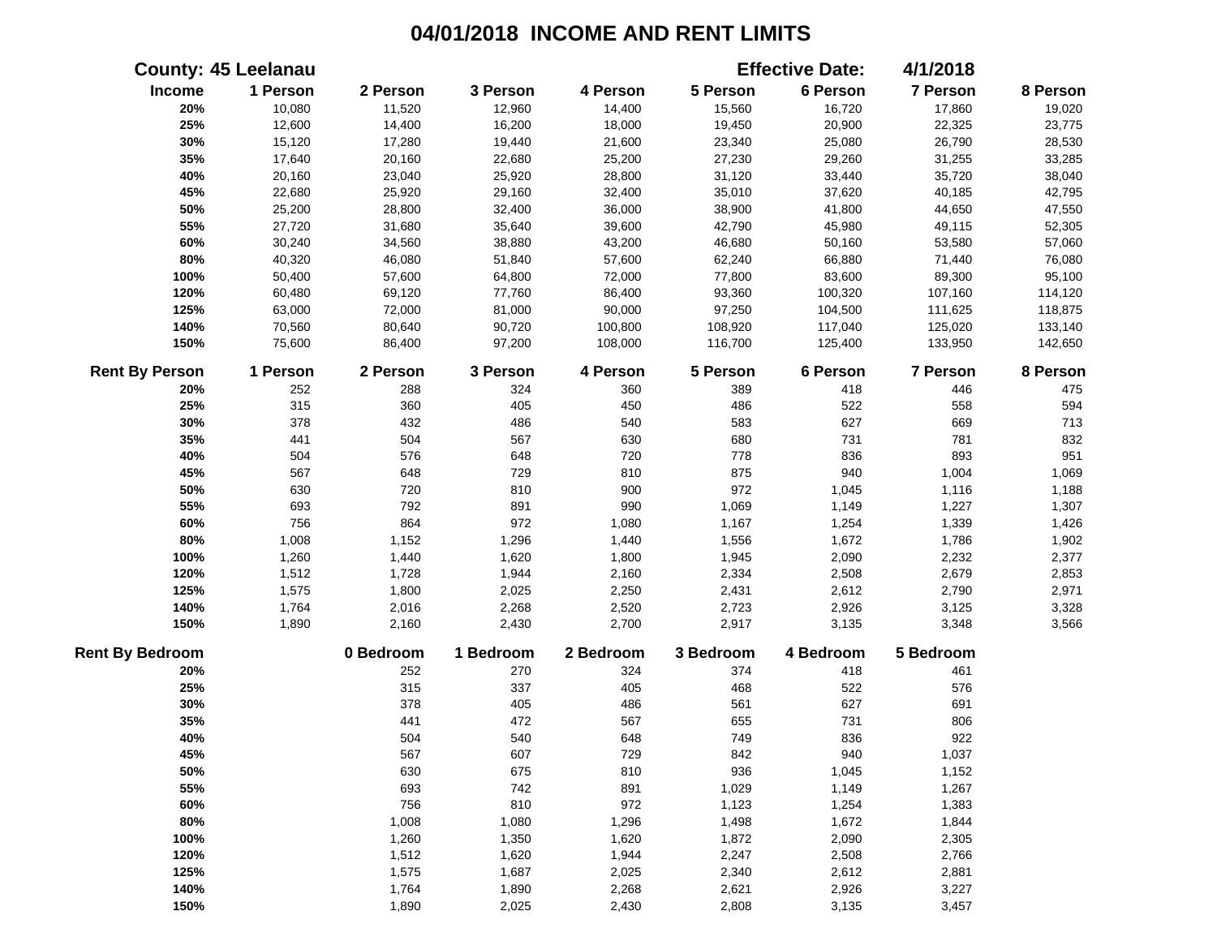|                        | <b>County: 45 Leelanau</b> |           |           |           |           | <b>Effective Date:</b> | 4/1/2018        |          |
|------------------------|----------------------------|-----------|-----------|-----------|-----------|------------------------|-----------------|----------|
| Income                 | 1 Person                   | 2 Person  | 3 Person  | 4 Person  | 5 Person  | 6 Person               | 7 Person        | 8 Person |
| 20%                    | 10,080                     | 11,520    | 12,960    | 14,400    | 15,560    | 16,720                 | 17,860          | 19,020   |
| 25%                    | 12,600                     | 14,400    | 16,200    | 18,000    | 19,450    | 20,900                 | 22,325          | 23,775   |
| 30%                    | 15,120                     | 17,280    | 19,440    | 21,600    | 23,340    | 25,080                 | 26,790          | 28,530   |
| 35%                    | 17,640                     | 20,160    | 22,680    | 25,200    | 27,230    | 29,260                 | 31,255          | 33,285   |
| 40%                    | 20,160                     | 23,040    | 25,920    | 28,800    | 31,120    | 33,440                 | 35,720          | 38,040   |
| 45%                    | 22,680                     | 25,920    | 29,160    | 32,400    | 35,010    | 37,620                 | 40,185          | 42,795   |
| 50%                    | 25,200                     | 28,800    | 32,400    | 36,000    | 38,900    | 41,800                 | 44,650          | 47,550   |
| 55%                    | 27,720                     | 31,680    | 35,640    | 39,600    | 42,790    | 45,980                 | 49,115          | 52,305   |
| 60%                    | 30,240                     | 34,560    | 38,880    | 43,200    | 46,680    | 50,160                 | 53,580          | 57,060   |
| 80%                    | 40,320                     | 46,080    | 51,840    | 57,600    | 62,240    | 66,880                 | 71,440          | 76,080   |
| 100%                   | 50,400                     | 57,600    | 64,800    | 72,000    | 77,800    | 83,600                 | 89,300          | 95,100   |
| 120%                   | 60,480                     | 69,120    | 77,760    | 86,400    | 93,360    | 100,320                | 107,160         | 114,120  |
| 125%                   | 63,000                     | 72,000    | 81,000    | 90,000    | 97,250    | 104,500                | 111,625         | 118,875  |
| 140%                   | 70,560                     | 80,640    | 90,720    | 100,800   | 108,920   | 117,040                | 125,020         | 133,140  |
| 150%                   | 75,600                     | 86,400    | 97,200    | 108,000   | 116,700   | 125,400                | 133,950         | 142,650  |
| <b>Rent By Person</b>  | 1 Person                   | 2 Person  | 3 Person  | 4 Person  | 5 Person  | 6 Person               | <b>7 Person</b> | 8 Person |
| 20%                    | 252                        | 288       | 324       | 360       | 389       | 418                    | 446             | 475      |
| 25%                    | 315                        | 360       | 405       | 450       | 486       | 522                    | 558             | 594      |
| 30%                    | 378                        | 432       | 486       | 540       | 583       | 627                    | 669             | 713      |
| 35%                    | 441                        | 504       | 567       | 630       | 680       | 731                    | 781             | 832      |
| 40%                    | 504                        | 576       | 648       | 720       | 778       | 836                    | 893             | 951      |
| 45%                    | 567                        | 648       | 729       | 810       | 875       | 940                    | 1,004           | 1,069    |
| 50%                    | 630                        | 720       | 810       | 900       | 972       | 1,045                  | 1,116           | 1,188    |
| 55%                    | 693                        | 792       | 891       | 990       | 1,069     | 1,149                  | 1,227           | 1,307    |
| 60%                    | 756                        | 864       | 972       | 1,080     | 1,167     | 1,254                  | 1,339           | 1,426    |
| 80%                    | 1,008                      | 1,152     | 1,296     | 1,440     | 1,556     | 1,672                  | 1,786           | 1,902    |
| 100%                   | 1,260                      | 1,440     | 1,620     | 1,800     | 1,945     | 2,090                  | 2,232           | 2,377    |
| 120%                   | 1,512                      | 1,728     | 1,944     | 2,160     | 2,334     | 2,508                  | 2,679           | 2,853    |
| 125%                   | 1,575                      | 1,800     | 2,025     | 2,250     | 2,431     | 2,612                  | 2,790           | 2,971    |
| 140%                   | 1,764                      | 2,016     | 2,268     | 2,520     | 2,723     | 2,926                  | 3,125           | 3,328    |
| 150%                   | 1,890                      | 2,160     | 2,430     | 2,700     | 2,917     | 3,135                  | 3,348           | 3,566    |
| <b>Rent By Bedroom</b> |                            | 0 Bedroom | 1 Bedroom | 2 Bedroom | 3 Bedroom | 4 Bedroom              | 5 Bedroom       |          |
| 20%                    |                            | 252       | 270       | 324       | 374       | 418                    | 461             |          |
| 25%                    |                            | 315       | 337       | 405       | 468       | 522                    | 576             |          |
| 30%                    |                            | 378       | 405       | 486       | 561       | 627                    | 691             |          |
| 35%                    |                            | 441       | 472       | 567       | 655       | 731                    | 806             |          |
| 40%                    |                            | 504       | 540       | 648       | 749       | 836                    | 922             |          |
| 45%                    |                            | 567       | 607       | 729       | 842       | 940                    | 1,037           |          |
| 50%                    |                            | 630       | 675       | 810       | 936       | 1,045                  | 1,152           |          |
| 55%                    |                            | 693       | 742       | 891       | 1,029     | 1,149                  | 1,267           |          |
| 60%                    |                            | 756       | 810       | 972       | 1,123     | 1,254                  | 1,383           |          |
| 80%                    |                            | 1,008     | 1,080     | 1,296     | 1,498     | 1,672                  | 1,844           |          |
| 100%                   |                            | 1,260     | 1,350     | 1,620     | 1,872     | 2,090                  | 2,305           |          |
| 120%                   |                            | 1,512     | 1,620     | 1,944     | 2,247     | 2,508                  | 2,766           |          |
| 125%                   |                            | 1,575     | 1,687     | 2,025     | 2,340     | 2,612                  | 2,881           |          |
| 140%                   |                            | 1,764     | 1,890     | 2,268     | 2,621     | 2,926                  | 3,227           |          |
| 150%                   |                            | 1,890     | 2,025     | 2,430     | 2,808     | 3,135                  | 3,457           |          |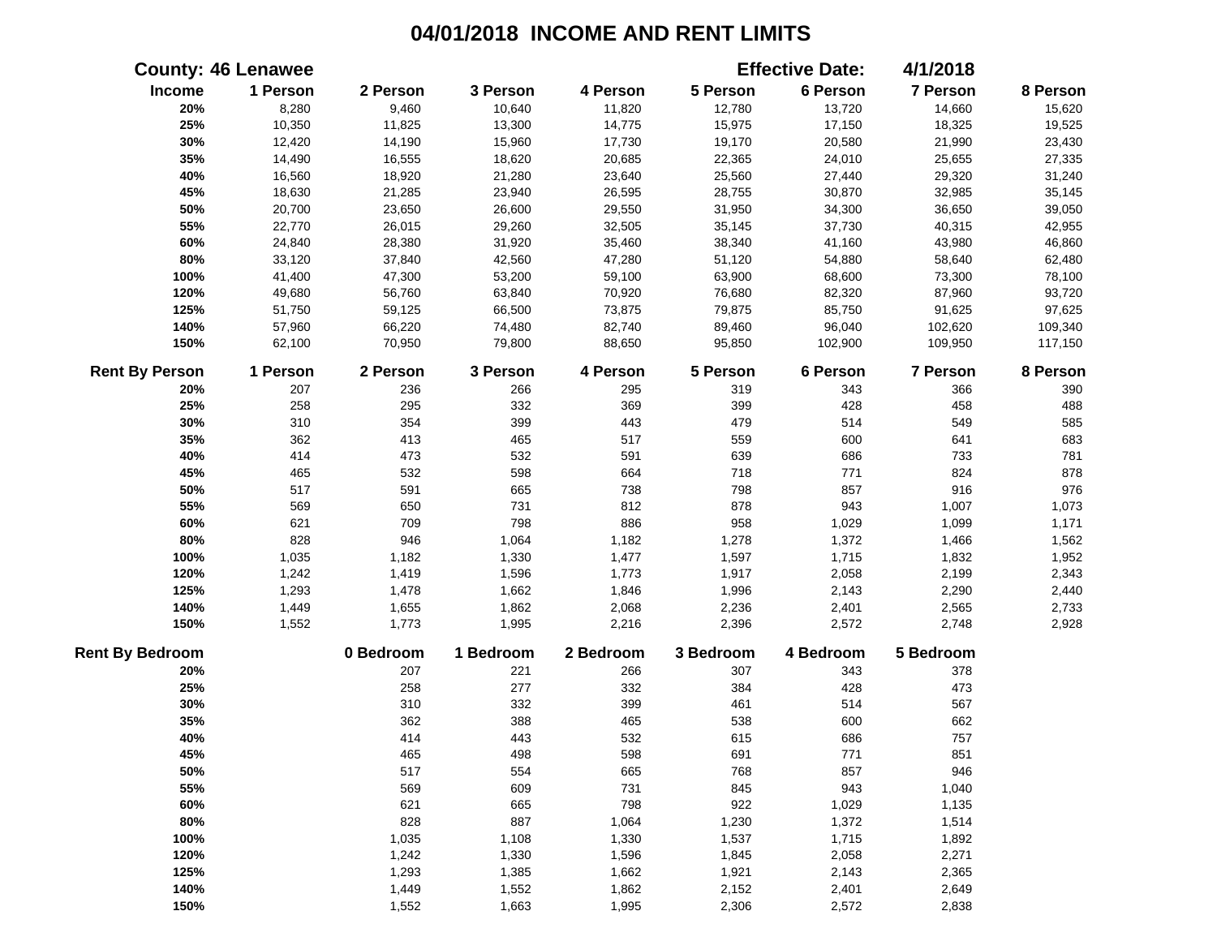|                        | <b>County: 46 Lenawee</b> |           |           |           |           | <b>Effective Date:</b> | 4/1/2018        |          |
|------------------------|---------------------------|-----------|-----------|-----------|-----------|------------------------|-----------------|----------|
| Income                 | 1 Person                  | 2 Person  | 3 Person  | 4 Person  | 5 Person  | 6 Person               | 7 Person        | 8 Person |
| 20%                    | 8,280                     | 9,460     | 10,640    | 11,820    | 12,780    | 13,720                 | 14,660          | 15,620   |
| 25%                    | 10,350                    | 11,825    | 13,300    | 14,775    | 15,975    | 17,150                 | 18,325          | 19,525   |
| 30%                    | 12,420                    | 14,190    | 15,960    | 17,730    | 19,170    | 20,580                 | 21,990          | 23,430   |
| 35%                    | 14,490                    | 16,555    | 18,620    | 20,685    | 22,365    | 24,010                 | 25,655          | 27,335   |
| 40%                    | 16,560                    | 18,920    | 21,280    | 23,640    | 25,560    | 27,440                 | 29,320          | 31,240   |
| 45%                    | 18,630                    | 21,285    | 23,940    | 26,595    | 28,755    | 30,870                 | 32,985          | 35,145   |
| 50%                    | 20,700                    | 23,650    | 26,600    | 29,550    | 31,950    | 34,300                 | 36,650          | 39,050   |
| 55%                    | 22,770                    | 26,015    | 29,260    | 32,505    | 35,145    | 37,730                 | 40,315          | 42,955   |
| 60%                    | 24,840                    | 28,380    | 31,920    | 35,460    | 38,340    | 41,160                 | 43,980          | 46,860   |
| 80%                    | 33,120                    | 37,840    | 42,560    | 47,280    | 51,120    | 54,880                 | 58,640          | 62,480   |
| 100%                   | 41,400                    | 47,300    | 53,200    | 59,100    | 63,900    | 68,600                 | 73,300          | 78,100   |
| 120%                   | 49,680                    | 56,760    | 63,840    | 70,920    | 76,680    | 82,320                 | 87,960          | 93,720   |
| 125%                   | 51,750                    | 59,125    | 66,500    | 73,875    | 79,875    | 85,750                 | 91,625          | 97,625   |
| 140%                   | 57,960                    | 66,220    | 74,480    | 82,740    | 89,460    | 96,040                 | 102,620         | 109,340  |
| 150%                   | 62,100                    | 70,950    | 79,800    | 88,650    | 95,850    | 102,900                | 109,950         | 117,150  |
| <b>Rent By Person</b>  | 1 Person                  | 2 Person  | 3 Person  | 4 Person  | 5 Person  | 6 Person               | <b>7 Person</b> | 8 Person |
| 20%                    | 207                       | 236       | 266       | 295       | 319       | 343                    | 366             | 390      |
| 25%                    | 258                       | 295       | 332       | 369       | 399       | 428                    | 458             | 488      |
| 30%                    | 310                       | 354       | 399       | 443       | 479       | 514                    | 549             | 585      |
| 35%                    | 362                       | 413       | 465       | 517       | 559       | 600                    | 641             | 683      |
| 40%                    | 414                       | 473       | 532       | 591       | 639       | 686                    | 733             | 781      |
| 45%                    | 465                       | 532       | 598       | 664       | 718       | 771                    | 824             | 878      |
| 50%                    | 517                       | 591       | 665       | 738       | 798       | 857                    | 916             | 976      |
| 55%                    | 569                       | 650       | 731       | 812       | 878       | 943                    | 1,007           | 1,073    |
| 60%                    | 621                       | 709       | 798       | 886       | 958       | 1,029                  | 1,099           | 1,171    |
| 80%                    | 828                       | 946       | 1,064     | 1,182     | 1,278     | 1,372                  | 1,466           | 1,562    |
| 100%                   | 1,035                     | 1,182     | 1,330     | 1,477     | 1,597     | 1,715                  | 1,832           | 1,952    |
| 120%                   | 1,242                     | 1,419     | 1,596     | 1,773     | 1,917     | 2,058                  | 2,199           | 2,343    |
| 125%                   | 1,293                     | 1,478     | 1,662     | 1,846     | 1,996     | 2,143                  | 2,290           | 2,440    |
| 140%                   | 1,449                     | 1,655     | 1,862     | 2,068     | 2,236     | 2,401                  | 2,565           | 2,733    |
| 150%                   | 1,552                     | 1,773     | 1,995     | 2,216     | 2,396     | 2,572                  | 2,748           | 2,928    |
| <b>Rent By Bedroom</b> |                           | 0 Bedroom | 1 Bedroom | 2 Bedroom | 3 Bedroom | 4 Bedroom              | 5 Bedroom       |          |
| 20%                    |                           | 207       | 221       | 266       | 307       | 343                    | 378             |          |
| 25%                    |                           | 258       | 277       | 332       | 384       | 428                    | 473             |          |
| 30%                    |                           | 310       | 332       | 399       | 461       | 514                    | 567             |          |
| 35%                    |                           | 362       | 388       | 465       | 538       | 600                    | 662             |          |
| 40%                    |                           | 414       | 443       | 532       | 615       | 686                    | 757             |          |
| 45%                    |                           | 465       | 498       | 598       | 691       | 771                    | 851             |          |
| 50%                    |                           | 517       | 554       | 665       | 768       | 857                    | 946             |          |
| 55%                    |                           | 569       | 609       | 731       | 845       | 943                    | 1,040           |          |
| 60%                    |                           | 621       | 665       | 798       | 922       | 1,029                  | 1,135           |          |
| 80%                    |                           | 828       | 887       | 1,064     | 1,230     | 1,372                  | 1,514           |          |
| 100%                   |                           | 1,035     | 1,108     | 1,330     | 1,537     | 1,715                  | 1,892           |          |
| 120%                   |                           | 1,242     | 1,330     | 1,596     | 1,845     | 2,058                  | 2,271           |          |
| 125%                   |                           | 1,293     | 1,385     | 1,662     | 1,921     | 2,143                  | 2,365           |          |
| 140%                   |                           | 1,449     | 1,552     | 1,862     | 2,152     | 2,401                  | 2,649           |          |
| 150%                   |                           | 1,552     | 1,663     | 1,995     | 2,306     | 2,572                  | 2,838           |          |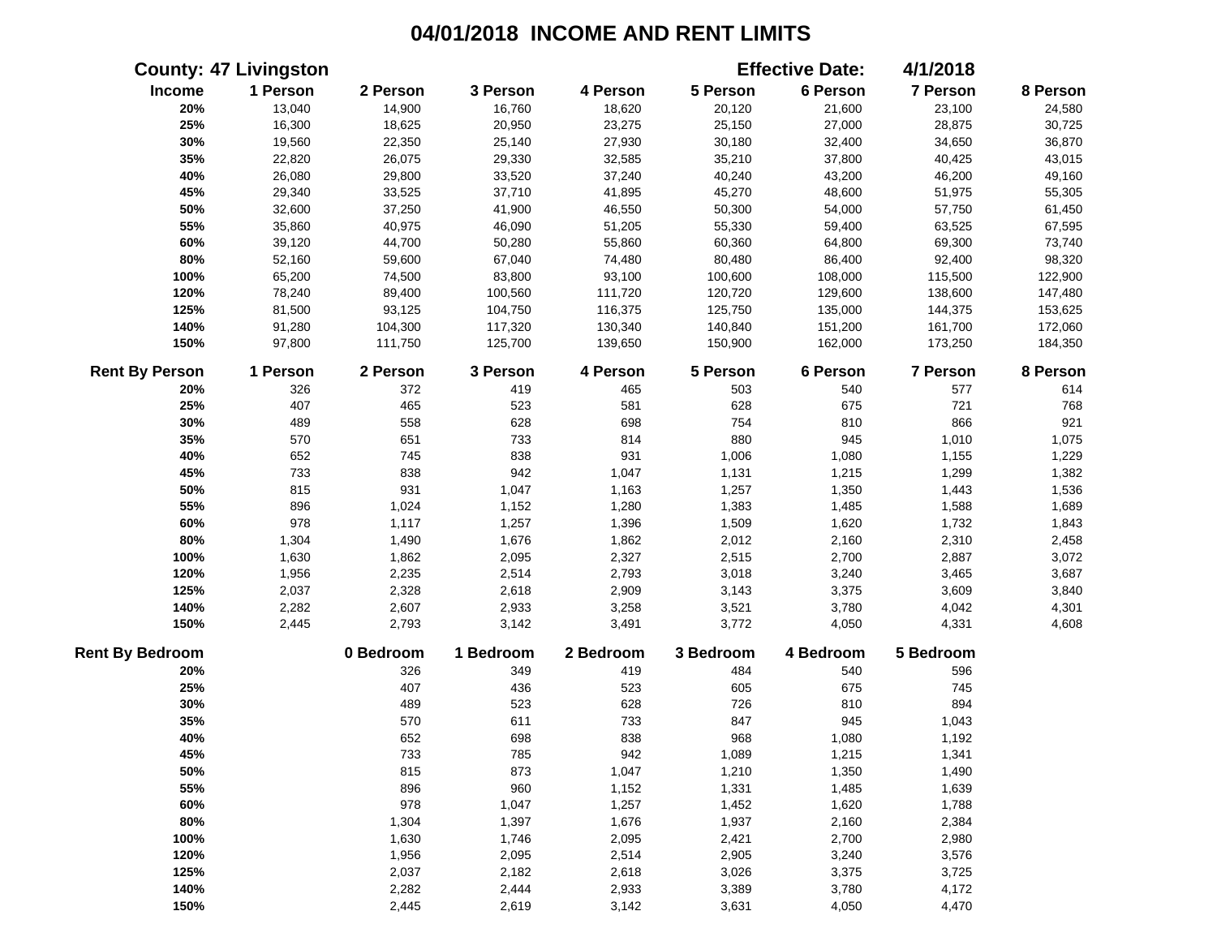|                        | <b>County: 47 Livingston</b> |           |           |           |           | <b>Effective Date:</b> | 4/1/2018        |          |
|------------------------|------------------------------|-----------|-----------|-----------|-----------|------------------------|-----------------|----------|
| Income                 | 1 Person                     | 2 Person  | 3 Person  | 4 Person  | 5 Person  | 6 Person               | 7 Person        | 8 Person |
| 20%                    | 13,040                       | 14,900    | 16,760    | 18,620    | 20,120    | 21,600                 | 23,100          | 24,580   |
| 25%                    | 16,300                       | 18,625    | 20,950    | 23,275    | 25,150    | 27,000                 | 28,875          | 30,725   |
| 30%                    | 19,560                       | 22,350    | 25,140    | 27,930    | 30,180    | 32,400                 | 34,650          | 36,870   |
| 35%                    | 22,820                       | 26,075    | 29,330    | 32,585    | 35,210    | 37,800                 | 40,425          | 43,015   |
| 40%                    | 26,080                       | 29,800    | 33,520    | 37,240    | 40,240    | 43,200                 | 46,200          | 49,160   |
| 45%                    | 29,340                       | 33,525    | 37,710    | 41,895    | 45,270    | 48,600                 | 51,975          | 55,305   |
| 50%                    | 32,600                       | 37,250    | 41,900    | 46,550    | 50,300    | 54,000                 | 57,750          | 61,450   |
| 55%                    | 35,860                       | 40,975    | 46,090    | 51,205    | 55,330    | 59,400                 | 63,525          | 67,595   |
| 60%                    | 39,120                       | 44,700    | 50,280    | 55,860    | 60,360    | 64,800                 | 69,300          | 73,740   |
| 80%                    | 52,160                       | 59,600    | 67,040    | 74,480    | 80,480    | 86,400                 | 92,400          | 98,320   |
| 100%                   | 65,200                       | 74,500    | 83,800    | 93,100    | 100,600   | 108,000                | 115,500         | 122,900  |
| 120%                   | 78,240                       | 89,400    | 100,560   | 111,720   | 120,720   | 129,600                | 138,600         | 147,480  |
| 125%                   | 81,500                       | 93,125    | 104,750   | 116,375   | 125,750   | 135,000                | 144,375         | 153,625  |
| 140%                   | 91,280                       | 104,300   | 117,320   | 130,340   | 140,840   | 151,200                | 161,700         | 172,060  |
| 150%                   | 97,800                       | 111,750   | 125,700   | 139,650   | 150,900   | 162,000                | 173,250         | 184,350  |
| <b>Rent By Person</b>  | 1 Person                     | 2 Person  | 3 Person  | 4 Person  | 5 Person  | 6 Person               | <b>7 Person</b> | 8 Person |
| 20%                    | 326                          | 372       | 419       | 465       | 503       | 540                    | 577             | 614      |
| 25%                    | 407                          | 465       | 523       | 581       | 628       | 675                    | 721             | 768      |
| 30%                    | 489                          | 558       | 628       | 698       | 754       | 810                    | 866             | 921      |
| 35%                    | 570                          | 651       | 733       | 814       | 880       | 945                    | 1,010           | 1,075    |
| 40%                    | 652                          | 745       | 838       | 931       | 1,006     | 1,080                  | 1,155           | 1,229    |
| 45%                    | 733                          | 838       | 942       | 1,047     | 1,131     | 1,215                  | 1,299           | 1,382    |
| 50%                    | 815                          | 931       | 1,047     | 1,163     | 1,257     | 1,350                  | 1,443           | 1,536    |
| 55%                    | 896                          | 1,024     | 1,152     | 1,280     | 1,383     | 1,485                  | 1,588           | 1,689    |
| 60%                    | 978                          | 1,117     | 1,257     | 1,396     | 1,509     | 1,620                  | 1,732           | 1,843    |
| 80%                    | 1,304                        | 1,490     | 1,676     | 1,862     | 2,012     | 2,160                  | 2,310           | 2,458    |
| 100%                   | 1,630                        | 1,862     | 2,095     | 2,327     | 2,515     | 2,700                  | 2,887           | 3,072    |
| 120%                   | 1,956                        | 2,235     | 2,514     | 2,793     | 3,018     | 3,240                  | 3,465           | 3,687    |
| 125%                   | 2,037                        | 2,328     | 2,618     | 2,909     | 3,143     | 3,375                  | 3,609           | 3,840    |
| 140%                   | 2,282                        | 2,607     | 2,933     | 3,258     | 3,521     | 3,780                  | 4,042           | 4,301    |
| 150%                   | 2,445                        | 2,793     | 3,142     | 3,491     | 3,772     | 4,050                  | 4,331           | 4,608    |
| <b>Rent By Bedroom</b> |                              | 0 Bedroom | 1 Bedroom | 2 Bedroom | 3 Bedroom | 4 Bedroom              | 5 Bedroom       |          |
| 20%                    |                              | 326       | 349       | 419       | 484       | 540                    | 596             |          |
| 25%                    |                              | 407       | 436       | 523       | 605       | 675                    | 745             |          |
| 30%                    |                              | 489       | 523       | 628       | 726       | 810                    | 894             |          |
| 35%                    |                              | 570       | 611       | 733       | 847       | 945                    | 1,043           |          |
| 40%                    |                              | 652       | 698       | 838       | 968       | 1,080                  | 1,192           |          |
| 45%                    |                              | 733       | 785       | 942       | 1,089     | 1,215                  | 1,341           |          |
| 50%                    |                              | 815       | 873       | 1,047     | 1,210     | 1,350                  | 1,490           |          |
| 55%                    |                              | 896       | 960       | 1,152     | 1,331     | 1,485                  | 1,639           |          |
| 60%                    |                              | 978       | 1,047     | 1,257     | 1,452     | 1,620                  | 1,788           |          |
| 80%                    |                              | 1,304     | 1,397     | 1,676     | 1,937     | 2,160                  | 2,384           |          |
| 100%                   |                              | 1,630     | 1,746     | 2,095     | 2,421     | 2,700                  | 2,980           |          |
| 120%                   |                              | 1,956     | 2,095     | 2,514     | 2,905     | 3,240                  | 3,576           |          |
| 125%                   |                              | 2,037     | 2,182     | 2,618     | 3,026     | 3,375                  | 3,725           |          |
| 140%                   |                              | 2,282     | 2,444     | 2,933     | 3,389     | 3,780                  | 4,172           |          |
| 150%                   |                              | 2,445     | 2,619     | 3,142     | 3,631     | 4,050                  | 4,470           |          |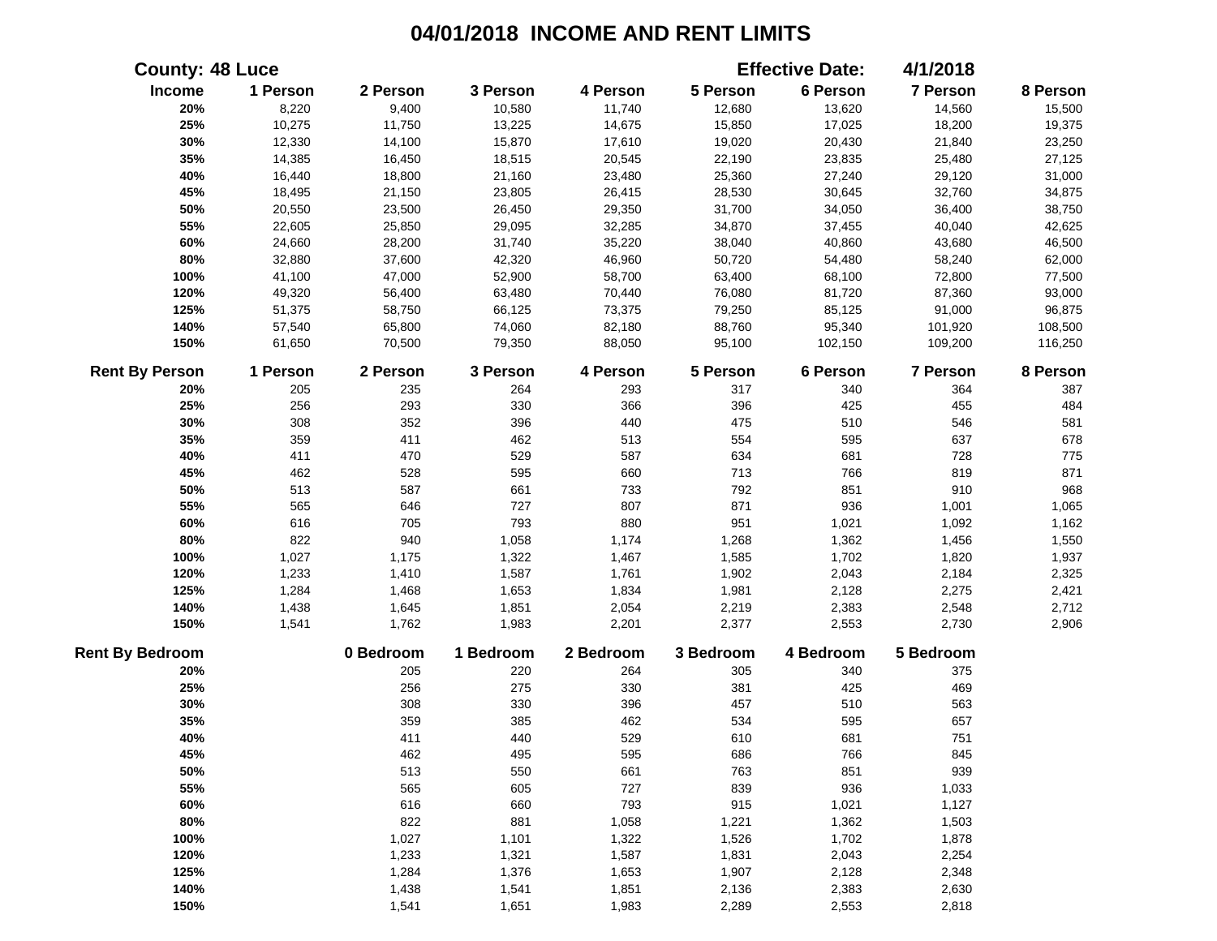|                        | <b>County: 48 Luce</b> |           |           |           |           | <b>Effective Date:</b> | 4/1/2018  |          |
|------------------------|------------------------|-----------|-----------|-----------|-----------|------------------------|-----------|----------|
| Income                 | 1 Person               | 2 Person  | 3 Person  | 4 Person  | 5 Person  | 6 Person               | 7 Person  | 8 Person |
| 20%                    | 8,220                  | 9,400     | 10,580    | 11,740    | 12,680    | 13,620                 | 14,560    | 15,500   |
| 25%                    | 10,275                 | 11,750    | 13,225    | 14,675    | 15,850    | 17,025                 | 18,200    | 19,375   |
| 30%                    | 12,330                 | 14,100    | 15,870    | 17,610    | 19,020    | 20,430                 | 21,840    | 23,250   |
| 35%                    | 14,385                 | 16,450    | 18,515    | 20,545    | 22,190    | 23,835                 | 25,480    | 27,125   |
| 40%                    | 16,440                 | 18,800    | 21,160    | 23,480    | 25,360    | 27,240                 | 29,120    | 31,000   |
| 45%                    | 18,495                 | 21,150    | 23,805    | 26,415    | 28,530    | 30,645                 | 32,760    | 34,875   |
| 50%                    | 20,550                 | 23,500    | 26,450    | 29,350    | 31,700    | 34,050                 | 36,400    | 38,750   |
| 55%                    | 22,605                 | 25,850    | 29,095    | 32,285    | 34,870    | 37,455                 | 40,040    | 42,625   |
| 60%                    | 24,660                 | 28,200    | 31,740    | 35,220    | 38,040    | 40,860                 | 43,680    | 46,500   |
| 80%                    | 32,880                 | 37,600    | 42,320    | 46,960    | 50,720    | 54,480                 | 58,240    | 62,000   |
| 100%                   | 41,100                 | 47,000    | 52,900    | 58,700    | 63,400    | 68,100                 | 72,800    | 77,500   |
| 120%                   | 49,320                 | 56,400    | 63,480    | 70,440    | 76,080    | 81,720                 | 87,360    | 93,000   |
| 125%                   | 51,375                 | 58,750    | 66,125    | 73,375    | 79,250    | 85,125                 | 91,000    | 96,875   |
| 140%                   | 57,540                 | 65,800    | 74,060    | 82,180    | 88,760    | 95,340                 | 101,920   | 108,500  |
| 150%                   | 61,650                 | 70,500    | 79,350    | 88,050    | 95,100    | 102,150                | 109,200   | 116,250  |
| <b>Rent By Person</b>  | 1 Person               | 2 Person  | 3 Person  | 4 Person  | 5 Person  | 6 Person               | 7 Person  | 8 Person |
| 20%                    | 205                    | 235       | 264       | 293       | 317       | 340                    | 364       | 387      |
| 25%                    | 256                    | 293       | 330       | 366       | 396       | 425                    | 455       | 484      |
| 30%                    | 308                    | 352       | 396       | 440       | 475       | 510                    | 546       | 581      |
| 35%                    | 359                    | 411       | 462       | 513       | 554       | 595                    | 637       | 678      |
| 40%                    | 411                    | 470       | 529       | 587       | 634       | 681                    | 728       | 775      |
| 45%                    | 462                    | 528       | 595       | 660       | 713       | 766                    | 819       | 871      |
| 50%                    | 513                    | 587       | 661       | 733       | 792       | 851                    | 910       | 968      |
| 55%                    | 565                    | 646       | 727       | 807       | 871       | 936                    | 1,001     | 1,065    |
| 60%                    | 616                    | 705       | 793       | 880       | 951       | 1,021                  | 1,092     | 1,162    |
| 80%                    | 822                    | 940       | 1,058     | 1,174     | 1,268     | 1,362                  | 1,456     | 1,550    |
| 100%                   | 1,027                  | 1,175     | 1,322     | 1,467     | 1,585     | 1,702                  | 1,820     | 1,937    |
| 120%                   | 1,233                  | 1,410     | 1,587     | 1,761     | 1,902     | 2,043                  | 2,184     | 2,325    |
| 125%                   | 1,284                  | 1,468     | 1,653     | 1,834     | 1,981     | 2,128                  | 2,275     | 2,421    |
| 140%                   | 1,438                  | 1,645     | 1,851     | 2,054     | 2,219     | 2,383                  | 2,548     | 2,712    |
| 150%                   | 1,541                  | 1,762     | 1,983     | 2,201     | 2,377     | 2,553                  | 2,730     | 2,906    |
| <b>Rent By Bedroom</b> |                        | 0 Bedroom | 1 Bedroom | 2 Bedroom | 3 Bedroom | 4 Bedroom              | 5 Bedroom |          |
| 20%                    |                        | 205       | 220       | 264       | 305       | 340                    | 375       |          |
| 25%                    |                        | 256       | 275       | 330       | 381       | 425                    | 469       |          |
| 30%                    |                        | 308       | 330       | 396       | 457       | 510                    | 563       |          |
| 35%                    |                        | 359       | 385       | 462       | 534       | 595                    | 657       |          |
| 40%                    |                        | 411       | 440       | 529       | 610       | 681                    | 751       |          |
| 45%                    |                        | 462       | 495       | 595       | 686       | 766                    | 845       |          |
| 50%                    |                        | 513       | 550       | 661       | 763       | 851                    | 939       |          |
| 55%                    |                        | 565       | 605       | 727       | 839       | 936                    | 1,033     |          |
| 60%                    |                        | 616       | 660       | 793       | 915       | 1,021                  | 1,127     |          |
| 80%                    |                        | 822       | 881       | 1,058     | 1,221     | 1,362                  | 1,503     |          |
| 100%                   |                        | 1,027     | 1,101     | 1,322     | 1,526     | 1,702                  | 1,878     |          |
| 120%                   |                        | 1,233     | 1,321     | 1,587     | 1,831     | 2,043                  | 2,254     |          |
| 125%                   |                        | 1,284     | 1,376     | 1,653     | 1,907     | 2,128                  | 2,348     |          |
| 140%                   |                        | 1,438     | 1,541     | 1,851     | 2,136     | 2,383                  | 2,630     |          |
| 150%                   |                        | 1,541     | 1,651     | 1,983     | 2,289     | 2,553                  | 2,818     |          |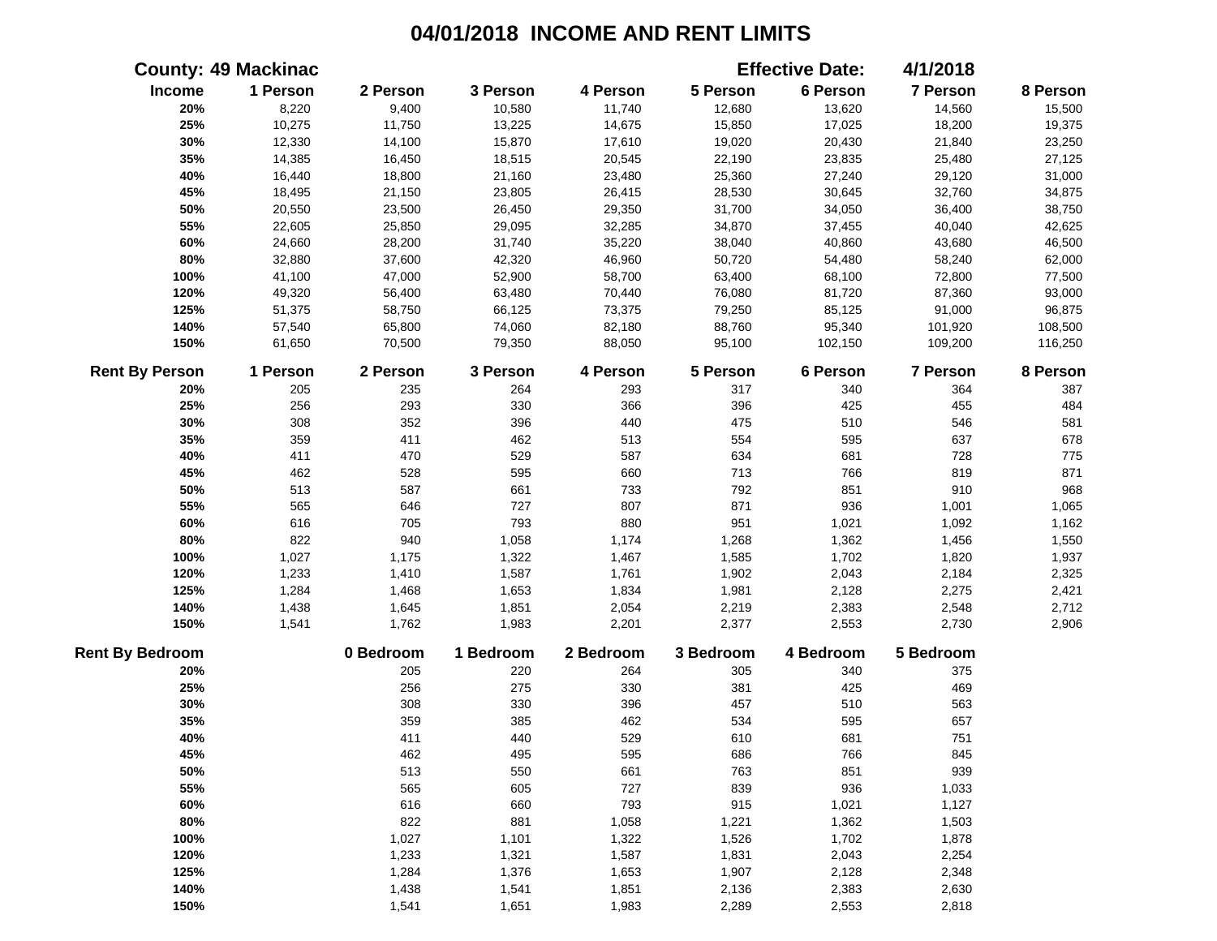|                        | <b>County: 49 Mackinac</b> |           |           |           |           | <b>Effective Date:</b> | 4/1/2018  |          |
|------------------------|----------------------------|-----------|-----------|-----------|-----------|------------------------|-----------|----------|
| Income                 | 1 Person                   | 2 Person  | 3 Person  | 4 Person  | 5 Person  | 6 Person               | 7 Person  | 8 Person |
| 20%                    | 8,220                      | 9,400     | 10,580    | 11,740    | 12,680    | 13,620                 | 14,560    | 15,500   |
| 25%                    | 10,275                     | 11,750    | 13,225    | 14,675    | 15,850    | 17,025                 | 18,200    | 19,375   |
| 30%                    | 12,330                     | 14,100    | 15,870    | 17,610    | 19,020    | 20,430                 | 21,840    | 23,250   |
| 35%                    | 14,385                     | 16,450    | 18,515    | 20,545    | 22,190    | 23,835                 | 25,480    | 27,125   |
| 40%                    | 16,440                     | 18,800    | 21,160    | 23,480    | 25,360    | 27,240                 | 29,120    | 31,000   |
| 45%                    | 18,495                     | 21,150    | 23,805    | 26,415    | 28,530    | 30,645                 | 32,760    | 34,875   |
| 50%                    | 20,550                     | 23,500    | 26,450    | 29,350    | 31,700    | 34,050                 | 36,400    | 38,750   |
| 55%                    | 22,605                     | 25,850    | 29,095    | 32,285    | 34,870    | 37,455                 | 40,040    | 42,625   |
| 60%                    | 24,660                     | 28,200    | 31,740    | 35,220    | 38,040    | 40,860                 | 43,680    | 46,500   |
| 80%                    | 32,880                     | 37,600    | 42,320    | 46,960    | 50,720    | 54,480                 | 58,240    | 62,000   |
| 100%                   | 41,100                     | 47,000    | 52,900    | 58,700    | 63,400    | 68,100                 | 72,800    | 77,500   |
| 120%                   | 49,320                     | 56,400    | 63,480    | 70,440    | 76,080    | 81,720                 | 87,360    | 93,000   |
| 125%                   | 51,375                     | 58,750    | 66,125    | 73,375    | 79,250    | 85,125                 | 91,000    | 96,875   |
| 140%                   | 57,540                     | 65,800    | 74,060    | 82,180    | 88,760    | 95,340                 | 101,920   | 108,500  |
| 150%                   | 61,650                     | 70,500    | 79,350    | 88,050    | 95,100    | 102,150                | 109,200   | 116,250  |
| <b>Rent By Person</b>  | 1 Person                   | 2 Person  | 3 Person  | 4 Person  | 5 Person  | 6 Person               | 7 Person  | 8 Person |
| 20%                    | 205                        | 235       | 264       | 293       | 317       | 340                    | 364       | 387      |
| 25%                    | 256                        | 293       | 330       | 366       | 396       | 425                    | 455       | 484      |
| 30%                    | 308                        | 352       | 396       | 440       | 475       | 510                    | 546       | 581      |
| 35%                    | 359                        | 411       | 462       | 513       | 554       | 595                    | 637       | 678      |
| 40%                    | 411                        | 470       | 529       | 587       | 634       | 681                    | 728       | 775      |
| 45%                    | 462                        | 528       | 595       | 660       | 713       | 766                    | 819       | 871      |
| 50%                    | 513                        | 587       | 661       | 733       | 792       | 851                    | 910       | 968      |
| 55%                    | 565                        | 646       | 727       | 807       | 871       | 936                    | 1,001     | 1,065    |
| 60%                    | 616                        | 705       | 793       | 880       | 951       | 1,021                  | 1,092     | 1,162    |
| 80%                    | 822                        | 940       | 1,058     | 1,174     | 1,268     | 1,362                  | 1,456     | 1,550    |
| 100%                   | 1,027                      | 1,175     | 1,322     | 1,467     | 1,585     | 1,702                  | 1,820     | 1,937    |
| 120%                   | 1,233                      | 1,410     | 1,587     | 1,761     | 1,902     | 2,043                  | 2,184     | 2,325    |
| 125%                   | 1,284                      | 1,468     | 1,653     | 1,834     | 1,981     | 2,128                  | 2,275     | 2,421    |
| 140%                   | 1,438                      | 1,645     | 1,851     | 2,054     | 2,219     | 2,383                  | 2,548     | 2,712    |
| 150%                   | 1,541                      | 1,762     | 1,983     | 2,201     | 2,377     | 2,553                  | 2,730     | 2,906    |
| <b>Rent By Bedroom</b> |                            | 0 Bedroom | 1 Bedroom | 2 Bedroom | 3 Bedroom | 4 Bedroom              | 5 Bedroom |          |
| 20%                    |                            | 205       | 220       | 264       | 305       | 340                    | 375       |          |
| 25%                    |                            | 256       | 275       | 330       | 381       | 425                    | 469       |          |
| 30%                    |                            | 308       | 330       | 396       | 457       | 510                    | 563       |          |
| 35%                    |                            | 359       | 385       | 462       | 534       | 595                    | 657       |          |
| 40%                    |                            | 411       | 440       | 529       | 610       | 681                    | 751       |          |
| 45%                    |                            | 462       | 495       | 595       | 686       | 766                    | 845       |          |
| 50%                    |                            | 513       | 550       | 661       | 763       | 851                    | 939       |          |
| 55%                    |                            | 565       | 605       | 727       | 839       | 936                    | 1,033     |          |
| 60%                    |                            | 616       | 660       | 793       | 915       | 1,021                  | 1,127     |          |
| 80%                    |                            | 822       | 881       | 1,058     | 1,221     | 1,362                  | 1,503     |          |
| 100%                   |                            | 1,027     | 1,101     | 1,322     | 1,526     | 1,702                  | 1,878     |          |
| 120%                   |                            | 1,233     | 1,321     | 1,587     | 1,831     | 2,043                  | 2,254     |          |
| 125%                   |                            | 1,284     | 1,376     | 1,653     | 1,907     | 2,128                  | 2,348     |          |
| 140%                   |                            | 1,438     | 1,541     | 1,851     | 2,136     | 2,383                  | 2,630     |          |
| 150%                   |                            | 1,541     | 1,651     | 1,983     | 2,289     | 2,553                  | 2,818     |          |
|                        |                            |           |           |           |           |                        |           |          |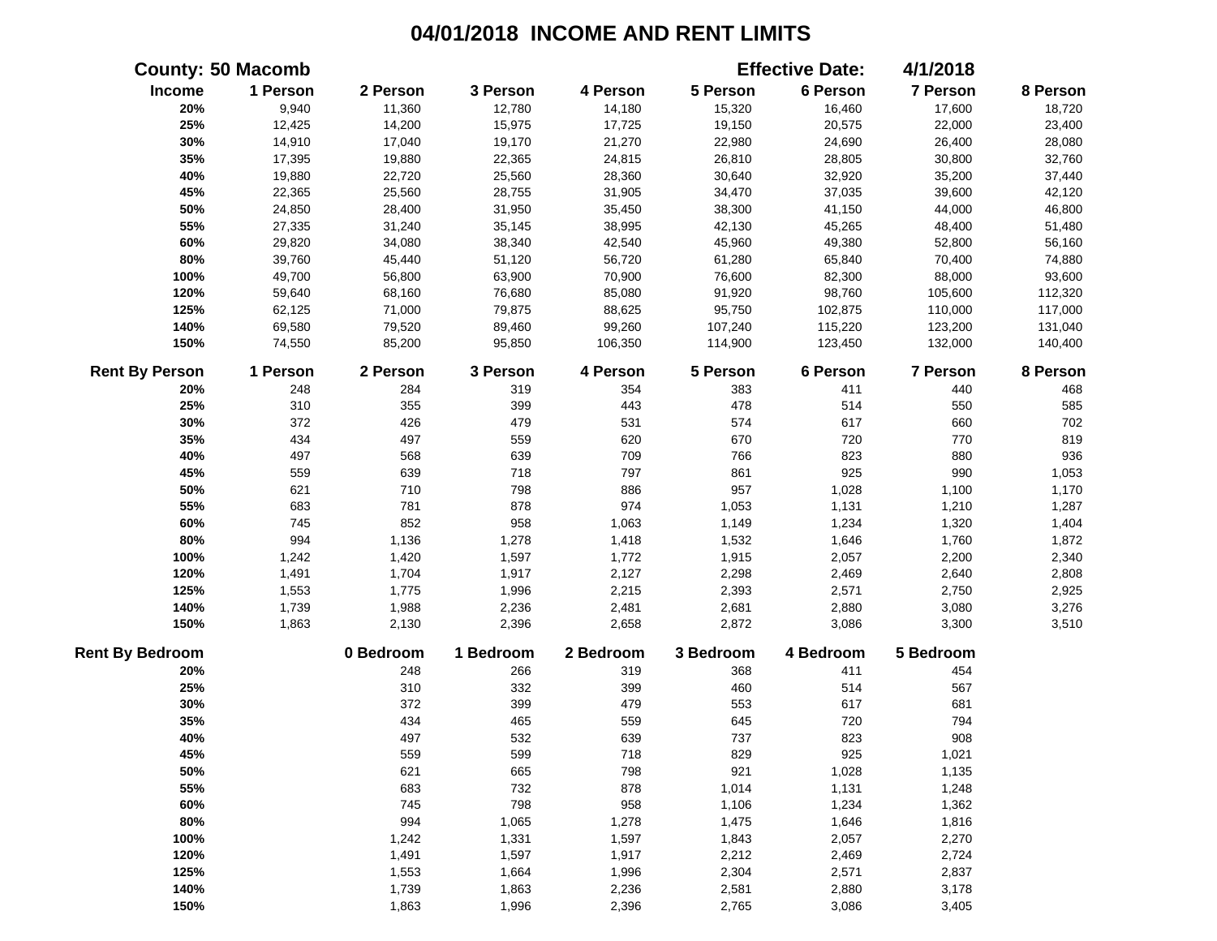|                        | <b>County: 50 Macomb</b> |           |           |           |           | <b>Effective Date:</b> | 4/1/2018  |          |
|------------------------|--------------------------|-----------|-----------|-----------|-----------|------------------------|-----------|----------|
| Income                 | 1 Person                 | 2 Person  | 3 Person  | 4 Person  | 5 Person  | 6 Person               | 7 Person  | 8 Person |
| 20%                    | 9,940                    | 11,360    | 12,780    | 14,180    | 15,320    | 16,460                 | 17,600    | 18,720   |
| 25%                    | 12,425                   | 14,200    | 15,975    | 17,725    | 19,150    | 20,575                 | 22,000    | 23,400   |
| 30%                    | 14,910                   | 17,040    | 19,170    | 21,270    | 22,980    | 24,690                 | 26,400    | 28,080   |
| 35%                    | 17,395                   | 19,880    | 22,365    | 24,815    | 26,810    | 28,805                 | 30,800    | 32,760   |
| 40%                    | 19,880                   | 22,720    | 25,560    | 28,360    | 30,640    | 32,920                 | 35,200    | 37,440   |
| 45%                    | 22,365                   | 25,560    | 28,755    | 31,905    | 34,470    | 37,035                 | 39,600    | 42,120   |
| 50%                    | 24,850                   | 28,400    | 31,950    | 35,450    | 38,300    | 41,150                 | 44,000    | 46,800   |
| 55%                    | 27,335                   | 31,240    | 35,145    | 38,995    | 42,130    | 45,265                 | 48,400    | 51,480   |
| 60%                    | 29,820                   | 34,080    | 38,340    | 42,540    | 45,960    | 49,380                 | 52,800    | 56,160   |
| 80%                    | 39,760                   | 45,440    | 51,120    | 56,720    | 61,280    | 65,840                 | 70,400    | 74,880   |
| 100%                   | 49,700                   | 56,800    | 63,900    | 70,900    | 76,600    | 82,300                 | 88,000    | 93,600   |
| 120%                   | 59,640                   | 68,160    | 76,680    | 85,080    | 91,920    | 98,760                 | 105,600   | 112,320  |
| 125%                   | 62,125                   | 71,000    | 79,875    | 88,625    | 95,750    | 102,875                | 110,000   | 117,000  |
| 140%                   | 69,580                   | 79,520    | 89,460    | 99,260    | 107,240   | 115,220                | 123,200   | 131,040  |
| 150%                   | 74,550                   | 85,200    | 95,850    | 106,350   | 114,900   | 123,450                | 132,000   | 140,400  |
| <b>Rent By Person</b>  | 1 Person                 | 2 Person  | 3 Person  | 4 Person  | 5 Person  | 6 Person               | 7 Person  | 8 Person |
| 20%                    | 248                      | 284       | 319       | 354       | 383       | 411                    | 440       | 468      |
| 25%                    | 310                      | 355       | 399       | 443       | 478       | 514                    | 550       | 585      |
| 30%                    | 372                      | 426       | 479       | 531       | 574       | 617                    | 660       | 702      |
| 35%                    | 434                      | 497       | 559       | 620       | 670       | 720                    | 770       | 819      |
| 40%                    | 497                      | 568       | 639       | 709       | 766       | 823                    | 880       | 936      |
| 45%                    | 559                      | 639       | 718       | 797       | 861       | 925                    | 990       | 1,053    |
| 50%                    | 621                      | 710       | 798       | 886       | 957       | 1,028                  | 1,100     | 1,170    |
| 55%                    | 683                      | 781       | 878       | 974       | 1,053     | 1,131                  | 1,210     | 1,287    |
| 60%                    | 745                      | 852       | 958       | 1,063     | 1,149     | 1,234                  | 1,320     | 1,404    |
| 80%                    | 994                      | 1,136     | 1,278     | 1,418     | 1,532     | 1,646                  | 1,760     | 1,872    |
| 100%                   | 1,242                    | 1,420     | 1,597     | 1,772     | 1,915     | 2,057                  | 2,200     | 2,340    |
| 120%                   | 1,491                    | 1,704     | 1,917     | 2,127     | 2,298     | 2,469                  | 2,640     | 2,808    |
| 125%                   | 1,553                    | 1,775     | 1,996     | 2,215     | 2,393     | 2,571                  | 2,750     | 2,925    |
| 140%                   | 1,739                    | 1,988     | 2,236     | 2,481     | 2,681     | 2,880                  | 3,080     | 3,276    |
| 150%                   | 1,863                    | 2,130     | 2,396     | 2,658     | 2,872     | 3,086                  | 3,300     | 3,510    |
| <b>Rent By Bedroom</b> |                          | 0 Bedroom | 1 Bedroom | 2 Bedroom | 3 Bedroom | 4 Bedroom              | 5 Bedroom |          |
| 20%                    |                          | 248       | 266       | 319       | 368       | 411                    | 454       |          |
| 25%                    |                          | 310       | 332       | 399       | 460       | 514                    | 567       |          |
| 30%                    |                          | 372       | 399       | 479       | 553       | 617                    | 681       |          |
| 35%                    |                          | 434       | 465       | 559       | 645       | 720                    | 794       |          |
| 40%                    |                          | 497       | 532       | 639       | 737       | 823                    | 908       |          |
| 45%                    |                          | 559       | 599       | 718       | 829       | 925                    | 1,021     |          |
| 50%                    |                          | 621       | 665       | 798       | 921       | 1,028                  | 1,135     |          |
| 55%                    |                          | 683       | 732       | 878       | 1,014     | 1,131                  | 1,248     |          |
| 60%                    |                          | 745       | 798       | 958       | 1,106     | 1,234                  | 1,362     |          |
| 80%                    |                          | 994       | 1,065     | 1,278     | 1,475     | 1,646                  | 1,816     |          |
| 100%                   |                          | 1,242     | 1,331     | 1,597     | 1,843     | 2,057                  | 2,270     |          |
| 120%                   |                          | 1,491     | 1,597     | 1,917     | 2,212     | 2,469                  | 2,724     |          |
| 125%                   |                          | 1,553     | 1,664     | 1,996     | 2,304     | 2,571                  | 2,837     |          |
| 140%                   |                          | 1,739     | 1,863     | 2,236     | 2,581     | 2,880                  | 3,178     |          |
| 150%                   |                          | 1,863     | 1,996     | 2,396     | 2,765     | 3,086                  | 3,405     |          |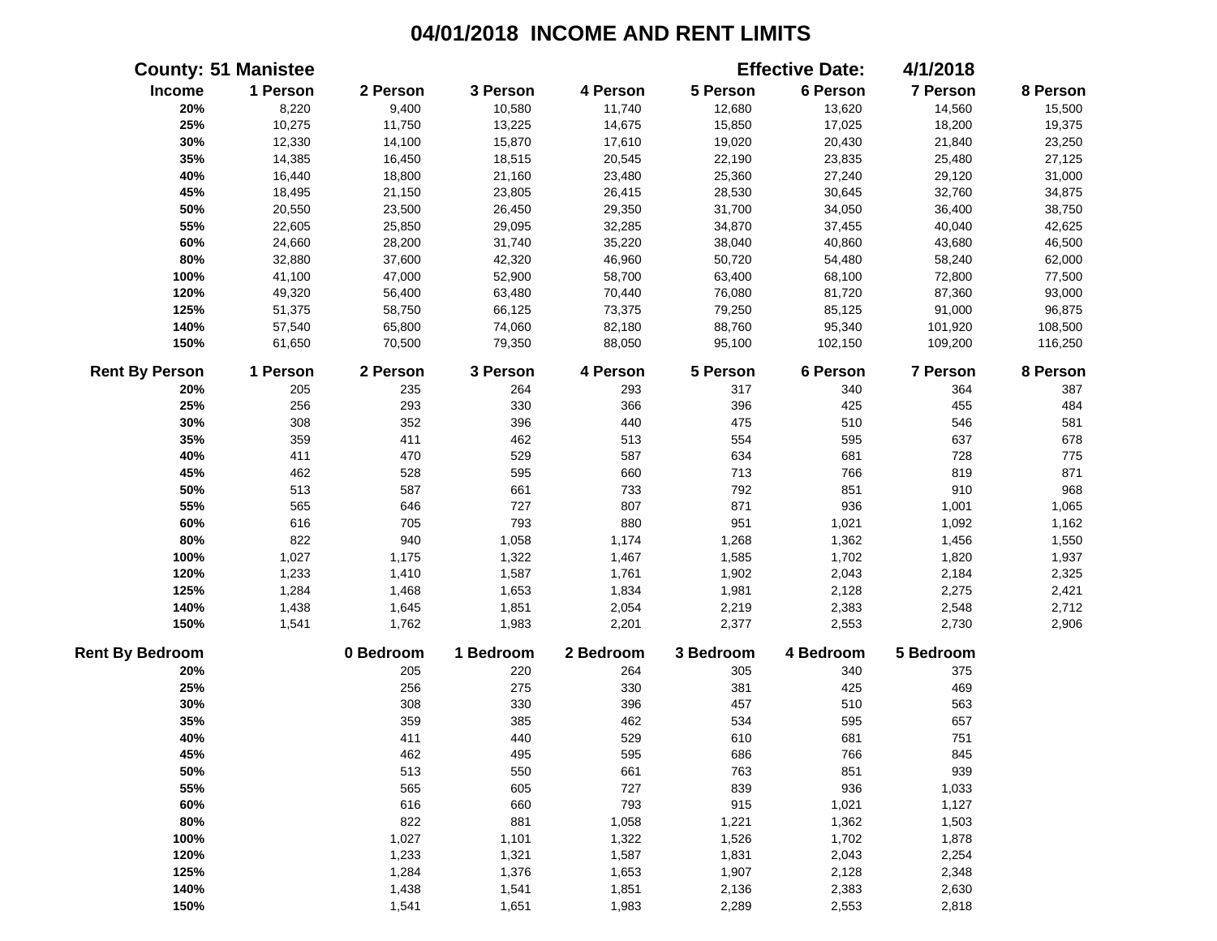|                        | <b>County: 51 Manistee</b> |           |           |           |           | <b>Effective Date:</b> | 4/1/2018        |          |
|------------------------|----------------------------|-----------|-----------|-----------|-----------|------------------------|-----------------|----------|
| Income                 | 1 Person                   | 2 Person  | 3 Person  | 4 Person  | 5 Person  | 6 Person               | 7 Person        | 8 Person |
| 20%                    | 8,220                      | 9,400     | 10,580    | 11,740    | 12,680    | 13,620                 | 14,560          | 15,500   |
| 25%                    | 10,275                     | 11,750    | 13,225    | 14,675    | 15,850    | 17,025                 | 18,200          | 19,375   |
| 30%                    | 12,330                     | 14,100    | 15,870    | 17,610    | 19,020    | 20,430                 | 21,840          | 23,250   |
| 35%                    | 14,385                     | 16,450    | 18,515    | 20,545    | 22,190    | 23,835                 | 25,480          | 27,125   |
| 40%                    | 16,440                     | 18,800    | 21,160    | 23,480    | 25,360    | 27,240                 | 29,120          | 31,000   |
| 45%                    | 18,495                     | 21,150    | 23,805    | 26,415    | 28,530    | 30,645                 | 32,760          | 34,875   |
| 50%                    | 20,550                     | 23,500    | 26,450    | 29,350    | 31,700    | 34,050                 | 36,400          | 38,750   |
| 55%                    | 22,605                     | 25,850    | 29,095    | 32,285    | 34,870    | 37,455                 | 40,040          | 42,625   |
| 60%                    | 24,660                     | 28,200    | 31,740    | 35,220    | 38,040    | 40,860                 | 43,680          | 46,500   |
| 80%                    | 32,880                     | 37,600    | 42,320    | 46,960    | 50,720    | 54,480                 | 58,240          | 62,000   |
| 100%                   | 41,100                     | 47,000    | 52,900    | 58,700    | 63,400    | 68,100                 | 72,800          | 77,500   |
| 120%                   | 49,320                     | 56,400    | 63,480    | 70,440    | 76,080    | 81,720                 | 87,360          | 93,000   |
| 125%                   | 51,375                     | 58,750    | 66,125    | 73,375    | 79,250    | 85,125                 | 91,000          | 96,875   |
| 140%                   | 57,540                     | 65,800    | 74,060    | 82,180    | 88,760    | 95,340                 | 101,920         | 108,500  |
| 150%                   | 61,650                     | 70,500    | 79,350    | 88,050    | 95,100    | 102,150                | 109,200         | 116,250  |
| <b>Rent By Person</b>  | 1 Person                   | 2 Person  | 3 Person  | 4 Person  | 5 Person  | 6 Person               | <b>7 Person</b> | 8 Person |
| 20%                    | 205                        | 235       | 264       | 293       | 317       | 340                    | 364             | 387      |
| 25%                    | 256                        | 293       | 330       | 366       | 396       | 425                    | 455             | 484      |
| 30%                    | 308                        | 352       | 396       | 440       | 475       | 510                    | 546             | 581      |
| 35%                    | 359                        | 411       | 462       | 513       | 554       | 595                    | 637             | 678      |
| 40%                    | 411                        | 470       | 529       | 587       | 634       | 681                    | 728             | 775      |
| 45%                    | 462                        | 528       | 595       | 660       | 713       | 766                    | 819             | 871      |
| 50%                    | 513                        | 587       | 661       | 733       | 792       | 851                    | 910             | 968      |
| 55%                    | 565                        | 646       | 727       | 807       | 871       | 936                    | 1,001           | 1,065    |
| 60%                    | 616                        | 705       | 793       | 880       | 951       | 1,021                  | 1,092           | 1,162    |
| 80%                    | 822                        | 940       | 1,058     | 1,174     | 1,268     | 1,362                  | 1,456           | 1,550    |
| 100%                   | 1,027                      | 1,175     | 1,322     | 1,467     | 1,585     | 1,702                  | 1,820           | 1,937    |
| 120%                   | 1,233                      | 1,410     | 1,587     | 1,761     | 1,902     | 2,043                  | 2,184           | 2,325    |
| 125%                   | 1,284                      | 1,468     | 1,653     | 1,834     | 1,981     | 2,128                  | 2,275           | 2,421    |
| 140%                   | 1,438                      | 1,645     | 1,851     | 2,054     | 2,219     | 2,383                  | 2,548           | 2,712    |
| 150%                   | 1,541                      | 1,762     | 1,983     | 2,201     | 2,377     | 2,553                  | 2,730           | 2,906    |
| <b>Rent By Bedroom</b> |                            | 0 Bedroom | 1 Bedroom | 2 Bedroom | 3 Bedroom | 4 Bedroom              | 5 Bedroom       |          |
| 20%                    |                            | 205       | 220       | 264       | 305       | 340                    | 375             |          |
| 25%                    |                            | 256       | 275       | 330       | 381       | 425                    | 469             |          |
| 30%                    |                            | 308       | 330       | 396       | 457       | 510                    | 563             |          |
| 35%                    |                            | 359       | 385       | 462       | 534       | 595                    | 657             |          |
| 40%                    |                            | 411       | 440       | 529       | 610       | 681                    | 751             |          |
| 45%                    |                            | 462       | 495       | 595       | 686       | 766                    | 845             |          |
| 50%                    |                            | 513       | 550       | 661       | 763       | 851                    | 939             |          |
| 55%                    |                            | 565       | 605       | 727       | 839       | 936                    | 1,033           |          |
| 60%                    |                            | 616       | 660       | 793       | 915       | 1,021                  | 1,127           |          |
| 80%                    |                            | 822       | 881       | 1,058     | 1,221     | 1,362                  | 1,503           |          |
| 100%                   |                            | 1,027     | 1,101     | 1,322     | 1,526     | 1,702                  | 1,878           |          |
| 120%                   |                            | 1,233     | 1,321     | 1,587     | 1,831     | 2,043                  | 2,254           |          |
| 125%                   |                            | 1,284     | 1,376     | 1,653     | 1,907     | 2,128                  | 2,348           |          |
| 140%                   |                            | 1,438     | 1,541     | 1,851     | 2,136     | 2,383                  | 2,630           |          |
| 150%                   |                            | 1,541     | 1,651     | 1,983     | 2,289     | 2,553                  | 2,818           |          |
|                        |                            |           |           |           |           |                        |                 |          |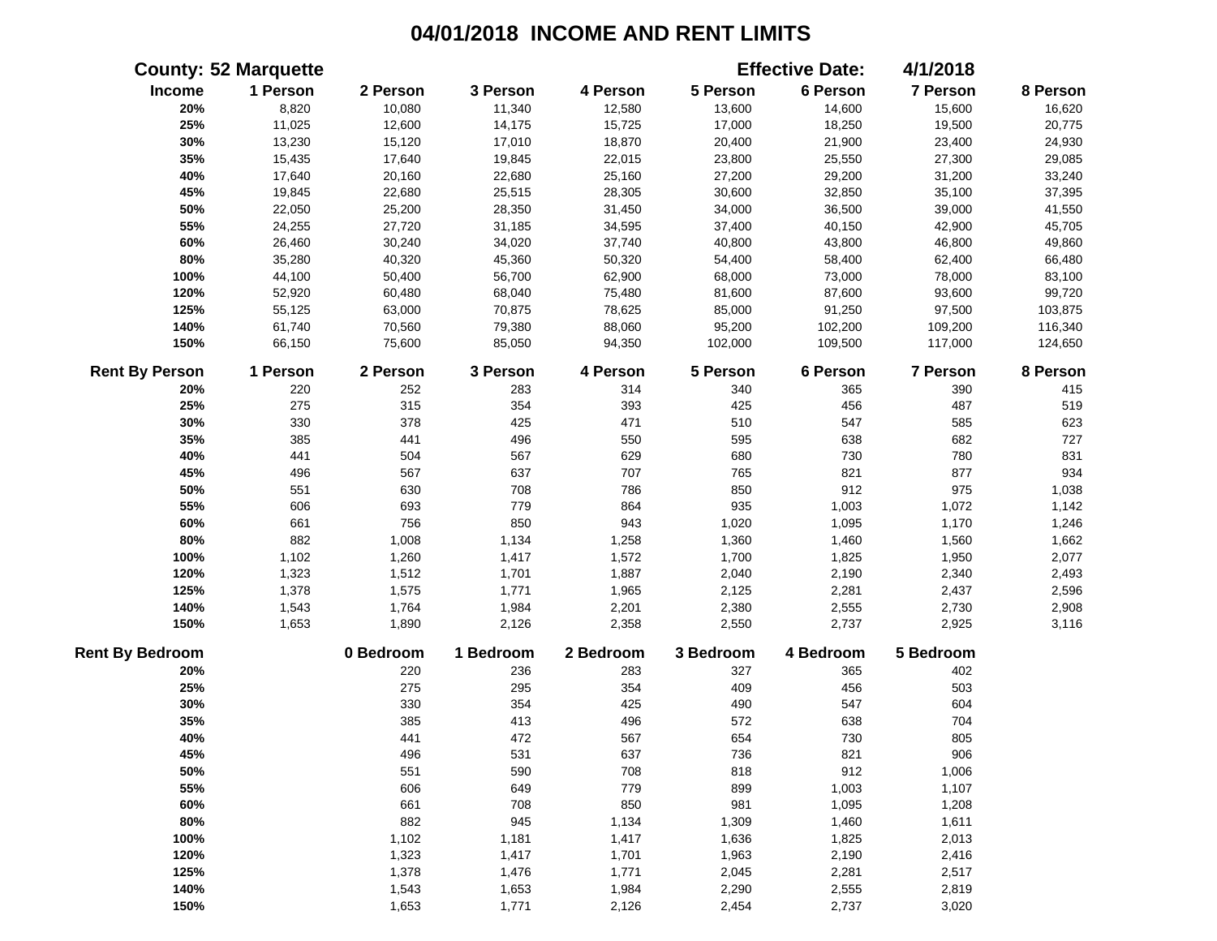|                        | <b>County: 52 Marquette</b> |           |           |           |           | <b>Effective Date:</b> | 4/1/2018  |          |
|------------------------|-----------------------------|-----------|-----------|-----------|-----------|------------------------|-----------|----------|
| Income                 | 1 Person                    | 2 Person  | 3 Person  | 4 Person  | 5 Person  | 6 Person               | 7 Person  | 8 Person |
| 20%                    | 8,820                       | 10,080    | 11,340    | 12,580    | 13,600    | 14,600                 | 15,600    | 16,620   |
| 25%                    | 11,025                      | 12,600    | 14,175    | 15,725    | 17,000    | 18,250                 | 19,500    | 20,775   |
| 30%                    | 13,230                      | 15,120    | 17,010    | 18,870    | 20,400    | 21,900                 | 23,400    | 24,930   |
| 35%                    | 15,435                      | 17,640    | 19,845    | 22,015    | 23,800    | 25,550                 | 27,300    | 29,085   |
| 40%                    | 17,640                      | 20,160    | 22,680    | 25,160    | 27,200    | 29,200                 | 31,200    | 33,240   |
| 45%                    | 19,845                      | 22,680    | 25,515    | 28,305    | 30,600    | 32,850                 | 35,100    | 37,395   |
| 50%                    | 22,050                      | 25,200    | 28,350    | 31,450    | 34,000    | 36,500                 | 39,000    | 41,550   |
| 55%                    | 24,255                      | 27,720    | 31,185    | 34,595    | 37,400    | 40,150                 | 42,900    | 45,705   |
| 60%                    | 26,460                      | 30,240    | 34,020    | 37,740    | 40,800    | 43,800                 | 46,800    | 49,860   |
| 80%                    | 35,280                      | 40,320    | 45,360    | 50,320    | 54,400    | 58,400                 | 62,400    | 66,480   |
| 100%                   | 44,100                      | 50,400    | 56,700    | 62,900    | 68,000    | 73,000                 | 78,000    | 83,100   |
| 120%                   | 52,920                      | 60,480    | 68,040    | 75,480    | 81,600    | 87,600                 | 93,600    | 99,720   |
| 125%                   | 55,125                      | 63,000    | 70,875    | 78,625    | 85,000    | 91,250                 | 97,500    | 103,875  |
| 140%                   | 61,740                      | 70,560    | 79,380    | 88,060    | 95,200    | 102,200                | 109,200   | 116,340  |
| 150%                   | 66,150                      | 75,600    | 85,050    | 94,350    | 102,000   | 109,500                | 117,000   | 124,650  |
| <b>Rent By Person</b>  | 1 Person                    | 2 Person  | 3 Person  | 4 Person  | 5 Person  | 6 Person               | 7 Person  | 8 Person |
| 20%                    | 220                         | 252       | 283       | 314       | 340       | 365                    | 390       | 415      |
| 25%                    | 275                         | 315       | 354       | 393       | 425       | 456                    | 487       | 519      |
| 30%                    | 330                         | 378       | 425       | 471       | 510       | 547                    | 585       | 623      |
| 35%                    | 385                         | 441       | 496       | 550       | 595       | 638                    | 682       | 727      |
| 40%                    | 441                         | 504       | 567       | 629       | 680       | 730                    | 780       | 831      |
| 45%                    | 496                         | 567       | 637       | 707       | 765       | 821                    | 877       | 934      |
| 50%                    | 551                         | 630       | 708       | 786       | 850       | 912                    | 975       | 1,038    |
| 55%                    | 606                         | 693       | 779       | 864       | 935       | 1,003                  | 1,072     | 1,142    |
| 60%                    | 661                         | 756       | 850       | 943       | 1,020     | 1,095                  | 1,170     | 1,246    |
| 80%                    | 882                         | 1,008     | 1,134     | 1,258     | 1,360     | 1,460                  | 1,560     | 1,662    |
| 100%                   | 1,102                       | 1,260     | 1,417     | 1,572     | 1,700     | 1,825                  | 1,950     | 2,077    |
| 120%                   | 1,323                       | 1,512     | 1,701     | 1,887     | 2,040     | 2,190                  | 2,340     | 2,493    |
| 125%                   | 1,378                       | 1,575     | 1,771     | 1,965     | 2,125     | 2,281                  | 2,437     | 2,596    |
| 140%                   | 1,543                       | 1,764     | 1,984     | 2,201     | 2,380     | 2,555                  | 2,730     | 2,908    |
| 150%                   | 1,653                       | 1,890     | 2,126     | 2,358     | 2,550     | 2,737                  | 2,925     | 3,116    |
| <b>Rent By Bedroom</b> |                             | 0 Bedroom | 1 Bedroom | 2 Bedroom | 3 Bedroom | 4 Bedroom              | 5 Bedroom |          |
| 20%                    |                             | 220       | 236       | 283       | 327       | 365                    | 402       |          |
| 25%                    |                             | 275       | 295       | 354       | 409       | 456                    | 503       |          |
| 30%                    |                             | 330       | 354       | 425       | 490       | 547                    | 604       |          |
| 35%                    |                             | 385       | 413       | 496       | 572       | 638                    | 704       |          |
| 40%                    |                             | 441       | 472       | 567       | 654       | 730                    | 805       |          |
| 45%                    |                             | 496       | 531       | 637       | 736       | 821                    | 906       |          |
| 50%                    |                             | 551       | 590       | 708       | 818       | 912                    | 1,006     |          |
| 55%                    |                             | 606       | 649       | 779       | 899       | 1,003                  | 1,107     |          |
| 60%                    |                             | 661       | 708       | 850       | 981       | 1,095                  | 1,208     |          |
| 80%                    |                             | 882       | 945       | 1,134     | 1,309     | 1,460                  | 1,611     |          |
| 100%                   |                             | 1,102     | 1,181     | 1,417     | 1,636     | 1,825                  | 2,013     |          |
| 120%                   |                             | 1,323     | 1,417     | 1,701     | 1,963     | 2,190                  | 2,416     |          |
| 125%                   |                             | 1,378     | 1,476     | 1,771     | 2,045     | 2,281                  | 2,517     |          |
| 140%                   |                             | 1,543     | 1,653     | 1,984     | 2,290     | 2,555                  | 2,819     |          |
| 150%                   |                             | 1,653     | 1,771     | 2,126     | 2,454     | 2,737                  | 3,020     |          |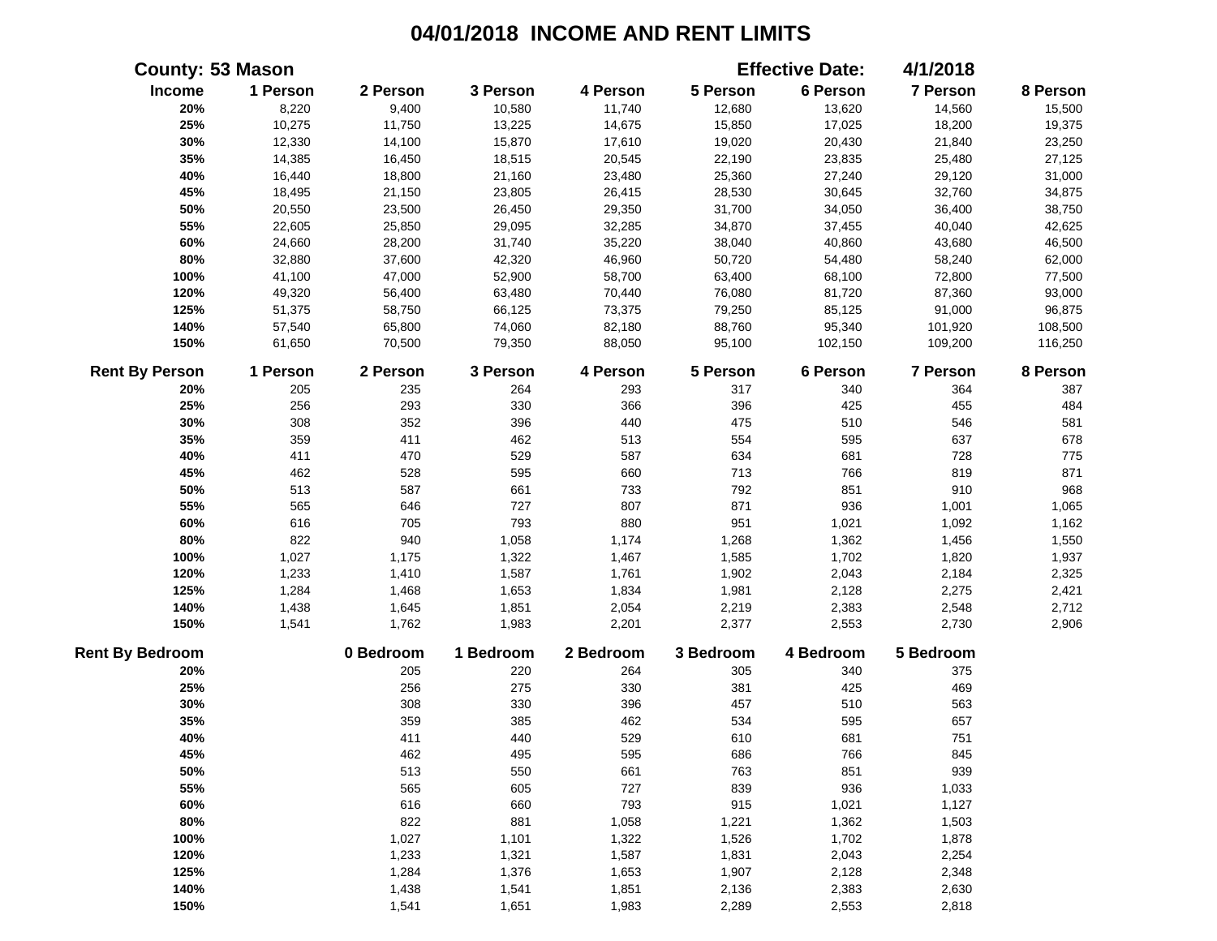|                        | <b>County: 53 Mason</b> |           |           |           |           | <b>Effective Date:</b> | 4/1/2018  |          |
|------------------------|-------------------------|-----------|-----------|-----------|-----------|------------------------|-----------|----------|
| Income                 | 1 Person                | 2 Person  | 3 Person  | 4 Person  | 5 Person  | 6 Person               | 7 Person  | 8 Person |
| 20%                    | 8,220                   | 9,400     | 10,580    | 11,740    | 12,680    | 13,620                 | 14,560    | 15,500   |
| 25%                    | 10,275                  | 11,750    | 13,225    | 14,675    | 15,850    | 17,025                 | 18,200    | 19,375   |
| 30%                    | 12,330                  | 14,100    | 15,870    | 17,610    | 19,020    | 20,430                 | 21,840    | 23,250   |
| 35%                    | 14,385                  | 16,450    | 18,515    | 20,545    | 22,190    | 23,835                 | 25,480    | 27,125   |
| 40%                    | 16,440                  | 18,800    | 21,160    | 23,480    | 25,360    | 27,240                 | 29,120    | 31,000   |
| 45%                    | 18,495                  | 21,150    | 23,805    | 26,415    | 28,530    | 30,645                 | 32,760    | 34,875   |
| 50%                    | 20,550                  | 23,500    | 26,450    | 29,350    | 31,700    | 34,050                 | 36,400    | 38,750   |
| 55%                    | 22,605                  | 25,850    | 29,095    | 32,285    | 34,870    | 37,455                 | 40,040    | 42,625   |
| 60%                    | 24,660                  | 28,200    | 31,740    | 35,220    | 38,040    | 40,860                 | 43,680    | 46,500   |
| 80%                    | 32,880                  | 37,600    | 42,320    | 46,960    | 50,720    | 54,480                 | 58,240    | 62,000   |
| 100%                   | 41,100                  | 47,000    | 52,900    | 58,700    | 63,400    | 68,100                 | 72,800    | 77,500   |
| 120%                   | 49,320                  | 56,400    | 63,480    | 70,440    | 76,080    | 81,720                 | 87,360    | 93,000   |
| 125%                   | 51,375                  | 58,750    | 66,125    | 73,375    | 79,250    | 85,125                 | 91,000    | 96,875   |
| 140%                   | 57,540                  | 65,800    | 74,060    | 82,180    | 88,760    | 95,340                 | 101,920   | 108,500  |
| 150%                   | 61,650                  | 70,500    | 79,350    | 88,050    | 95,100    | 102,150                | 109,200   | 116,250  |
| <b>Rent By Person</b>  | 1 Person                | 2 Person  | 3 Person  | 4 Person  | 5 Person  | 6 Person               | 7 Person  | 8 Person |
| 20%                    | 205                     | 235       | 264       | 293       | 317       | 340                    | 364       | 387      |
| 25%                    | 256                     | 293       | 330       | 366       | 396       | 425                    | 455       | 484      |
| 30%                    | 308                     | 352       | 396       | 440       | 475       | 510                    | 546       | 581      |
| 35%                    | 359                     | 411       | 462       | 513       | 554       | 595                    | 637       | 678      |
| 40%                    | 411                     | 470       | 529       | 587       | 634       | 681                    | 728       | 775      |
| 45%                    | 462                     | 528       | 595       | 660       | 713       | 766                    | 819       | 871      |
| 50%                    | 513                     | 587       | 661       | 733       | 792       | 851                    | 910       | 968      |
| 55%                    | 565                     | 646       | 727       | 807       | 871       | 936                    | 1,001     | 1,065    |
| 60%                    | 616                     | 705       | 793       | 880       | 951       | 1,021                  | 1,092     | 1,162    |
| 80%                    | 822                     | 940       | 1,058     | 1,174     | 1,268     | 1,362                  | 1,456     | 1,550    |
| 100%                   | 1,027                   | 1,175     | 1,322     | 1,467     | 1,585     | 1,702                  | 1,820     | 1,937    |
| 120%                   | 1,233                   | 1,410     | 1,587     | 1,761     | 1,902     | 2,043                  | 2,184     | 2,325    |
| 125%                   | 1,284                   | 1,468     | 1,653     | 1,834     | 1,981     | 2,128                  | 2,275     | 2,421    |
| 140%                   | 1,438                   | 1,645     | 1,851     | 2,054     | 2,219     | 2,383                  | 2,548     | 2,712    |
| 150%                   | 1,541                   | 1,762     | 1,983     | 2,201     | 2,377     | 2,553                  | 2,730     | 2,906    |
| <b>Rent By Bedroom</b> |                         | 0 Bedroom | 1 Bedroom | 2 Bedroom | 3 Bedroom | 4 Bedroom              | 5 Bedroom |          |
| 20%                    |                         | 205       | 220       | 264       | 305       | 340                    | 375       |          |
| 25%                    |                         | 256       | 275       | 330       | 381       | 425                    | 469       |          |
| 30%                    |                         | 308       | 330       | 396       | 457       | 510                    | 563       |          |
| 35%                    |                         | 359       | 385       | 462       | 534       | 595                    | 657       |          |
| 40%                    |                         | 411       | 440       | 529       | 610       | 681                    | 751       |          |
| 45%                    |                         | 462       | 495       | 595       | 686       | 766                    | 845       |          |
| 50%                    |                         | 513       | 550       | 661       | 763       | 851                    | 939       |          |
| 55%                    |                         | 565       | 605       | 727       | 839       | 936                    | 1,033     |          |
| 60%                    |                         | 616       | 660       | 793       | 915       | 1,021                  | 1,127     |          |
| 80%                    |                         | 822       | 881       | 1,058     | 1,221     | 1,362                  | 1,503     |          |
| 100%                   |                         | 1,027     | 1,101     | 1,322     | 1,526     | 1,702                  | 1,878     |          |
| 120%                   |                         | 1,233     | 1,321     | 1,587     | 1,831     | 2,043                  | 2,254     |          |
| 125%                   |                         | 1,284     | 1,376     | 1,653     | 1,907     | 2,128                  | 2,348     |          |
| 140%                   |                         | 1,438     | 1,541     | 1,851     | 2,136     | 2,383                  | 2,630     |          |
| 150%                   |                         | 1,541     | 1,651     | 1,983     | 2,289     | 2,553                  | 2,818     |          |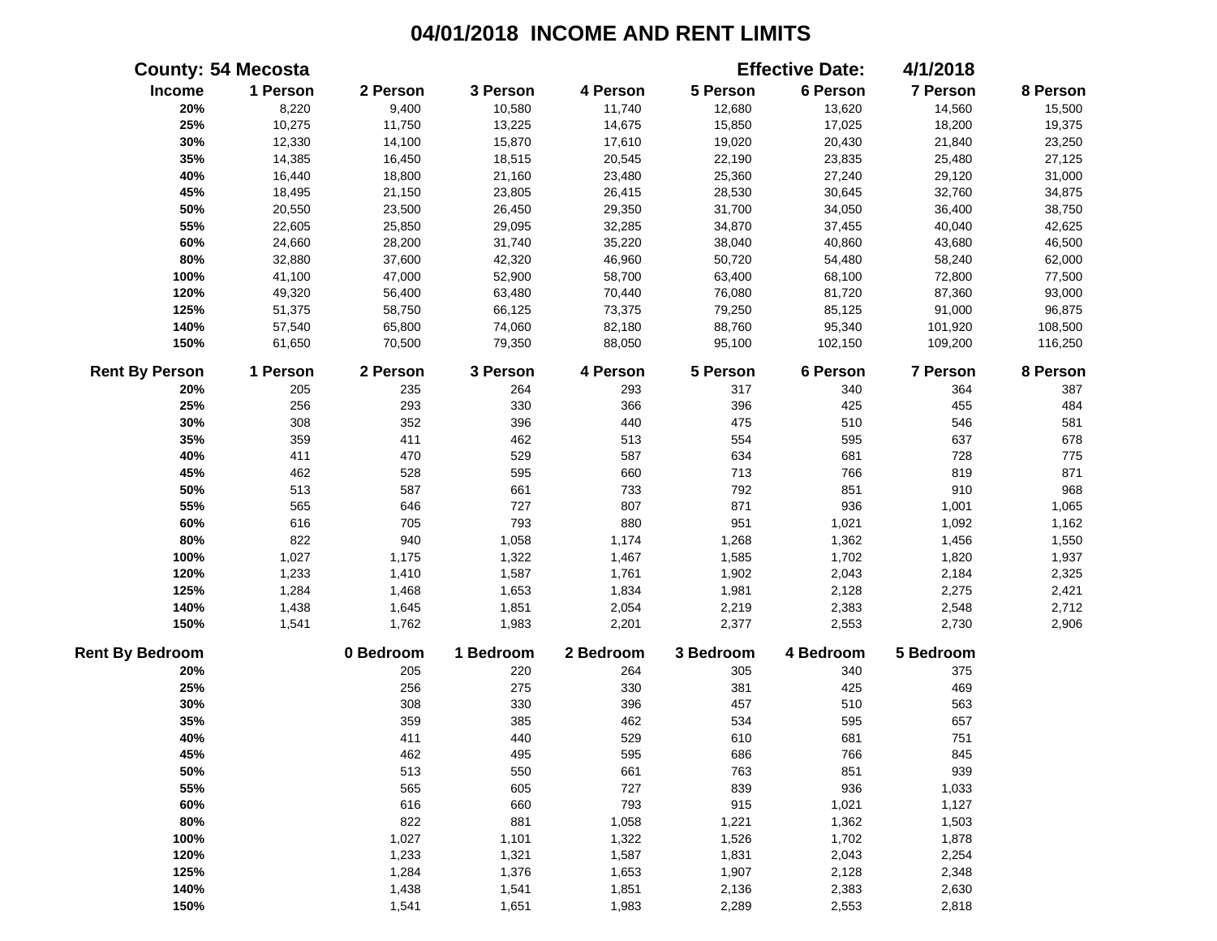|                        | <b>County: 54 Mecosta</b> |           |           |           |           | <b>Effective Date:</b> | 4/1/2018  |          |
|------------------------|---------------------------|-----------|-----------|-----------|-----------|------------------------|-----------|----------|
| Income                 | 1 Person                  | 2 Person  | 3 Person  | 4 Person  | 5 Person  | 6 Person               | 7 Person  | 8 Person |
| 20%                    | 8,220                     | 9,400     | 10,580    | 11,740    | 12,680    | 13,620                 | 14,560    | 15,500   |
| 25%                    | 10,275                    | 11,750    | 13,225    | 14,675    | 15,850    | 17,025                 | 18,200    | 19,375   |
| 30%                    | 12,330                    | 14,100    | 15,870    | 17,610    | 19,020    | 20,430                 | 21,840    | 23,250   |
| 35%                    | 14,385                    | 16,450    | 18,515    | 20,545    | 22,190    | 23,835                 | 25,480    | 27,125   |
| 40%                    | 16,440                    | 18,800    | 21,160    | 23,480    | 25,360    | 27,240                 | 29,120    | 31,000   |
| 45%                    | 18,495                    | 21,150    | 23,805    | 26,415    | 28,530    | 30,645                 | 32,760    | 34,875   |
| 50%                    | 20,550                    | 23,500    | 26,450    | 29,350    | 31,700    | 34,050                 | 36,400    | 38,750   |
| 55%                    | 22,605                    | 25,850    | 29,095    | 32,285    | 34,870    | 37,455                 | 40,040    | 42,625   |
| 60%                    | 24,660                    | 28,200    | 31,740    | 35,220    | 38,040    | 40,860                 | 43,680    | 46,500   |
| 80%                    | 32,880                    | 37,600    | 42,320    | 46,960    | 50,720    | 54,480                 | 58,240    | 62,000   |
| 100%                   | 41,100                    | 47,000    | 52,900    | 58,700    | 63,400    | 68,100                 | 72,800    | 77,500   |
| 120%                   | 49,320                    | 56,400    | 63,480    | 70,440    | 76,080    | 81,720                 | 87,360    | 93,000   |
| 125%                   | 51,375                    | 58,750    | 66,125    | 73,375    | 79,250    | 85,125                 | 91,000    | 96,875   |
| 140%                   | 57,540                    | 65,800    | 74,060    | 82,180    | 88,760    | 95,340                 | 101,920   | 108,500  |
| 150%                   | 61,650                    | 70,500    | 79,350    | 88,050    | 95,100    | 102,150                | 109,200   | 116,250  |
| <b>Rent By Person</b>  | 1 Person                  | 2 Person  | 3 Person  | 4 Person  | 5 Person  | 6 Person               | 7 Person  | 8 Person |
| 20%                    | 205                       | 235       | 264       | 293       | 317       | 340                    | 364       | 387      |
| 25%                    | 256                       | 293       | 330       | 366       | 396       | 425                    | 455       | 484      |
| 30%                    | 308                       | 352       | 396       | 440       | 475       | 510                    | 546       | 581      |
| 35%                    | 359                       | 411       | 462       | 513       | 554       | 595                    | 637       | 678      |
| 40%                    | 411                       | 470       | 529       | 587       | 634       | 681                    | 728       | 775      |
| 45%                    | 462                       | 528       | 595       | 660       | 713       | 766                    | 819       | 871      |
| 50%                    | 513                       | 587       | 661       | 733       | 792       | 851                    | 910       | 968      |
| 55%                    | 565                       | 646       | 727       | 807       | 871       | 936                    | 1,001     | 1,065    |
| 60%                    | 616                       | 705       | 793       | 880       | 951       | 1,021                  | 1,092     | 1,162    |
| 80%                    | 822                       | 940       | 1,058     | 1,174     | 1,268     | 1,362                  | 1,456     | 1,550    |
| 100%                   | 1,027                     | 1,175     | 1,322     | 1,467     | 1,585     | 1,702                  | 1,820     | 1,937    |
| 120%                   | 1,233                     | 1,410     | 1,587     | 1,761     | 1,902     | 2,043                  | 2,184     | 2,325    |
| 125%                   | 1,284                     | 1,468     | 1,653     | 1,834     | 1,981     | 2,128                  | 2,275     | 2,421    |
| 140%                   | 1,438                     | 1,645     | 1,851     | 2,054     | 2,219     | 2,383                  | 2,548     | 2,712    |
| 150%                   | 1,541                     | 1,762     | 1,983     | 2,201     | 2,377     | 2,553                  | 2,730     | 2,906    |
| <b>Rent By Bedroom</b> |                           | 0 Bedroom | 1 Bedroom | 2 Bedroom | 3 Bedroom | 4 Bedroom              | 5 Bedroom |          |
| 20%                    |                           | 205       | 220       | 264       | 305       | 340                    | 375       |          |
| 25%                    |                           | 256       | 275       | 330       | 381       | 425                    | 469       |          |
| 30%                    |                           | 308       | 330       | 396       | 457       | 510                    | 563       |          |
| 35%                    |                           | 359       | 385       | 462       | 534       | 595                    | 657       |          |
| 40%                    |                           | 411       | 440       | 529       | 610       | 681                    | 751       |          |
| 45%                    |                           | 462       | 495       | 595       | 686       | 766                    | 845       |          |
| 50%                    |                           | 513       | 550       | 661       | 763       | 851                    | 939       |          |
| 55%                    |                           | 565       | 605       | 727       | 839       | 936                    | 1,033     |          |
| 60%                    |                           | 616       | 660       | 793       | 915       | 1,021                  | 1,127     |          |
| 80%                    |                           | 822       | 881       | 1,058     | 1,221     | 1,362                  | 1,503     |          |
| 100%                   |                           | 1,027     | 1,101     | 1,322     | 1,526     | 1,702                  | 1,878     |          |
| 120%                   |                           | 1,233     | 1,321     | 1,587     | 1,831     | 2,043                  | 2,254     |          |
| 125%                   |                           | 1,284     | 1,376     | 1,653     | 1,907     | 2,128                  | 2,348     |          |
| 140%                   |                           | 1,438     | 1,541     | 1,851     | 2,136     | 2,383                  | 2,630     |          |
| 150%                   |                           | 1,541     | 1,651     | 1,983     | 2,289     | 2,553                  | 2,818     |          |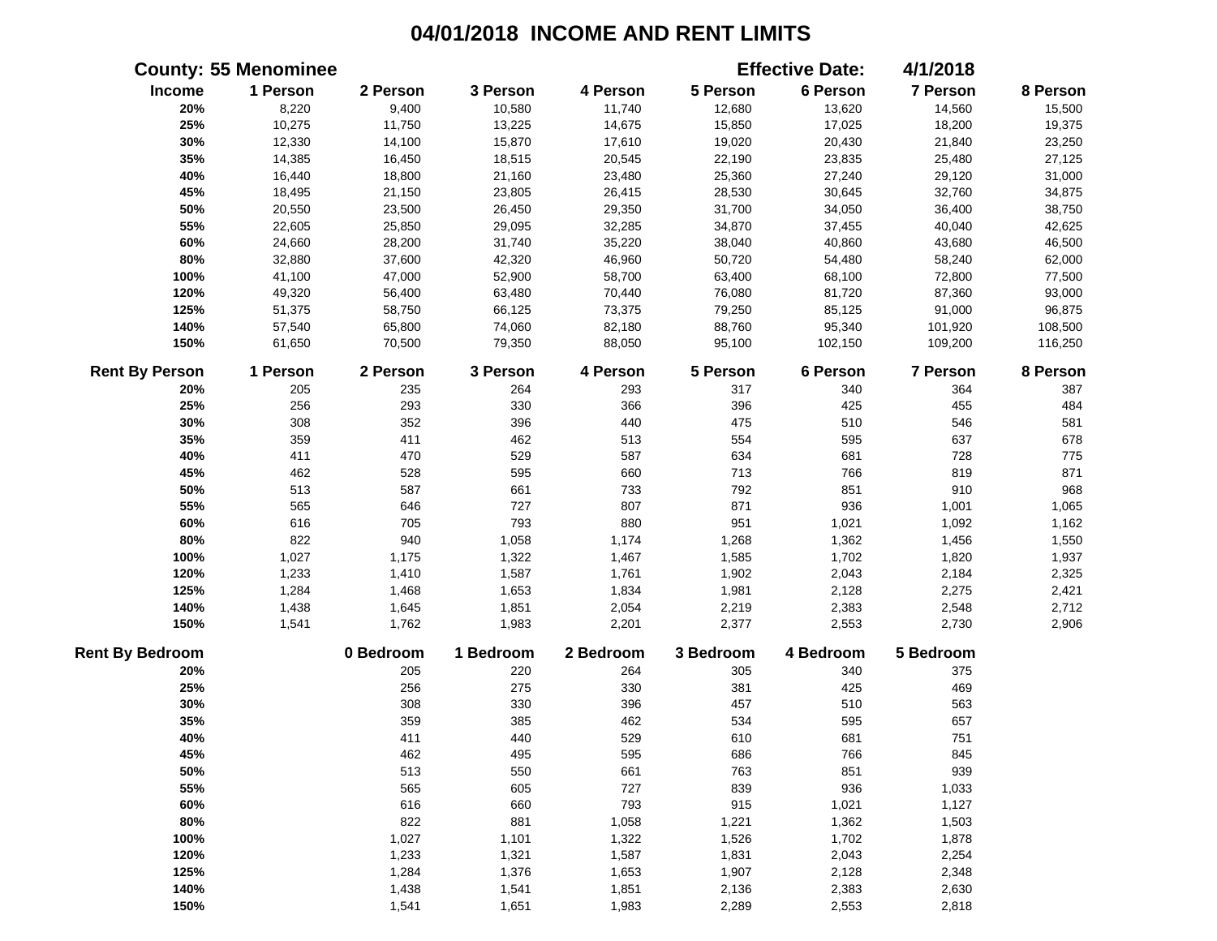|                        | <b>County: 55 Menominee</b> |           |           |           |           | <b>Effective Date:</b> | 4/1/2018  |          |
|------------------------|-----------------------------|-----------|-----------|-----------|-----------|------------------------|-----------|----------|
| Income                 | 1 Person                    | 2 Person  | 3 Person  | 4 Person  | 5 Person  | 6 Person               | 7 Person  | 8 Person |
| 20%                    | 8,220                       | 9,400     | 10,580    | 11,740    | 12,680    | 13,620                 | 14,560    | 15,500   |
| 25%                    | 10,275                      | 11,750    | 13,225    | 14,675    | 15,850    | 17,025                 | 18,200    | 19,375   |
| 30%                    | 12,330                      | 14,100    | 15,870    | 17,610    | 19,020    | 20,430                 | 21,840    | 23,250   |
| 35%                    | 14,385                      | 16,450    | 18,515    | 20,545    | 22,190    | 23,835                 | 25,480    | 27,125   |
| 40%                    | 16,440                      | 18,800    | 21,160    | 23,480    | 25,360    | 27,240                 | 29,120    | 31,000   |
| 45%                    | 18,495                      | 21,150    | 23,805    | 26,415    | 28,530    | 30,645                 | 32,760    | 34,875   |
| 50%                    | 20,550                      | 23,500    | 26,450    | 29,350    | 31,700    | 34,050                 | 36,400    | 38,750   |
| 55%                    | 22,605                      | 25,850    | 29,095    | 32,285    | 34,870    | 37,455                 | 40,040    | 42,625   |
| 60%                    | 24,660                      | 28,200    | 31,740    | 35,220    | 38,040    | 40,860                 | 43,680    | 46,500   |
| 80%                    | 32,880                      | 37,600    | 42,320    | 46,960    | 50,720    | 54,480                 | 58,240    | 62,000   |
| 100%                   | 41,100                      | 47,000    | 52,900    | 58,700    | 63,400    | 68,100                 | 72,800    | 77,500   |
| 120%                   | 49,320                      | 56,400    | 63,480    | 70,440    | 76,080    | 81,720                 | 87,360    | 93,000   |
| 125%                   | 51,375                      | 58,750    | 66,125    | 73,375    | 79,250    | 85,125                 | 91,000    | 96,875   |
| 140%                   | 57,540                      | 65,800    | 74,060    | 82,180    | 88,760    | 95,340                 | 101,920   | 108,500  |
| 150%                   | 61,650                      | 70,500    | 79,350    | 88,050    | 95,100    | 102,150                | 109,200   | 116,250  |
| <b>Rent By Person</b>  | 1 Person                    | 2 Person  | 3 Person  | 4 Person  | 5 Person  | 6 Person               | 7 Person  | 8 Person |
| 20%                    | 205                         | 235       | 264       | 293       | 317       | 340                    | 364       | 387      |
| 25%                    | 256                         | 293       | 330       | 366       | 396       | 425                    | 455       | 484      |
| 30%                    | 308                         | 352       | 396       | 440       | 475       | 510                    | 546       | 581      |
| 35%                    | 359                         | 411       | 462       | 513       | 554       | 595                    | 637       | 678      |
| 40%                    | 411                         | 470       | 529       | 587       | 634       | 681                    | 728       | 775      |
| 45%                    | 462                         | 528       | 595       | 660       | 713       | 766                    | 819       | 871      |
| 50%                    | 513                         | 587       | 661       | 733       | 792       | 851                    | 910       | 968      |
| 55%                    | 565                         | 646       | 727       | 807       | 871       | 936                    | 1,001     | 1,065    |
| 60%                    | 616                         | 705       | 793       | 880       | 951       | 1,021                  | 1,092     | 1,162    |
| 80%                    | 822                         | 940       | 1,058     | 1,174     | 1,268     | 1,362                  | 1,456     | 1,550    |
| 100%                   | 1,027                       | 1,175     | 1,322     | 1,467     | 1,585     | 1,702                  | 1,820     | 1,937    |
| 120%                   | 1,233                       | 1,410     | 1,587     | 1,761     | 1,902     | 2,043                  | 2,184     | 2,325    |
| 125%                   | 1,284                       | 1,468     | 1,653     | 1,834     | 1,981     | 2,128                  | 2,275     | 2,421    |
| 140%                   | 1,438                       | 1,645     | 1,851     | 2,054     | 2,219     | 2,383                  | 2,548     | 2,712    |
| 150%                   | 1,541                       | 1,762     | 1,983     | 2,201     | 2,377     | 2,553                  | 2,730     | 2,906    |
| <b>Rent By Bedroom</b> |                             | 0 Bedroom | 1 Bedroom | 2 Bedroom | 3 Bedroom | 4 Bedroom              | 5 Bedroom |          |
| 20%                    |                             | 205       | 220       | 264       | 305       | 340                    | 375       |          |
| 25%                    |                             | 256       | 275       | 330       | 381       | 425                    | 469       |          |
| 30%                    |                             | 308       | 330       | 396       | 457       | 510                    | 563       |          |
| 35%                    |                             | 359       | 385       | 462       | 534       | 595                    | 657       |          |
| 40%                    |                             | 411       | 440       | 529       | 610       | 681                    | 751       |          |
| 45%                    |                             | 462       | 495       | 595       | 686       | 766                    | 845       |          |
| 50%                    |                             | 513       | 550       | 661       | 763       | 851                    | 939       |          |
| 55%                    |                             | 565       | 605       | 727       | 839       | 936                    | 1,033     |          |
| 60%                    |                             | 616       | 660       | 793       | 915       | 1,021                  | 1,127     |          |
| 80%                    |                             | 822       | 881       | 1,058     | 1,221     | 1,362                  | 1,503     |          |
| 100%                   |                             | 1,027     | 1,101     | 1,322     | 1,526     | 1,702                  | 1,878     |          |
| 120%                   |                             | 1,233     | 1,321     | 1,587     | 1,831     | 2,043                  | 2,254     |          |
| 125%                   |                             | 1,284     | 1,376     | 1,653     | 1,907     | 2,128                  | 2,348     |          |
| 140%                   |                             | 1,438     | 1,541     | 1,851     | 2,136     | 2,383                  | 2,630     |          |
| 150%                   |                             | 1,541     | 1,651     | 1,983     | 2,289     | 2,553                  | 2,818     |          |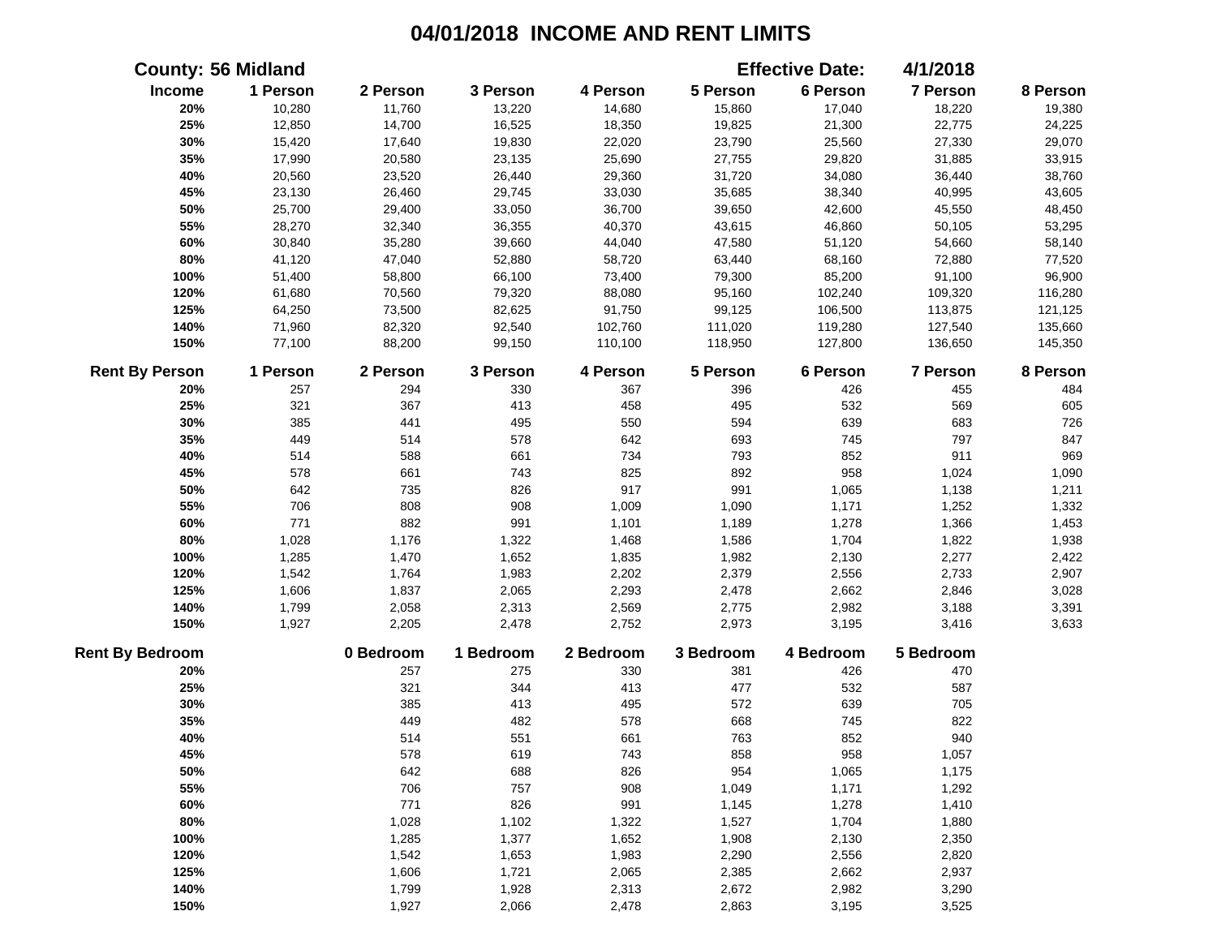|                        | <b>County: 56 Midland</b> |           |           |           |           | <b>Effective Date:</b> | 4/1/2018        |          |
|------------------------|---------------------------|-----------|-----------|-----------|-----------|------------------------|-----------------|----------|
| Income                 | 1 Person                  | 2 Person  | 3 Person  | 4 Person  | 5 Person  | 6 Person               | 7 Person        | 8 Person |
| 20%                    | 10,280                    | 11,760    | 13,220    | 14,680    | 15,860    | 17,040                 | 18,220          | 19,380   |
| 25%                    | 12,850                    | 14,700    | 16,525    | 18,350    | 19,825    | 21,300                 | 22,775          | 24,225   |
| 30%                    | 15,420                    | 17,640    | 19,830    | 22,020    | 23,790    | 25,560                 | 27,330          | 29,070   |
| 35%                    | 17,990                    | 20,580    | 23,135    | 25,690    | 27,755    | 29,820                 | 31,885          | 33,915   |
| 40%                    | 20,560                    | 23,520    | 26,440    | 29,360    | 31,720    | 34,080                 | 36,440          | 38,760   |
| 45%                    | 23,130                    | 26,460    | 29,745    | 33,030    | 35,685    | 38,340                 | 40,995          | 43,605   |
| 50%                    | 25,700                    | 29,400    | 33,050    | 36,700    | 39,650    | 42,600                 | 45,550          | 48,450   |
| 55%                    | 28,270                    | 32,340    | 36,355    | 40,370    | 43,615    | 46,860                 | 50,105          | 53,295   |
| 60%                    | 30,840                    | 35,280    | 39,660    | 44,040    | 47,580    | 51,120                 | 54,660          | 58,140   |
| 80%                    | 41,120                    | 47,040    | 52,880    | 58,720    | 63,440    | 68,160                 | 72,880          | 77,520   |
| 100%                   | 51,400                    | 58,800    | 66,100    | 73,400    | 79,300    | 85,200                 | 91,100          | 96,900   |
| 120%                   | 61,680                    | 70,560    | 79,320    | 88,080    | 95,160    | 102,240                | 109,320         | 116,280  |
| 125%                   | 64,250                    | 73,500    | 82,625    | 91,750    | 99,125    | 106,500                | 113,875         | 121,125  |
| 140%                   | 71,960                    | 82,320    | 92,540    | 102,760   | 111,020   | 119,280                | 127,540         | 135,660  |
| 150%                   | 77,100                    | 88,200    | 99,150    | 110,100   | 118,950   | 127,800                | 136,650         | 145,350  |
| <b>Rent By Person</b>  | 1 Person                  | 2 Person  | 3 Person  | 4 Person  | 5 Person  | 6 Person               | <b>7 Person</b> | 8 Person |
| 20%                    | 257                       | 294       | 330       | 367       | 396       | 426                    | 455             | 484      |
| 25%                    | 321                       | 367       | 413       | 458       | 495       | 532                    | 569             | 605      |
| 30%                    | 385                       | 441       | 495       | 550       | 594       | 639                    | 683             | 726      |
| 35%                    | 449                       | 514       | 578       | 642       | 693       | 745                    | 797             | 847      |
| 40%                    | 514                       | 588       | 661       | 734       | 793       | 852                    | 911             | 969      |
| 45%                    | 578                       | 661       | 743       | 825       | 892       | 958                    | 1,024           | 1,090    |
| 50%                    | 642                       | 735       | 826       | 917       | 991       | 1,065                  | 1,138           | 1,211    |
| 55%                    | 706                       | 808       | 908       | 1,009     | 1,090     | 1,171                  | 1,252           | 1,332    |
| 60%                    | 771                       | 882       | 991       | 1,101     | 1,189     | 1,278                  | 1,366           | 1,453    |
| 80%                    | 1,028                     | 1,176     | 1,322     | 1,468     | 1,586     | 1,704                  | 1,822           | 1,938    |
| 100%                   | 1,285                     | 1,470     | 1,652     | 1,835     | 1,982     | 2,130                  | 2,277           | 2,422    |
| 120%                   | 1,542                     | 1,764     | 1,983     | 2,202     | 2,379     | 2,556                  | 2,733           | 2,907    |
| 125%                   | 1,606                     | 1,837     | 2,065     | 2,293     | 2,478     | 2,662                  | 2,846           | 3,028    |
| 140%                   | 1,799                     | 2,058     | 2,313     | 2,569     | 2,775     | 2,982                  | 3,188           | 3,391    |
| 150%                   | 1,927                     | 2,205     | 2,478     | 2,752     | 2,973     | 3,195                  | 3,416           | 3,633    |
| <b>Rent By Bedroom</b> |                           | 0 Bedroom | 1 Bedroom | 2 Bedroom | 3 Bedroom | 4 Bedroom              | 5 Bedroom       |          |
| 20%                    |                           | 257       | 275       | 330       | 381       | 426                    | 470             |          |
| 25%                    |                           | 321       | 344       | 413       | 477       | 532                    | 587             |          |
| 30%                    |                           | 385       | 413       | 495       | 572       | 639                    | 705             |          |
| 35%                    |                           | 449       | 482       | 578       | 668       | 745                    | 822             |          |
| 40%                    |                           | 514       | 551       | 661       | 763       | 852                    | 940             |          |
| 45%                    |                           | 578       | 619       | 743       | 858       | 958                    | 1,057           |          |
| 50%                    |                           | 642       | 688       | 826       | 954       | 1,065                  | 1,175           |          |
| 55%                    |                           | 706       | 757       | 908       | 1,049     | 1,171                  | 1,292           |          |
| 60%                    |                           | 771       | 826       | 991       | 1,145     | 1,278                  | 1,410           |          |
| 80%                    |                           | 1,028     | 1,102     | 1,322     | 1,527     | 1,704                  | 1,880           |          |
| 100%                   |                           | 1,285     | 1,377     | 1,652     | 1,908     | 2,130                  | 2,350           |          |
| 120%                   |                           | 1,542     | 1,653     | 1,983     | 2,290     | 2,556                  | 2,820           |          |
| 125%                   |                           | 1,606     | 1,721     | 2,065     | 2,385     | 2,662                  | 2,937           |          |
| 140%                   |                           | 1,799     | 1,928     | 2,313     | 2,672     | 2,982                  | 3,290           |          |
| 150%                   |                           | 1,927     | 2,066     | 2,478     | 2,863     | 3,195                  | 3,525           |          |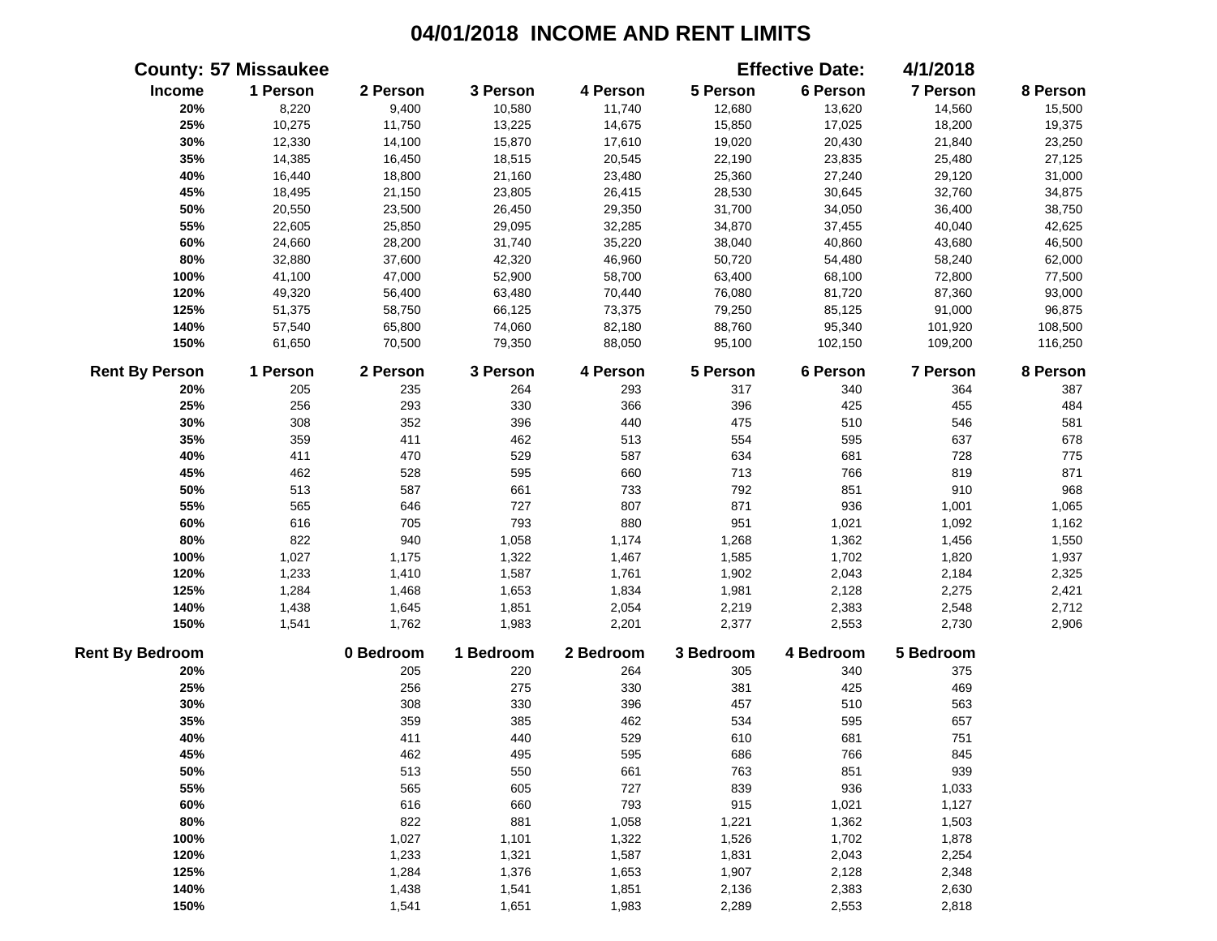|                        | <b>County: 57 Missaukee</b> |           |           |           |           | <b>Effective Date:</b> | 4/1/2018  |          |
|------------------------|-----------------------------|-----------|-----------|-----------|-----------|------------------------|-----------|----------|
| Income                 | 1 Person                    | 2 Person  | 3 Person  | 4 Person  | 5 Person  | 6 Person               | 7 Person  | 8 Person |
| 20%                    | 8,220                       | 9,400     | 10,580    | 11,740    | 12,680    | 13,620                 | 14,560    | 15,500   |
| 25%                    | 10,275                      | 11,750    | 13,225    | 14,675    | 15,850    | 17,025                 | 18,200    | 19,375   |
| 30%                    | 12,330                      | 14,100    | 15,870    | 17,610    | 19,020    | 20,430                 | 21,840    | 23,250   |
| 35%                    | 14,385                      | 16,450    | 18,515    | 20,545    | 22,190    | 23,835                 | 25,480    | 27,125   |
| 40%                    | 16,440                      | 18,800    | 21,160    | 23,480    | 25,360    | 27,240                 | 29,120    | 31,000   |
| 45%                    | 18,495                      | 21,150    | 23,805    | 26,415    | 28,530    | 30,645                 | 32,760    | 34,875   |
| 50%                    | 20,550                      | 23,500    | 26,450    | 29,350    | 31,700    | 34,050                 | 36,400    | 38,750   |
| 55%                    | 22,605                      | 25,850    | 29,095    | 32,285    | 34,870    | 37,455                 | 40,040    | 42,625   |
| 60%                    | 24,660                      | 28,200    | 31,740    | 35,220    | 38,040    | 40,860                 | 43,680    | 46,500   |
| 80%                    | 32,880                      | 37,600    | 42,320    | 46,960    | 50,720    | 54,480                 | 58,240    | 62,000   |
| 100%                   | 41,100                      | 47,000    | 52,900    | 58,700    | 63,400    | 68,100                 | 72,800    | 77,500   |
| 120%                   | 49,320                      | 56,400    | 63,480    | 70,440    | 76,080    | 81,720                 | 87,360    | 93,000   |
| 125%                   | 51,375                      | 58,750    | 66,125    | 73,375    | 79,250    | 85,125                 | 91,000    | 96,875   |
| 140%                   | 57,540                      | 65,800    | 74,060    | 82,180    | 88,760    | 95,340                 | 101,920   | 108,500  |
| 150%                   | 61,650                      | 70,500    | 79,350    | 88,050    | 95,100    | 102,150                | 109,200   | 116,250  |
| <b>Rent By Person</b>  | 1 Person                    | 2 Person  | 3 Person  | 4 Person  | 5 Person  | 6 Person               | 7 Person  | 8 Person |
| 20%                    | 205                         | 235       | 264       | 293       | 317       | 340                    | 364       | 387      |
| 25%                    | 256                         | 293       | 330       | 366       | 396       | 425                    | 455       | 484      |
| 30%                    | 308                         | 352       | 396       | 440       | 475       | 510                    | 546       | 581      |
| 35%                    | 359                         | 411       | 462       | 513       | 554       | 595                    | 637       | 678      |
| 40%                    | 411                         | 470       | 529       | 587       | 634       | 681                    | 728       | 775      |
| 45%                    | 462                         | 528       | 595       | 660       | 713       | 766                    | 819       | 871      |
| 50%                    | 513                         | 587       | 661       | 733       | 792       | 851                    | 910       | 968      |
| 55%                    | 565                         | 646       | 727       | 807       | 871       | 936                    | 1,001     | 1,065    |
| 60%                    | 616                         | 705       | 793       | 880       | 951       | 1,021                  | 1,092     | 1,162    |
| 80%                    | 822                         | 940       | 1,058     | 1,174     | 1,268     | 1,362                  | 1,456     | 1,550    |
| 100%                   | 1,027                       | 1,175     | 1,322     | 1,467     | 1,585     | 1,702                  | 1,820     | 1,937    |
| 120%                   | 1,233                       | 1,410     | 1,587     | 1,761     | 1,902     | 2,043                  | 2,184     | 2,325    |
| 125%                   | 1,284                       | 1,468     | 1,653     | 1,834     | 1,981     | 2,128                  | 2,275     | 2,421    |
| 140%                   | 1,438                       | 1,645     | 1,851     | 2,054     | 2,219     | 2,383                  | 2,548     | 2,712    |
| 150%                   | 1,541                       | 1,762     | 1,983     | 2,201     | 2,377     | 2,553                  | 2,730     | 2,906    |
| <b>Rent By Bedroom</b> |                             | 0 Bedroom | 1 Bedroom | 2 Bedroom | 3 Bedroom | 4 Bedroom              | 5 Bedroom |          |
| 20%                    |                             | 205       | 220       | 264       | 305       | 340                    | 375       |          |
| 25%                    |                             | 256       | 275       | 330       | 381       | 425                    | 469       |          |
| 30%                    |                             | 308       | 330       | 396       | 457       | 510                    | 563       |          |
| 35%                    |                             | 359       | 385       | 462       | 534       | 595                    | 657       |          |
| 40%                    |                             | 411       | 440       | 529       | 610       | 681                    | 751       |          |
| 45%                    |                             | 462       | 495       | 595       | 686       | 766                    | 845       |          |
| 50%                    |                             | 513       | 550       | 661       | 763       | 851                    | 939       |          |
| 55%                    |                             | 565       | 605       | 727       | 839       | 936                    | 1,033     |          |
| 60%                    |                             | 616       | 660       | 793       | 915       | 1,021                  | 1,127     |          |
| 80%                    |                             | 822       | 881       | 1,058     | 1,221     | 1,362                  | 1,503     |          |
| 100%                   |                             | 1,027     | 1,101     | 1,322     | 1,526     | 1,702                  | 1,878     |          |
| 120%                   |                             | 1,233     | 1,321     | 1,587     | 1,831     | 2,043                  | 2,254     |          |
| 125%                   |                             | 1,284     | 1,376     | 1,653     | 1,907     | 2,128                  | 2,348     |          |
| 140%                   |                             | 1,438     | 1,541     | 1,851     | 2,136     | 2,383                  | 2,630     |          |
| 150%                   |                             | 1,541     | 1,651     | 1,983     | 2,289     | 2,553                  | 2,818     |          |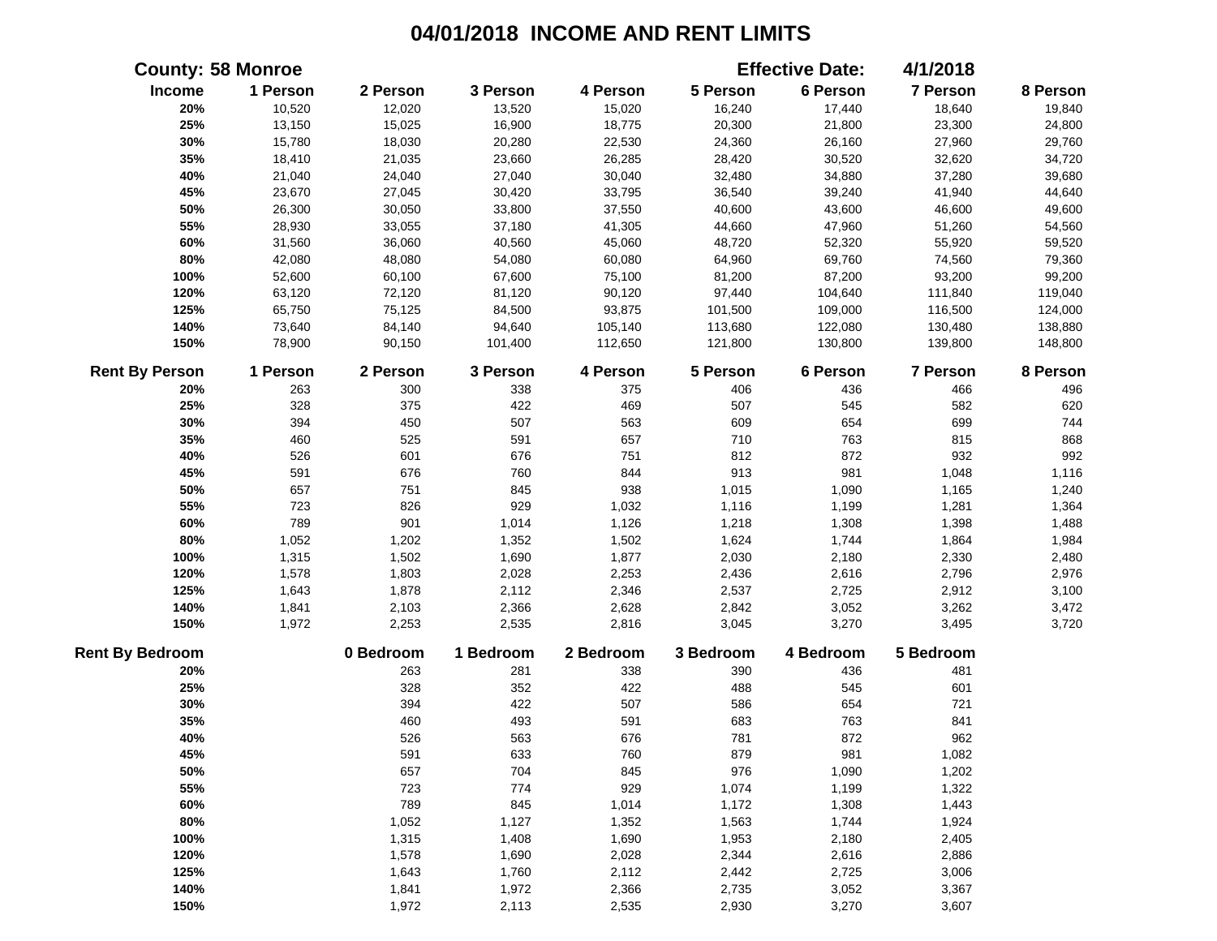|                        | <b>County: 58 Monroe</b> |           |           |           |           | <b>Effective Date:</b> | 4/1/2018  |          |
|------------------------|--------------------------|-----------|-----------|-----------|-----------|------------------------|-----------|----------|
| Income                 | 1 Person                 | 2 Person  | 3 Person  | 4 Person  | 5 Person  | 6 Person               | 7 Person  | 8 Person |
| 20%                    | 10,520                   | 12,020    | 13,520    | 15,020    | 16,240    | 17,440                 | 18,640    | 19,840   |
| 25%                    | 13,150                   | 15,025    | 16,900    | 18,775    | 20,300    | 21,800                 | 23,300    | 24,800   |
| 30%                    | 15,780                   | 18,030    | 20,280    | 22,530    | 24,360    | 26,160                 | 27,960    | 29,760   |
| 35%                    | 18,410                   | 21,035    | 23,660    | 26,285    | 28,420    | 30,520                 | 32,620    | 34,720   |
| 40%                    | 21,040                   | 24,040    | 27,040    | 30,040    | 32,480    | 34,880                 | 37,280    | 39,680   |
| 45%                    | 23,670                   | 27,045    | 30,420    | 33,795    | 36,540    | 39,240                 | 41,940    | 44,640   |
| 50%                    | 26,300                   | 30,050    | 33,800    | 37,550    | 40,600    | 43,600                 | 46,600    | 49,600   |
| 55%                    | 28,930                   | 33,055    | 37,180    | 41,305    | 44,660    | 47,960                 | 51,260    | 54,560   |
| 60%                    | 31,560                   | 36,060    | 40,560    | 45,060    | 48,720    | 52,320                 | 55,920    | 59,520   |
| 80%                    | 42,080                   | 48,080    | 54,080    | 60,080    | 64,960    | 69,760                 | 74,560    | 79,360   |
| 100%                   | 52,600                   | 60,100    | 67,600    | 75,100    | 81,200    | 87,200                 | 93,200    | 99,200   |
| 120%                   | 63,120                   | 72,120    | 81,120    | 90,120    | 97,440    | 104,640                | 111,840   | 119,040  |
| 125%                   | 65,750                   | 75,125    | 84,500    | 93,875    | 101,500   | 109,000                | 116,500   | 124,000  |
| 140%                   | 73,640                   | 84,140    | 94,640    | 105,140   | 113,680   | 122,080                | 130,480   | 138,880  |
| 150%                   | 78,900                   | 90,150    | 101,400   | 112,650   | 121,800   | 130,800                | 139,800   | 148,800  |
| <b>Rent By Person</b>  | 1 Person                 | 2 Person  | 3 Person  | 4 Person  | 5 Person  | 6 Person               | 7 Person  | 8 Person |
| 20%                    | 263                      | 300       | 338       | 375       | 406       | 436                    | 466       | 496      |
| 25%                    | 328                      | 375       | 422       | 469       | 507       | 545                    | 582       | 620      |
| 30%                    | 394                      | 450       | 507       | 563       | 609       | 654                    | 699       | 744      |
| 35%                    | 460                      | 525       | 591       | 657       | 710       | 763                    | 815       | 868      |
| 40%                    | 526                      | 601       | 676       | 751       | 812       | 872                    | 932       | 992      |
| 45%                    | 591                      | 676       | 760       | 844       | 913       | 981                    | 1,048     | 1,116    |
| 50%                    | 657                      | 751       | 845       | 938       | 1,015     | 1,090                  | 1,165     | 1,240    |
| 55%                    | 723                      | 826       | 929       | 1,032     | 1,116     | 1,199                  | 1,281     | 1,364    |
| 60%                    | 789                      | 901       | 1,014     | 1,126     | 1,218     | 1,308                  | 1,398     | 1,488    |
| 80%                    | 1,052                    | 1,202     | 1,352     | 1,502     | 1,624     | 1,744                  | 1,864     | 1,984    |
| 100%                   | 1,315                    | 1,502     | 1,690     | 1,877     | 2,030     | 2,180                  | 2,330     | 2,480    |
| 120%                   | 1,578                    | 1,803     | 2,028     | 2,253     | 2,436     | 2,616                  | 2,796     | 2,976    |
| 125%                   | 1,643                    | 1,878     | 2,112     | 2,346     | 2,537     | 2,725                  | 2,912     | 3,100    |
| 140%                   | 1,841                    | 2,103     | 2,366     | 2,628     | 2,842     | 3,052                  | 3,262     | 3,472    |
| 150%                   | 1,972                    | 2,253     | 2,535     | 2,816     | 3,045     | 3,270                  | 3,495     | 3,720    |
| <b>Rent By Bedroom</b> |                          | 0 Bedroom | 1 Bedroom | 2 Bedroom | 3 Bedroom | 4 Bedroom              | 5 Bedroom |          |
| 20%                    |                          | 263       | 281       | 338       | 390       | 436                    | 481       |          |
| 25%                    |                          | 328       | 352       | 422       | 488       | 545                    | 601       |          |
| 30%                    |                          | 394       | 422       | 507       | 586       | 654                    | 721       |          |
| 35%                    |                          | 460       | 493       | 591       | 683       | 763                    | 841       |          |
| 40%                    |                          | 526       | 563       | 676       | 781       | 872                    | 962       |          |
| 45%                    |                          | 591       | 633       | 760       | 879       | 981                    | 1,082     |          |
| 50%                    |                          | 657       | 704       | 845       | 976       | 1,090                  | 1,202     |          |
| 55%                    |                          | 723       | 774       | 929       | 1,074     | 1,199                  | 1,322     |          |
| 60%                    |                          | 789       | 845       | 1,014     | 1,172     | 1,308                  | 1,443     |          |
| 80%                    |                          | 1,052     | 1,127     | 1,352     | 1,563     | 1,744                  | 1,924     |          |
| 100%                   |                          | 1,315     | 1,408     | 1,690     | 1,953     | 2,180                  | 2,405     |          |
| 120%                   |                          | 1,578     | 1,690     | 2,028     | 2,344     | 2,616                  | 2,886     |          |
| 125%                   |                          | 1,643     | 1,760     | 2,112     | 2,442     | 2,725                  | 3,006     |          |
| 140%                   |                          | 1,841     | 1,972     | 2,366     | 2,735     | 3,052                  | 3,367     |          |
| 150%                   |                          | 1,972     | 2,113     | 2,535     | 2,930     | 3,270                  | 3,607     |          |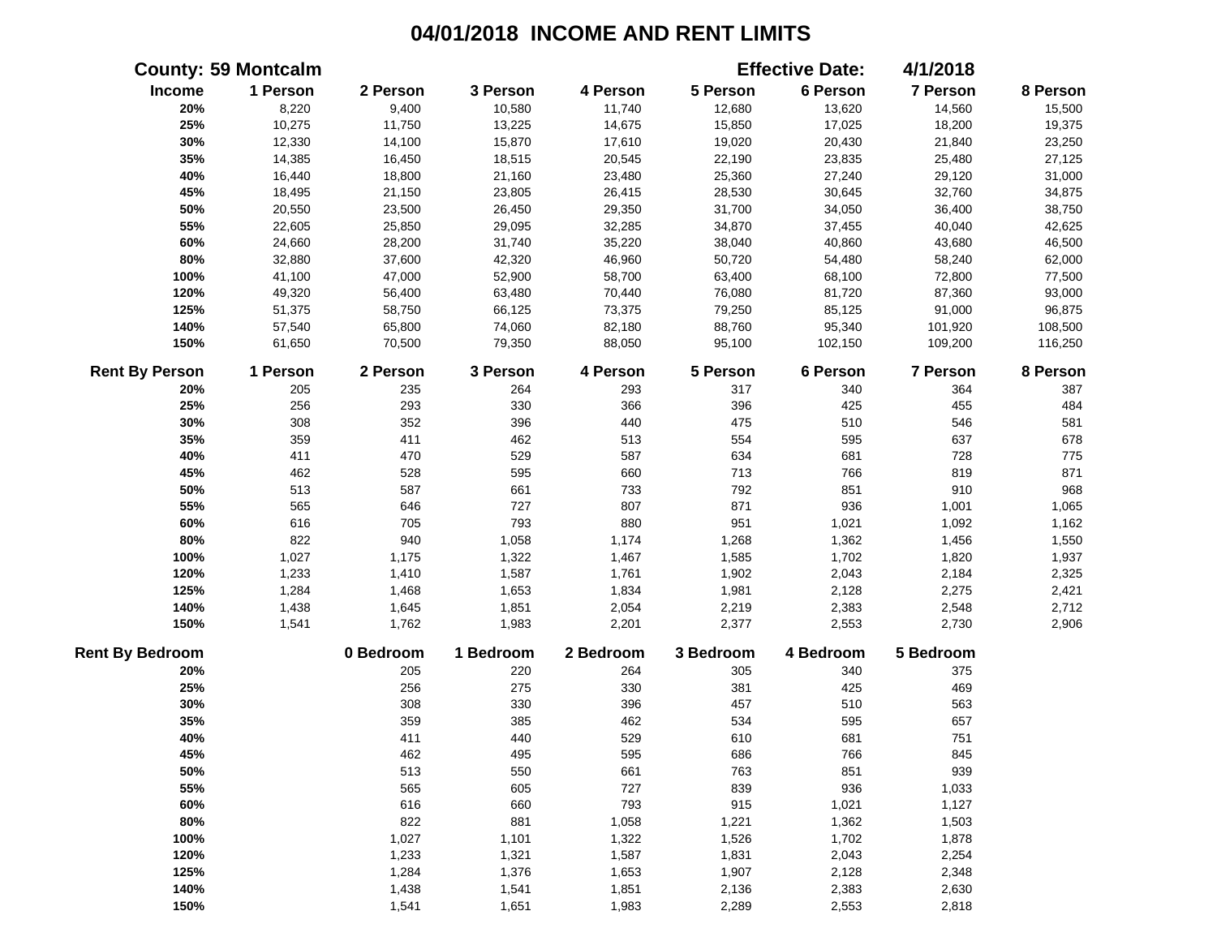|                        | <b>County: 59 Montcalm</b> |           |           |           |           | <b>Effective Date:</b> | 4/1/2018        |          |
|------------------------|----------------------------|-----------|-----------|-----------|-----------|------------------------|-----------------|----------|
| Income                 | 1 Person                   | 2 Person  | 3 Person  | 4 Person  | 5 Person  | 6 Person               | 7 Person        | 8 Person |
| 20%                    | 8,220                      | 9,400     | 10,580    | 11,740    | 12,680    | 13,620                 | 14,560          | 15,500   |
| 25%                    | 10,275                     | 11,750    | 13,225    | 14,675    | 15,850    | 17,025                 | 18,200          | 19,375   |
| 30%                    | 12,330                     | 14,100    | 15,870    | 17,610    | 19,020    | 20,430                 | 21,840          | 23,250   |
| 35%                    | 14,385                     | 16,450    | 18,515    | 20,545    | 22,190    | 23,835                 | 25,480          | 27,125   |
| 40%                    | 16,440                     | 18,800    | 21,160    | 23,480    | 25,360    | 27,240                 | 29,120          | 31,000   |
| 45%                    | 18,495                     | 21,150    | 23,805    | 26,415    | 28,530    | 30,645                 | 32,760          | 34,875   |
| 50%                    | 20,550                     | 23,500    | 26,450    | 29,350    | 31,700    | 34,050                 | 36,400          | 38,750   |
| 55%                    | 22,605                     | 25,850    | 29,095    | 32,285    | 34,870    | 37,455                 | 40,040          | 42,625   |
| 60%                    | 24,660                     | 28,200    | 31,740    | 35,220    | 38,040    | 40,860                 | 43,680          | 46,500   |
| 80%                    | 32,880                     | 37,600    | 42,320    | 46,960    | 50,720    | 54,480                 | 58,240          | 62,000   |
| 100%                   | 41,100                     | 47,000    | 52,900    | 58,700    | 63,400    | 68,100                 | 72,800          | 77,500   |
| 120%                   | 49,320                     | 56,400    | 63,480    | 70,440    | 76,080    | 81,720                 | 87,360          | 93,000   |
| 125%                   | 51,375                     | 58,750    | 66,125    | 73,375    | 79,250    | 85,125                 | 91,000          | 96,875   |
| 140%                   | 57,540                     | 65,800    | 74,060    | 82,180    | 88,760    | 95,340                 | 101,920         | 108,500  |
| 150%                   | 61,650                     | 70,500    | 79,350    | 88,050    | 95,100    | 102,150                | 109,200         | 116,250  |
| <b>Rent By Person</b>  | 1 Person                   | 2 Person  | 3 Person  | 4 Person  | 5 Person  | 6 Person               | <b>7 Person</b> | 8 Person |
| 20%                    | 205                        | 235       | 264       | 293       | 317       | 340                    | 364             | 387      |
| 25%                    | 256                        | 293       | 330       | 366       | 396       | 425                    | 455             | 484      |
| 30%                    | 308                        | 352       | 396       | 440       | 475       | 510                    | 546             | 581      |
| 35%                    | 359                        | 411       | 462       | 513       | 554       | 595                    | 637             | 678      |
| 40%                    | 411                        | 470       | 529       | 587       | 634       | 681                    | 728             | 775      |
| 45%                    | 462                        | 528       | 595       | 660       | 713       | 766                    | 819             | 871      |
| 50%                    | 513                        | 587       | 661       | 733       | 792       | 851                    | 910             | 968      |
| 55%                    | 565                        | 646       | 727       | 807       | 871       | 936                    | 1,001           | 1,065    |
| 60%                    | 616                        | 705       | 793       | 880       | 951       | 1,021                  | 1,092           | 1,162    |
| 80%                    | 822                        | 940       | 1,058     | 1,174     | 1,268     | 1,362                  | 1,456           | 1,550    |
| 100%                   | 1,027                      | 1,175     | 1,322     | 1,467     | 1,585     | 1,702                  | 1,820           | 1,937    |
| 120%                   | 1,233                      | 1,410     | 1,587     | 1,761     | 1,902     | 2,043                  | 2,184           | 2,325    |
| 125%                   | 1,284                      | 1,468     | 1,653     | 1,834     | 1,981     | 2,128                  | 2,275           | 2,421    |
| 140%                   | 1,438                      | 1,645     | 1,851     | 2,054     | 2,219     | 2,383                  | 2,548           | 2,712    |
| 150%                   | 1,541                      | 1,762     | 1,983     | 2,201     | 2,377     | 2,553                  | 2,730           | 2,906    |
| <b>Rent By Bedroom</b> |                            | 0 Bedroom | 1 Bedroom | 2 Bedroom | 3 Bedroom | 4 Bedroom              | 5 Bedroom       |          |
| 20%                    |                            | 205       | 220       | 264       | 305       | 340                    | 375             |          |
| 25%                    |                            | 256       | 275       | 330       | 381       | 425                    | 469             |          |
| 30%                    |                            | 308       | 330       | 396       | 457       | 510                    | 563             |          |
| 35%                    |                            | 359       | 385       | 462       | 534       | 595                    | 657             |          |
| 40%                    |                            | 411       | 440       | 529       | 610       | 681                    | 751             |          |
| 45%                    |                            | 462       | 495       | 595       | 686       | 766                    | 845             |          |
| 50%                    |                            | 513       | 550       | 661       | 763       | 851                    | 939             |          |
| 55%                    |                            | 565       | 605       | 727       | 839       | 936                    | 1,033           |          |
| 60%                    |                            | 616       | 660       | 793       | 915       | 1,021                  | 1,127           |          |
| 80%                    |                            | 822       | 881       | 1,058     | 1,221     | 1,362                  | 1,503           |          |
| 100%                   |                            | 1,027     | 1,101     | 1,322     | 1,526     | 1,702                  | 1,878           |          |
| 120%                   |                            | 1,233     | 1,321     | 1,587     | 1,831     | 2,043                  | 2,254           |          |
| 125%                   |                            | 1,284     | 1,376     | 1,653     | 1,907     | 2,128                  | 2,348           |          |
| 140%                   |                            | 1,438     | 1,541     | 1,851     | 2,136     | 2,383                  | 2,630           |          |
| 150%                   |                            | 1,541     | 1,651     | 1,983     | 2,289     | 2,553                  | 2,818           |          |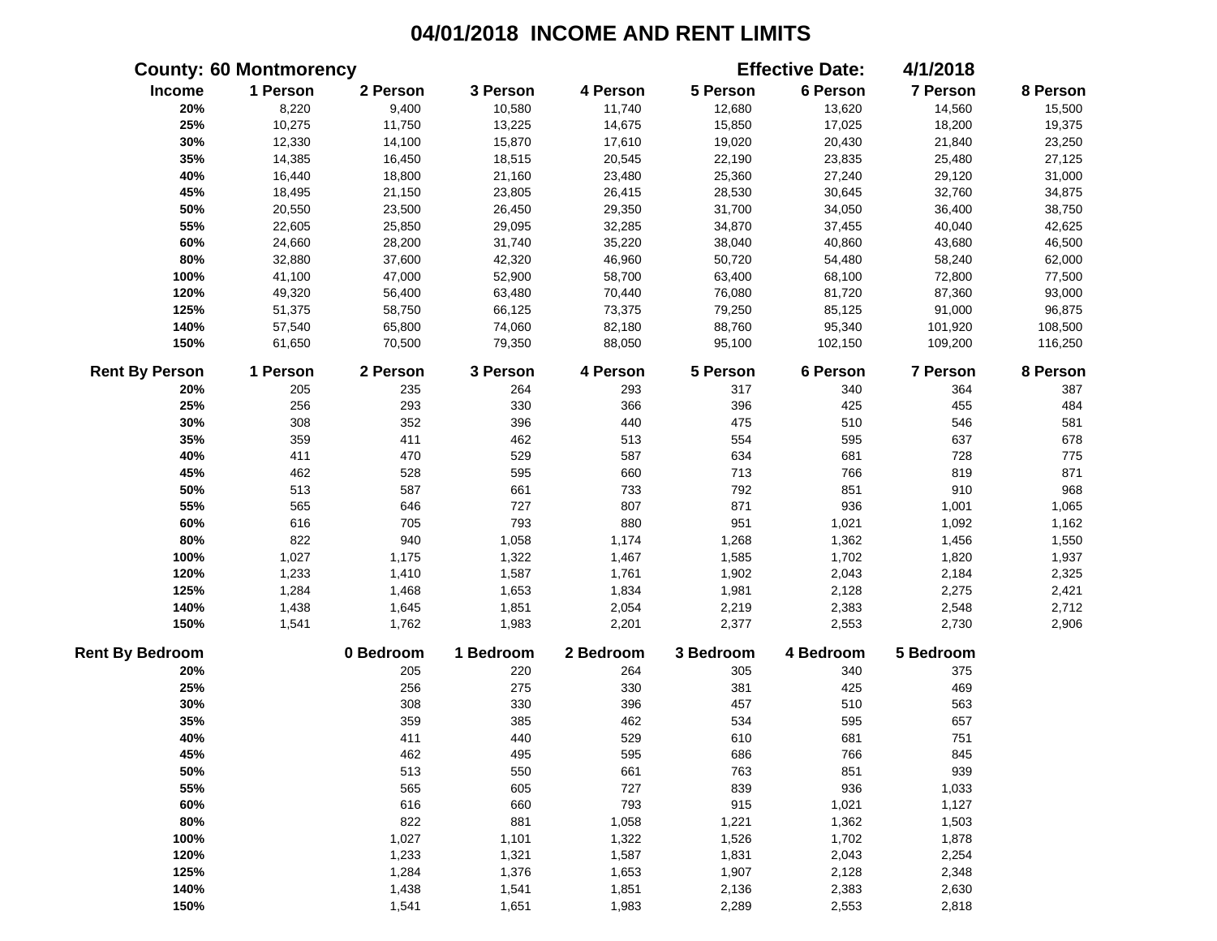|                        | <b>County: 60 Montmorency</b> |           |           |           |           | <b>Effective Date:</b> | 4/1/2018        |          |
|------------------------|-------------------------------|-----------|-----------|-----------|-----------|------------------------|-----------------|----------|
| Income                 | 1 Person                      | 2 Person  | 3 Person  | 4 Person  | 5 Person  | 6 Person               | 7 Person        | 8 Person |
| 20%                    | 8,220                         | 9,400     | 10,580    | 11,740    | 12,680    | 13,620                 | 14,560          | 15,500   |
| 25%                    | 10,275                        | 11,750    | 13,225    | 14,675    | 15,850    | 17,025                 | 18,200          | 19,375   |
| 30%                    | 12,330                        | 14,100    | 15,870    | 17,610    | 19,020    | 20,430                 | 21,840          | 23,250   |
| 35%                    | 14,385                        | 16,450    | 18,515    | 20,545    | 22,190    | 23,835                 | 25,480          | 27,125   |
| 40%                    | 16,440                        | 18,800    | 21,160    | 23,480    | 25,360    | 27,240                 | 29,120          | 31,000   |
| 45%                    | 18,495                        | 21,150    | 23,805    | 26,415    | 28,530    | 30,645                 | 32,760          | 34,875   |
| 50%                    | 20,550                        | 23,500    | 26,450    | 29,350    | 31,700    | 34,050                 | 36,400          | 38,750   |
| 55%                    | 22,605                        | 25,850    | 29,095    | 32,285    | 34,870    | 37,455                 | 40,040          | 42,625   |
| 60%                    | 24,660                        | 28,200    | 31,740    | 35,220    | 38,040    | 40,860                 | 43,680          | 46,500   |
| 80%                    | 32,880                        | 37,600    | 42,320    | 46,960    | 50,720    | 54,480                 | 58,240          | 62,000   |
| 100%                   | 41,100                        | 47,000    | 52,900    | 58,700    | 63,400    | 68,100                 | 72,800          | 77,500   |
| 120%                   | 49,320                        | 56,400    | 63,480    | 70,440    | 76,080    | 81,720                 | 87,360          | 93,000   |
| 125%                   | 51,375                        | 58,750    | 66,125    | 73,375    | 79,250    | 85,125                 | 91,000          | 96,875   |
| 140%                   | 57,540                        | 65,800    | 74,060    | 82,180    | 88,760    | 95,340                 | 101,920         | 108,500  |
| 150%                   | 61,650                        | 70,500    | 79,350    | 88,050    | 95,100    | 102,150                | 109,200         | 116,250  |
| <b>Rent By Person</b>  | 1 Person                      | 2 Person  | 3 Person  | 4 Person  | 5 Person  | 6 Person               | <b>7 Person</b> | 8 Person |
| 20%                    | 205                           | 235       | 264       | 293       | 317       | 340                    | 364             | 387      |
| 25%                    | 256                           | 293       | 330       | 366       | 396       | 425                    | 455             | 484      |
| 30%                    | 308                           | 352       | 396       | 440       | 475       | 510                    | 546             | 581      |
| 35%                    | 359                           | 411       | 462       | 513       | 554       | 595                    | 637             | 678      |
| 40%                    | 411                           | 470       | 529       | 587       | 634       | 681                    | 728             | 775      |
| 45%                    | 462                           | 528       | 595       | 660       | 713       | 766                    | 819             | 871      |
| 50%                    | 513                           | 587       | 661       | 733       | 792       | 851                    | 910             | 968      |
| 55%                    | 565                           | 646       | 727       | 807       | 871       | 936                    | 1,001           | 1,065    |
| 60%                    | 616                           | 705       | 793       | 880       | 951       | 1,021                  | 1,092           | 1,162    |
| 80%                    | 822                           | 940       | 1,058     | 1,174     | 1,268     | 1,362                  | 1,456           | 1,550    |
| 100%                   | 1,027                         | 1,175     | 1,322     | 1,467     | 1,585     | 1,702                  | 1,820           | 1,937    |
| 120%                   | 1,233                         | 1,410     | 1,587     | 1,761     | 1,902     | 2,043                  | 2,184           | 2,325    |
| 125%                   | 1,284                         | 1,468     | 1,653     | 1,834     | 1,981     | 2,128                  | 2,275           | 2,421    |
| 140%                   | 1,438                         | 1,645     | 1,851     | 2,054     | 2,219     | 2,383                  | 2,548           | 2,712    |
| 150%                   | 1,541                         | 1,762     | 1,983     | 2,201     | 2,377     | 2,553                  | 2,730           | 2,906    |
| <b>Rent By Bedroom</b> |                               | 0 Bedroom | 1 Bedroom | 2 Bedroom | 3 Bedroom | 4 Bedroom              | 5 Bedroom       |          |
| 20%                    |                               | 205       | 220       | 264       | 305       | 340                    | 375             |          |
| 25%                    |                               | 256       | 275       | 330       | 381       | 425                    | 469             |          |
| 30%                    |                               | 308       | 330       | 396       | 457       | 510                    | 563             |          |
| 35%                    |                               | 359       | 385       | 462       | 534       | 595                    | 657             |          |
| 40%                    |                               | 411       | 440       | 529       | 610       | 681                    | 751             |          |
| 45%                    |                               | 462       | 495       | 595       | 686       | 766                    | 845             |          |
| 50%                    |                               | 513       | 550       | 661       | 763       | 851                    | 939             |          |
| 55%                    |                               | 565       | 605       | 727       | 839       | 936                    | 1,033           |          |
| 60%                    |                               | 616       | 660       | 793       | 915       | 1,021                  | 1,127           |          |
| 80%                    |                               | 822       | 881       | 1,058     | 1,221     | 1,362                  | 1,503           |          |
| 100%                   |                               | 1,027     | 1,101     | 1,322     | 1,526     | 1,702                  | 1,878           |          |
| 120%                   |                               | 1,233     | 1,321     | 1,587     | 1,831     | 2,043                  | 2,254           |          |
| 125%                   |                               | 1,284     | 1,376     | 1,653     | 1,907     | 2,128                  | 2,348           |          |
| 140%                   |                               | 1,438     | 1,541     | 1,851     | 2,136     | 2,383                  | 2,630           |          |
| 150%                   |                               | 1,541     | 1,651     | 1,983     | 2,289     | 2,553                  | 2,818           |          |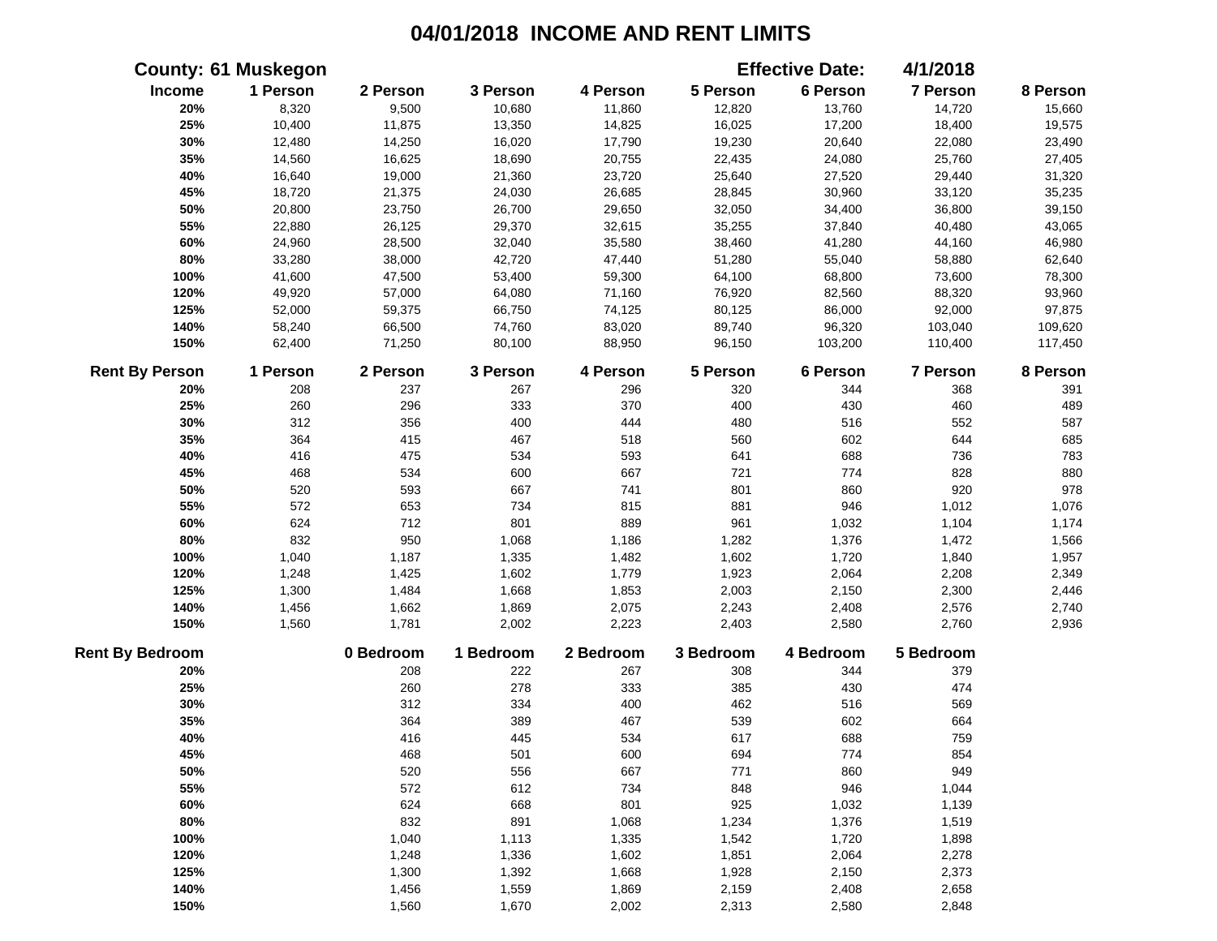|                        | <b>County: 61 Muskegon</b> |           |           |           |           | <b>Effective Date:</b> | 4/1/2018  |          |
|------------------------|----------------------------|-----------|-----------|-----------|-----------|------------------------|-----------|----------|
| Income                 | 1 Person                   | 2 Person  | 3 Person  | 4 Person  | 5 Person  | 6 Person               | 7 Person  | 8 Person |
| 20%                    | 8,320                      | 9,500     | 10,680    | 11,860    | 12,820    | 13,760                 | 14,720    | 15,660   |
| 25%                    | 10,400                     | 11,875    | 13,350    | 14,825    | 16,025    | 17,200                 | 18,400    | 19,575   |
| 30%                    | 12,480                     | 14,250    | 16,020    | 17,790    | 19,230    | 20,640                 | 22,080    | 23,490   |
| 35%                    | 14,560                     | 16,625    | 18,690    | 20,755    | 22,435    | 24,080                 | 25,760    | 27,405   |
| 40%                    | 16,640                     | 19,000    | 21,360    | 23,720    | 25,640    | 27,520                 | 29,440    | 31,320   |
| 45%                    | 18,720                     | 21,375    | 24,030    | 26,685    | 28,845    | 30,960                 | 33,120    | 35,235   |
| 50%                    | 20,800                     | 23,750    | 26,700    | 29,650    | 32,050    | 34,400                 | 36,800    | 39,150   |
| 55%                    | 22,880                     | 26,125    | 29,370    | 32,615    | 35,255    | 37,840                 | 40,480    | 43,065   |
| 60%                    | 24,960                     | 28,500    | 32,040    | 35,580    | 38,460    | 41,280                 | 44,160    | 46,980   |
| 80%                    | 33,280                     | 38,000    | 42,720    | 47,440    | 51,280    | 55,040                 | 58,880    | 62,640   |
| 100%                   | 41,600                     | 47,500    | 53,400    | 59,300    | 64,100    | 68,800                 | 73,600    | 78,300   |
| 120%                   | 49,920                     | 57,000    | 64,080    | 71,160    | 76,920    | 82,560                 | 88,320    | 93,960   |
| 125%                   | 52,000                     | 59,375    | 66,750    | 74,125    | 80,125    | 86,000                 | 92,000    | 97,875   |
| 140%                   | 58,240                     | 66,500    | 74,760    | 83,020    | 89,740    | 96,320                 | 103,040   | 109,620  |
| 150%                   | 62,400                     | 71,250    | 80,100    | 88,950    | 96,150    | 103,200                | 110,400   | 117,450  |
| <b>Rent By Person</b>  | 1 Person                   | 2 Person  | 3 Person  | 4 Person  | 5 Person  | 6 Person               | 7 Person  | 8 Person |
| 20%                    | 208                        | 237       | 267       | 296       | 320       | 344                    | 368       | 391      |
| 25%                    | 260                        | 296       | 333       | 370       | 400       | 430                    | 460       | 489      |
| 30%                    | 312                        | 356       | 400       | 444       | 480       | 516                    | 552       | 587      |
| 35%                    | 364                        | 415       | 467       | 518       | 560       | 602                    | 644       | 685      |
| 40%                    | 416                        | 475       | 534       | 593       | 641       | 688                    | 736       | 783      |
| 45%                    | 468                        | 534       | 600       | 667       | 721       | 774                    | 828       | 880      |
| 50%                    | 520                        | 593       | 667       | 741       | 801       | 860                    | 920       | 978      |
| 55%                    | 572                        | 653       | 734       | 815       | 881       | 946                    | 1,012     | 1,076    |
| 60%                    | 624                        | 712       | 801       | 889       | 961       | 1,032                  | 1,104     | 1,174    |
| 80%                    | 832                        | 950       | 1,068     | 1,186     | 1,282     | 1,376                  | 1,472     | 1,566    |
| 100%                   | 1,040                      | 1,187     | 1,335     | 1,482     | 1,602     | 1,720                  | 1,840     | 1,957    |
| 120%                   | 1,248                      | 1,425     | 1,602     | 1,779     | 1,923     | 2,064                  | 2,208     | 2,349    |
| 125%                   | 1,300                      | 1,484     | 1,668     | 1,853     | 2,003     | 2,150                  | 2,300     | 2,446    |
| 140%                   | 1,456                      | 1,662     | 1,869     | 2,075     | 2,243     | 2,408                  | 2,576     | 2,740    |
| 150%                   | 1,560                      | 1,781     | 2,002     | 2,223     | 2,403     | 2,580                  | 2,760     | 2,936    |
| <b>Rent By Bedroom</b> |                            | 0 Bedroom | 1 Bedroom | 2 Bedroom | 3 Bedroom | 4 Bedroom              | 5 Bedroom |          |
| 20%                    |                            | 208       | 222       | 267       | 308       | 344                    | 379       |          |
| 25%                    |                            | 260       | 278       | 333       | 385       | 430                    | 474       |          |
| 30%                    |                            | 312       | 334       | 400       | 462       | 516                    | 569       |          |
| 35%                    |                            | 364       | 389       | 467       | 539       | 602                    | 664       |          |
| 40%                    |                            | 416       | 445       | 534       | 617       | 688                    | 759       |          |
| 45%                    |                            | 468       | 501       | 600       | 694       | 774                    | 854       |          |
| 50%                    |                            | 520       | 556       | 667       | 771       | 860                    | 949       |          |
| 55%                    |                            | 572       | 612       | 734       | 848       | 946                    | 1,044     |          |
| 60%                    |                            | 624       | 668       | 801       | 925       | 1,032                  | 1,139     |          |
| 80%                    |                            | 832       | 891       | 1,068     | 1,234     | 1,376                  | 1,519     |          |
| 100%                   |                            | 1,040     | 1,113     | 1,335     | 1,542     | 1,720                  | 1,898     |          |
| 120%                   |                            | 1,248     | 1,336     | 1,602     | 1,851     | 2,064                  | 2,278     |          |
| 125%                   |                            | 1,300     | 1,392     | 1,668     | 1,928     | 2,150                  | 2,373     |          |
| 140%                   |                            | 1,456     | 1,559     | 1,869     | 2,159     | 2,408                  | 2,658     |          |
| 150%                   |                            | 1,560     | 1,670     | 2,002     | 2,313     | 2,580                  | 2,848     |          |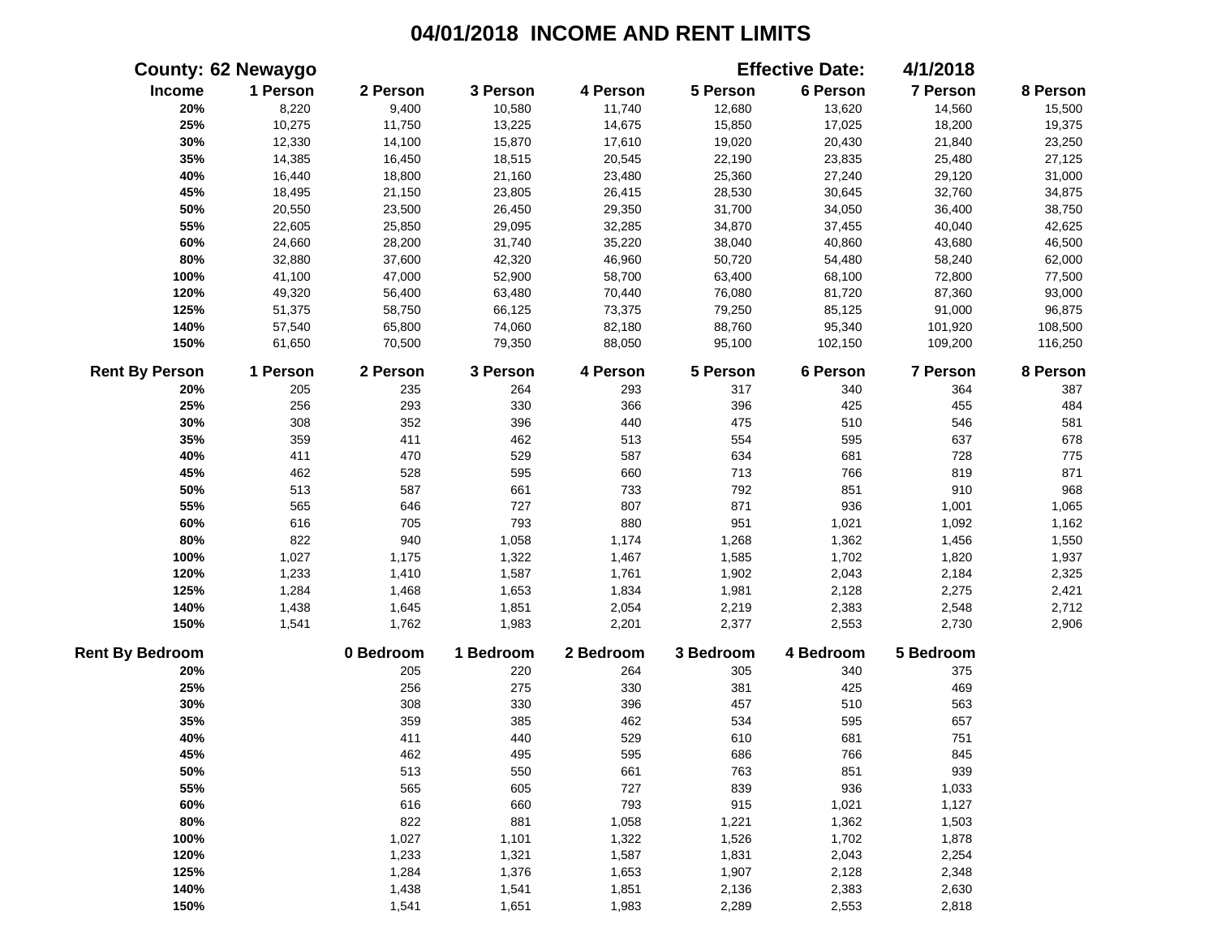|                        | <b>County: 62 Newaygo</b> |           |           |           |           | <b>Effective Date:</b> | 4/1/2018        |          |
|------------------------|---------------------------|-----------|-----------|-----------|-----------|------------------------|-----------------|----------|
| Income                 | 1 Person                  | 2 Person  | 3 Person  | 4 Person  | 5 Person  | 6 Person               | 7 Person        | 8 Person |
| 20%                    | 8,220                     | 9,400     | 10,580    | 11,740    | 12,680    | 13,620                 | 14,560          | 15,500   |
| 25%                    | 10,275                    | 11,750    | 13,225    | 14,675    | 15,850    | 17,025                 | 18,200          | 19,375   |
| 30%                    | 12,330                    | 14,100    | 15,870    | 17,610    | 19,020    | 20,430                 | 21,840          | 23,250   |
| 35%                    | 14,385                    | 16,450    | 18,515    | 20,545    | 22,190    | 23,835                 | 25,480          | 27,125   |
| 40%                    | 16,440                    | 18,800    | 21,160    | 23,480    | 25,360    | 27,240                 | 29,120          | 31,000   |
| 45%                    | 18,495                    | 21,150    | 23,805    | 26,415    | 28,530    | 30,645                 | 32,760          | 34,875   |
| 50%                    | 20,550                    | 23,500    | 26,450    | 29,350    | 31,700    | 34,050                 | 36,400          | 38,750   |
| 55%                    | 22,605                    | 25,850    | 29,095    | 32,285    | 34,870    | 37,455                 | 40,040          | 42,625   |
| 60%                    | 24,660                    | 28,200    | 31,740    | 35,220    | 38,040    | 40,860                 | 43,680          | 46,500   |
| 80%                    | 32,880                    | 37,600    | 42,320    | 46,960    | 50,720    | 54,480                 | 58,240          | 62,000   |
| 100%                   | 41,100                    | 47,000    | 52,900    | 58,700    | 63,400    | 68,100                 | 72,800          | 77,500   |
| 120%                   | 49,320                    | 56,400    | 63,480    | 70,440    | 76,080    | 81,720                 | 87,360          | 93,000   |
| 125%                   | 51,375                    | 58,750    | 66,125    | 73,375    | 79,250    | 85,125                 | 91,000          | 96,875   |
| 140%                   | 57,540                    | 65,800    | 74,060    | 82,180    | 88,760    | 95,340                 | 101,920         | 108,500  |
| 150%                   | 61,650                    | 70,500    | 79,350    | 88,050    | 95,100    | 102,150                | 109,200         | 116,250  |
| <b>Rent By Person</b>  | 1 Person                  | 2 Person  | 3 Person  | 4 Person  | 5 Person  | 6 Person               | <b>7 Person</b> | 8 Person |
| 20%                    | 205                       | 235       | 264       | 293       | 317       | 340                    | 364             | 387      |
| 25%                    | 256                       | 293       | 330       | 366       | 396       | 425                    | 455             | 484      |
| 30%                    | 308                       | 352       | 396       | 440       | 475       | 510                    | 546             | 581      |
| 35%                    | 359                       | 411       | 462       | 513       | 554       | 595                    | 637             | 678      |
| 40%                    | 411                       | 470       | 529       | 587       | 634       | 681                    | 728             | 775      |
| 45%                    | 462                       | 528       | 595       | 660       | 713       | 766                    | 819             | 871      |
| 50%                    | 513                       | 587       | 661       | 733       | 792       | 851                    | 910             | 968      |
| 55%                    | 565                       | 646       | 727       | 807       | 871       | 936                    | 1,001           | 1,065    |
| 60%                    | 616                       | 705       | 793       | 880       | 951       | 1,021                  | 1,092           | 1,162    |
| 80%                    | 822                       | 940       | 1,058     | 1,174     | 1,268     | 1,362                  | 1,456           | 1,550    |
| 100%                   | 1,027                     | 1,175     | 1,322     | 1,467     | 1,585     | 1,702                  | 1,820           | 1,937    |
| 120%                   | 1,233                     | 1,410     | 1,587     | 1,761     | 1,902     | 2,043                  | 2,184           | 2,325    |
| 125%                   | 1,284                     | 1,468     | 1,653     | 1,834     | 1,981     | 2,128                  | 2,275           | 2,421    |
| 140%                   | 1,438                     | 1,645     | 1,851     | 2,054     | 2,219     | 2,383                  | 2,548           | 2,712    |
| 150%                   | 1,541                     | 1,762     | 1,983     | 2,201     | 2,377     | 2,553                  | 2,730           | 2,906    |
| <b>Rent By Bedroom</b> |                           | 0 Bedroom | 1 Bedroom | 2 Bedroom | 3 Bedroom | 4 Bedroom              | 5 Bedroom       |          |
| 20%                    |                           | 205       | 220       | 264       | 305       | 340                    | 375             |          |
| 25%                    |                           | 256       | 275       | 330       | 381       | 425                    | 469             |          |
| 30%                    |                           | 308       | 330       | 396       | 457       | 510                    | 563             |          |
| 35%                    |                           | 359       | 385       | 462       | 534       | 595                    | 657             |          |
| 40%                    |                           | 411       | 440       | 529       | 610       | 681                    | 751             |          |
| 45%                    |                           | 462       | 495       | 595       | 686       | 766                    | 845             |          |
| 50%                    |                           | 513       | 550       | 661       | 763       | 851                    | 939             |          |
| 55%                    |                           | 565       | 605       | 727       | 839       | 936                    | 1,033           |          |
| 60%                    |                           | 616       | 660       | 793       | 915       | 1,021                  | 1,127           |          |
| 80%                    |                           | 822       | 881       | 1,058     | 1,221     | 1,362                  | 1,503           |          |
| 100%                   |                           | 1,027     | 1,101     | 1,322     | 1,526     | 1,702                  | 1,878           |          |
| 120%                   |                           | 1,233     | 1,321     | 1,587     | 1,831     | 2,043                  | 2,254           |          |
| 125%                   |                           | 1,284     | 1,376     | 1,653     | 1,907     | 2,128                  | 2,348           |          |
| 140%                   |                           | 1,438     | 1,541     | 1,851     | 2,136     | 2,383                  | 2,630           |          |
| 150%                   |                           | 1,541     | 1,651     | 1,983     | 2,289     | 2,553                  | 2,818           |          |
|                        |                           |           |           |           |           |                        |                 |          |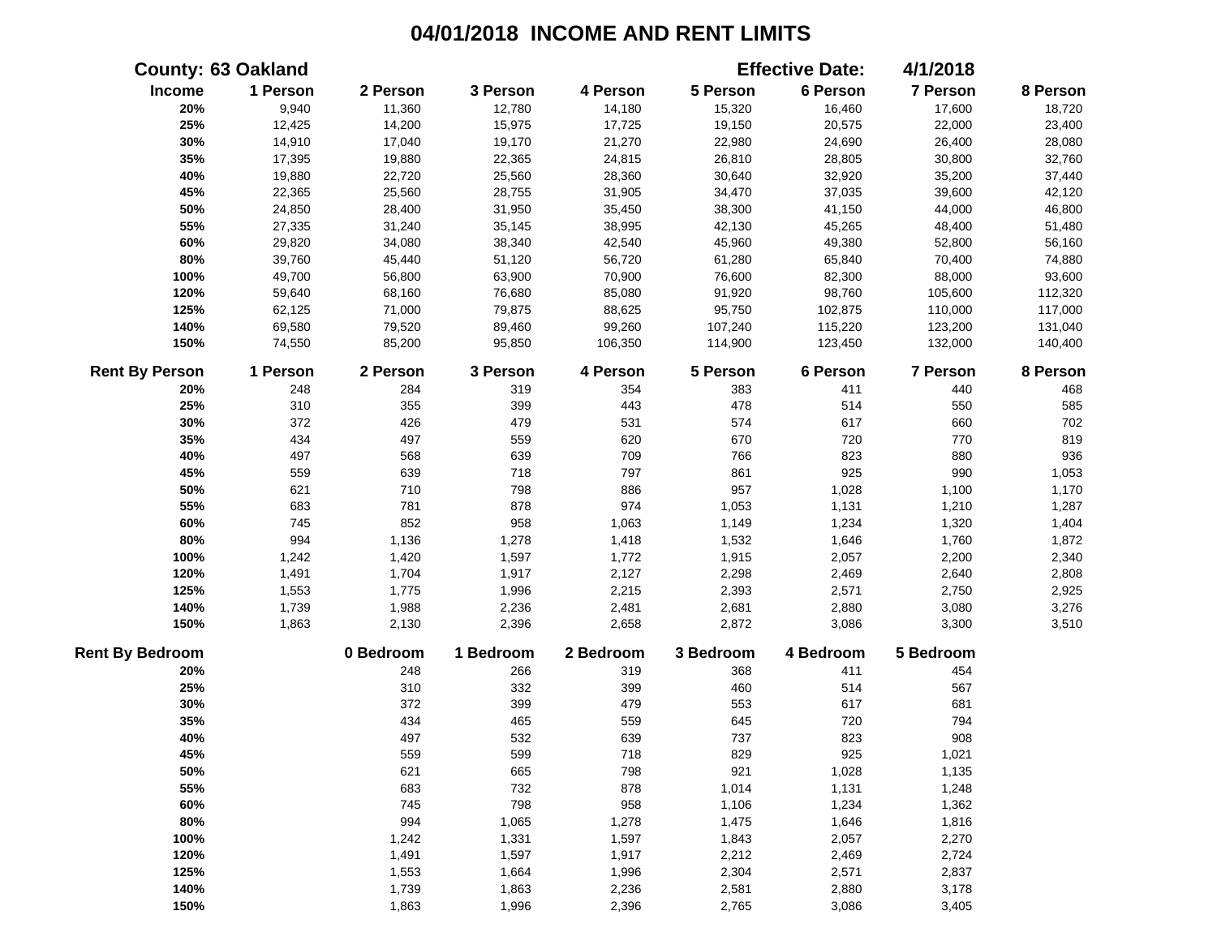|                        | <b>County: 63 Oakland</b> |           |           |           |           | <b>Effective Date:</b> | 4/1/2018  |          |
|------------------------|---------------------------|-----------|-----------|-----------|-----------|------------------------|-----------|----------|
| Income                 | 1 Person                  | 2 Person  | 3 Person  | 4 Person  | 5 Person  | 6 Person               | 7 Person  | 8 Person |
| 20%                    | 9,940                     | 11,360    | 12,780    | 14,180    | 15,320    | 16,460                 | 17,600    | 18,720   |
| 25%                    | 12,425                    | 14,200    | 15,975    | 17,725    | 19,150    | 20,575                 | 22,000    | 23,400   |
| 30%                    | 14,910                    | 17,040    | 19,170    | 21,270    | 22,980    | 24,690                 | 26,400    | 28,080   |
| 35%                    | 17,395                    | 19,880    | 22,365    | 24,815    | 26,810    | 28,805                 | 30,800    | 32,760   |
| 40%                    | 19,880                    | 22,720    | 25,560    | 28,360    | 30,640    | 32,920                 | 35,200    | 37,440   |
| 45%                    | 22,365                    | 25,560    | 28,755    | 31,905    | 34,470    | 37,035                 | 39,600    | 42,120   |
| 50%                    | 24,850                    | 28,400    | 31,950    | 35,450    | 38,300    | 41,150                 | 44,000    | 46,800   |
| 55%                    | 27,335                    | 31,240    | 35,145    | 38,995    | 42,130    | 45,265                 | 48,400    | 51,480   |
| 60%                    | 29,820                    | 34,080    | 38,340    | 42,540    | 45,960    | 49,380                 | 52,800    | 56,160   |
| 80%                    | 39,760                    | 45,440    | 51,120    | 56,720    | 61,280    | 65,840                 | 70,400    | 74,880   |
| 100%                   | 49,700                    | 56,800    | 63,900    | 70,900    | 76,600    | 82,300                 | 88,000    | 93,600   |
| 120%                   | 59,640                    | 68,160    | 76,680    | 85,080    | 91,920    | 98,760                 | 105,600   | 112,320  |
| 125%                   | 62,125                    | 71,000    | 79,875    | 88,625    | 95,750    | 102,875                | 110,000   | 117,000  |
| 140%                   | 69,580                    | 79,520    | 89,460    | 99,260    | 107,240   | 115,220                | 123,200   | 131,040  |
| 150%                   | 74,550                    | 85,200    | 95,850    | 106,350   | 114,900   | 123,450                | 132,000   | 140,400  |
| <b>Rent By Person</b>  | 1 Person                  | 2 Person  | 3 Person  | 4 Person  | 5 Person  | 6 Person               | 7 Person  | 8 Person |
| 20%                    | 248                       | 284       | 319       | 354       | 383       | 411                    | 440       | 468      |
| 25%                    | 310                       | 355       | 399       | 443       | 478       | 514                    | 550       | 585      |
| 30%                    | 372                       | 426       | 479       | 531       | 574       | 617                    | 660       | 702      |
| 35%                    | 434                       | 497       | 559       | 620       | 670       | 720                    | 770       | 819      |
| 40%                    | 497                       | 568       | 639       | 709       | 766       | 823                    | 880       | 936      |
| 45%                    | 559                       | 639       | 718       | 797       | 861       | 925                    | 990       | 1,053    |
| 50%                    | 621                       | 710       | 798       | 886       | 957       | 1,028                  | 1,100     | 1,170    |
| 55%                    | 683                       | 781       | 878       | 974       | 1,053     | 1,131                  | 1,210     | 1,287    |
| 60%                    | 745                       | 852       | 958       | 1,063     | 1,149     | 1,234                  | 1,320     | 1,404    |
| 80%                    | 994                       | 1,136     | 1,278     | 1,418     | 1,532     | 1,646                  | 1,760     | 1,872    |
| 100%                   | 1,242                     | 1,420     | 1,597     | 1,772     | 1,915     | 2,057                  | 2,200     | 2,340    |
| 120%                   | 1,491                     | 1,704     | 1,917     | 2,127     | 2,298     | 2,469                  | 2,640     | 2,808    |
| 125%                   | 1,553                     | 1,775     | 1,996     | 2,215     | 2,393     | 2,571                  | 2,750     | 2,925    |
| 140%                   | 1,739                     | 1,988     | 2,236     | 2,481     | 2,681     | 2,880                  | 3,080     | 3,276    |
| 150%                   | 1,863                     | 2,130     | 2,396     | 2,658     | 2,872     | 3,086                  | 3,300     | 3,510    |
| <b>Rent By Bedroom</b> |                           | 0 Bedroom | 1 Bedroom | 2 Bedroom | 3 Bedroom | 4 Bedroom              | 5 Bedroom |          |
| 20%                    |                           | 248       | 266       | 319       | 368       | 411                    | 454       |          |
| 25%                    |                           | 310       | 332       | 399       | 460       | 514                    | 567       |          |
| 30%                    |                           | 372       | 399       | 479       | 553       | 617                    | 681       |          |
| 35%                    |                           | 434       | 465       | 559       | 645       | 720                    | 794       |          |
| 40%                    |                           | 497       | 532       | 639       | 737       | 823                    | 908       |          |
| 45%                    |                           | 559       | 599       | 718       | 829       | 925                    | 1,021     |          |
| 50%                    |                           | 621       | 665       | 798       | 921       | 1,028                  | 1,135     |          |
| 55%                    |                           | 683       | 732       | 878       | 1,014     | 1,131                  | 1,248     |          |
| 60%                    |                           | 745       | 798       | 958       | 1,106     | 1,234                  | 1,362     |          |
| 80%                    |                           | 994       | 1,065     | 1,278     | 1,475     | 1,646                  | 1,816     |          |
| 100%                   |                           | 1,242     | 1,331     | 1,597     | 1,843     | 2,057                  | 2,270     |          |
| 120%                   |                           | 1,491     | 1,597     | 1,917     | 2,212     | 2,469                  | 2,724     |          |
| 125%                   |                           | 1,553     | 1,664     | 1,996     | 2,304     | 2,571                  | 2,837     |          |
| 140%                   |                           | 1,739     | 1,863     | 2,236     | 2,581     | 2,880                  | 3,178     |          |
| 150%                   |                           | 1,863     | 1,996     | 2,396     | 2,765     | 3,086                  | 3,405     |          |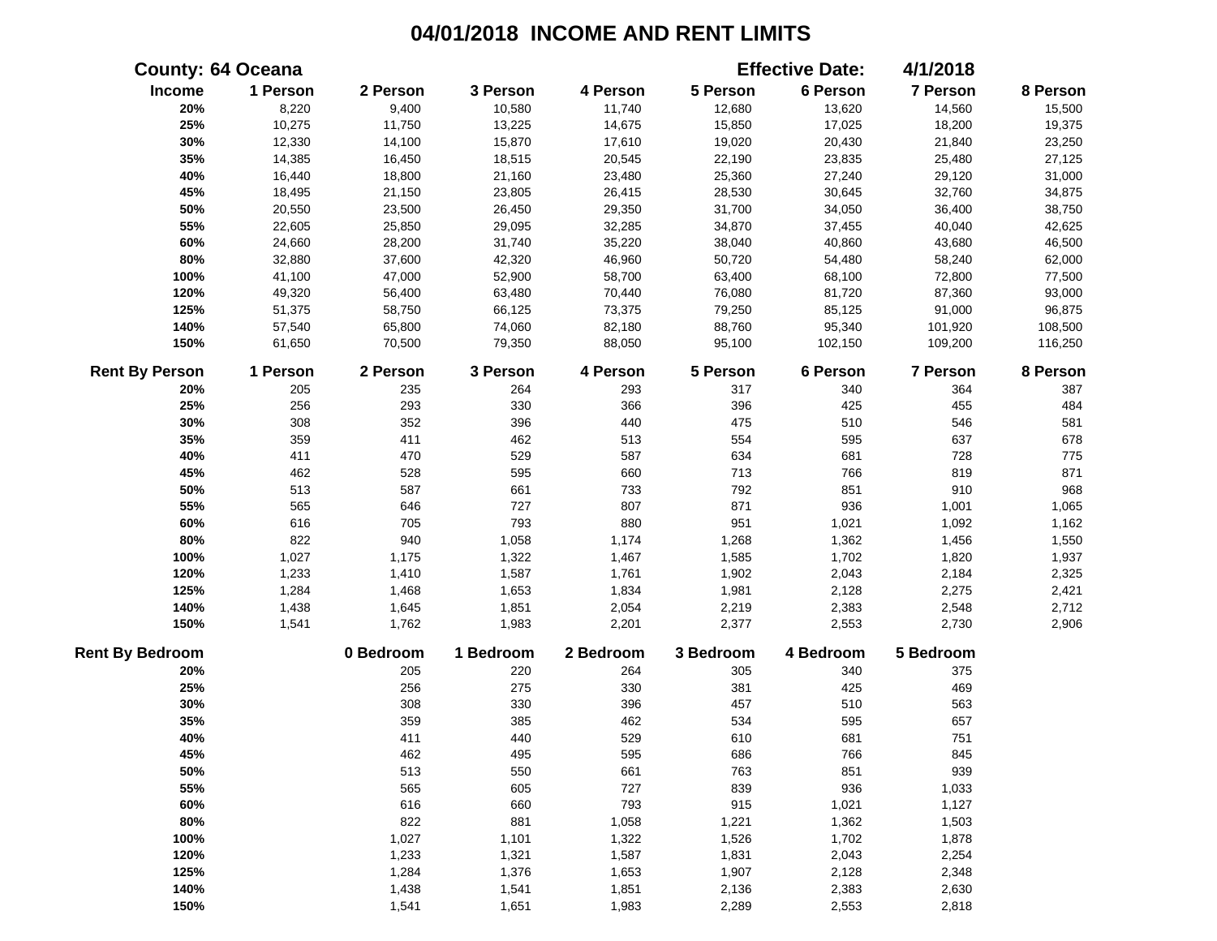|                        | <b>County: 64 Oceana</b> |           |           |           |           | <b>Effective Date:</b> | 4/1/2018        |          |
|------------------------|--------------------------|-----------|-----------|-----------|-----------|------------------------|-----------------|----------|
| Income                 | 1 Person                 | 2 Person  | 3 Person  | 4 Person  | 5 Person  | 6 Person               | 7 Person        | 8 Person |
| 20%                    | 8,220                    | 9,400     | 10,580    | 11,740    | 12,680    | 13,620                 | 14,560          | 15,500   |
| 25%                    | 10,275                   | 11,750    | 13,225    | 14,675    | 15,850    | 17,025                 | 18,200          | 19,375   |
| 30%                    | 12,330                   | 14,100    | 15,870    | 17,610    | 19,020    | 20,430                 | 21,840          | 23,250   |
| 35%                    | 14,385                   | 16,450    | 18,515    | 20,545    | 22,190    | 23,835                 | 25,480          | 27,125   |
| 40%                    | 16,440                   | 18,800    | 21,160    | 23,480    | 25,360    | 27,240                 | 29,120          | 31,000   |
| 45%                    | 18,495                   | 21,150    | 23,805    | 26,415    | 28,530    | 30,645                 | 32,760          | 34,875   |
| 50%                    | 20,550                   | 23,500    | 26,450    | 29,350    | 31,700    | 34,050                 | 36,400          | 38,750   |
| 55%                    | 22,605                   | 25,850    | 29,095    | 32,285    | 34,870    | 37,455                 | 40,040          | 42,625   |
| 60%                    | 24,660                   | 28,200    | 31,740    | 35,220    | 38,040    | 40,860                 | 43,680          | 46,500   |
| 80%                    | 32,880                   | 37,600    | 42,320    | 46,960    | 50,720    | 54,480                 | 58,240          | 62,000   |
| 100%                   | 41,100                   | 47,000    | 52,900    | 58,700    | 63,400    | 68,100                 | 72,800          | 77,500   |
| 120%                   | 49,320                   | 56,400    | 63,480    | 70,440    | 76,080    | 81,720                 | 87,360          | 93,000   |
| 125%                   | 51,375                   | 58,750    | 66,125    | 73,375    | 79,250    | 85,125                 | 91,000          | 96,875   |
| 140%                   | 57,540                   | 65,800    | 74,060    | 82,180    | 88,760    | 95,340                 | 101,920         | 108,500  |
| 150%                   | 61,650                   | 70,500    | 79,350    | 88,050    | 95,100    | 102,150                | 109,200         | 116,250  |
| <b>Rent By Person</b>  | 1 Person                 | 2 Person  | 3 Person  | 4 Person  | 5 Person  | 6 Person               | <b>7 Person</b> | 8 Person |
| 20%                    | 205                      | 235       | 264       | 293       | 317       | 340                    | 364             | 387      |
| 25%                    | 256                      | 293       | 330       | 366       | 396       | 425                    | 455             | 484      |
| 30%                    | 308                      | 352       | 396       | 440       | 475       | 510                    | 546             | 581      |
| 35%                    | 359                      | 411       | 462       | 513       | 554       | 595                    | 637             | 678      |
| 40%                    | 411                      | 470       | 529       | 587       | 634       | 681                    | 728             | 775      |
| 45%                    | 462                      | 528       | 595       | 660       | 713       | 766                    | 819             | 871      |
| 50%                    | 513                      | 587       | 661       | 733       | 792       | 851                    | 910             | 968      |
| 55%                    | 565                      | 646       | 727       | 807       | 871       | 936                    | 1,001           | 1,065    |
| 60%                    | 616                      | 705       | 793       | 880       | 951       | 1,021                  | 1,092           | 1,162    |
| 80%                    | 822                      | 940       | 1,058     | 1,174     | 1,268     | 1,362                  | 1,456           | 1,550    |
| 100%                   | 1,027                    | 1,175     | 1,322     | 1,467     | 1,585     | 1,702                  | 1,820           | 1,937    |
| 120%                   | 1,233                    | 1,410     | 1,587     | 1,761     | 1,902     | 2,043                  | 2,184           | 2,325    |
| 125%                   | 1,284                    | 1,468     | 1,653     | 1,834     | 1,981     | 2,128                  | 2,275           | 2,421    |
| 140%                   | 1,438                    | 1,645     | 1,851     | 2,054     | 2,219     | 2,383                  | 2,548           | 2,712    |
| 150%                   | 1,541                    | 1,762     | 1,983     | 2,201     | 2,377     | 2,553                  | 2,730           | 2,906    |
| <b>Rent By Bedroom</b> |                          | 0 Bedroom | 1 Bedroom | 2 Bedroom | 3 Bedroom | 4 Bedroom              | 5 Bedroom       |          |
| 20%                    |                          | 205       | 220       | 264       | 305       | 340                    | 375             |          |
| 25%                    |                          | 256       | 275       | 330       | 381       | 425                    | 469             |          |
| 30%                    |                          | 308       | 330       | 396       | 457       | 510                    | 563             |          |
| 35%                    |                          | 359       | 385       | 462       | 534       | 595                    | 657             |          |
| 40%                    |                          | 411       | 440       | 529       | 610       | 681                    | 751             |          |
| 45%                    |                          | 462       | 495       | 595       | 686       | 766                    | 845             |          |
| 50%                    |                          | 513       | 550       | 661       | 763       | 851                    | 939             |          |
| 55%                    |                          | 565       | 605       | 727       | 839       | 936                    | 1,033           |          |
| 60%                    |                          | 616       | 660       | 793       | 915       | 1,021                  | 1,127           |          |
| 80%                    |                          | 822       | 881       | 1,058     | 1,221     | 1,362                  | 1,503           |          |
| 100%                   |                          | 1,027     | 1,101     | 1,322     | 1,526     | 1,702                  | 1,878           |          |
| 120%                   |                          | 1,233     | 1,321     | 1,587     | 1,831     | 2,043                  | 2,254           |          |
| 125%                   |                          | 1,284     | 1,376     | 1,653     | 1,907     | 2,128                  | 2,348           |          |
| 140%                   |                          | 1,438     | 1,541     | 1,851     | 2,136     | 2,383                  | 2,630           |          |
| 150%                   |                          | 1,541     | 1,651     | 1,983     | 2,289     | 2,553                  | 2,818           |          |
|                        |                          |           |           |           |           |                        |                 |          |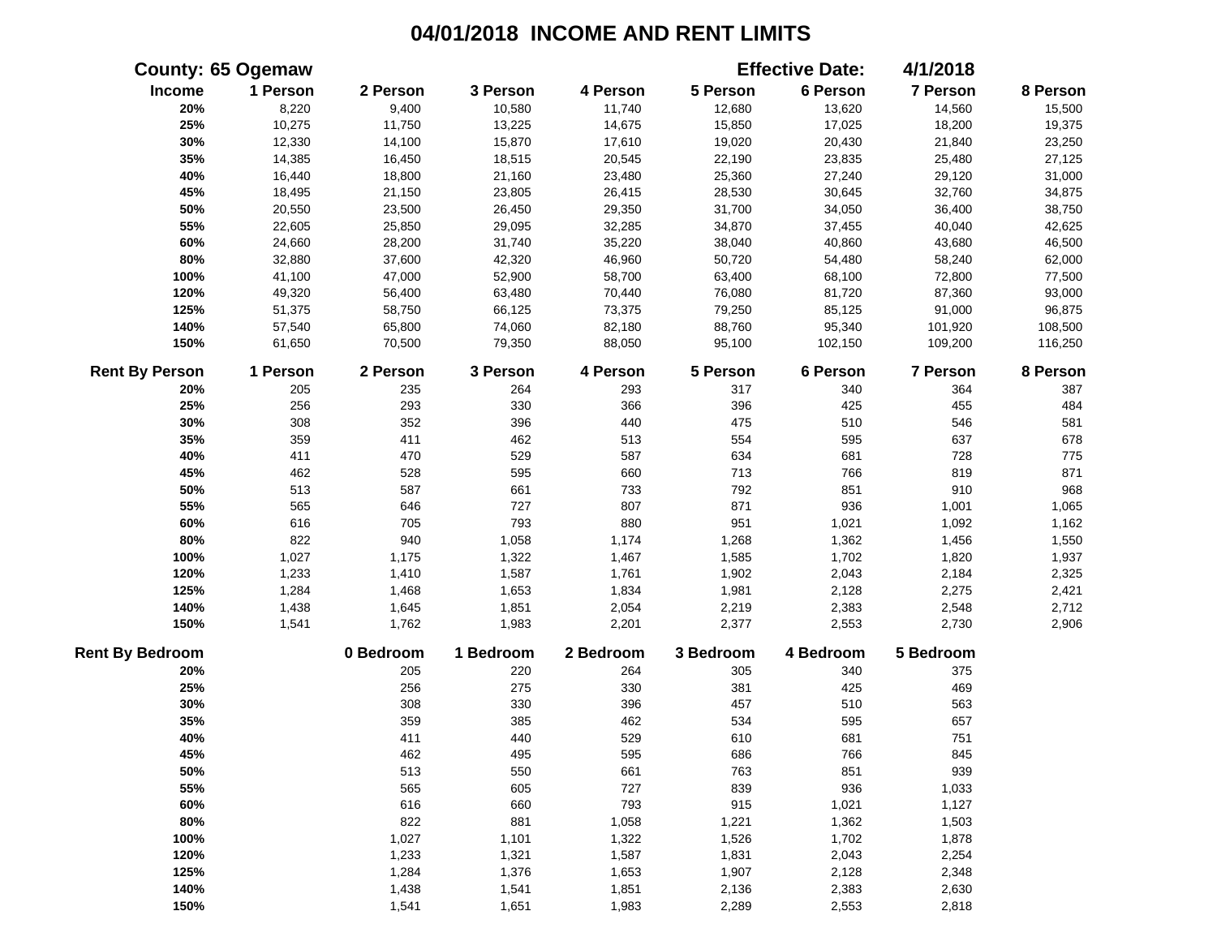|                        | <b>County: 65 Ogemaw</b> |           |           |           |           | <b>Effective Date:</b> | 4/1/2018        |          |
|------------------------|--------------------------|-----------|-----------|-----------|-----------|------------------------|-----------------|----------|
| Income                 | 1 Person                 | 2 Person  | 3 Person  | 4 Person  | 5 Person  | 6 Person               | 7 Person        | 8 Person |
| 20%                    | 8,220                    | 9,400     | 10,580    | 11,740    | 12,680    | 13,620                 | 14,560          | 15,500   |
| 25%                    | 10,275                   | 11,750    | 13,225    | 14,675    | 15,850    | 17,025                 | 18,200          | 19,375   |
| 30%                    | 12,330                   | 14,100    | 15,870    | 17,610    | 19,020    | 20,430                 | 21,840          | 23,250   |
| 35%                    | 14,385                   | 16,450    | 18,515    | 20,545    | 22,190    | 23,835                 | 25,480          | 27,125   |
| 40%                    | 16,440                   | 18,800    | 21,160    | 23,480    | 25,360    | 27,240                 | 29,120          | 31,000   |
| 45%                    | 18,495                   | 21,150    | 23,805    | 26,415    | 28,530    | 30,645                 | 32,760          | 34,875   |
| 50%                    | 20,550                   | 23,500    | 26,450    | 29,350    | 31,700    | 34,050                 | 36,400          | 38,750   |
| 55%                    | 22,605                   | 25,850    | 29,095    | 32,285    | 34,870    | 37,455                 | 40,040          | 42,625   |
| 60%                    | 24,660                   | 28,200    | 31,740    | 35,220    | 38,040    | 40,860                 | 43,680          | 46,500   |
| 80%                    | 32,880                   | 37,600    | 42,320    | 46,960    | 50,720    | 54,480                 | 58,240          | 62,000   |
| 100%                   | 41,100                   | 47,000    | 52,900    | 58,700    | 63,400    | 68,100                 | 72,800          | 77,500   |
| 120%                   | 49,320                   | 56,400    | 63,480    | 70,440    | 76,080    | 81,720                 | 87,360          | 93,000   |
| 125%                   | 51,375                   | 58,750    | 66,125    | 73,375    | 79,250    | 85,125                 | 91,000          | 96,875   |
| 140%                   | 57,540                   | 65,800    | 74,060    | 82,180    | 88,760    | 95,340                 | 101,920         | 108,500  |
| 150%                   | 61,650                   | 70,500    | 79,350    | 88,050    | 95,100    | 102,150                | 109,200         | 116,250  |
| <b>Rent By Person</b>  | 1 Person                 | 2 Person  | 3 Person  | 4 Person  | 5 Person  | 6 Person               | <b>7 Person</b> | 8 Person |
| 20%                    | 205                      | 235       | 264       | 293       | 317       | 340                    | 364             | 387      |
| 25%                    | 256                      | 293       | 330       | 366       | 396       | 425                    | 455             | 484      |
| 30%                    | 308                      | 352       | 396       | 440       | 475       | 510                    | 546             | 581      |
| 35%                    | 359                      | 411       | 462       | 513       | 554       | 595                    | 637             | 678      |
| 40%                    | 411                      | 470       | 529       | 587       | 634       | 681                    | 728             | 775      |
| 45%                    | 462                      | 528       | 595       | 660       | 713       | 766                    | 819             | 871      |
| 50%                    | 513                      | 587       | 661       | 733       | 792       | 851                    | 910             | 968      |
| 55%                    | 565                      | 646       | 727       | 807       | 871       | 936                    | 1,001           | 1,065    |
| 60%                    | 616                      | 705       | 793       | 880       | 951       | 1,021                  | 1,092           | 1,162    |
| 80%                    | 822                      | 940       | 1,058     | 1,174     | 1,268     | 1,362                  | 1,456           | 1,550    |
| 100%                   | 1,027                    | 1,175     | 1,322     | 1,467     | 1,585     | 1,702                  | 1,820           | 1,937    |
| 120%                   | 1,233                    | 1,410     | 1,587     | 1,761     | 1,902     | 2,043                  | 2,184           | 2,325    |
| 125%                   | 1,284                    | 1,468     | 1,653     | 1,834     | 1,981     | 2,128                  | 2,275           | 2,421    |
| 140%                   | 1,438                    | 1,645     | 1,851     | 2,054     | 2,219     | 2,383                  | 2,548           | 2,712    |
| 150%                   | 1,541                    | 1,762     | 1,983     | 2,201     | 2,377     | 2,553                  | 2,730           | 2,906    |
| <b>Rent By Bedroom</b> |                          | 0 Bedroom | 1 Bedroom | 2 Bedroom | 3 Bedroom | 4 Bedroom              | 5 Bedroom       |          |
| 20%                    |                          | 205       | 220       | 264       | 305       | 340                    | 375             |          |
| 25%                    |                          | 256       | 275       | 330       | 381       | 425                    | 469             |          |
| 30%                    |                          | 308       | 330       | 396       | 457       | 510                    | 563             |          |
| 35%                    |                          | 359       | 385       | 462       | 534       | 595                    | 657             |          |
| 40%                    |                          | 411       | 440       | 529       | 610       | 681                    | 751             |          |
| 45%                    |                          | 462       | 495       | 595       | 686       | 766                    | 845             |          |
| 50%                    |                          | 513       | 550       | 661       | 763       | 851                    | 939             |          |
| 55%                    |                          | 565       | 605       | 727       | 839       | 936                    | 1,033           |          |
| 60%                    |                          | 616       | 660       | 793       | 915       | 1,021                  | 1,127           |          |
| 80%                    |                          | 822       | 881       | 1,058     | 1,221     | 1,362                  | 1,503           |          |
| 100%                   |                          | 1,027     | 1,101     | 1,322     | 1,526     | 1,702                  | 1,878           |          |
| 120%                   |                          | 1,233     | 1,321     | 1,587     | 1,831     | 2,043                  | 2,254           |          |
| 125%                   |                          | 1,284     | 1,376     | 1,653     | 1,907     | 2,128                  | 2,348           |          |
| 140%                   |                          | 1,438     | 1,541     | 1,851     | 2,136     | 2,383                  | 2,630           |          |
| 150%                   |                          | 1,541     | 1,651     | 1,983     | 2,289     | 2,553                  | 2,818           |          |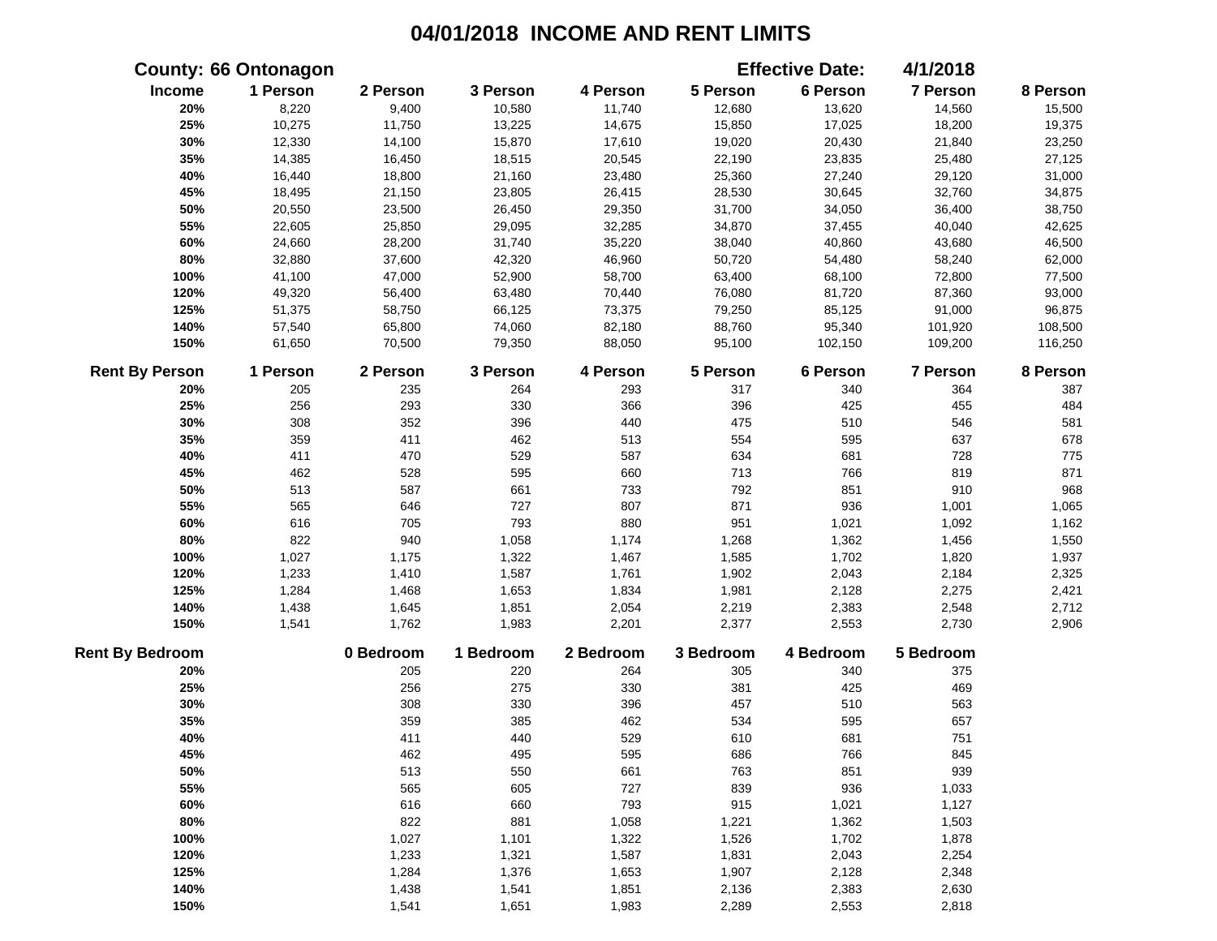|                        | <b>County: 66 Ontonagon</b> |           |           |           |           | <b>Effective Date:</b> | 4/1/2018        |          |
|------------------------|-----------------------------|-----------|-----------|-----------|-----------|------------------------|-----------------|----------|
| Income                 | 1 Person                    | 2 Person  | 3 Person  | 4 Person  | 5 Person  | 6 Person               | 7 Person        | 8 Person |
| 20%                    | 8,220                       | 9,400     | 10,580    | 11,740    | 12,680    | 13,620                 | 14,560          | 15,500   |
| 25%                    | 10,275                      | 11,750    | 13,225    | 14,675    | 15,850    | 17,025                 | 18,200          | 19,375   |
| 30%                    | 12,330                      | 14,100    | 15,870    | 17,610    | 19,020    | 20,430                 | 21,840          | 23,250   |
| 35%                    | 14,385                      | 16,450    | 18,515    | 20,545    | 22,190    | 23,835                 | 25,480          | 27,125   |
| 40%                    | 16,440                      | 18,800    | 21,160    | 23,480    | 25,360    | 27,240                 | 29,120          | 31,000   |
| 45%                    | 18,495                      | 21,150    | 23,805    | 26,415    | 28,530    | 30,645                 | 32,760          | 34,875   |
| 50%                    | 20,550                      | 23,500    | 26,450    | 29,350    | 31,700    | 34,050                 | 36,400          | 38,750   |
| 55%                    | 22,605                      | 25,850    | 29,095    | 32,285    | 34,870    | 37,455                 | 40,040          | 42,625   |
| 60%                    | 24,660                      | 28,200    | 31,740    | 35,220    | 38,040    | 40,860                 | 43,680          | 46,500   |
| 80%                    | 32,880                      | 37,600    | 42,320    | 46,960    | 50,720    | 54,480                 | 58,240          | 62,000   |
| 100%                   | 41,100                      | 47,000    | 52,900    | 58,700    | 63,400    | 68,100                 | 72,800          | 77,500   |
| 120%                   | 49,320                      | 56,400    | 63,480    | 70,440    | 76,080    | 81,720                 | 87,360          | 93,000   |
| 125%                   | 51,375                      | 58,750    | 66,125    | 73,375    | 79,250    | 85,125                 | 91,000          | 96,875   |
| 140%                   | 57,540                      | 65,800    | 74,060    | 82,180    | 88,760    | 95,340                 | 101,920         | 108,500  |
| 150%                   | 61,650                      | 70,500    | 79,350    | 88,050    | 95,100    | 102,150                | 109,200         | 116,250  |
| <b>Rent By Person</b>  | 1 Person                    | 2 Person  | 3 Person  | 4 Person  | 5 Person  | 6 Person               | <b>7 Person</b> | 8 Person |
| 20%                    | 205                         | 235       | 264       | 293       | 317       | 340                    | 364             | 387      |
| 25%                    | 256                         | 293       | 330       | 366       | 396       | 425                    | 455             | 484      |
| 30%                    | 308                         | 352       | 396       | 440       | 475       | 510                    | 546             | 581      |
| 35%                    | 359                         | 411       | 462       | 513       | 554       | 595                    | 637             | 678      |
| 40%                    | 411                         | 470       | 529       | 587       | 634       | 681                    | 728             | 775      |
| 45%                    | 462                         | 528       | 595       | 660       | 713       | 766                    | 819             | 871      |
| 50%                    | 513                         | 587       | 661       | 733       | 792       | 851                    | 910             | 968      |
| 55%                    | 565                         | 646       | 727       | 807       | 871       | 936                    | 1,001           | 1,065    |
| 60%                    | 616                         | 705       | 793       | 880       | 951       | 1,021                  | 1,092           | 1,162    |
| 80%                    | 822                         | 940       | 1,058     | 1,174     | 1,268     | 1,362                  | 1,456           | 1,550    |
| 100%                   | 1,027                       | 1,175     | 1,322     | 1,467     | 1,585     | 1,702                  | 1,820           | 1,937    |
| 120%                   | 1,233                       | 1,410     | 1,587     | 1,761     | 1,902     | 2,043                  | 2,184           | 2,325    |
| 125%                   | 1,284                       | 1,468     | 1,653     | 1,834     | 1,981     | 2,128                  | 2,275           | 2,421    |
| 140%                   | 1,438                       | 1,645     | 1,851     | 2,054     | 2,219     | 2,383                  | 2,548           | 2,712    |
| 150%                   | 1,541                       | 1,762     | 1,983     | 2,201     | 2,377     | 2,553                  | 2,730           | 2,906    |
| <b>Rent By Bedroom</b> |                             | 0 Bedroom | 1 Bedroom | 2 Bedroom | 3 Bedroom | 4 Bedroom              | 5 Bedroom       |          |
| 20%                    |                             | 205       | 220       | 264       | 305       | 340                    | 375             |          |
| 25%                    |                             | 256       | 275       | 330       | 381       | 425                    | 469             |          |
| 30%                    |                             | 308       | 330       | 396       | 457       | 510                    | 563             |          |
| 35%                    |                             | 359       | 385       | 462       | 534       | 595                    | 657             |          |
| 40%                    |                             | 411       | 440       | 529       | 610       | 681                    | 751             |          |
| 45%                    |                             | 462       | 495       | 595       | 686       | 766                    | 845             |          |
| 50%                    |                             | 513       | 550       | 661       | 763       | 851                    | 939             |          |
| 55%                    |                             | 565       | 605       | 727       | 839       | 936                    | 1,033           |          |
| 60%                    |                             | 616       | 660       | 793       | 915       | 1,021                  | 1,127           |          |
| 80%                    |                             | 822       | 881       | 1,058     | 1,221     | 1,362                  | 1,503           |          |
| 100%                   |                             | 1,027     | 1,101     | 1,322     | 1,526     | 1,702                  | 1,878           |          |
| 120%                   |                             | 1,233     | 1,321     | 1,587     | 1,831     | 2,043                  | 2,254           |          |
| 125%                   |                             | 1,284     | 1,376     | 1,653     | 1,907     | 2,128                  | 2,348           |          |
| 140%                   |                             | 1,438     | 1,541     | 1,851     | 2,136     | 2,383                  | 2,630           |          |
| 150%                   |                             | 1,541     | 1,651     | 1,983     | 2,289     | 2,553                  | 2,818           |          |
|                        |                             |           |           |           |           |                        |                 |          |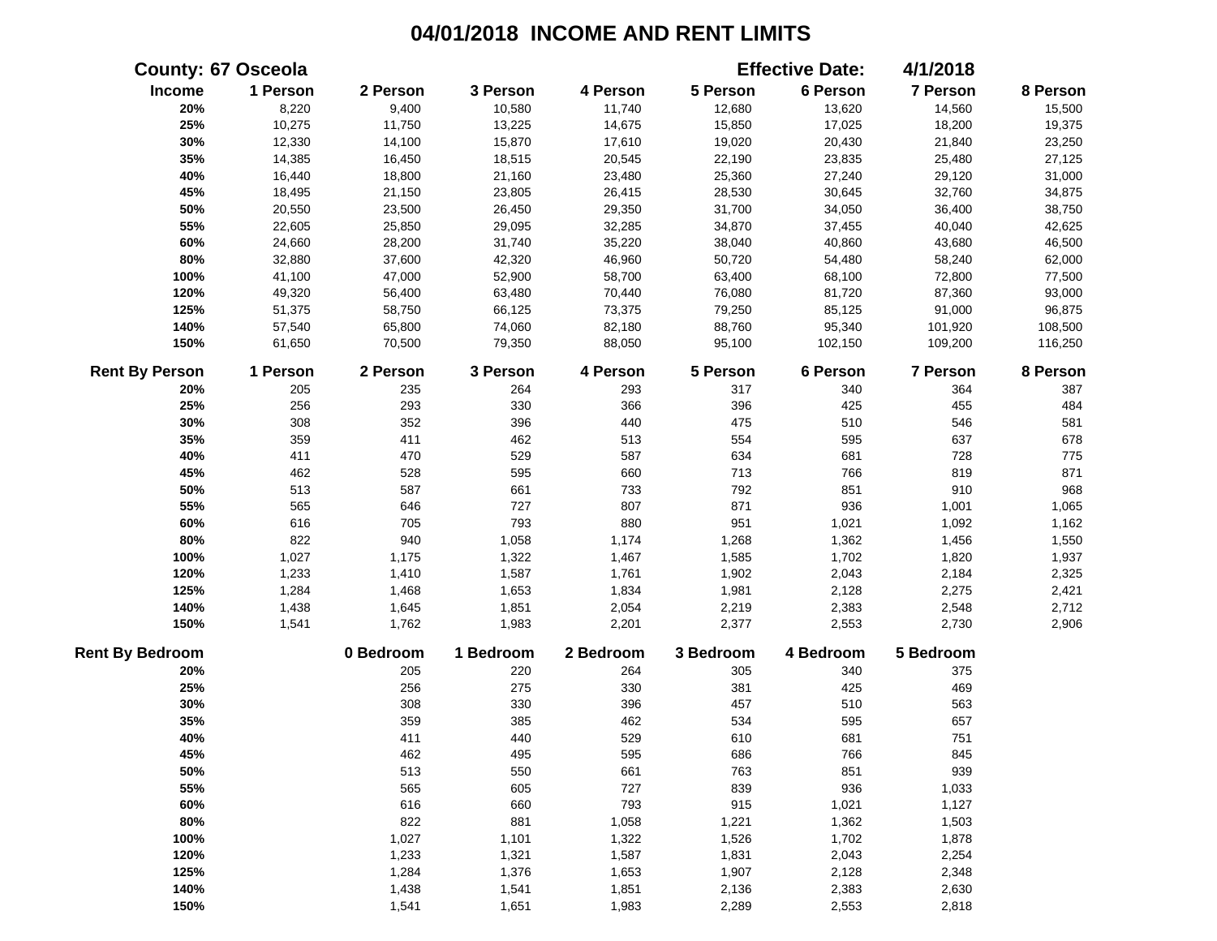|                        | <b>County: 67 Osceola</b> |           |           |           |           | <b>Effective Date:</b> | 4/1/2018  |          |
|------------------------|---------------------------|-----------|-----------|-----------|-----------|------------------------|-----------|----------|
| Income                 | 1 Person                  | 2 Person  | 3 Person  | 4 Person  | 5 Person  | 6 Person               | 7 Person  | 8 Person |
| 20%                    | 8,220                     | 9,400     | 10,580    | 11,740    | 12,680    | 13,620                 | 14,560    | 15,500   |
| 25%                    | 10,275                    | 11,750    | 13,225    | 14,675    | 15,850    | 17,025                 | 18,200    | 19,375   |
| 30%                    | 12,330                    | 14,100    | 15,870    | 17,610    | 19,020    | 20,430                 | 21,840    | 23,250   |
| 35%                    | 14,385                    | 16,450    | 18,515    | 20,545    | 22,190    | 23,835                 | 25,480    | 27,125   |
| 40%                    | 16,440                    | 18,800    | 21,160    | 23,480    | 25,360    | 27,240                 | 29,120    | 31,000   |
| 45%                    | 18,495                    | 21,150    | 23,805    | 26,415    | 28,530    | 30,645                 | 32,760    | 34,875   |
| 50%                    | 20,550                    | 23,500    | 26,450    | 29,350    | 31,700    | 34,050                 | 36,400    | 38,750   |
| 55%                    | 22,605                    | 25,850    | 29,095    | 32,285    | 34,870    | 37,455                 | 40,040    | 42,625   |
| 60%                    | 24,660                    | 28,200    | 31,740    | 35,220    | 38,040    | 40,860                 | 43,680    | 46,500   |
| 80%                    | 32,880                    | 37,600    | 42,320    | 46,960    | 50,720    | 54,480                 | 58,240    | 62,000   |
| 100%                   | 41,100                    | 47,000    | 52,900    | 58,700    | 63,400    | 68,100                 | 72,800    | 77,500   |
| 120%                   | 49,320                    | 56,400    | 63,480    | 70,440    | 76,080    | 81,720                 | 87,360    | 93,000   |
| 125%                   | 51,375                    | 58,750    | 66,125    | 73,375    | 79,250    | 85,125                 | 91,000    | 96,875   |
| 140%                   | 57,540                    | 65,800    | 74,060    | 82,180    | 88,760    | 95,340                 | 101,920   | 108,500  |
| 150%                   | 61,650                    | 70,500    | 79,350    | 88,050    | 95,100    | 102,150                | 109,200   | 116,250  |
| <b>Rent By Person</b>  | 1 Person                  | 2 Person  | 3 Person  | 4 Person  | 5 Person  | 6 Person               | 7 Person  | 8 Person |
| 20%                    | 205                       | 235       | 264       | 293       | 317       | 340                    | 364       | 387      |
| 25%                    | 256                       | 293       | 330       | 366       | 396       | 425                    | 455       | 484      |
| 30%                    | 308                       | 352       | 396       | 440       | 475       | 510                    | 546       | 581      |
| 35%                    | 359                       | 411       | 462       | 513       | 554       | 595                    | 637       | 678      |
| 40%                    | 411                       | 470       | 529       | 587       | 634       | 681                    | 728       | 775      |
| 45%                    | 462                       | 528       | 595       | 660       | 713       | 766                    | 819       | 871      |
| 50%                    | 513                       | 587       | 661       | 733       | 792       | 851                    | 910       | 968      |
| 55%                    | 565                       | 646       | 727       | 807       | 871       | 936                    | 1,001     | 1,065    |
| 60%                    | 616                       | 705       | 793       | 880       | 951       | 1,021                  | 1,092     | 1,162    |
| 80%                    | 822                       | 940       | 1,058     | 1,174     | 1,268     | 1,362                  | 1,456     | 1,550    |
| 100%                   | 1,027                     | 1,175     | 1,322     | 1,467     | 1,585     | 1,702                  | 1,820     | 1,937    |
| 120%                   | 1,233                     | 1,410     | 1,587     | 1,761     | 1,902     | 2,043                  | 2,184     | 2,325    |
| 125%                   | 1,284                     | 1,468     | 1,653     | 1,834     | 1,981     | 2,128                  | 2,275     | 2,421    |
| 140%                   | 1,438                     | 1,645     | 1,851     | 2,054     | 2,219     | 2,383                  | 2,548     | 2,712    |
| 150%                   | 1,541                     | 1,762     | 1,983     | 2,201     | 2,377     | 2,553                  | 2,730     | 2,906    |
| <b>Rent By Bedroom</b> |                           | 0 Bedroom | 1 Bedroom | 2 Bedroom | 3 Bedroom | 4 Bedroom              | 5 Bedroom |          |
| 20%                    |                           | 205       | 220       | 264       | 305       | 340                    | 375       |          |
| 25%                    |                           | 256       | 275       | 330       | 381       | 425                    | 469       |          |
| 30%                    |                           | 308       | 330       | 396       | 457       | 510                    | 563       |          |
| 35%                    |                           | 359       | 385       | 462       | 534       | 595                    | 657       |          |
| 40%                    |                           | 411       | 440       | 529       | 610       | 681                    | 751       |          |
| 45%                    |                           | 462       | 495       | 595       | 686       | 766                    | 845       |          |
| 50%                    |                           | 513       | 550       | 661       | 763       | 851                    | 939       |          |
| 55%                    |                           | 565       | 605       | 727       | 839       | 936                    | 1,033     |          |
| 60%                    |                           | 616       | 660       | 793       | 915       | 1,021                  | 1,127     |          |
| 80%                    |                           | 822       | 881       | 1,058     | 1,221     | 1,362                  | 1,503     |          |
| 100%                   |                           | 1,027     | 1,101     | 1,322     | 1,526     | 1,702                  | 1,878     |          |
| 120%                   |                           | 1,233     | 1,321     | 1,587     | 1,831     | 2,043                  | 2,254     |          |
| 125%                   |                           | 1,284     | 1,376     | 1,653     | 1,907     | 2,128                  | 2,348     |          |
| 140%                   |                           | 1,438     | 1,541     | 1,851     | 2,136     | 2,383                  | 2,630     |          |
| 150%                   |                           | 1,541     | 1,651     | 1,983     | 2,289     | 2,553                  | 2,818     |          |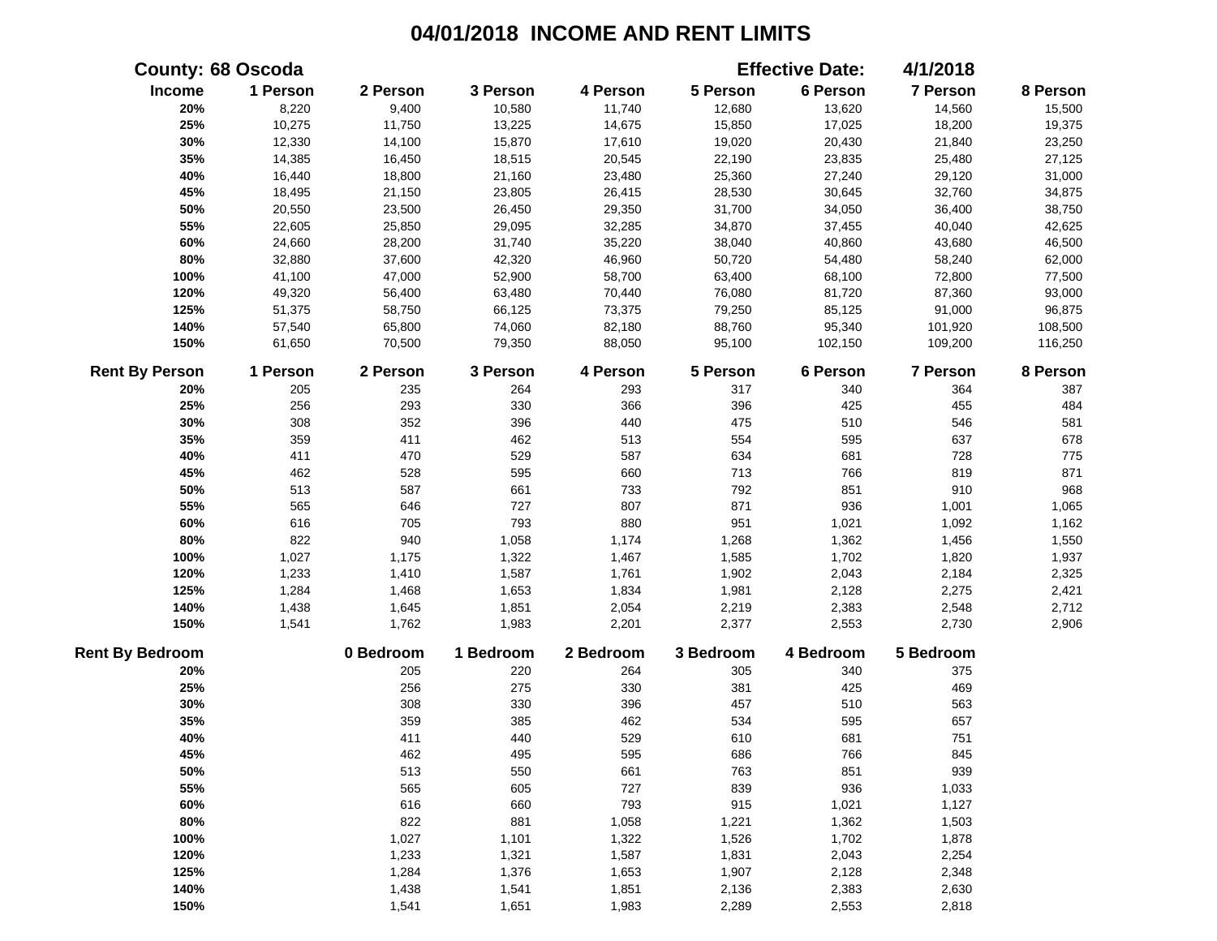|                        | <b>County: 68 Oscoda</b> |           |           |           |           | <b>Effective Date:</b> | 4/1/2018  |          |
|------------------------|--------------------------|-----------|-----------|-----------|-----------|------------------------|-----------|----------|
| Income                 | 1 Person                 | 2 Person  | 3 Person  | 4 Person  | 5 Person  | 6 Person               | 7 Person  | 8 Person |
| 20%                    | 8,220                    | 9,400     | 10,580    | 11,740    | 12,680    | 13,620                 | 14,560    | 15,500   |
| 25%                    | 10,275                   | 11,750    | 13,225    | 14,675    | 15,850    | 17,025                 | 18,200    | 19,375   |
| 30%                    | 12,330                   | 14,100    | 15,870    | 17,610    | 19,020    | 20,430                 | 21,840    | 23,250   |
| 35%                    | 14,385                   | 16,450    | 18,515    | 20,545    | 22,190    | 23,835                 | 25,480    | 27,125   |
| 40%                    | 16,440                   | 18,800    | 21,160    | 23,480    | 25,360    | 27,240                 | 29,120    | 31,000   |
| 45%                    | 18,495                   | 21,150    | 23,805    | 26,415    | 28,530    | 30,645                 | 32,760    | 34,875   |
| 50%                    | 20,550                   | 23,500    | 26,450    | 29,350    | 31,700    | 34,050                 | 36,400    | 38,750   |
| 55%                    | 22,605                   | 25,850    | 29,095    | 32,285    | 34,870    | 37,455                 | 40,040    | 42,625   |
| 60%                    | 24,660                   | 28,200    | 31,740    | 35,220    | 38,040    | 40,860                 | 43,680    | 46,500   |
| 80%                    | 32,880                   | 37,600    | 42,320    | 46,960    | 50,720    | 54,480                 | 58,240    | 62,000   |
| 100%                   | 41,100                   | 47,000    | 52,900    | 58,700    | 63,400    | 68,100                 | 72,800    | 77,500   |
| 120%                   | 49,320                   | 56,400    | 63,480    | 70,440    | 76,080    | 81,720                 | 87,360    | 93,000   |
| 125%                   | 51,375                   | 58,750    | 66,125    | 73,375    | 79,250    | 85,125                 | 91,000    | 96,875   |
| 140%                   | 57,540                   | 65,800    | 74,060    | 82,180    | 88,760    | 95,340                 | 101,920   | 108,500  |
| 150%                   | 61,650                   | 70,500    | 79,350    | 88,050    | 95,100    | 102,150                | 109,200   | 116,250  |
| <b>Rent By Person</b>  | 1 Person                 | 2 Person  | 3 Person  | 4 Person  | 5 Person  | 6 Person               | 7 Person  | 8 Person |
| 20%                    | 205                      | 235       | 264       | 293       | 317       | 340                    | 364       | 387      |
| 25%                    | 256                      | 293       | 330       | 366       | 396       | 425                    | 455       | 484      |
| 30%                    | 308                      | 352       | 396       | 440       | 475       | 510                    | 546       | 581      |
| 35%                    | 359                      | 411       | 462       | 513       | 554       | 595                    | 637       | 678      |
| 40%                    | 411                      | 470       | 529       | 587       | 634       | 681                    | 728       | 775      |
| 45%                    | 462                      | 528       | 595       | 660       | 713       | 766                    | 819       | 871      |
| 50%                    | 513                      | 587       | 661       | 733       | 792       | 851                    | 910       | 968      |
| 55%                    | 565                      | 646       | 727       | 807       | 871       | 936                    | 1,001     | 1,065    |
| 60%                    | 616                      | 705       | 793       | 880       | 951       | 1,021                  | 1,092     | 1,162    |
| 80%                    | 822                      | 940       | 1,058     | 1,174     | 1,268     | 1,362                  | 1,456     | 1,550    |
| 100%                   | 1,027                    | 1,175     | 1,322     | 1,467     | 1,585     | 1,702                  | 1,820     | 1,937    |
| 120%                   | 1,233                    | 1,410     | 1,587     | 1,761     | 1,902     | 2,043                  | 2,184     | 2,325    |
| 125%                   | 1,284                    | 1,468     | 1,653     | 1,834     | 1,981     | 2,128                  | 2,275     | 2,421    |
| 140%                   | 1,438                    | 1,645     | 1,851     | 2,054     | 2,219     | 2,383                  | 2,548     | 2,712    |
| 150%                   | 1,541                    | 1,762     | 1,983     | 2,201     | 2,377     | 2,553                  | 2,730     | 2,906    |
| <b>Rent By Bedroom</b> |                          | 0 Bedroom | 1 Bedroom | 2 Bedroom | 3 Bedroom | 4 Bedroom              | 5 Bedroom |          |
| 20%                    |                          | 205       | 220       | 264       | 305       | 340                    | 375       |          |
| 25%                    |                          | 256       | 275       | 330       | 381       | 425                    | 469       |          |
| 30%                    |                          | 308       | 330       | 396       | 457       | 510                    | 563       |          |
| 35%                    |                          | 359       | 385       | 462       | 534       | 595                    | 657       |          |
| 40%                    |                          | 411       | 440       | 529       | 610       | 681                    | 751       |          |
| 45%                    |                          | 462       | 495       | 595       | 686       | 766                    | 845       |          |
| 50%                    |                          | 513       | 550       | 661       | 763       | 851                    | 939       |          |
| 55%                    |                          | 565       | 605       | 727       | 839       | 936                    | 1,033     |          |
| 60%                    |                          | 616       | 660       | 793       | 915       | 1,021                  | 1,127     |          |
| 80%                    |                          | 822       | 881       | 1,058     | 1,221     | 1,362                  | 1,503     |          |
| 100%                   |                          | 1,027     | 1,101     | 1,322     | 1,526     | 1,702                  | 1,878     |          |
| 120%                   |                          | 1,233     | 1,321     | 1,587     | 1,831     | 2,043                  | 2,254     |          |
| 125%                   |                          | 1,284     | 1,376     | 1,653     | 1,907     | 2,128                  | 2,348     |          |
| 140%                   |                          | 1,438     | 1,541     | 1,851     | 2,136     | 2,383                  | 2,630     |          |
| 150%                   |                          | 1,541     | 1,651     | 1,983     | 2,289     | 2,553                  | 2,818     |          |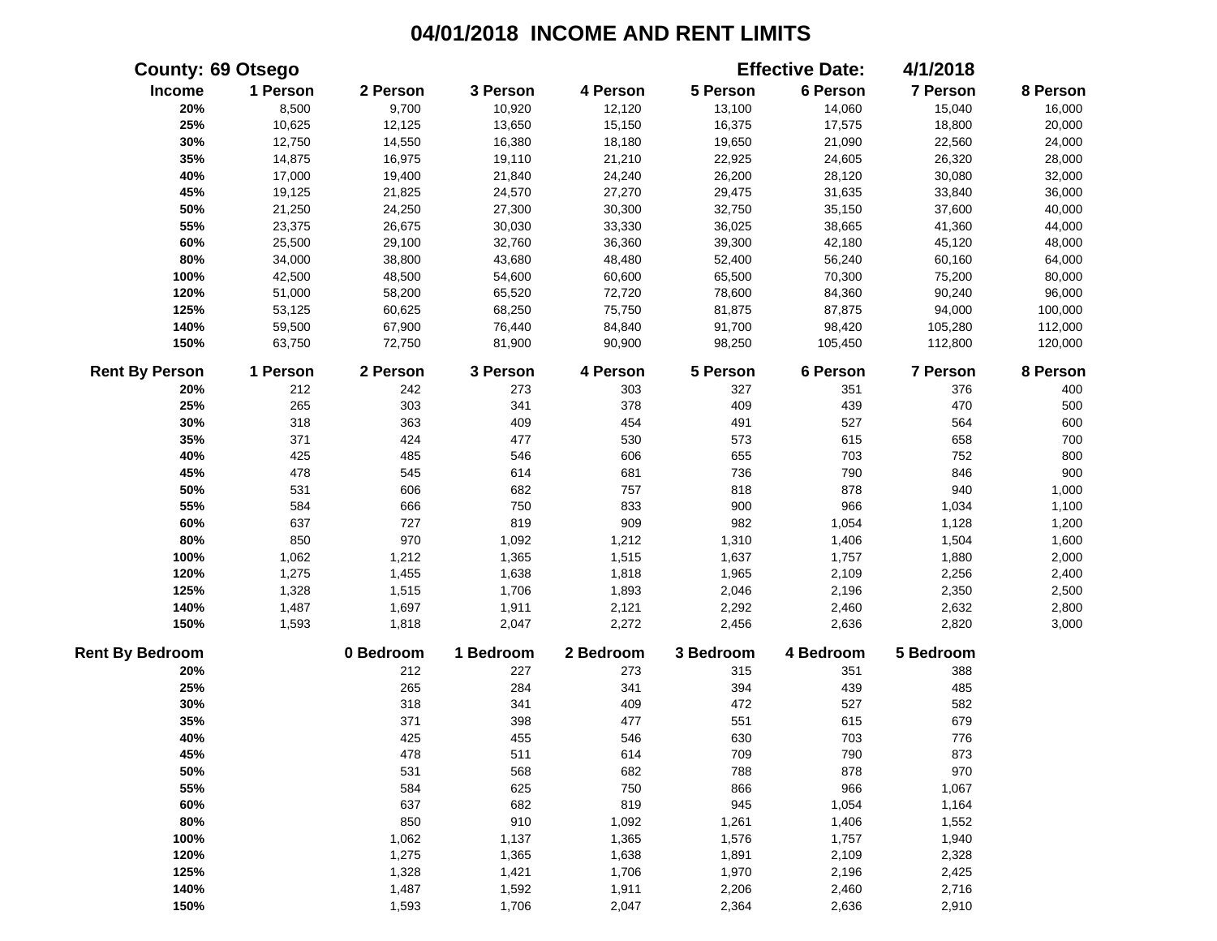|                        | <b>County: 69 Otsego</b> |           |           |           |           | <b>Effective Date:</b> | 4/1/2018        |          |
|------------------------|--------------------------|-----------|-----------|-----------|-----------|------------------------|-----------------|----------|
| Income                 | 1 Person                 | 2 Person  | 3 Person  | 4 Person  | 5 Person  | 6 Person               | 7 Person        | 8 Person |
| 20%                    | 8,500                    | 9,700     | 10,920    | 12,120    | 13,100    | 14,060                 | 15,040          | 16,000   |
| 25%                    | 10,625                   | 12,125    | 13,650    | 15,150    | 16,375    | 17,575                 | 18,800          | 20,000   |
| 30%                    | 12,750                   | 14,550    | 16,380    | 18,180    | 19,650    | 21,090                 | 22,560          | 24,000   |
| 35%                    | 14,875                   | 16,975    | 19,110    | 21,210    | 22,925    | 24,605                 | 26,320          | 28,000   |
| 40%                    | 17,000                   | 19,400    | 21,840    | 24,240    | 26,200    | 28,120                 | 30,080          | 32,000   |
| 45%                    | 19,125                   | 21,825    | 24,570    | 27,270    | 29,475    | 31,635                 | 33,840          | 36,000   |
| 50%                    | 21,250                   | 24,250    | 27,300    | 30,300    | 32,750    | 35,150                 | 37,600          | 40,000   |
| 55%                    | 23,375                   | 26,675    | 30,030    | 33,330    | 36,025    | 38,665                 | 41,360          | 44,000   |
| 60%                    | 25,500                   | 29,100    | 32,760    | 36,360    | 39,300    | 42,180                 | 45,120          | 48,000   |
| 80%                    | 34,000                   | 38,800    | 43,680    | 48,480    | 52,400    | 56,240                 | 60,160          | 64,000   |
| 100%                   | 42,500                   | 48,500    | 54,600    | 60,600    | 65,500    | 70,300                 | 75,200          | 80,000   |
| 120%                   | 51,000                   | 58,200    | 65,520    | 72,720    | 78,600    | 84,360                 | 90,240          | 96,000   |
| 125%                   | 53,125                   | 60,625    | 68,250    | 75,750    | 81,875    | 87,875                 | 94,000          | 100,000  |
| 140%                   | 59,500                   | 67,900    | 76,440    | 84,840    | 91,700    | 98,420                 | 105,280         | 112,000  |
| 150%                   | 63,750                   | 72,750    | 81,900    | 90,900    | 98,250    | 105,450                | 112,800         | 120,000  |
| <b>Rent By Person</b>  | 1 Person                 | 2 Person  | 3 Person  | 4 Person  | 5 Person  | 6 Person               | <b>7 Person</b> | 8 Person |
| 20%                    | 212                      | 242       | 273       | 303       | 327       | 351                    | 376             | 400      |
| 25%                    | 265                      | 303       | 341       | 378       | 409       | 439                    | 470             | 500      |
| 30%                    | 318                      | 363       | 409       | 454       | 491       | 527                    | 564             | 600      |
| 35%                    | 371                      | 424       | 477       | 530       | 573       | 615                    | 658             | 700      |
| 40%                    | 425                      | 485       | 546       | 606       | 655       | 703                    | 752             | 800      |
| 45%                    | 478                      | 545       | 614       | 681       | 736       | 790                    | 846             | 900      |
| 50%                    | 531                      | 606       | 682       | 757       | 818       | 878                    | 940             | 1,000    |
| 55%                    | 584                      | 666       | 750       | 833       | 900       | 966                    | 1,034           | 1,100    |
| 60%                    | 637                      | 727       | 819       | 909       | 982       | 1,054                  | 1,128           | 1,200    |
| 80%                    | 850                      | 970       | 1,092     | 1,212     | 1,310     | 1,406                  | 1,504           | 1,600    |
| 100%                   | 1,062                    | 1,212     | 1,365     | 1,515     | 1,637     | 1,757                  | 1,880           | 2,000    |
| 120%                   | 1,275                    | 1,455     | 1,638     | 1,818     | 1,965     | 2,109                  | 2,256           | 2,400    |
| 125%                   | 1,328                    | 1,515     | 1,706     | 1,893     | 2,046     | 2,196                  | 2,350           | 2,500    |
| 140%                   | 1,487                    | 1,697     | 1,911     | 2,121     | 2,292     | 2,460                  | 2,632           | 2,800    |
| 150%                   | 1,593                    | 1,818     | 2,047     | 2,272     | 2,456     | 2,636                  | 2,820           | 3,000    |
| <b>Rent By Bedroom</b> |                          | 0 Bedroom | 1 Bedroom | 2 Bedroom | 3 Bedroom | 4 Bedroom              | 5 Bedroom       |          |
| 20%                    |                          | 212       | 227       | 273       | 315       | 351                    | 388             |          |
| 25%                    |                          | 265       | 284       | 341       | 394       | 439                    | 485             |          |
| 30%                    |                          | 318       | 341       | 409       | 472       | 527                    | 582             |          |
| 35%                    |                          | 371       | 398       | 477       | 551       | 615                    | 679             |          |
| 40%                    |                          | 425       | 455       | 546       | 630       | 703                    | 776             |          |
| 45%                    |                          | 478       | 511       | 614       | 709       | 790                    | 873             |          |
| 50%                    |                          | 531       | 568       | 682       | 788       | 878                    | 970             |          |
| 55%                    |                          | 584       | 625       | 750       | 866       | 966                    | 1,067           |          |
| 60%                    |                          | 637       | 682       | 819       | 945       | 1,054                  | 1,164           |          |
| 80%                    |                          | 850       | 910       | 1,092     | 1,261     | 1,406                  | 1,552           |          |
| 100%                   |                          | 1,062     | 1,137     | 1,365     | 1,576     | 1,757                  | 1,940           |          |
| 120%                   |                          | 1,275     | 1,365     | 1,638     | 1,891     | 2,109                  | 2,328           |          |
| 125%                   |                          | 1,328     | 1,421     | 1,706     | 1,970     | 2,196                  | 2,425           |          |
| 140%                   |                          | 1,487     | 1,592     | 1,911     | 2,206     | 2,460                  | 2,716           |          |
| 150%                   |                          | 1,593     | 1,706     | 2,047     | 2,364     | 2,636                  | 2,910           |          |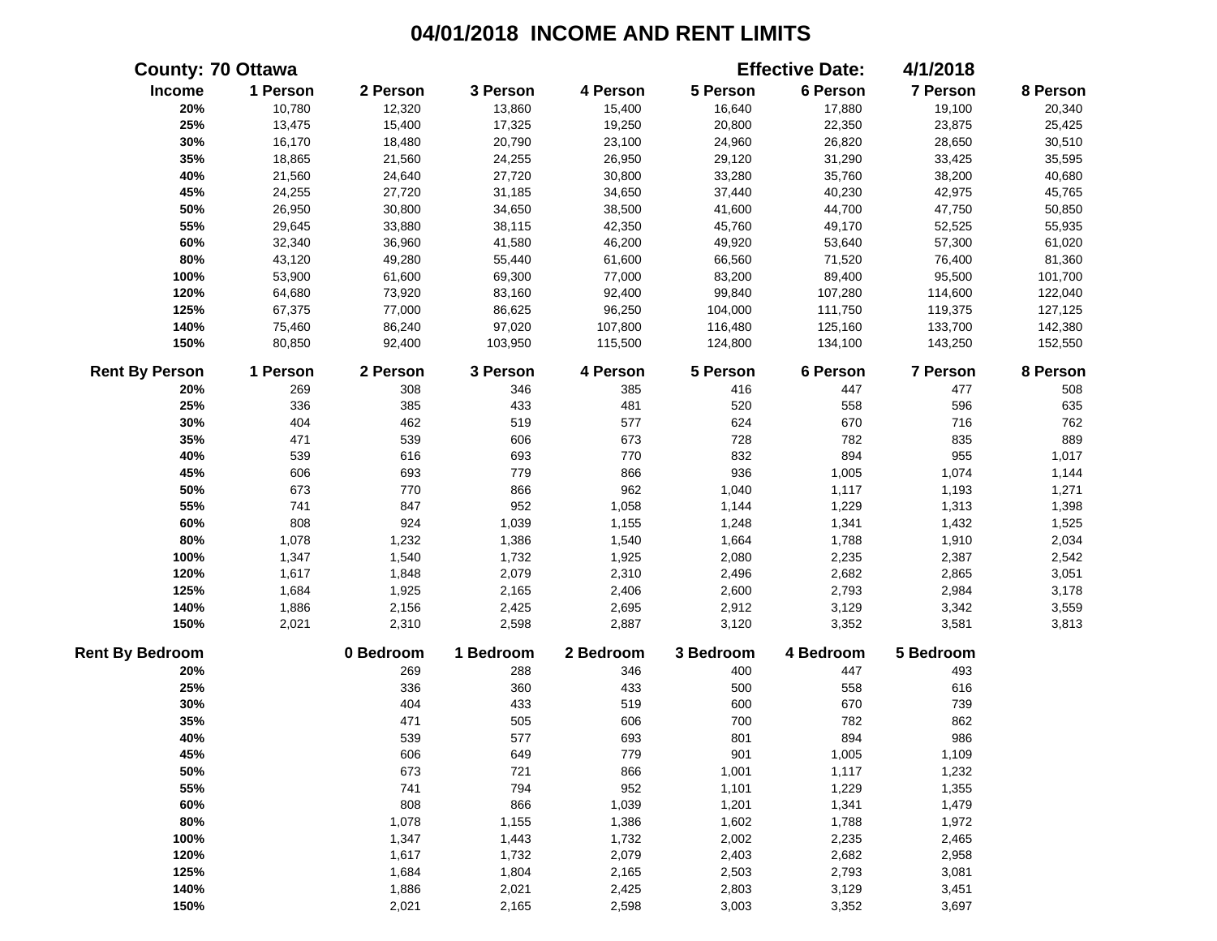|                        | <b>County: 70 Ottawa</b> |           |           |           |           | <b>Effective Date:</b> | 4/1/2018        |          |
|------------------------|--------------------------|-----------|-----------|-----------|-----------|------------------------|-----------------|----------|
| Income                 | 1 Person                 | 2 Person  | 3 Person  | 4 Person  | 5 Person  | 6 Person               | 7 Person        | 8 Person |
| 20%                    | 10,780                   | 12,320    | 13,860    | 15,400    | 16,640    | 17,880                 | 19,100          | 20,340   |
| 25%                    | 13,475                   | 15,400    | 17,325    | 19,250    | 20,800    | 22,350                 | 23,875          | 25,425   |
| 30%                    | 16,170                   | 18,480    | 20,790    | 23,100    | 24,960    | 26,820                 | 28,650          | 30,510   |
| 35%                    | 18,865                   | 21,560    | 24,255    | 26,950    | 29,120    | 31,290                 | 33,425          | 35,595   |
| 40%                    | 21,560                   | 24,640    | 27,720    | 30,800    | 33,280    | 35,760                 | 38,200          | 40,680   |
| 45%                    | 24,255                   | 27,720    | 31,185    | 34,650    | 37,440    | 40,230                 | 42,975          | 45,765   |
| 50%                    | 26,950                   | 30,800    | 34,650    | 38,500    | 41,600    | 44,700                 | 47,750          | 50,850   |
| 55%                    | 29,645                   | 33,880    | 38,115    | 42,350    | 45,760    | 49,170                 | 52,525          | 55,935   |
| 60%                    | 32,340                   | 36,960    | 41,580    | 46,200    | 49,920    | 53,640                 | 57,300          | 61,020   |
| 80%                    | 43,120                   | 49,280    | 55,440    | 61,600    | 66,560    | 71,520                 | 76,400          | 81,360   |
| 100%                   | 53,900                   | 61,600    | 69,300    | 77,000    | 83,200    | 89,400                 | 95,500          | 101,700  |
| 120%                   | 64,680                   | 73,920    | 83,160    | 92,400    | 99,840    | 107,280                | 114,600         | 122,040  |
| 125%                   | 67,375                   | 77,000    | 86,625    | 96,250    | 104,000   | 111,750                | 119,375         | 127,125  |
| 140%                   | 75,460                   | 86,240    | 97,020    | 107,800   | 116,480   | 125,160                | 133,700         | 142,380  |
| 150%                   | 80,850                   | 92,400    | 103,950   | 115,500   | 124,800   | 134,100                | 143,250         | 152,550  |
| <b>Rent By Person</b>  | 1 Person                 | 2 Person  | 3 Person  | 4 Person  | 5 Person  | 6 Person               | <b>7 Person</b> | 8 Person |
| 20%                    | 269                      | 308       | 346       | 385       | 416       | 447                    | 477             | 508      |
| 25%                    | 336                      | 385       | 433       | 481       | 520       | 558                    | 596             | 635      |
| 30%                    | 404                      | 462       | 519       | 577       | 624       | 670                    | 716             | 762      |
| 35%                    | 471                      | 539       | 606       | 673       | 728       | 782                    | 835             | 889      |
| 40%                    | 539                      | 616       | 693       | 770       | 832       | 894                    | 955             | 1,017    |
| 45%                    | 606                      | 693       | 779       | 866       | 936       | 1,005                  | 1,074           | 1,144    |
| 50%                    | 673                      | 770       | 866       | 962       | 1,040     | 1,117                  | 1,193           | 1,271    |
| 55%                    | 741                      | 847       | 952       | 1,058     | 1,144     | 1,229                  | 1,313           | 1,398    |
| 60%                    | 808                      | 924       | 1,039     | 1,155     | 1,248     | 1,341                  | 1,432           | 1,525    |
| 80%                    | 1,078                    | 1,232     | 1,386     | 1,540     | 1,664     | 1,788                  | 1,910           | 2,034    |
| 100%                   | 1,347                    | 1,540     | 1,732     | 1,925     | 2,080     | 2,235                  | 2,387           | 2,542    |
| 120%                   | 1,617                    | 1,848     | 2,079     | 2,310     | 2,496     | 2,682                  | 2,865           | 3,051    |
| 125%                   | 1,684                    | 1,925     | 2,165     | 2,406     | 2,600     | 2,793                  | 2,984           | 3,178    |
| 140%                   | 1,886                    | 2,156     | 2,425     | 2,695     | 2,912     | 3,129                  | 3,342           | 3,559    |
| 150%                   | 2,021                    | 2,310     | 2,598     | 2,887     | 3,120     | 3,352                  | 3,581           | 3,813    |
| <b>Rent By Bedroom</b> |                          | 0 Bedroom | 1 Bedroom | 2 Bedroom | 3 Bedroom | 4 Bedroom              | 5 Bedroom       |          |
| 20%                    |                          | 269       | 288       | 346       | 400       | 447                    | 493             |          |
| 25%                    |                          | 336       | 360       | 433       | 500       | 558                    | 616             |          |
| 30%                    |                          | 404       | 433       | 519       | 600       | 670                    | 739             |          |
| 35%                    |                          | 471       | 505       | 606       | 700       | 782                    | 862             |          |
| 40%                    |                          | 539       | 577       | 693       | 801       | 894                    | 986             |          |
| 45%                    |                          | 606       | 649       | 779       | 901       | 1,005                  | 1,109           |          |
| 50%                    |                          | 673       | 721       | 866       | 1,001     | 1,117                  | 1,232           |          |
| 55%                    |                          | 741       | 794       | 952       | 1,101     | 1,229                  | 1,355           |          |
| 60%                    |                          | 808       | 866       | 1,039     | 1,201     | 1,341                  | 1,479           |          |
| 80%                    |                          | 1,078     | 1,155     | 1,386     | 1,602     | 1,788                  | 1,972           |          |
| 100%                   |                          | 1,347     | 1,443     | 1,732     | 2,002     | 2,235                  | 2,465           |          |
| 120%                   |                          | 1,617     | 1,732     | 2,079     | 2,403     | 2,682                  | 2,958           |          |
| 125%                   |                          | 1,684     | 1,804     | 2,165     | 2,503     | 2,793                  | 3,081           |          |
| 140%                   |                          | 1,886     | 2,021     | 2,425     | 2,803     | 3,129                  | 3,451           |          |
| 150%                   |                          | 2,021     | 2,165     | 2,598     | 3,003     | 3,352                  | 3,697           |          |
|                        |                          |           |           |           |           |                        |                 |          |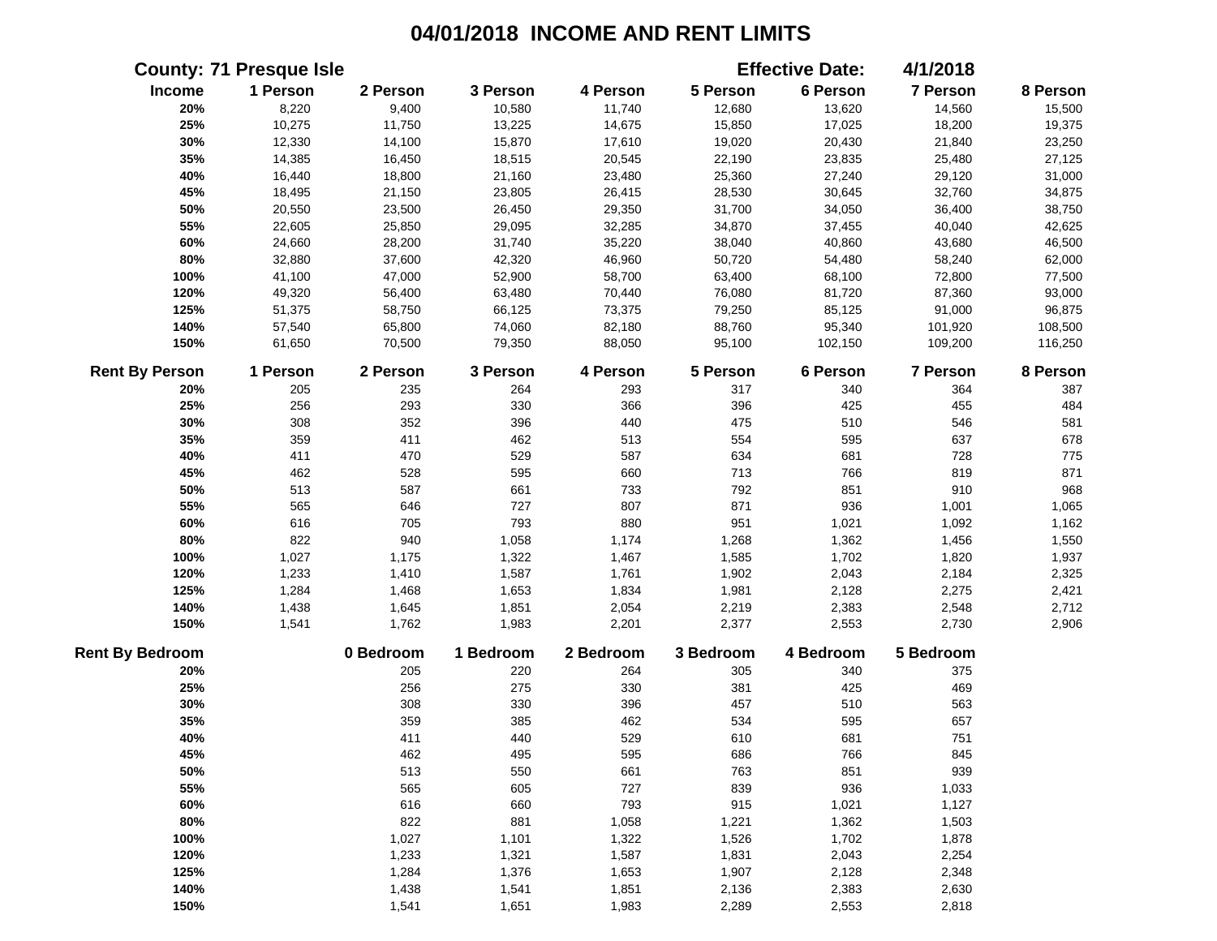|                        | <b>County: 71 Presque Isle</b> |           |           |           |           | <b>Effective Date:</b> | 4/1/2018        |          |
|------------------------|--------------------------------|-----------|-----------|-----------|-----------|------------------------|-----------------|----------|
| Income                 | 1 Person                       | 2 Person  | 3 Person  | 4 Person  | 5 Person  | 6 Person               | 7 Person        | 8 Person |
| 20%                    | 8,220                          | 9,400     | 10,580    | 11,740    | 12,680    | 13,620                 | 14,560          | 15,500   |
| 25%                    | 10,275                         | 11,750    | 13,225    | 14,675    | 15,850    | 17,025                 | 18,200          | 19,375   |
| 30%                    | 12,330                         | 14,100    | 15,870    | 17,610    | 19,020    | 20,430                 | 21,840          | 23,250   |
| 35%                    | 14,385                         | 16,450    | 18,515    | 20,545    | 22,190    | 23,835                 | 25,480          | 27,125   |
| 40%                    | 16,440                         | 18,800    | 21,160    | 23,480    | 25,360    | 27,240                 | 29,120          | 31,000   |
| 45%                    | 18,495                         | 21,150    | 23,805    | 26,415    | 28,530    | 30,645                 | 32,760          | 34,875   |
| 50%                    | 20,550                         | 23,500    | 26,450    | 29,350    | 31,700    | 34,050                 | 36,400          | 38,750   |
| 55%                    | 22,605                         | 25,850    | 29,095    | 32,285    | 34,870    | 37,455                 | 40,040          | 42,625   |
| 60%                    | 24,660                         | 28,200    | 31,740    | 35,220    | 38,040    | 40,860                 | 43,680          | 46,500   |
| 80%                    | 32,880                         | 37,600    | 42,320    | 46,960    | 50,720    | 54,480                 | 58,240          | 62,000   |
| 100%                   | 41,100                         | 47,000    | 52,900    | 58,700    | 63,400    | 68,100                 | 72,800          | 77,500   |
| 120%                   | 49,320                         | 56,400    | 63,480    | 70,440    | 76,080    | 81,720                 | 87,360          | 93,000   |
| 125%                   | 51,375                         | 58,750    | 66,125    | 73,375    | 79,250    | 85,125                 | 91,000          | 96,875   |
| 140%                   | 57,540                         | 65,800    | 74,060    | 82,180    | 88,760    | 95,340                 | 101,920         | 108,500  |
| 150%                   | 61,650                         | 70,500    | 79,350    | 88,050    | 95,100    | 102,150                | 109,200         | 116,250  |
| <b>Rent By Person</b>  | 1 Person                       | 2 Person  | 3 Person  | 4 Person  | 5 Person  | 6 Person               | <b>7 Person</b> | 8 Person |
| 20%                    | 205                            | 235       | 264       | 293       | 317       | 340                    | 364             | 387      |
| 25%                    | 256                            | 293       | 330       | 366       | 396       | 425                    | 455             | 484      |
| 30%                    | 308                            | 352       | 396       | 440       | 475       | 510                    | 546             | 581      |
| 35%                    | 359                            | 411       | 462       | 513       | 554       | 595                    | 637             | 678      |
| 40%                    | 411                            | 470       | 529       | 587       | 634       | 681                    | 728             | 775      |
| 45%                    | 462                            | 528       | 595       | 660       | 713       | 766                    | 819             | 871      |
| 50%                    | 513                            | 587       | 661       | 733       | 792       | 851                    | 910             | 968      |
| 55%                    | 565                            | 646       | 727       | 807       | 871       | 936                    | 1,001           | 1,065    |
| 60%                    | 616                            | 705       | 793       | 880       | 951       | 1,021                  | 1,092           | 1,162    |
| 80%                    | 822                            | 940       | 1,058     | 1,174     | 1,268     | 1,362                  | 1,456           | 1,550    |
| 100%                   | 1,027                          | 1,175     | 1,322     | 1,467     | 1,585     | 1,702                  | 1,820           | 1,937    |
| 120%                   | 1,233                          | 1,410     | 1,587     | 1,761     | 1,902     | 2,043                  | 2,184           | 2,325    |
| 125%                   | 1,284                          | 1,468     | 1,653     | 1,834     | 1,981     | 2,128                  | 2,275           | 2,421    |
| 140%                   | 1,438                          | 1,645     | 1,851     | 2,054     | 2,219     | 2,383                  | 2,548           | 2,712    |
| 150%                   | 1,541                          | 1,762     | 1,983     | 2,201     | 2,377     | 2,553                  | 2,730           | 2,906    |
| <b>Rent By Bedroom</b> |                                | 0 Bedroom | 1 Bedroom | 2 Bedroom | 3 Bedroom | 4 Bedroom              | 5 Bedroom       |          |
| 20%                    |                                | 205       | 220       | 264       | 305       | 340                    | 375             |          |
| 25%                    |                                | 256       | 275       | 330       | 381       | 425                    | 469             |          |
| 30%                    |                                | 308       | 330       | 396       | 457       | 510                    | 563             |          |
| 35%                    |                                | 359       | 385       | 462       | 534       | 595                    | 657             |          |
| 40%                    |                                | 411       | 440       | 529       | 610       | 681                    | 751             |          |
| 45%                    |                                | 462       | 495       | 595       | 686       | 766                    | 845             |          |
| 50%                    |                                | 513       | 550       | 661       | 763       | 851                    | 939             |          |
| 55%                    |                                | 565       | 605       | 727       | 839       | 936                    | 1,033           |          |
| 60%                    |                                | 616       | 660       | 793       | 915       | 1,021                  | 1,127           |          |
| 80%                    |                                | 822       | 881       | 1,058     | 1,221     | 1,362                  | 1,503           |          |
| 100%                   |                                | 1,027     | 1,101     | 1,322     | 1,526     | 1,702                  | 1,878           |          |
| 120%                   |                                | 1,233     | 1,321     | 1,587     | 1,831     | 2,043                  | 2,254           |          |
| 125%                   |                                | 1,284     | 1,376     | 1,653     | 1,907     | 2,128                  | 2,348           |          |
| 140%                   |                                | 1,438     | 1,541     | 1,851     | 2,136     | 2,383                  | 2,630           |          |
| 150%                   |                                | 1,541     | 1,651     | 1,983     | 2,289     | 2,553                  | 2,818           |          |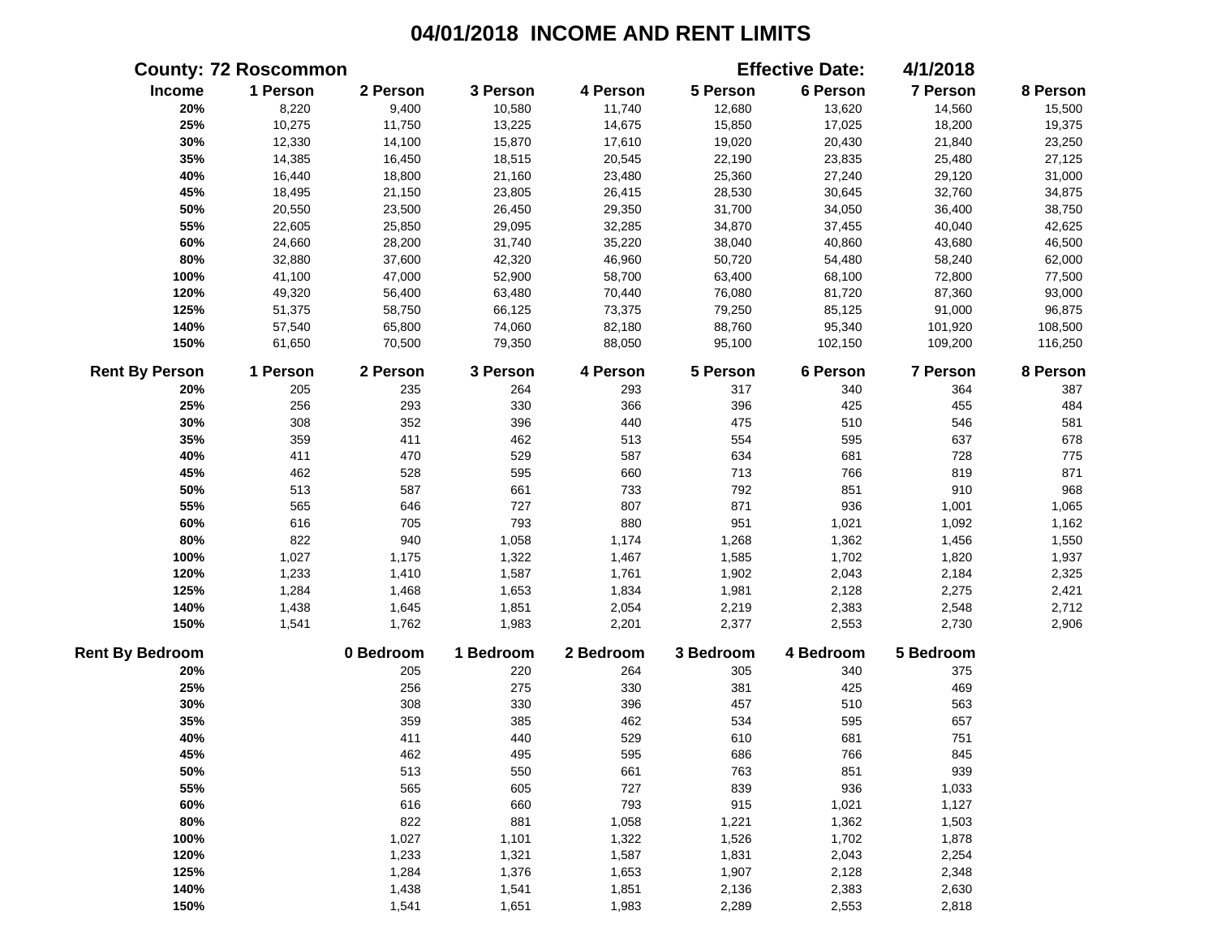|                        | <b>County: 72 Roscommon</b> |           |           |           |           | <b>Effective Date:</b> | 4/1/2018  |          |
|------------------------|-----------------------------|-----------|-----------|-----------|-----------|------------------------|-----------|----------|
| Income                 | 1 Person                    | 2 Person  | 3 Person  | 4 Person  | 5 Person  | 6 Person               | 7 Person  | 8 Person |
| 20%                    | 8,220                       | 9,400     | 10,580    | 11,740    | 12,680    | 13,620                 | 14,560    | 15,500   |
| 25%                    | 10,275                      | 11,750    | 13,225    | 14,675    | 15,850    | 17,025                 | 18,200    | 19,375   |
| 30%                    | 12,330                      | 14,100    | 15,870    | 17,610    | 19,020    | 20,430                 | 21,840    | 23,250   |
| 35%                    | 14,385                      | 16,450    | 18,515    | 20,545    | 22,190    | 23,835                 | 25,480    | 27,125   |
| 40%                    | 16,440                      | 18,800    | 21,160    | 23,480    | 25,360    | 27,240                 | 29,120    | 31,000   |
| 45%                    | 18,495                      | 21,150    | 23,805    | 26,415    | 28,530    | 30,645                 | 32,760    | 34,875   |
| 50%                    | 20,550                      | 23,500    | 26,450    | 29,350    | 31,700    | 34,050                 | 36,400    | 38,750   |
| 55%                    | 22,605                      | 25,850    | 29,095    | 32,285    | 34,870    | 37,455                 | 40,040    | 42,625   |
| 60%                    | 24,660                      | 28,200    | 31,740    | 35,220    | 38,040    | 40,860                 | 43,680    | 46,500   |
| $80\%$                 | 32,880                      | 37,600    | 42,320    | 46,960    | 50,720    | 54,480                 | 58,240    | 62,000   |
| 100%                   | 41,100                      | 47,000    | 52,900    | 58,700    | 63,400    | 68,100                 | 72,800    | 77,500   |
| 120%                   | 49,320                      | 56,400    | 63,480    | 70,440    | 76,080    | 81,720                 | 87,360    | 93,000   |
| 125%                   | 51,375                      | 58,750    | 66,125    | 73,375    | 79,250    | 85,125                 | 91,000    | 96,875   |
| 140%                   | 57,540                      | 65,800    | 74,060    | 82,180    | 88,760    | 95,340                 | 101,920   | 108,500  |
| 150%                   | 61,650                      | 70,500    | 79,350    | 88,050    | 95,100    | 102,150                | 109,200   | 116,250  |
| <b>Rent By Person</b>  | 1 Person                    | 2 Person  | 3 Person  | 4 Person  | 5 Person  | 6 Person               | 7 Person  | 8 Person |
| 20%                    | 205                         | 235       | 264       | 293       | 317       | 340                    | 364       | 387      |
| 25%                    | 256                         | 293       | 330       | 366       | 396       | 425                    | 455       | 484      |
| 30%                    | 308                         | 352       | 396       | 440       | 475       | 510                    | 546       | 581      |
| 35%                    | 359                         | 411       | 462       | 513       | 554       | 595                    | 637       | 678      |
| 40%                    | 411                         | 470       | 529       | 587       | 634       | 681                    | 728       | 775      |
| 45%                    | 462                         | 528       | 595       | 660       | 713       | 766                    | 819       | 871      |
| 50%                    | 513                         | 587       | 661       | 733       | 792       | 851                    | 910       | 968      |
| 55%                    | 565                         | 646       | 727       | 807       | 871       | 936                    | 1,001     | 1,065    |
| 60%                    | 616                         | 705       | 793       | 880       | 951       | 1,021                  | 1,092     | 1,162    |
| 80%                    | 822                         | 940       | 1,058     | 1,174     | 1,268     | 1,362                  | 1,456     | 1,550    |
| 100%                   | 1,027                       | 1,175     | 1,322     | 1,467     | 1,585     | 1,702                  | 1,820     | 1,937    |
| 120%                   | 1,233                       | 1,410     | 1,587     | 1,761     | 1,902     | 2,043                  | 2,184     | 2,325    |
| 125%                   | 1,284                       | 1,468     | 1,653     | 1,834     | 1,981     | 2,128                  | 2,275     | 2,421    |
| 140%                   | 1,438                       | 1,645     | 1,851     | 2,054     | 2,219     | 2,383                  | 2,548     | 2,712    |
| 150%                   | 1,541                       | 1,762     | 1,983     | 2,201     | 2,377     | 2,553                  | 2,730     | 2,906    |
| <b>Rent By Bedroom</b> |                             | 0 Bedroom | 1 Bedroom | 2 Bedroom | 3 Bedroom | 4 Bedroom              | 5 Bedroom |          |
| 20%                    |                             | 205       | 220       | 264       | 305       | 340                    | 375       |          |
| 25%                    |                             | 256       | 275       | 330       | 381       | 425                    | 469       |          |
| 30%                    |                             | 308       | 330       | 396       | 457       | 510                    | 563       |          |
| 35%                    |                             | 359       | 385       | 462       | 534       | 595                    | 657       |          |
| 40%                    |                             | 411       | 440       | 529       | 610       | 681                    | 751       |          |
| 45%                    |                             | 462       | 495       | 595       | 686       | 766                    | 845       |          |
| 50%                    |                             | 513       | 550       | 661       | 763       | 851                    | 939       |          |
| 55%                    |                             | 565       | 605       | 727       | 839       | 936                    | 1,033     |          |
| 60%                    |                             | 616       | 660       | 793       | 915       | 1,021                  | 1,127     |          |
| 80%                    |                             | 822       | 881       | 1,058     | 1,221     | 1,362                  | 1,503     |          |
| 100%                   |                             | 1,027     | 1,101     | 1,322     | 1,526     | 1,702                  | 1,878     |          |
| 120%                   |                             | 1,233     | 1,321     | 1,587     | 1,831     | 2,043                  | 2,254     |          |
| 125%                   |                             | 1,284     | 1,376     | 1,653     | 1,907     | 2,128                  | 2,348     |          |
| 140%                   |                             | 1,438     | 1,541     | 1,851     | 2,136     | 2,383                  | 2,630     |          |
| 150%                   |                             | 1,541     | 1,651     | 1,983     | 2,289     | 2,553                  | 2,818     |          |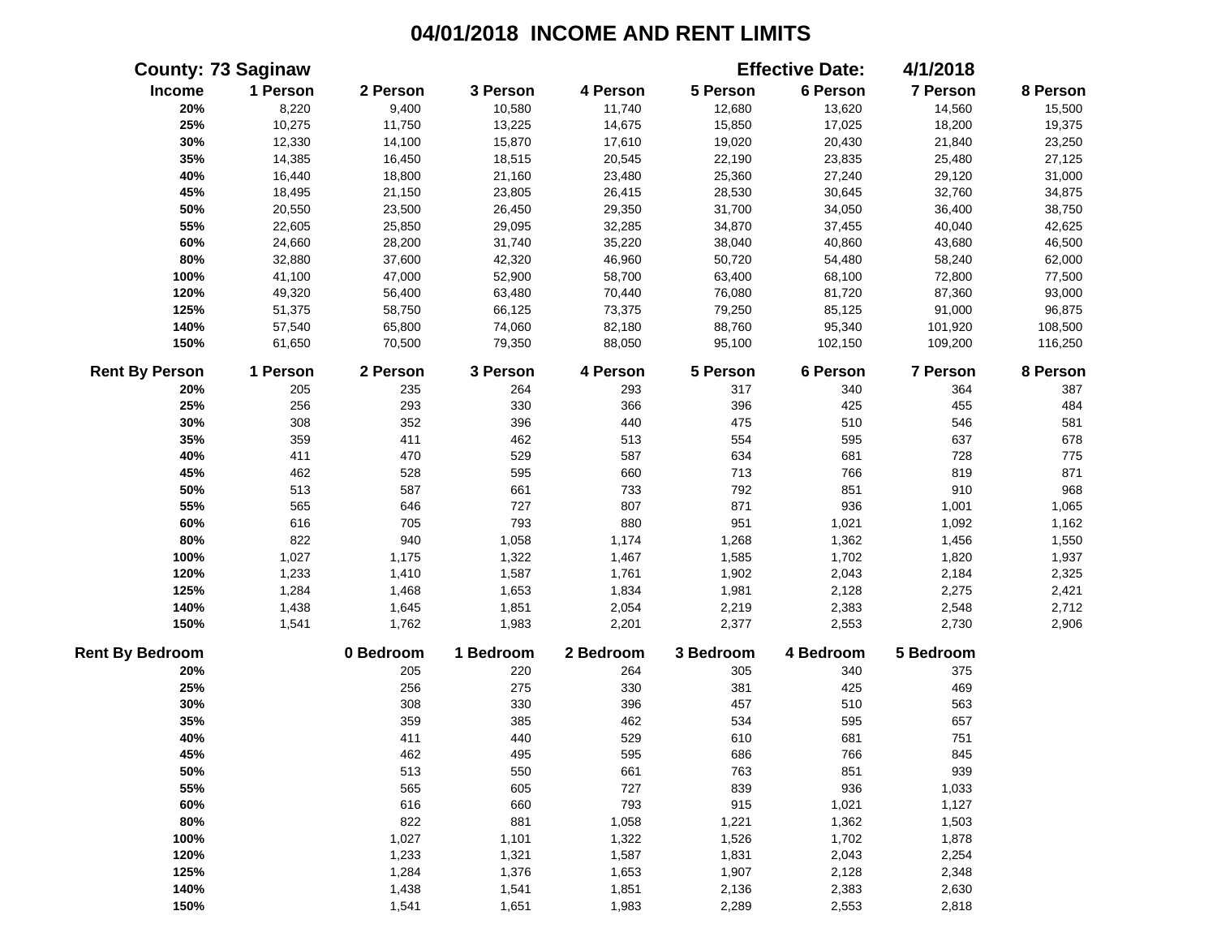|                        | <b>County: 73 Saginaw</b> |           |           |           |           | <b>Effective Date:</b> | 4/1/2018  |          |
|------------------------|---------------------------|-----------|-----------|-----------|-----------|------------------------|-----------|----------|
| Income                 | 1 Person                  | 2 Person  | 3 Person  | 4 Person  | 5 Person  | 6 Person               | 7 Person  | 8 Person |
| 20%                    | 8,220                     | 9,400     | 10,580    | 11,740    | 12,680    | 13,620                 | 14,560    | 15,500   |
| 25%                    | 10,275                    | 11,750    | 13,225    | 14,675    | 15,850    | 17,025                 | 18,200    | 19,375   |
| 30%                    | 12,330                    | 14,100    | 15,870    | 17,610    | 19,020    | 20,430                 | 21,840    | 23,250   |
| 35%                    | 14,385                    | 16,450    | 18,515    | 20,545    | 22,190    | 23,835                 | 25,480    | 27,125   |
| 40%                    | 16,440                    | 18,800    | 21,160    | 23,480    | 25,360    | 27,240                 | 29,120    | 31,000   |
| 45%                    | 18,495                    | 21,150    | 23,805    | 26,415    | 28,530    | 30,645                 | 32,760    | 34,875   |
| 50%                    | 20,550                    | 23,500    | 26,450    | 29,350    | 31,700    | 34,050                 | 36,400    | 38,750   |
| 55%                    | 22,605                    | 25,850    | 29,095    | 32,285    | 34,870    | 37,455                 | 40,040    | 42,625   |
| 60%                    | 24,660                    | 28,200    | 31,740    | 35,220    | 38,040    | 40,860                 | 43,680    | 46,500   |
| 80%                    | 32,880                    | 37,600    | 42,320    | 46,960    | 50,720    | 54,480                 | 58,240    | 62,000   |
| 100%                   | 41,100                    | 47,000    | 52,900    | 58,700    | 63,400    | 68,100                 | 72,800    | 77,500   |
| 120%                   | 49,320                    | 56,400    | 63,480    | 70,440    | 76,080    | 81,720                 | 87,360    | 93,000   |
| 125%                   | 51,375                    | 58,750    | 66,125    | 73,375    | 79,250    | 85,125                 | 91,000    | 96,875   |
| 140%                   | 57,540                    | 65,800    | 74,060    | 82,180    | 88,760    | 95,340                 | 101,920   | 108,500  |
| 150%                   | 61,650                    | 70,500    | 79,350    | 88,050    | 95,100    | 102,150                | 109,200   | 116,250  |
| <b>Rent By Person</b>  | 1 Person                  | 2 Person  | 3 Person  | 4 Person  | 5 Person  | 6 Person               | 7 Person  | 8 Person |
| 20%                    | 205                       | 235       | 264       | 293       | 317       | 340                    | 364       | 387      |
| 25%                    | 256                       | 293       | 330       | 366       | 396       | 425                    | 455       | 484      |
| 30%                    | 308                       | 352       | 396       | 440       | 475       | 510                    | 546       | 581      |
| 35%                    | 359                       | 411       | 462       | 513       | 554       | 595                    | 637       | 678      |
| 40%                    | 411                       | 470       | 529       | 587       | 634       | 681                    | 728       | 775      |
| 45%                    | 462                       | 528       | 595       | 660       | 713       | 766                    | 819       | 871      |
| 50%                    | 513                       | 587       | 661       | 733       | 792       | 851                    | 910       | 968      |
| 55%                    | 565                       | 646       | 727       | 807       | 871       | 936                    | 1,001     | 1,065    |
| 60%                    | 616                       | 705       | 793       | 880       | 951       | 1,021                  | 1,092     | 1,162    |
| 80%                    | 822                       | 940       | 1,058     | 1,174     | 1,268     | 1,362                  | 1,456     | 1,550    |
| 100%                   | 1,027                     | 1,175     | 1,322     | 1,467     | 1,585     | 1,702                  | 1,820     | 1,937    |
| 120%                   | 1,233                     | 1,410     | 1,587     | 1,761     | 1,902     | 2,043                  | 2,184     | 2,325    |
| 125%                   | 1,284                     | 1,468     | 1,653     | 1,834     | 1,981     | 2,128                  | 2,275     | 2,421    |
| 140%                   | 1,438                     | 1,645     | 1,851     | 2,054     | 2,219     | 2,383                  | 2,548     | 2,712    |
| 150%                   | 1,541                     | 1,762     | 1,983     | 2,201     | 2,377     | 2,553                  | 2,730     | 2,906    |
| <b>Rent By Bedroom</b> |                           | 0 Bedroom | 1 Bedroom | 2 Bedroom | 3 Bedroom | 4 Bedroom              | 5 Bedroom |          |
| 20%                    |                           | 205       | 220       | 264       | 305       | 340                    | 375       |          |
| 25%                    |                           | 256       | 275       | 330       | 381       | 425                    | 469       |          |
| 30%                    |                           | 308       | 330       | 396       | 457       | 510                    | 563       |          |
| 35%                    |                           | 359       | 385       | 462       | 534       | 595                    | 657       |          |
| 40%                    |                           | 411       | 440       | 529       | 610       | 681                    | 751       |          |
| 45%                    |                           | 462       | 495       | 595       | 686       | 766                    | 845       |          |
| 50%                    |                           | 513       | 550       | 661       | 763       | 851                    | 939       |          |
| 55%                    |                           | 565       | 605       | 727       | 839       | 936                    | 1,033     |          |
| 60%                    |                           | 616       | 660       | 793       | 915       | 1,021                  | 1,127     |          |
| 80%                    |                           | 822       | 881       | 1,058     | 1,221     | 1,362                  | 1,503     |          |
| 100%                   |                           | 1,027     | 1,101     | 1,322     | 1,526     | 1,702                  | 1,878     |          |
| 120%                   |                           | 1,233     | 1,321     | 1,587     | 1,831     | 2,043                  | 2,254     |          |
| 125%                   |                           | 1,284     | 1,376     | 1,653     | 1,907     | 2,128                  | 2,348     |          |
| 140%                   |                           | 1,438     | 1,541     | 1,851     | 2,136     | 2,383                  | 2,630     |          |
| 150%                   |                           | 1,541     | 1,651     | 1,983     | 2,289     | 2,553                  | 2,818     |          |
|                        |                           |           |           |           |           |                        |           |          |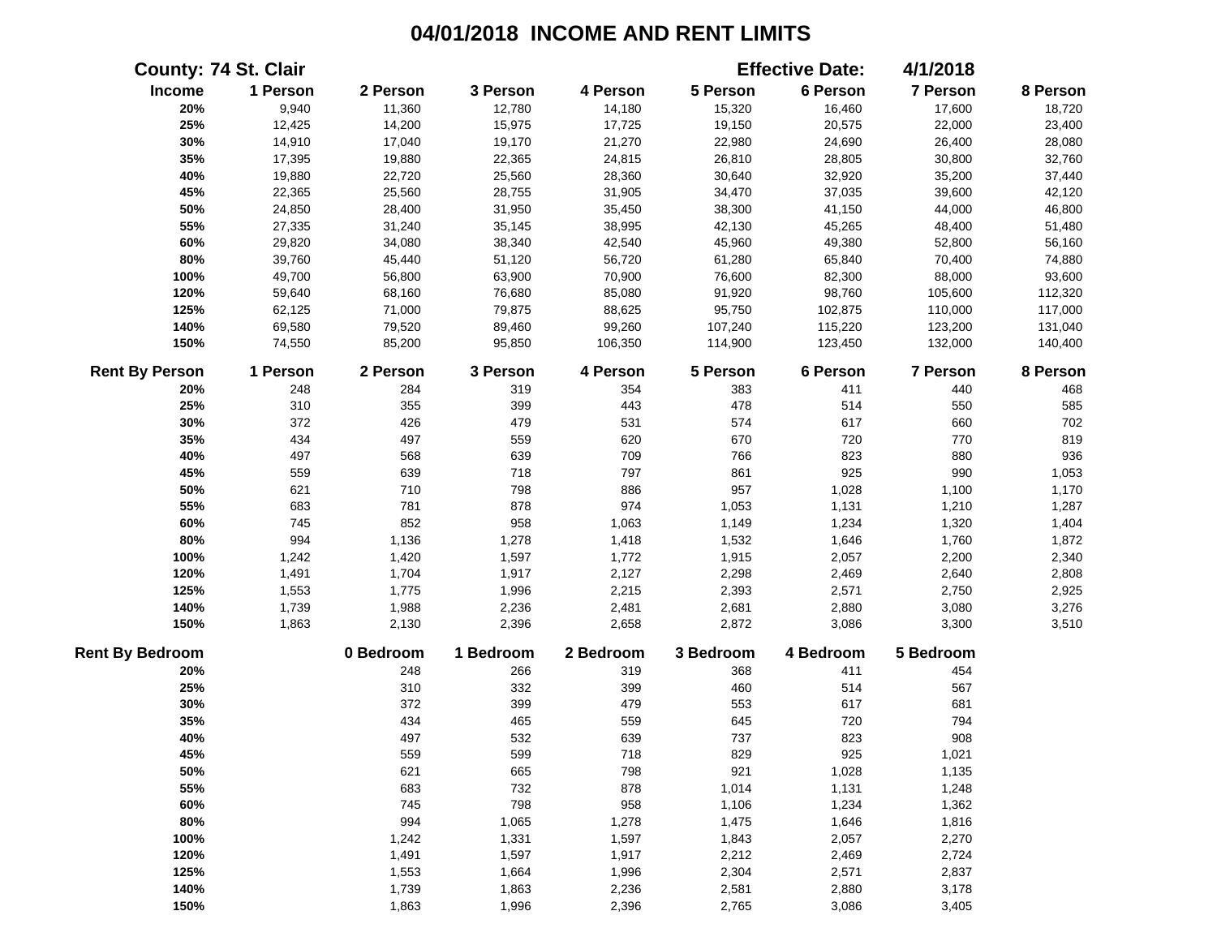|                        | <b>County: 74 St. Clair</b> |           |           |           |           | <b>Effective Date:</b> | 4/1/2018  |          |
|------------------------|-----------------------------|-----------|-----------|-----------|-----------|------------------------|-----------|----------|
| Income                 | 1 Person                    | 2 Person  | 3 Person  | 4 Person  | 5 Person  | 6 Person               | 7 Person  | 8 Person |
| 20%                    | 9,940                       | 11,360    | 12,780    | 14,180    | 15,320    | 16,460                 | 17,600    | 18,720   |
| 25%                    | 12,425                      | 14,200    | 15,975    | 17,725    | 19,150    | 20,575                 | 22,000    | 23,400   |
| 30%                    | 14,910                      | 17,040    | 19,170    | 21,270    | 22,980    | 24,690                 | 26,400    | 28,080   |
| 35%                    | 17,395                      | 19,880    | 22,365    | 24,815    | 26,810    | 28,805                 | 30,800    | 32,760   |
| 40%                    | 19,880                      | 22,720    | 25,560    | 28,360    | 30,640    | 32,920                 | 35,200    | 37,440   |
| 45%                    | 22,365                      | 25,560    | 28,755    | 31,905    | 34,470    | 37,035                 | 39,600    | 42,120   |
| 50%                    | 24,850                      | 28,400    | 31,950    | 35,450    | 38,300    | 41,150                 | 44,000    | 46,800   |
| 55%                    | 27,335                      | 31,240    | 35,145    | 38,995    | 42,130    | 45,265                 | 48,400    | 51,480   |
| 60%                    | 29,820                      | 34,080    | 38,340    | 42,540    | 45,960    | 49,380                 | 52,800    | 56,160   |
| 80%                    | 39,760                      | 45,440    | 51,120    | 56,720    | 61,280    | 65,840                 | 70,400    | 74,880   |
| 100%                   | 49,700                      | 56,800    | 63,900    | 70,900    | 76,600    | 82,300                 | 88,000    | 93,600   |
| 120%                   | 59,640                      | 68,160    | 76,680    | 85,080    | 91,920    | 98,760                 | 105,600   | 112,320  |
| 125%                   | 62,125                      | 71,000    | 79,875    | 88,625    | 95,750    | 102,875                | 110,000   | 117,000  |
| 140%                   | 69,580                      | 79,520    | 89,460    | 99,260    | 107,240   | 115,220                | 123,200   | 131,040  |
| 150%                   | 74,550                      | 85,200    | 95,850    | 106,350   | 114,900   | 123,450                | 132,000   | 140,400  |
| <b>Rent By Person</b>  | 1 Person                    | 2 Person  | 3 Person  | 4 Person  | 5 Person  | 6 Person               | 7 Person  | 8 Person |
| 20%                    | 248                         | 284       | 319       | 354       | 383       | 411                    | 440       | 468      |
| 25%                    | 310                         | 355       | 399       | 443       | 478       | 514                    | 550       | 585      |
| 30%                    | 372                         | 426       | 479       | 531       | 574       | 617                    | 660       | 702      |
| 35%                    | 434                         | 497       | 559       | 620       | 670       | 720                    | 770       | 819      |
| 40%                    | 497                         | 568       | 639       | 709       | 766       | 823                    | 880       | 936      |
| 45%                    | 559                         | 639       | 718       | 797       | 861       | 925                    | 990       | 1,053    |
| 50%                    | 621                         | 710       | 798       | 886       | 957       | 1,028                  | 1,100     | 1,170    |
| 55%                    | 683                         | 781       | 878       | 974       | 1,053     | 1,131                  | 1,210     | 1,287    |
| 60%                    | 745                         | 852       | 958       | 1,063     | 1,149     | 1,234                  | 1,320     | 1,404    |
| 80%                    | 994                         | 1,136     | 1,278     | 1,418     | 1,532     | 1,646                  | 1,760     | 1,872    |
| 100%                   | 1,242                       | 1,420     | 1,597     | 1,772     | 1,915     | 2,057                  | 2,200     | 2,340    |
| 120%                   | 1,491                       | 1,704     | 1,917     | 2,127     | 2,298     | 2,469                  | 2,640     | 2,808    |
| 125%                   | 1,553                       | 1,775     | 1,996     | 2,215     | 2,393     | 2,571                  | 2,750     | 2,925    |
| 140%                   | 1,739                       | 1,988     | 2,236     | 2,481     | 2,681     | 2,880                  | 3,080     | 3,276    |
| 150%                   | 1,863                       | 2,130     | 2,396     | 2,658     | 2,872     | 3,086                  | 3,300     | 3,510    |
| <b>Rent By Bedroom</b> |                             | 0 Bedroom | 1 Bedroom | 2 Bedroom | 3 Bedroom | 4 Bedroom              | 5 Bedroom |          |
| 20%                    |                             | 248       | 266       | 319       | 368       | 411                    | 454       |          |
| 25%                    |                             | 310       | 332       | 399       | 460       | 514                    | 567       |          |
| 30%                    |                             | 372       | 399       | 479       | 553       | 617                    | 681       |          |
| 35%                    |                             | 434       | 465       | 559       | 645       | 720                    | 794       |          |
| 40%                    |                             | 497       | 532       | 639       | 737       | 823                    | 908       |          |
| 45%                    |                             | 559       | 599       | 718       | 829       | 925                    | 1,021     |          |
| 50%                    |                             | 621       | 665       | 798       | 921       | 1,028                  | 1,135     |          |
| 55%                    |                             | 683       | 732       | 878       | 1,014     | 1,131                  | 1,248     |          |
| 60%                    |                             | 745       | 798       | 958       | 1,106     | 1,234                  | 1,362     |          |
| 80%                    |                             | 994       | 1,065     | 1,278     | 1,475     | 1,646                  | 1,816     |          |
| 100%                   |                             | 1,242     | 1,331     | 1,597     | 1,843     | 2,057                  | 2,270     |          |
| 120%                   |                             | 1,491     | 1,597     | 1,917     | 2,212     | 2,469                  | 2,724     |          |
| 125%                   |                             | 1,553     | 1,664     | 1,996     | 2,304     | 2,571                  | 2,837     |          |
| 140%                   |                             | 1,739     | 1,863     | 2,236     | 2,581     | 2,880                  | 3,178     |          |
| 150%                   |                             | 1,863     | 1,996     | 2,396     | 2,765     | 3,086                  | 3,405     |          |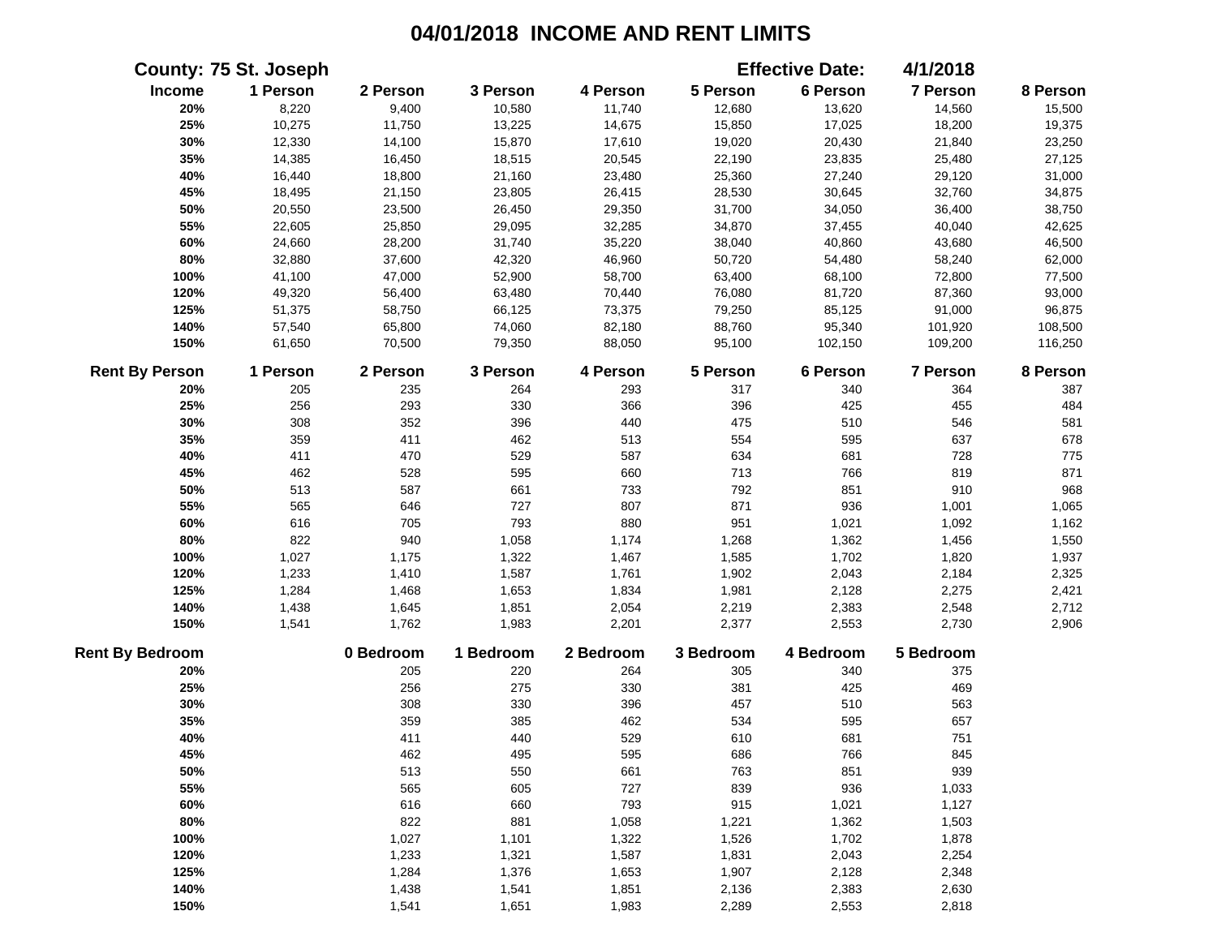|                        | <b>County: 75 St. Joseph</b> |           |           |           |           | <b>Effective Date:</b> | 4/1/2018  |          |
|------------------------|------------------------------|-----------|-----------|-----------|-----------|------------------------|-----------|----------|
| Income                 | 1 Person                     | 2 Person  | 3 Person  | 4 Person  | 5 Person  | 6 Person               | 7 Person  | 8 Person |
| 20%                    | 8,220                        | 9,400     | 10,580    | 11,740    | 12,680    | 13,620                 | 14,560    | 15,500   |
| 25%                    | 10,275                       | 11,750    | 13,225    | 14,675    | 15,850    | 17,025                 | 18,200    | 19,375   |
| 30%                    | 12,330                       | 14,100    | 15,870    | 17,610    | 19,020    | 20,430                 | 21,840    | 23,250   |
| 35%                    | 14,385                       | 16,450    | 18,515    | 20,545    | 22,190    | 23,835                 | 25,480    | 27,125   |
| 40%                    | 16,440                       | 18,800    | 21,160    | 23,480    | 25,360    | 27,240                 | 29,120    | 31,000   |
| 45%                    | 18,495                       | 21,150    | 23,805    | 26,415    | 28,530    | 30,645                 | 32,760    | 34,875   |
| 50%                    | 20,550                       | 23,500    | 26,450    | 29,350    | 31,700    | 34,050                 | 36,400    | 38,750   |
| 55%                    | 22,605                       | 25,850    | 29,095    | 32,285    | 34,870    | 37,455                 | 40,040    | 42,625   |
| 60%                    | 24,660                       | 28,200    | 31,740    | 35,220    | 38,040    | 40,860                 | 43,680    | 46,500   |
| 80%                    | 32,880                       | 37,600    | 42,320    | 46,960    | 50,720    | 54,480                 | 58,240    | 62,000   |
| 100%                   | 41,100                       | 47,000    | 52,900    | 58,700    | 63,400    | 68,100                 | 72,800    | 77,500   |
| 120%                   | 49,320                       | 56,400    | 63,480    | 70,440    | 76,080    | 81,720                 | 87,360    | 93,000   |
| 125%                   | 51,375                       | 58,750    | 66,125    | 73,375    | 79,250    | 85,125                 | 91,000    | 96,875   |
| 140%                   | 57,540                       | 65,800    | 74,060    | 82,180    | 88,760    | 95,340                 | 101,920   | 108,500  |
| 150%                   | 61,650                       | 70,500    | 79,350    | 88,050    | 95,100    | 102,150                | 109,200   | 116,250  |
| <b>Rent By Person</b>  | 1 Person                     | 2 Person  | 3 Person  | 4 Person  | 5 Person  | 6 Person               | 7 Person  | 8 Person |
| 20%                    | 205                          | 235       | 264       | 293       | 317       | 340                    | 364       | 387      |
| 25%                    | 256                          | 293       | 330       | 366       | 396       | 425                    | 455       | 484      |
| 30%                    | 308                          | 352       | 396       | 440       | 475       | 510                    | 546       | 581      |
| 35%                    | 359                          | 411       | 462       | 513       | 554       | 595                    | 637       | 678      |
| 40%                    | 411                          | 470       | 529       | 587       | 634       | 681                    | 728       | 775      |
| 45%                    | 462                          | 528       | 595       | 660       | 713       | 766                    | 819       | 871      |
| 50%                    | 513                          | 587       | 661       | 733       | 792       | 851                    | 910       | 968      |
| 55%                    | 565                          | 646       | 727       | 807       | 871       | 936                    | 1,001     | 1,065    |
| 60%                    | 616                          | 705       | 793       | 880       | 951       | 1,021                  | 1,092     | 1,162    |
| 80%                    | 822                          | 940       | 1,058     | 1,174     | 1,268     | 1,362                  | 1,456     | 1,550    |
| 100%                   | 1,027                        | 1,175     | 1,322     | 1,467     | 1,585     | 1,702                  | 1,820     | 1,937    |
| 120%                   | 1,233                        | 1,410     | 1,587     | 1,761     | 1,902     | 2,043                  | 2,184     | 2,325    |
| 125%                   | 1,284                        | 1,468     | 1,653     | 1,834     | 1,981     | 2,128                  | 2,275     | 2,421    |
| 140%                   | 1,438                        | 1,645     | 1,851     | 2,054     | 2,219     | 2,383                  | 2,548     | 2,712    |
| 150%                   | 1,541                        | 1,762     | 1,983     | 2,201     | 2,377     | 2,553                  | 2,730     | 2,906    |
| <b>Rent By Bedroom</b> |                              | 0 Bedroom | 1 Bedroom | 2 Bedroom | 3 Bedroom | 4 Bedroom              | 5 Bedroom |          |
| 20%                    |                              | 205       | 220       | 264       | 305       | 340                    | 375       |          |
| 25%                    |                              | 256       | 275       | 330       | 381       | 425                    | 469       |          |
| 30%                    |                              | 308       | 330       | 396       | 457       | 510                    | 563       |          |
| 35%                    |                              | 359       | 385       | 462       | 534       | 595                    | 657       |          |
| 40%                    |                              | 411       | 440       | 529       | 610       | 681                    | 751       |          |
| 45%                    |                              | 462       | 495       | 595       | 686       | 766                    | 845       |          |
| 50%                    |                              | 513       | 550       | 661       | 763       | 851                    | 939       |          |
| 55%                    |                              | 565       | 605       | 727       | 839       | 936                    | 1,033     |          |
| 60%                    |                              | 616       | 660       | 793       | 915       | 1,021                  | 1,127     |          |
| 80%                    |                              | 822       | 881       | 1,058     | 1,221     | 1,362                  | 1,503     |          |
| 100%                   |                              | 1,027     | 1,101     | 1,322     | 1,526     | 1,702                  | 1,878     |          |
| 120%                   |                              | 1,233     | 1,321     | 1,587     | 1,831     | 2,043                  | 2,254     |          |
| 125%                   |                              | 1,284     | 1,376     | 1,653     | 1,907     | 2,128                  | 2,348     |          |
| 140%                   |                              | 1,438     | 1,541     | 1,851     | 2,136     | 2,383                  | 2,630     |          |
| 150%                   |                              | 1,541     | 1,651     | 1,983     | 2,289     | 2,553                  | 2,818     |          |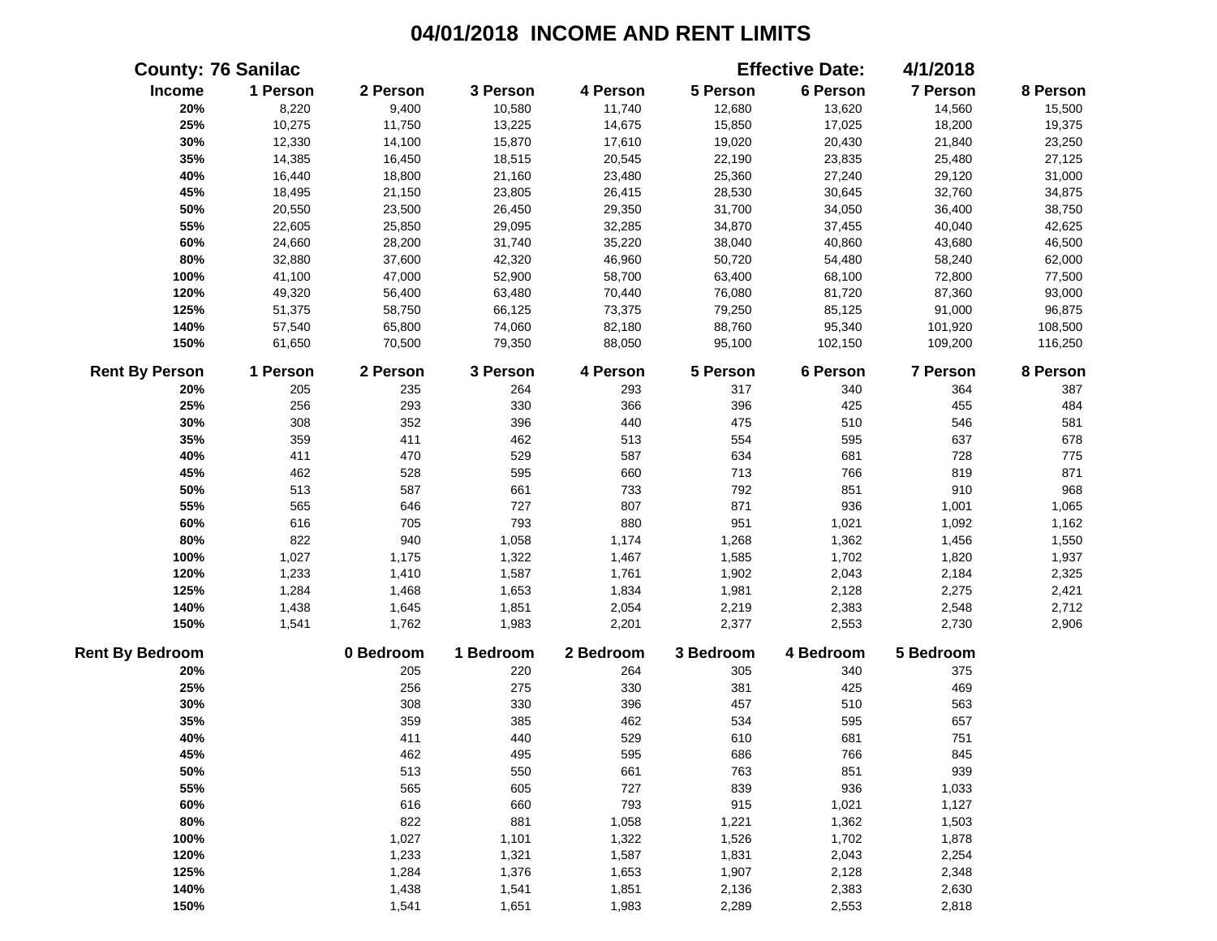|                        | <b>County: 76 Sanilac</b> |           |           |           |           | <b>Effective Date:</b> | 4/1/2018  |          |
|------------------------|---------------------------|-----------|-----------|-----------|-----------|------------------------|-----------|----------|
| Income                 | 1 Person                  | 2 Person  | 3 Person  | 4 Person  | 5 Person  | 6 Person               | 7 Person  | 8 Person |
| 20%                    | 8,220                     | 9,400     | 10,580    | 11,740    | 12,680    | 13,620                 | 14,560    | 15,500   |
| 25%                    | 10,275                    | 11,750    | 13,225    | 14,675    | 15,850    | 17,025                 | 18,200    | 19,375   |
| 30%                    | 12,330                    | 14,100    | 15,870    | 17,610    | 19,020    | 20,430                 | 21,840    | 23,250   |
| 35%                    | 14,385                    | 16,450    | 18,515    | 20,545    | 22,190    | 23,835                 | 25,480    | 27,125   |
| 40%                    | 16,440                    | 18,800    | 21,160    | 23,480    | 25,360    | 27,240                 | 29,120    | 31,000   |
| 45%                    | 18,495                    | 21,150    | 23,805    | 26,415    | 28,530    | 30,645                 | 32,760    | 34,875   |
| 50%                    | 20,550                    | 23,500    | 26,450    | 29,350    | 31,700    | 34,050                 | 36,400    | 38,750   |
| 55%                    | 22,605                    | 25,850    | 29,095    | 32,285    | 34,870    | 37,455                 | 40,040    | 42,625   |
| 60%                    | 24,660                    | 28,200    | 31,740    | 35,220    | 38,040    | 40,860                 | 43,680    | 46,500   |
| 80%                    | 32,880                    | 37,600    | 42,320    | 46,960    | 50,720    | 54,480                 | 58,240    | 62,000   |
| 100%                   | 41,100                    | 47,000    | 52,900    | 58,700    | 63,400    | 68,100                 | 72,800    | 77,500   |
| 120%                   | 49,320                    | 56,400    | 63,480    | 70,440    | 76,080    | 81,720                 | 87,360    | 93,000   |
| 125%                   | 51,375                    | 58,750    | 66,125    | 73,375    | 79,250    | 85,125                 | 91,000    | 96,875   |
| 140%                   | 57,540                    | 65,800    | 74,060    | 82,180    | 88,760    | 95,340                 | 101,920   | 108,500  |
| 150%                   | 61,650                    | 70,500    | 79,350    | 88,050    | 95,100    | 102,150                | 109,200   | 116,250  |
| <b>Rent By Person</b>  | 1 Person                  | 2 Person  | 3 Person  | 4 Person  | 5 Person  | 6 Person               | 7 Person  | 8 Person |
| 20%                    | 205                       | 235       | 264       | 293       | 317       | 340                    | 364       | 387      |
| 25%                    | 256                       | 293       | 330       | 366       | 396       | 425                    | 455       | 484      |
| 30%                    | 308                       | 352       | 396       | 440       | 475       | 510                    | 546       | 581      |
| 35%                    | 359                       | 411       | 462       | 513       | 554       | 595                    | 637       | 678      |
| 40%                    | 411                       | 470       | 529       | 587       | 634       | 681                    | 728       | 775      |
| 45%                    | 462                       | 528       | 595       | 660       | 713       | 766                    | 819       | 871      |
| 50%                    | 513                       | 587       | 661       | 733       | 792       | 851                    | 910       | 968      |
| 55%                    | 565                       | 646       | 727       | 807       | 871       | 936                    | 1,001     | 1,065    |
| 60%                    | 616                       | 705       | 793       | 880       | 951       | 1,021                  | 1,092     | 1,162    |
| 80%                    | 822                       | 940       | 1,058     | 1,174     | 1,268     | 1,362                  | 1,456     | 1,550    |
| 100%                   | 1,027                     | 1,175     | 1,322     | 1,467     | 1,585     | 1,702                  | 1,820     | 1,937    |
| 120%                   | 1,233                     | 1,410     | 1,587     | 1,761     | 1,902     | 2,043                  | 2,184     | 2,325    |
| 125%                   | 1,284                     | 1,468     | 1,653     | 1,834     | 1,981     | 2,128                  | 2,275     | 2,421    |
| 140%                   | 1,438                     | 1,645     | 1,851     | 2,054     | 2,219     | 2,383                  | 2,548     | 2,712    |
| 150%                   | 1,541                     | 1,762     | 1,983     | 2,201     | 2,377     | 2,553                  | 2,730     | 2,906    |
| <b>Rent By Bedroom</b> |                           | 0 Bedroom | 1 Bedroom | 2 Bedroom | 3 Bedroom | 4 Bedroom              | 5 Bedroom |          |
| 20%                    |                           | 205       | 220       | 264       | 305       | 340                    | 375       |          |
| 25%                    |                           | 256       | 275       | 330       | 381       | 425                    | 469       |          |
| 30%                    |                           | 308       | 330       | 396       | 457       | 510                    | 563       |          |
| 35%                    |                           | 359       | 385       | 462       | 534       | 595                    | 657       |          |
| 40%                    |                           | 411       | 440       | 529       | 610       | 681                    | 751       |          |
| 45%                    |                           | 462       | 495       | 595       | 686       | 766                    | 845       |          |
| 50%                    |                           | 513       | 550       | 661       | 763       | 851                    | 939       |          |
| 55%                    |                           | 565       | 605       | 727       | 839       | 936                    | 1,033     |          |
| 60%                    |                           | 616       | 660       | 793       | 915       | 1,021                  | 1,127     |          |
| 80%                    |                           | 822       | 881       | 1,058     | 1,221     | 1,362                  | 1,503     |          |
| 100%                   |                           | 1,027     | 1,101     | 1,322     | 1,526     | 1,702                  | 1,878     |          |
| 120%                   |                           | 1,233     | 1,321     | 1,587     | 1,831     | 2,043                  | 2,254     |          |
| 125%                   |                           | 1,284     | 1,376     | 1,653     | 1,907     | 2,128                  | 2,348     |          |
| 140%                   |                           | 1,438     | 1,541     | 1,851     | 2,136     | 2,383                  | 2,630     |          |
| 150%                   |                           | 1,541     | 1,651     | 1,983     | 2,289     | 2,553                  | 2,818     |          |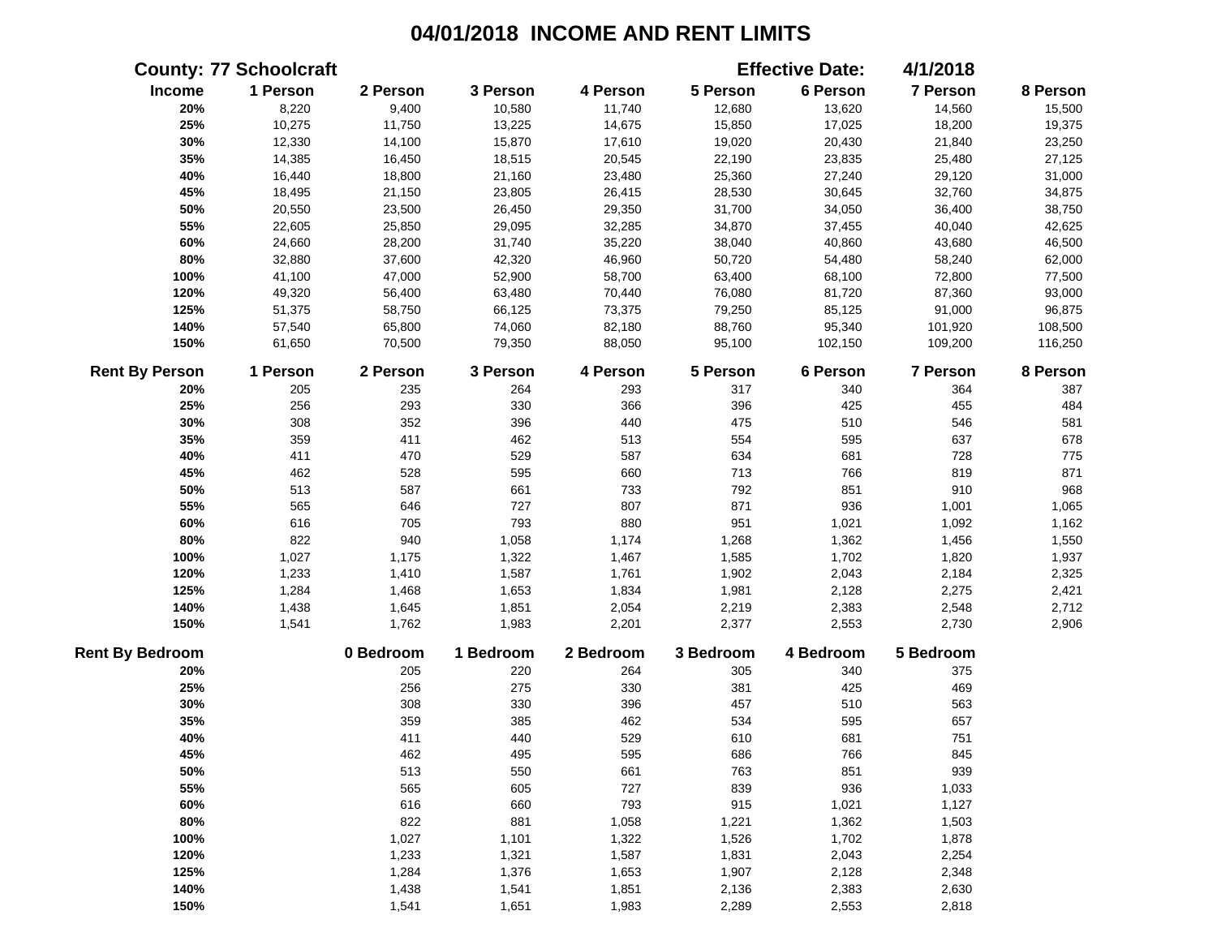|                        | <b>County: 77 Schoolcraft</b> |           |           |           |           | <b>Effective Date:</b> | 4/1/2018        |          |
|------------------------|-------------------------------|-----------|-----------|-----------|-----------|------------------------|-----------------|----------|
| Income                 | 1 Person                      | 2 Person  | 3 Person  | 4 Person  | 5 Person  | 6 Person               | 7 Person        | 8 Person |
| 20%                    | 8,220                         | 9,400     | 10,580    | 11,740    | 12,680    | 13,620                 | 14,560          | 15,500   |
| 25%                    | 10,275                        | 11,750    | 13,225    | 14,675    | 15,850    | 17,025                 | 18,200          | 19,375   |
| 30%                    | 12,330                        | 14,100    | 15,870    | 17,610    | 19,020    | 20,430                 | 21,840          | 23,250   |
| 35%                    | 14,385                        | 16,450    | 18,515    | 20,545    | 22,190    | 23,835                 | 25,480          | 27,125   |
| 40%                    | 16,440                        | 18,800    | 21,160    | 23,480    | 25,360    | 27,240                 | 29,120          | 31,000   |
| 45%                    | 18,495                        | 21,150    | 23,805    | 26,415    | 28,530    | 30,645                 | 32,760          | 34,875   |
| 50%                    | 20,550                        | 23,500    | 26,450    | 29,350    | 31,700    | 34,050                 | 36,400          | 38,750   |
| 55%                    | 22,605                        | 25,850    | 29,095    | 32,285    | 34,870    | 37,455                 | 40,040          | 42,625   |
| 60%                    | 24,660                        | 28,200    | 31,740    | 35,220    | 38,040    | 40,860                 | 43,680          | 46,500   |
| 80%                    | 32,880                        | 37,600    | 42,320    | 46,960    | 50,720    | 54,480                 | 58,240          | 62,000   |
| 100%                   | 41,100                        | 47,000    | 52,900    | 58,700    | 63,400    | 68,100                 | 72,800          | 77,500   |
| 120%                   | 49,320                        | 56,400    | 63,480    | 70,440    | 76,080    | 81,720                 | 87,360          | 93,000   |
| 125%                   | 51,375                        | 58,750    | 66,125    | 73,375    | 79,250    | 85,125                 | 91,000          | 96,875   |
| 140%                   | 57,540                        | 65,800    | 74,060    | 82,180    | 88,760    | 95,340                 | 101,920         | 108,500  |
| 150%                   | 61,650                        | 70,500    | 79,350    | 88,050    | 95,100    | 102,150                | 109,200         | 116,250  |
| <b>Rent By Person</b>  | 1 Person                      | 2 Person  | 3 Person  | 4 Person  | 5 Person  | 6 Person               | <b>7 Person</b> | 8 Person |
| 20%                    | 205                           | 235       | 264       | 293       | 317       | 340                    | 364             | 387      |
| 25%                    | 256                           | 293       | 330       | 366       | 396       | 425                    | 455             | 484      |
| 30%                    | 308                           | 352       | 396       | 440       | 475       | 510                    | 546             | 581      |
| 35%                    | 359                           | 411       | 462       | 513       | 554       | 595                    | 637             | 678      |
| 40%                    | 411                           | 470       | 529       | 587       | 634       | 681                    | 728             | 775      |
| 45%                    | 462                           | 528       | 595       | 660       | 713       | 766                    | 819             | 871      |
| 50%                    | 513                           | 587       | 661       | 733       | 792       | 851                    | 910             | 968      |
| 55%                    | 565                           | 646       | 727       | 807       | 871       | 936                    | 1,001           | 1,065    |
| 60%                    | 616                           | 705       | 793       | 880       | 951       | 1,021                  | 1,092           | 1,162    |
| 80%                    | 822                           | 940       | 1,058     | 1,174     | 1,268     | 1,362                  | 1,456           | 1,550    |
| 100%                   | 1,027                         | 1,175     | 1,322     | 1,467     | 1,585     | 1,702                  | 1,820           | 1,937    |
| 120%                   | 1,233                         | 1,410     | 1,587     | 1,761     | 1,902     | 2,043                  | 2,184           | 2,325    |
| 125%                   | 1,284                         | 1,468     | 1,653     | 1,834     | 1,981     | 2,128                  | 2,275           | 2,421    |
| 140%                   | 1,438                         | 1,645     | 1,851     | 2,054     | 2,219     | 2,383                  | 2,548           | 2,712    |
| 150%                   | 1,541                         | 1,762     | 1,983     | 2,201     | 2,377     | 2,553                  | 2,730           | 2,906    |
| <b>Rent By Bedroom</b> |                               | 0 Bedroom | 1 Bedroom | 2 Bedroom | 3 Bedroom | 4 Bedroom              | 5 Bedroom       |          |
| 20%                    |                               | 205       | 220       | 264       | 305       | 340                    | 375             |          |
| 25%                    |                               | 256       | 275       | 330       | 381       | 425                    | 469             |          |
| 30%                    |                               | 308       | 330       | 396       | 457       | 510                    | 563             |          |
| 35%                    |                               | 359       | 385       | 462       | 534       | 595                    | 657             |          |
| 40%                    |                               | 411       | 440       | 529       | 610       | 681                    | 751             |          |
| 45%                    |                               | 462       | 495       | 595       | 686       | 766                    | 845             |          |
| 50%                    |                               | 513       | 550       | 661       | 763       | 851                    | 939             |          |
| 55%                    |                               | 565       | 605       | 727       | 839       | 936                    | 1,033           |          |
| 60%                    |                               | 616       | 660       | 793       | 915       | 1,021                  | 1,127           |          |
| 80%                    |                               | 822       | 881       | 1,058     | 1,221     | 1,362                  | 1,503           |          |
| 100%                   |                               | 1,027     | 1,101     | 1,322     | 1,526     | 1,702                  | 1,878           |          |
| 120%                   |                               | 1,233     | 1,321     | 1,587     | 1,831     | 2,043                  | 2,254           |          |
| 125%                   |                               | 1,284     | 1,376     | 1,653     | 1,907     | 2,128                  | 2,348           |          |
| 140%                   |                               | 1,438     | 1,541     | 1,851     | 2,136     | 2,383                  | 2,630           |          |
| 150%                   |                               | 1,541     | 1,651     | 1,983     | 2,289     | 2,553                  | 2,818           |          |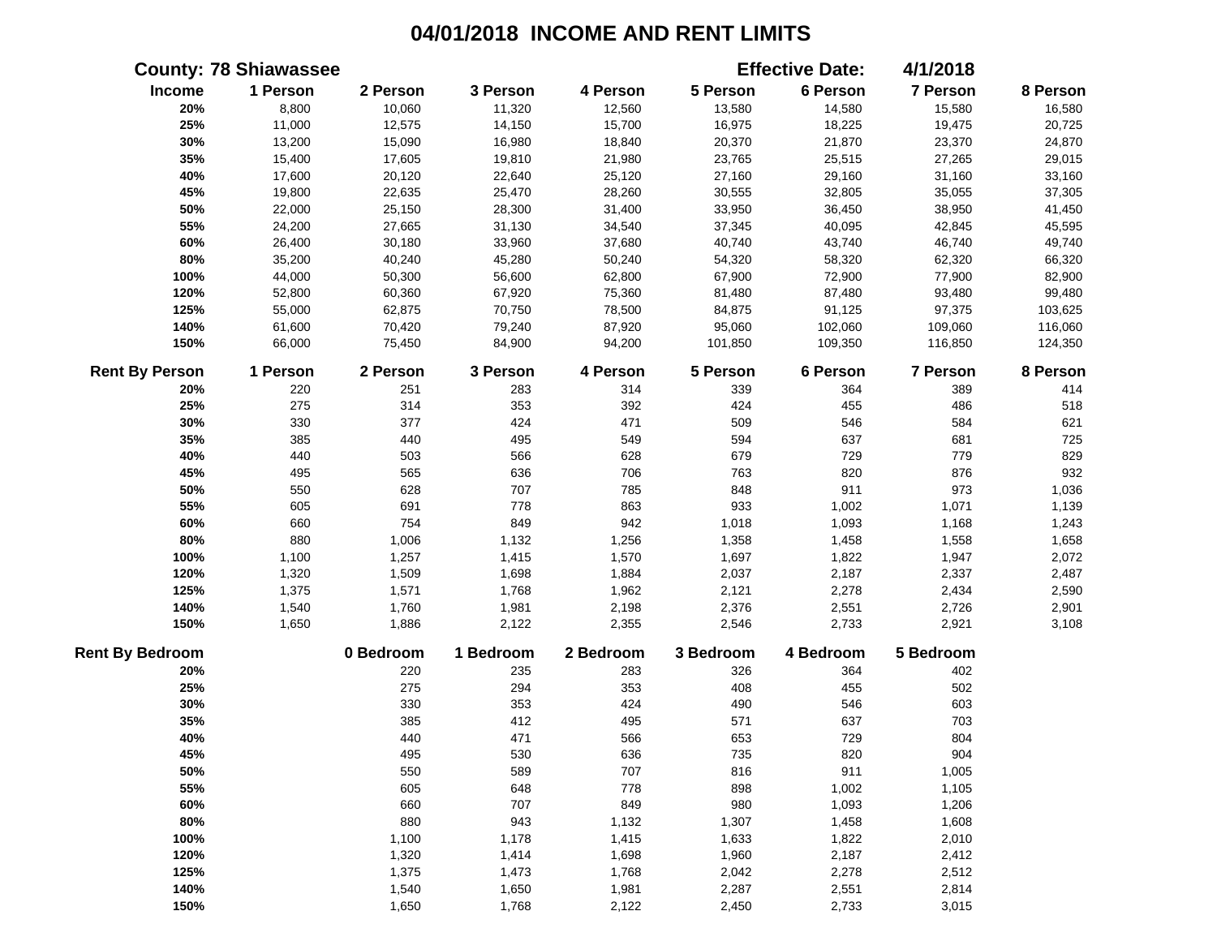|                        | <b>County: 78 Shiawassee</b> |           |           |           |           | <b>Effective Date:</b> | 4/1/2018  |          |
|------------------------|------------------------------|-----------|-----------|-----------|-----------|------------------------|-----------|----------|
| Income                 | 1 Person                     | 2 Person  | 3 Person  | 4 Person  | 5 Person  | 6 Person               | 7 Person  | 8 Person |
| 20%                    | 8,800                        | 10,060    | 11,320    | 12,560    | 13,580    | 14,580                 | 15,580    | 16,580   |
| 25%                    | 11,000                       | 12,575    | 14,150    | 15,700    | 16,975    | 18,225                 | 19,475    | 20,725   |
| 30%                    | 13,200                       | 15,090    | 16,980    | 18,840    | 20,370    | 21,870                 | 23,370    | 24,870   |
| 35%                    | 15,400                       | 17,605    | 19,810    | 21,980    | 23,765    | 25,515                 | 27,265    | 29,015   |
| 40%                    | 17,600                       | 20,120    | 22,640    | 25,120    | 27,160    | 29,160                 | 31,160    | 33,160   |
| 45%                    | 19,800                       | 22,635    | 25,470    | 28,260    | 30,555    | 32,805                 | 35,055    | 37,305   |
| 50%                    | 22,000                       | 25,150    | 28,300    | 31,400    | 33,950    | 36,450                 | 38,950    | 41,450   |
| 55%                    | 24,200                       | 27,665    | 31,130    | 34,540    | 37,345    | 40,095                 | 42,845    | 45,595   |
| 60%                    | 26,400                       | 30,180    | 33,960    | 37,680    | 40,740    | 43,740                 | 46,740    | 49,740   |
| 80%                    | 35,200                       | 40,240    | 45,280    | 50,240    | 54,320    | 58,320                 | 62,320    | 66,320   |
| 100%                   | 44,000                       | 50,300    | 56,600    | 62,800    | 67,900    | 72,900                 | 77,900    | 82,900   |
| 120%                   | 52,800                       | 60,360    | 67,920    | 75,360    | 81,480    | 87,480                 | 93,480    | 99,480   |
| 125%                   | 55,000                       | 62,875    | 70,750    | 78,500    | 84,875    | 91,125                 | 97,375    | 103,625  |
| 140%                   | 61,600                       | 70,420    | 79,240    | 87,920    | 95,060    | 102,060                | 109,060   | 116,060  |
| 150%                   | 66,000                       | 75,450    | 84,900    | 94,200    | 101,850   | 109,350                | 116,850   | 124,350  |
| <b>Rent By Person</b>  | 1 Person                     | 2 Person  | 3 Person  | 4 Person  | 5 Person  | 6 Person               | 7 Person  | 8 Person |
| 20%                    | 220                          | 251       | 283       | 314       | 339       | 364                    | 389       | 414      |
| 25%                    | 275                          | 314       | 353       | 392       | 424       | 455                    | 486       | 518      |
| 30%                    | 330                          | 377       | 424       | 471       | 509       | 546                    | 584       | 621      |
| 35%                    | 385                          | 440       | 495       | 549       | 594       | 637                    | 681       | 725      |
| 40%                    | 440                          | 503       | 566       | 628       | 679       | 729                    | 779       | 829      |
| 45%                    | 495                          | 565       | 636       | 706       | 763       | 820                    | 876       | 932      |
| 50%                    | 550                          | 628       | 707       | 785       | 848       | 911                    | 973       | 1,036    |
| 55%                    | 605                          | 691       | 778       | 863       | 933       | 1,002                  | 1,071     | 1,139    |
| 60%                    | 660                          | 754       | 849       | 942       | 1,018     | 1,093                  | 1,168     | 1,243    |
| 80%                    | 880                          | 1,006     | 1,132     | 1,256     | 1,358     | 1,458                  | 1,558     | 1,658    |
| 100%                   | 1,100                        | 1,257     | 1,415     | 1,570     | 1,697     | 1,822                  | 1,947     | 2,072    |
| 120%                   | 1,320                        | 1,509     | 1,698     | 1,884     | 2,037     | 2,187                  | 2,337     | 2,487    |
| 125%                   | 1,375                        | 1,571     | 1,768     | 1,962     | 2,121     | 2,278                  | 2,434     | 2,590    |
| 140%                   | 1,540                        | 1,760     | 1,981     | 2,198     | 2,376     | 2,551                  | 2,726     | 2,901    |
| 150%                   | 1,650                        | 1,886     | 2,122     | 2,355     | 2,546     | 2,733                  | 2,921     | 3,108    |
| <b>Rent By Bedroom</b> |                              | 0 Bedroom | 1 Bedroom | 2 Bedroom | 3 Bedroom | 4 Bedroom              | 5 Bedroom |          |
| 20%                    |                              | 220       | 235       | 283       | 326       | 364                    | 402       |          |
| 25%                    |                              | 275       | 294       | 353       | 408       | 455                    | 502       |          |
| 30%                    |                              | 330       | 353       | 424       | 490       | 546                    | 603       |          |
| 35%                    |                              | 385       | 412       | 495       | 571       | 637                    | 703       |          |
| 40%                    |                              | 440       | 471       | 566       | 653       | 729                    | 804       |          |
| 45%                    |                              | 495       | 530       | 636       | 735       | 820                    | 904       |          |
| 50%                    |                              | 550       | 589       | 707       | 816       | 911                    | 1,005     |          |
| 55%                    |                              | 605       | 648       | 778       | 898       | 1,002                  | 1,105     |          |
| 60%                    |                              | 660       | 707       | 849       | 980       | 1,093                  | 1,206     |          |
| 80%                    |                              | 880       | 943       | 1,132     | 1,307     | 1,458                  | 1,608     |          |
| 100%                   |                              | 1,100     | 1,178     | 1,415     | 1,633     | 1,822                  | 2,010     |          |
| 120%                   |                              | 1,320     | 1,414     | 1,698     | 1,960     | 2,187                  | 2,412     |          |
| 125%                   |                              | 1,375     | 1,473     | 1,768     | 2,042     | 2,278                  | 2,512     |          |
| 140%                   |                              | 1,540     | 1,650     | 1,981     | 2,287     | 2,551                  | 2,814     |          |
| 150%                   |                              | 1,650     | 1,768     | 2,122     | 2,450     | 2,733                  | 3,015     |          |
|                        |                              |           |           |           |           |                        |           |          |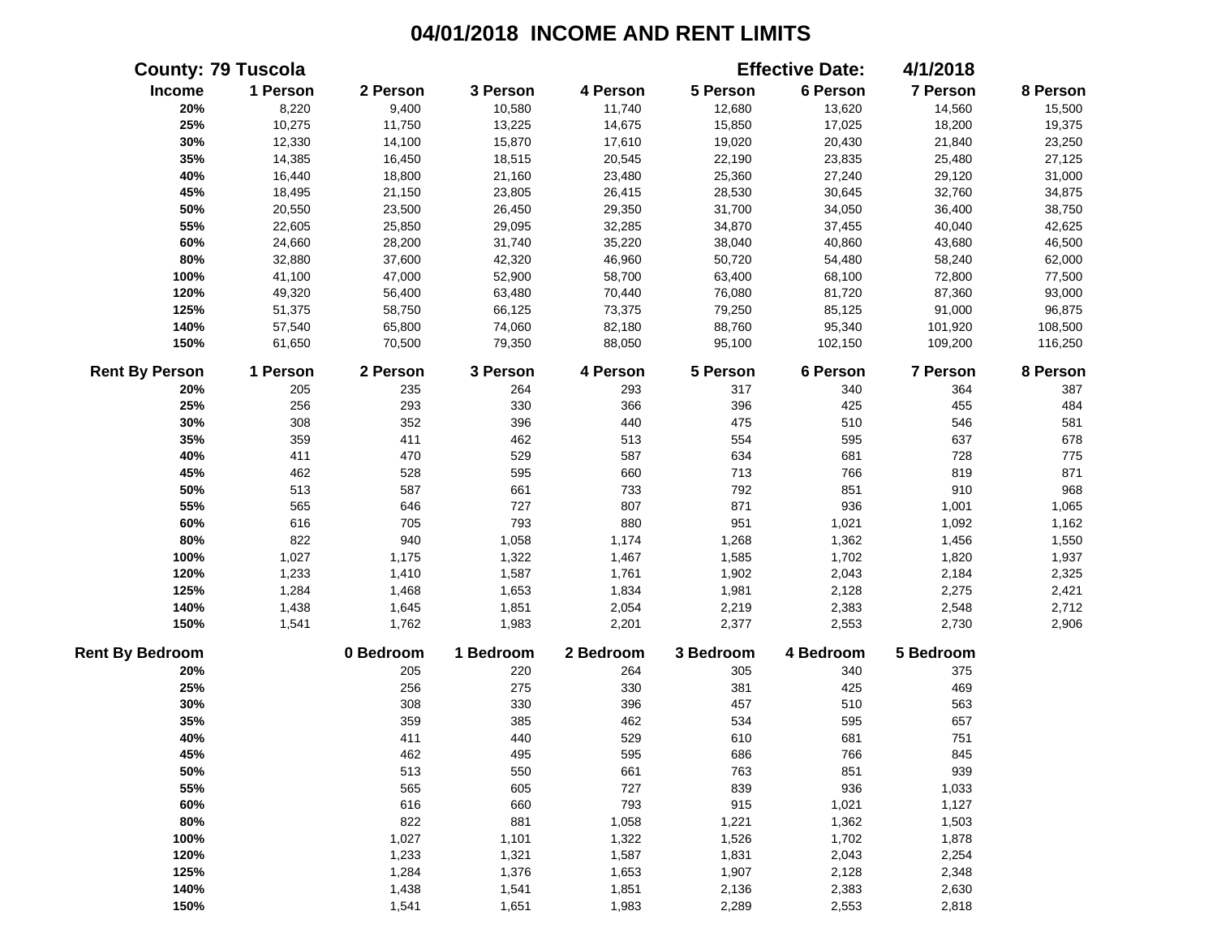|                        | <b>County: 79 Tuscola</b> |           |           |           |           | <b>Effective Date:</b> | 4/1/2018  |          |
|------------------------|---------------------------|-----------|-----------|-----------|-----------|------------------------|-----------|----------|
| Income                 | 1 Person                  | 2 Person  | 3 Person  | 4 Person  | 5 Person  | 6 Person               | 7 Person  | 8 Person |
| 20%                    | 8,220                     | 9,400     | 10,580    | 11,740    | 12,680    | 13,620                 | 14,560    | 15,500   |
| 25%                    | 10,275                    | 11,750    | 13,225    | 14,675    | 15,850    | 17,025                 | 18,200    | 19,375   |
| 30%                    | 12,330                    | 14,100    | 15,870    | 17,610    | 19,020    | 20,430                 | 21,840    | 23,250   |
| 35%                    | 14,385                    | 16,450    | 18,515    | 20,545    | 22,190    | 23,835                 | 25,480    | 27,125   |
| 40%                    | 16,440                    | 18,800    | 21,160    | 23,480    | 25,360    | 27,240                 | 29,120    | 31,000   |
| 45%                    | 18,495                    | 21,150    | 23,805    | 26,415    | 28,530    | 30,645                 | 32,760    | 34,875   |
| 50%                    | 20,550                    | 23,500    | 26,450    | 29,350    | 31,700    | 34,050                 | 36,400    | 38,750   |
| 55%                    | 22,605                    | 25,850    | 29,095    | 32,285    | 34,870    | 37,455                 | 40,040    | 42,625   |
| 60%                    | 24,660                    | 28,200    | 31,740    | 35,220    | 38,040    | 40,860                 | 43,680    | 46,500   |
| 80%                    | 32,880                    | 37,600    | 42,320    | 46,960    | 50,720    | 54,480                 | 58,240    | 62,000   |
| 100%                   | 41,100                    | 47,000    | 52,900    | 58,700    | 63,400    | 68,100                 | 72,800    | 77,500   |
| 120%                   | 49,320                    | 56,400    | 63,480    | 70,440    | 76,080    | 81,720                 | 87,360    | 93,000   |
| 125%                   | 51,375                    | 58,750    | 66,125    | 73,375    | 79,250    | 85,125                 | 91,000    | 96,875   |
| 140%                   | 57,540                    | 65,800    | 74,060    | 82,180    | 88,760    | 95,340                 | 101,920   | 108,500  |
| 150%                   | 61,650                    | 70,500    | 79,350    | 88,050    | 95,100    | 102,150                | 109,200   | 116,250  |
| <b>Rent By Person</b>  | 1 Person                  | 2 Person  | 3 Person  | 4 Person  | 5 Person  | 6 Person               | 7 Person  | 8 Person |
| 20%                    | 205                       | 235       | 264       | 293       | 317       | 340                    | 364       | 387      |
| 25%                    | 256                       | 293       | 330       | 366       | 396       | 425                    | 455       | 484      |
| 30%                    | 308                       | 352       | 396       | 440       | 475       | 510                    | 546       | 581      |
| 35%                    | 359                       | 411       | 462       | 513       | 554       | 595                    | 637       | 678      |
| 40%                    | 411                       | 470       | 529       | 587       | 634       | 681                    | 728       | 775      |
| 45%                    | 462                       | 528       | 595       | 660       | 713       | 766                    | 819       | 871      |
| 50%                    | 513                       | 587       | 661       | 733       | 792       | 851                    | 910       | 968      |
| 55%                    | 565                       | 646       | 727       | 807       | 871       | 936                    | 1,001     | 1,065    |
| 60%                    | 616                       | 705       | 793       | 880       | 951       | 1,021                  | 1,092     | 1,162    |
| 80%                    | 822                       | 940       | 1,058     | 1,174     | 1,268     | 1,362                  | 1,456     | 1,550    |
| 100%                   | 1,027                     | 1,175     | 1,322     | 1,467     | 1,585     | 1,702                  | 1,820     | 1,937    |
| 120%                   | 1,233                     | 1,410     | 1,587     | 1,761     | 1,902     | 2,043                  | 2,184     | 2,325    |
| 125%                   | 1,284                     | 1,468     | 1,653     | 1,834     | 1,981     | 2,128                  | 2,275     | 2,421    |
| 140%                   | 1,438                     | 1,645     | 1,851     | 2,054     | 2,219     | 2,383                  | 2,548     | 2,712    |
| 150%                   | 1,541                     | 1,762     | 1,983     | 2,201     | 2,377     | 2,553                  | 2,730     | 2,906    |
| <b>Rent By Bedroom</b> |                           | 0 Bedroom | 1 Bedroom | 2 Bedroom | 3 Bedroom | 4 Bedroom              | 5 Bedroom |          |
| 20%                    |                           | 205       | 220       | 264       | 305       | 340                    | 375       |          |
| 25%                    |                           | 256       | 275       | 330       | 381       | 425                    | 469       |          |
| 30%                    |                           | 308       | 330       | 396       | 457       | 510                    | 563       |          |
| 35%                    |                           | 359       | 385       | 462       | 534       | 595                    | 657       |          |
| 40%                    |                           | 411       | 440       | 529       | 610       | 681                    | 751       |          |
| 45%                    |                           | 462       | 495       | 595       | 686       | 766                    | 845       |          |
| 50%                    |                           | 513       | 550       | 661       | 763       | 851                    | 939       |          |
| 55%                    |                           | 565       | 605       | 727       | 839       | 936                    | 1,033     |          |
| 60%                    |                           | 616       | 660       | 793       | 915       | 1,021                  | 1,127     |          |
| 80%                    |                           | 822       | 881       | 1,058     | 1,221     | 1,362                  | 1,503     |          |
| 100%                   |                           | 1,027     | 1,101     | 1,322     | 1,526     | 1,702                  | 1,878     |          |
| 120%                   |                           | 1,233     | 1,321     | 1,587     | 1,831     | 2,043                  | 2,254     |          |
| 125%                   |                           | 1,284     | 1,376     | 1,653     | 1,907     | 2,128                  | 2,348     |          |
| 140%                   |                           | 1,438     | 1,541     | 1,851     | 2,136     | 2,383                  | 2,630     |          |
| 150%                   |                           | 1,541     | 1,651     | 1,983     | 2,289     | 2,553                  | 2,818     |          |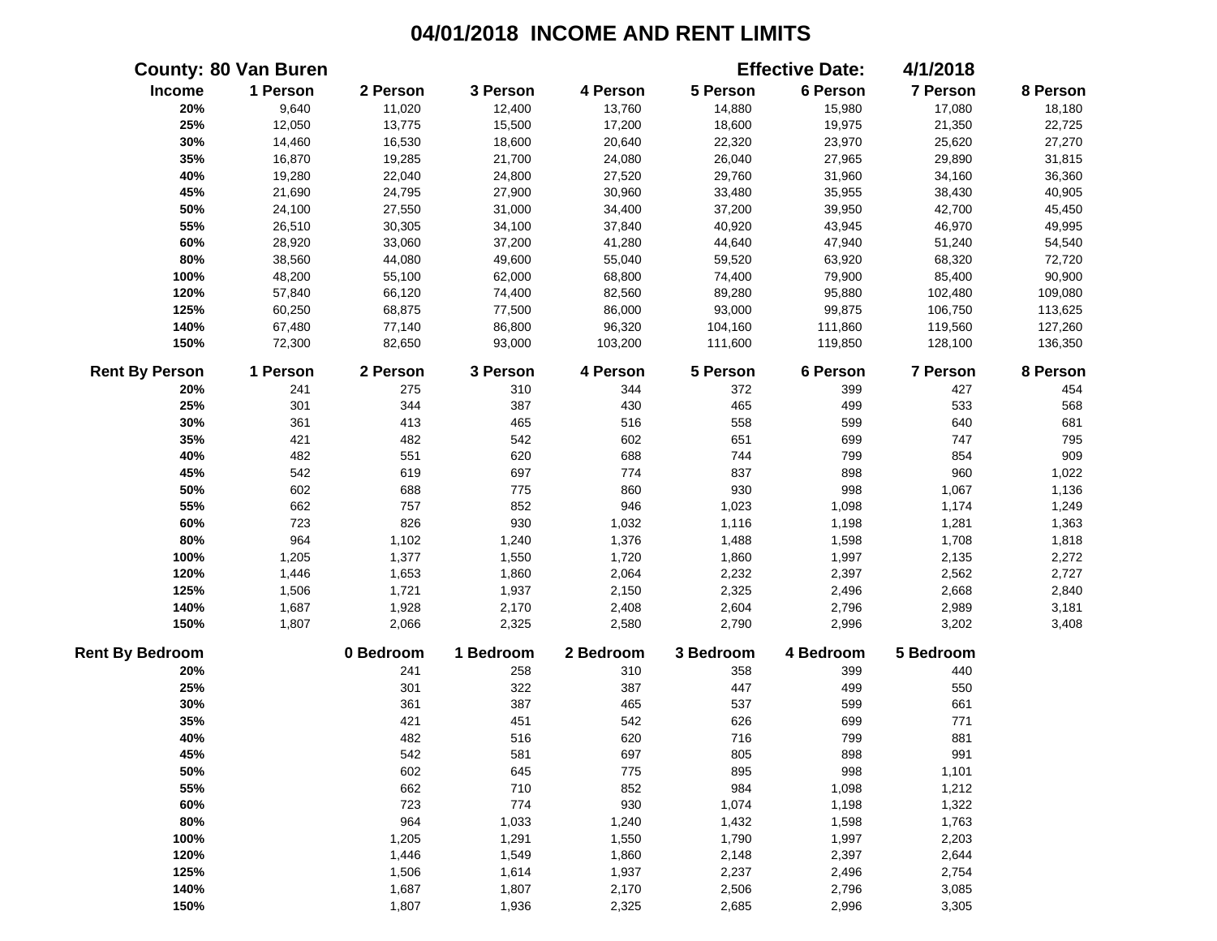|                        | <b>County: 80 Van Buren</b> |           |           |           |           | <b>Effective Date:</b> | 4/1/2018        |          |
|------------------------|-----------------------------|-----------|-----------|-----------|-----------|------------------------|-----------------|----------|
| Income                 | 1 Person                    | 2 Person  | 3 Person  | 4 Person  | 5 Person  | 6 Person               | 7 Person        | 8 Person |
| 20%                    | 9,640                       | 11,020    | 12,400    | 13,760    | 14,880    | 15,980                 | 17,080          | 18,180   |
| 25%                    | 12,050                      | 13,775    | 15,500    | 17,200    | 18,600    | 19,975                 | 21,350          | 22,725   |
| 30%                    | 14,460                      | 16,530    | 18,600    | 20,640    | 22,320    | 23,970                 | 25,620          | 27,270   |
| 35%                    | 16,870                      | 19,285    | 21,700    | 24,080    | 26,040    | 27,965                 | 29,890          | 31,815   |
| 40%                    | 19,280                      | 22,040    | 24,800    | 27,520    | 29,760    | 31,960                 | 34,160          | 36,360   |
| 45%                    | 21,690                      | 24,795    | 27,900    | 30,960    | 33,480    | 35,955                 | 38,430          | 40,905   |
| 50%                    | 24,100                      | 27,550    | 31,000    | 34,400    | 37,200    | 39,950                 | 42,700          | 45,450   |
| 55%                    | 26,510                      | 30,305    | 34,100    | 37,840    | 40,920    | 43,945                 | 46,970          | 49,995   |
| 60%                    | 28,920                      | 33,060    | 37,200    | 41,280    | 44,640    | 47,940                 | 51,240          | 54,540   |
| 80%                    | 38,560                      | 44,080    | 49,600    | 55,040    | 59,520    | 63,920                 | 68,320          | 72,720   |
| 100%                   | 48,200                      | 55,100    | 62,000    | 68,800    | 74,400    | 79,900                 | 85,400          | 90,900   |
| 120%                   | 57,840                      | 66,120    | 74,400    | 82,560    | 89,280    | 95,880                 | 102,480         | 109,080  |
| 125%                   | 60,250                      | 68,875    | 77,500    | 86,000    | 93,000    | 99,875                 | 106,750         | 113,625  |
| 140%                   | 67,480                      | 77,140    | 86,800    | 96,320    | 104,160   | 111,860                | 119,560         | 127,260  |
| 150%                   | 72,300                      | 82,650    | 93,000    | 103,200   | 111,600   | 119,850                | 128,100         | 136,350  |
| <b>Rent By Person</b>  | 1 Person                    | 2 Person  | 3 Person  | 4 Person  | 5 Person  | 6 Person               | <b>7 Person</b> | 8 Person |
| 20%                    | 241                         | 275       | 310       | 344       | 372       | 399                    | 427             | 454      |
| 25%                    | 301                         | 344       | 387       | 430       | 465       | 499                    | 533             | 568      |
| 30%                    | 361                         | 413       | 465       | 516       | 558       | 599                    | 640             | 681      |
| 35%                    | 421                         | 482       | 542       | 602       | 651       | 699                    | 747             | 795      |
| 40%                    | 482                         | 551       | 620       | 688       | 744       | 799                    | 854             | 909      |
| 45%                    | 542                         | 619       | 697       | 774       | 837       | 898                    | 960             | 1,022    |
| 50%                    | 602                         | 688       | 775       | 860       | 930       | 998                    | 1,067           | 1,136    |
| 55%                    | 662                         | 757       | 852       | 946       | 1,023     | 1,098                  | 1,174           | 1,249    |
| 60%                    | 723                         | 826       | 930       | 1,032     | 1,116     | 1,198                  | 1,281           | 1,363    |
| 80%                    | 964                         | 1,102     | 1,240     | 1,376     | 1,488     | 1,598                  | 1,708           | 1,818    |
| 100%                   | 1,205                       | 1,377     | 1,550     | 1,720     | 1,860     | 1,997                  | 2,135           | 2,272    |
| 120%                   | 1,446                       | 1,653     | 1,860     | 2,064     | 2,232     | 2,397                  | 2,562           | 2,727    |
| 125%                   | 1,506                       | 1,721     | 1,937     | 2,150     | 2,325     | 2,496                  | 2,668           | 2,840    |
| 140%                   | 1,687                       | 1,928     | 2,170     | 2,408     | 2,604     | 2,796                  | 2,989           | 3,181    |
| 150%                   | 1,807                       | 2,066     | 2,325     | 2,580     | 2,790     | 2,996                  | 3,202           | 3,408    |
| <b>Rent By Bedroom</b> |                             | 0 Bedroom | 1 Bedroom | 2 Bedroom | 3 Bedroom | 4 Bedroom              | 5 Bedroom       |          |
| 20%                    |                             | 241       | 258       | 310       | 358       | 399                    | 440             |          |
| 25%                    |                             | 301       | 322       | 387       | 447       | 499                    | 550             |          |
| 30%                    |                             | 361       | 387       | 465       | 537       | 599                    | 661             |          |
| 35%                    |                             | 421       | 451       | 542       | 626       | 699                    | 771             |          |
| 40%                    |                             | 482       | 516       | 620       | 716       | 799                    | 881             |          |
| 45%                    |                             | 542       | 581       | 697       | 805       | 898                    | 991             |          |
| 50%                    |                             | 602       | 645       | 775       | 895       | 998                    | 1,101           |          |
| 55%                    |                             | 662       | 710       | 852       | 984       | 1,098                  | 1,212           |          |
| 60%                    |                             | 723       | 774       | 930       | 1,074     | 1,198                  | 1,322           |          |
| 80%                    |                             | 964       | 1,033     | 1,240     | 1,432     | 1,598                  | 1,763           |          |
| 100%                   |                             | 1,205     | 1,291     | 1,550     | 1,790     | 1,997                  | 2,203           |          |
| 120%                   |                             | 1,446     | 1,549     | 1,860     | 2,148     | 2,397                  | 2,644           |          |
| 125%                   |                             | 1,506     | 1,614     | 1,937     | 2,237     | 2,496                  | 2,754           |          |
| 140%                   |                             | 1,687     | 1,807     | 2,170     | 2,506     | 2,796                  | 3,085           |          |
| 150%                   |                             | 1,807     | 1,936     | 2,325     | 2,685     | 2,996                  | 3,305           |          |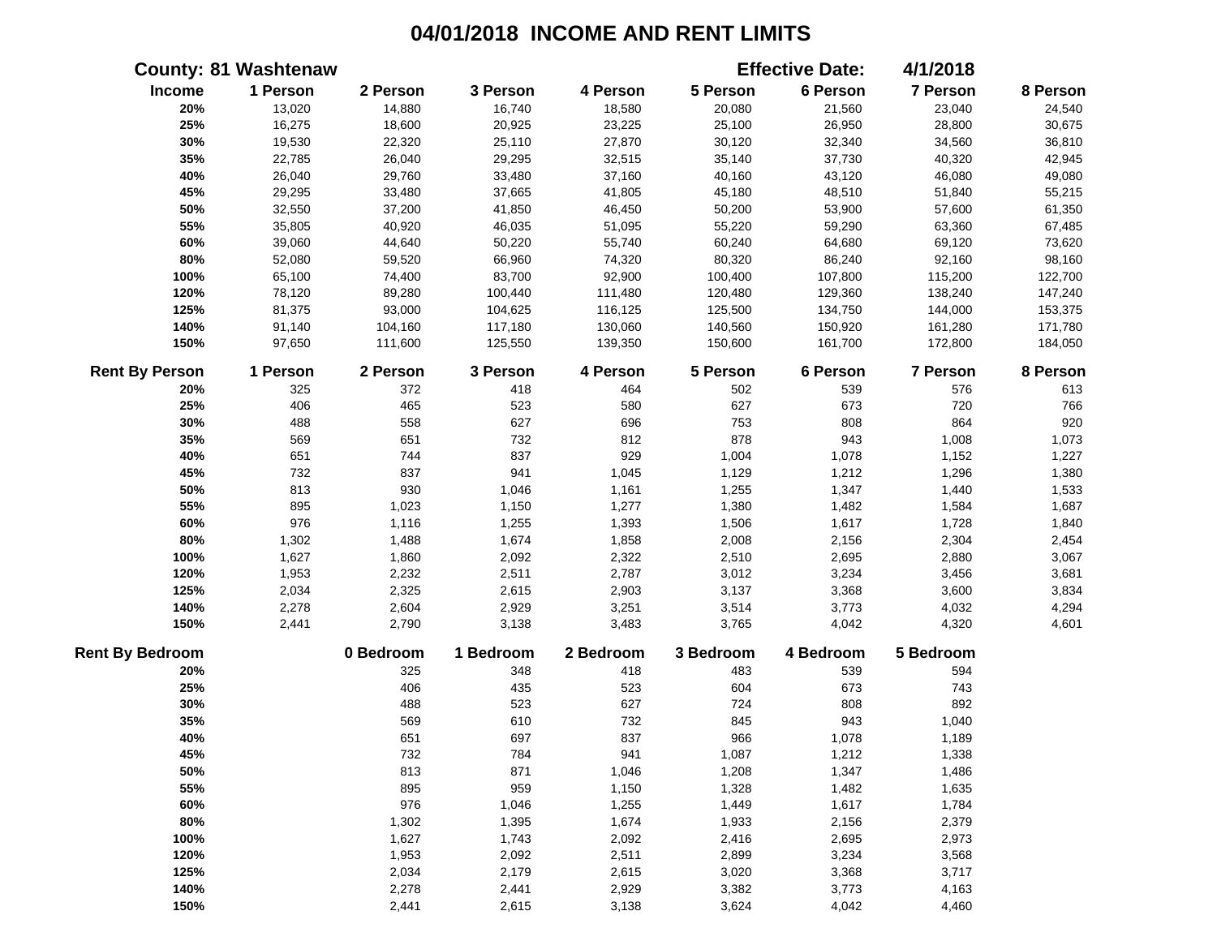|                        | <b>County: 81 Washtenaw</b> |           |           |           |           | <b>Effective Date:</b> | 4/1/2018  |          |
|------------------------|-----------------------------|-----------|-----------|-----------|-----------|------------------------|-----------|----------|
| Income                 | 1 Person                    | 2 Person  | 3 Person  | 4 Person  | 5 Person  | 6 Person               | 7 Person  | 8 Person |
| 20%                    | 13,020                      | 14,880    | 16,740    | 18,580    | 20,080    | 21,560                 | 23,040    | 24,540   |
| 25%                    | 16,275                      | 18,600    | 20,925    | 23,225    | 25,100    | 26,950                 | 28,800    | 30,675   |
| 30%                    | 19,530                      | 22,320    | 25,110    | 27,870    | 30,120    | 32,340                 | 34,560    | 36,810   |
| 35%                    | 22,785                      | 26,040    | 29,295    | 32,515    | 35,140    | 37,730                 | 40,320    | 42,945   |
| 40%                    | 26,040                      | 29,760    | 33,480    | 37,160    | 40,160    | 43,120                 | 46,080    | 49,080   |
| 45%                    | 29,295                      | 33,480    | 37,665    | 41,805    | 45,180    | 48,510                 | 51,840    | 55,215   |
| 50%                    | 32,550                      | 37,200    | 41,850    | 46,450    | 50,200    | 53,900                 | 57,600    | 61,350   |
| 55%                    | 35,805                      | 40,920    | 46,035    | 51,095    | 55,220    | 59,290                 | 63,360    | 67,485   |
| 60%                    | 39,060                      | 44,640    | 50,220    | 55,740    | 60,240    | 64,680                 | 69,120    | 73,620   |
| 80%                    | 52,080                      | 59,520    | 66,960    | 74,320    | 80,320    | 86,240                 | 92,160    | 98,160   |
| 100%                   | 65,100                      | 74,400    | 83,700    | 92,900    | 100,400   | 107,800                | 115,200   | 122,700  |
| 120%                   | 78,120                      | 89,280    | 100,440   | 111,480   | 120,480   | 129,360                | 138,240   | 147,240  |
| 125%                   | 81,375                      | 93,000    | 104,625   | 116,125   | 125,500   | 134,750                | 144,000   | 153,375  |
| 140%                   | 91,140                      | 104,160   | 117,180   | 130,060   | 140,560   | 150,920                | 161,280   | 171,780  |
| 150%                   | 97,650                      | 111,600   | 125,550   | 139,350   | 150,600   | 161,700                | 172,800   | 184,050  |
| <b>Rent By Person</b>  | 1 Person                    | 2 Person  | 3 Person  | 4 Person  | 5 Person  | 6 Person               | 7 Person  | 8 Person |
| 20%                    | 325                         | 372       | 418       | 464       | 502       | 539                    | 576       | 613      |
| 25%                    | 406                         | 465       | 523       | 580       | 627       | 673                    | 720       | 766      |
| 30%                    | 488                         | 558       | 627       | 696       | 753       | 808                    | 864       | 920      |
| 35%                    | 569                         | 651       | 732       | 812       | 878       | 943                    | 1,008     | 1,073    |
| 40%                    | 651                         | 744       | 837       | 929       | 1,004     | 1,078                  | 1,152     | 1,227    |
| 45%                    | 732                         | 837       | 941       | 1,045     | 1,129     | 1,212                  | 1,296     | 1,380    |
| 50%                    | 813                         | 930       | 1,046     | 1,161     | 1,255     | 1,347                  | 1,440     | 1,533    |
| 55%                    | 895                         | 1,023     | 1,150     | 1,277     | 1,380     | 1,482                  | 1,584     | 1,687    |
| 60%                    | 976                         | 1,116     | 1,255     | 1,393     | 1,506     | 1,617                  | 1,728     | 1,840    |
| 80%                    | 1,302                       | 1,488     | 1,674     | 1,858     | 2,008     | 2,156                  | 2,304     | 2,454    |
| 100%                   | 1,627                       | 1,860     | 2,092     | 2,322     | 2,510     | 2,695                  | 2,880     | 3,067    |
| 120%                   | 1,953                       | 2,232     | 2,511     | 2,787     | 3,012     | 3,234                  | 3,456     | 3,681    |
| 125%                   | 2,034                       | 2,325     | 2,615     | 2,903     | 3,137     | 3,368                  | 3,600     | 3,834    |
| 140%                   | 2,278                       | 2,604     | 2,929     | 3,251     | 3,514     | 3,773                  | 4,032     | 4,294    |
| 150%                   | 2,441                       | 2,790     | 3,138     | 3,483     | 3,765     | 4,042                  | 4,320     | 4,601    |
| <b>Rent By Bedroom</b> |                             | 0 Bedroom | 1 Bedroom | 2 Bedroom | 3 Bedroom | 4 Bedroom              | 5 Bedroom |          |
| 20%                    |                             | 325       | 348       | 418       | 483       | 539                    | 594       |          |
| 25%                    |                             | 406       | 435       | 523       | 604       | 673                    | 743       |          |
| 30%                    |                             | 488       | 523       | 627       | 724       | 808                    | 892       |          |
| 35%                    |                             | 569       | 610       | 732       | 845       | 943                    | 1,040     |          |
| 40%                    |                             | 651       | 697       | 837       | 966       | 1,078                  | 1,189     |          |
| 45%                    |                             | 732       | 784       | 941       | 1,087     | 1,212                  | 1,338     |          |
| 50%                    |                             | 813       | 871       | 1,046     | 1,208     | 1,347                  | 1,486     |          |
| 55%                    |                             | 895       | 959       | 1,150     | 1,328     | 1,482                  | 1,635     |          |
| 60%                    |                             | 976       | 1,046     | 1,255     | 1,449     | 1,617                  | 1,784     |          |
| 80%                    |                             | 1,302     | 1,395     | 1,674     | 1,933     | 2,156                  | 2,379     |          |
| 100%                   |                             | 1,627     | 1,743     | 2,092     | 2,416     | 2,695                  | 2,973     |          |
| 120%                   |                             | 1,953     | 2,092     | 2,511     | 2,899     | 3,234                  | 3,568     |          |
| 125%                   |                             | 2,034     | 2,179     | 2,615     | 3,020     | 3,368                  | 3,717     |          |
| 140%                   |                             | 2,278     | 2,441     | 2,929     | 3,382     | 3,773                  | 4,163     |          |
| 150%                   |                             | 2,441     | 2,615     | 3,138     | 3,624     | 4,042                  | 4,460     |          |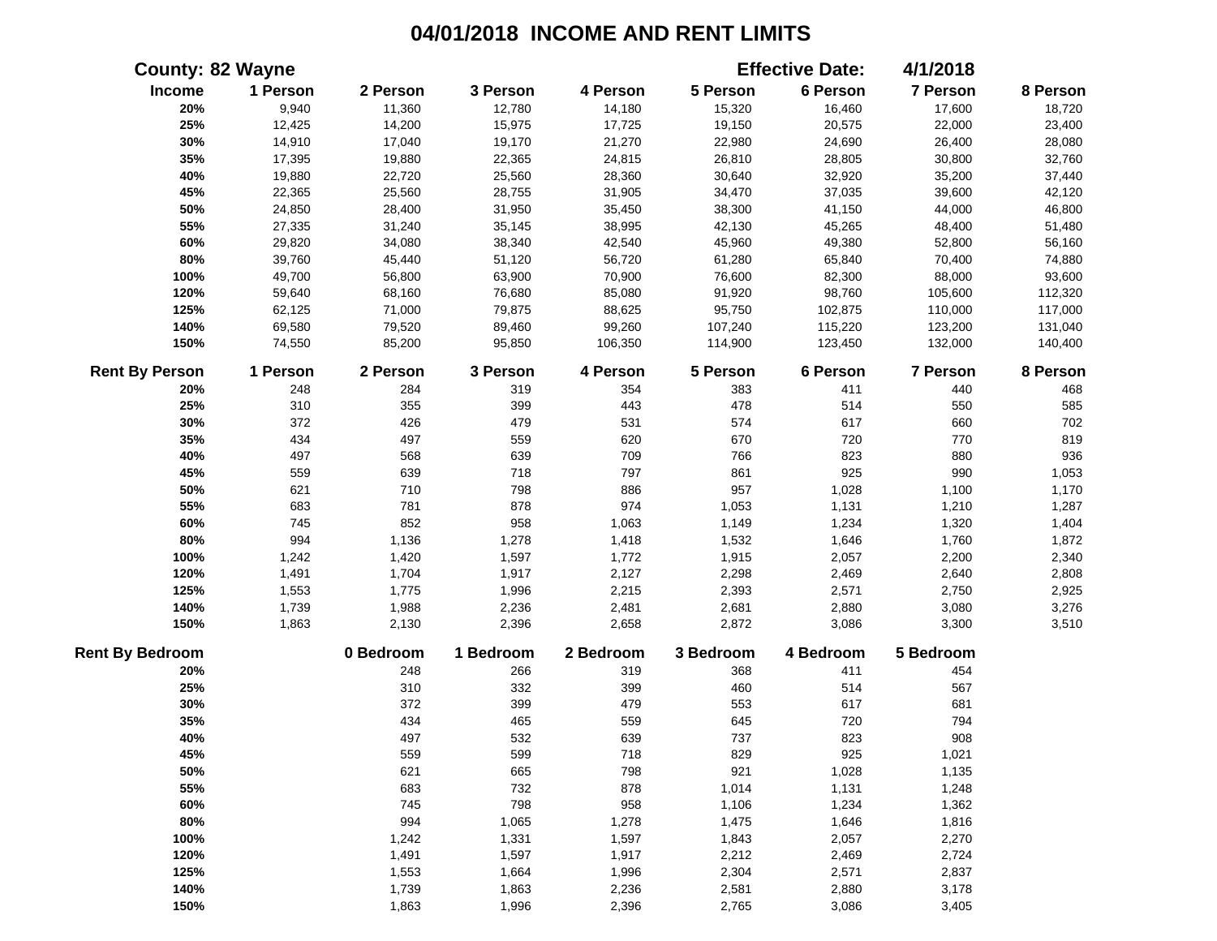|                        | <b>County: 82 Wayne</b> |           |           |           |           | <b>Effective Date:</b> | 4/1/2018  |          |
|------------------------|-------------------------|-----------|-----------|-----------|-----------|------------------------|-----------|----------|
| Income                 | 1 Person                | 2 Person  | 3 Person  | 4 Person  | 5 Person  | 6 Person               | 7 Person  | 8 Person |
| 20%                    | 9,940                   | 11,360    | 12,780    | 14,180    | 15,320    | 16,460                 | 17,600    | 18,720   |
| 25%                    | 12,425                  | 14,200    | 15,975    | 17,725    | 19,150    | 20,575                 | 22,000    | 23,400   |
| 30%                    | 14,910                  | 17,040    | 19,170    | 21,270    | 22,980    | 24,690                 | 26,400    | 28,080   |
| 35%                    | 17,395                  | 19,880    | 22,365    | 24,815    | 26,810    | 28,805                 | 30,800    | 32,760   |
| 40%                    | 19,880                  | 22,720    | 25,560    | 28,360    | 30,640    | 32,920                 | 35,200    | 37,440   |
| 45%                    | 22,365                  | 25,560    | 28,755    | 31,905    | 34,470    | 37,035                 | 39,600    | 42,120   |
| 50%                    | 24,850                  | 28,400    | 31,950    | 35,450    | 38,300    | 41,150                 | 44,000    | 46,800   |
| 55%                    | 27,335                  | 31,240    | 35,145    | 38,995    | 42,130    | 45,265                 | 48,400    | 51,480   |
| 60%                    | 29,820                  | 34,080    | 38,340    | 42,540    | 45,960    | 49,380                 | 52,800    | 56,160   |
| 80%                    | 39,760                  | 45,440    | 51,120    | 56,720    | 61,280    | 65,840                 | 70,400    | 74,880   |
| 100%                   | 49,700                  | 56,800    | 63,900    | 70,900    | 76,600    | 82,300                 | 88,000    | 93,600   |
| 120%                   | 59,640                  | 68,160    | 76,680    | 85,080    | 91,920    | 98,760                 | 105,600   | 112,320  |
| 125%                   | 62,125                  | 71,000    | 79,875    | 88,625    | 95,750    | 102,875                | 110,000   | 117,000  |
| 140%                   | 69,580                  | 79,520    | 89,460    | 99,260    | 107,240   | 115,220                | 123,200   | 131,040  |
| 150%                   | 74,550                  | 85,200    | 95,850    | 106,350   | 114,900   | 123,450                | 132,000   | 140,400  |
| <b>Rent By Person</b>  | 1 Person                | 2 Person  | 3 Person  | 4 Person  | 5 Person  | 6 Person               | 7 Person  | 8 Person |
| 20%                    | 248                     | 284       | 319       | 354       | 383       | 411                    | 440       | 468      |
| 25%                    | 310                     | 355       | 399       | 443       | 478       | 514                    | 550       | 585      |
| 30%                    | 372                     | 426       | 479       | 531       | 574       | 617                    | 660       | 702      |
| 35%                    | 434                     | 497       | 559       | 620       | 670       | 720                    | 770       | 819      |
| 40%                    | 497                     | 568       | 639       | 709       | 766       | 823                    | 880       | 936      |
| 45%                    | 559                     | 639       | 718       | 797       | 861       | 925                    | 990       | 1,053    |
| 50%                    | 621                     | 710       | 798       | 886       | 957       | 1,028                  | 1,100     | 1,170    |
| 55%                    | 683                     | 781       | 878       | 974       | 1,053     | 1,131                  | 1,210     | 1,287    |
| 60%                    | 745                     | 852       | 958       | 1,063     | 1,149     | 1,234                  | 1,320     | 1,404    |
| 80%                    | 994                     | 1,136     | 1,278     | 1,418     | 1,532     | 1,646                  | 1,760     | 1,872    |
| 100%                   | 1,242                   | 1,420     | 1,597     | 1,772     | 1,915     | 2,057                  | 2,200     | 2,340    |
| 120%                   | 1,491                   | 1,704     | 1,917     | 2,127     | 2,298     | 2,469                  | 2,640     | 2,808    |
| 125%                   | 1,553                   | 1,775     | 1,996     | 2,215     | 2,393     | 2,571                  | 2,750     | 2,925    |
| 140%                   | 1,739                   | 1,988     | 2,236     | 2,481     | 2,681     | 2,880                  | 3,080     | 3,276    |
| 150%                   | 1,863                   | 2,130     | 2,396     | 2,658     | 2,872     | 3,086                  | 3,300     | 3,510    |
| <b>Rent By Bedroom</b> |                         | 0 Bedroom | 1 Bedroom | 2 Bedroom | 3 Bedroom | 4 Bedroom              | 5 Bedroom |          |
| 20%                    |                         | 248       | 266       | 319       | 368       | 411                    | 454       |          |
| 25%                    |                         | 310       | 332       | 399       | 460       | 514                    | 567       |          |
| 30%                    |                         | 372       | 399       | 479       | 553       | 617                    | 681       |          |
| 35%                    |                         | 434       | 465       | 559       | 645       | 720                    | 794       |          |
| 40%                    |                         | 497       | 532       | 639       | 737       | 823                    | 908       |          |
| 45%                    |                         | 559       | 599       | 718       | 829       | 925                    | 1,021     |          |
| 50%                    |                         | 621       | 665       | 798       | 921       | 1,028                  | 1,135     |          |
| 55%                    |                         | 683       | 732       | 878       | 1,014     | 1,131                  | 1,248     |          |
| 60%                    |                         | 745       | 798       | 958       | 1,106     | 1,234                  | 1,362     |          |
| 80%                    |                         | 994       | 1,065     | 1,278     | 1,475     | 1,646                  | 1,816     |          |
| 100%                   |                         | 1,242     | 1,331     | 1,597     | 1,843     | 2,057                  | 2,270     |          |
| 120%                   |                         | 1,491     | 1,597     | 1,917     | 2,212     | 2,469                  | 2,724     |          |
| 125%                   |                         | 1,553     | 1,664     | 1,996     | 2,304     | 2,571                  | 2,837     |          |
| 140%                   |                         | 1,739     | 1,863     | 2,236     | 2,581     | 2,880                  | 3,178     |          |
| 150%                   |                         | 1,863     | 1,996     | 2,396     | 2,765     | 3,086                  | 3,405     |          |